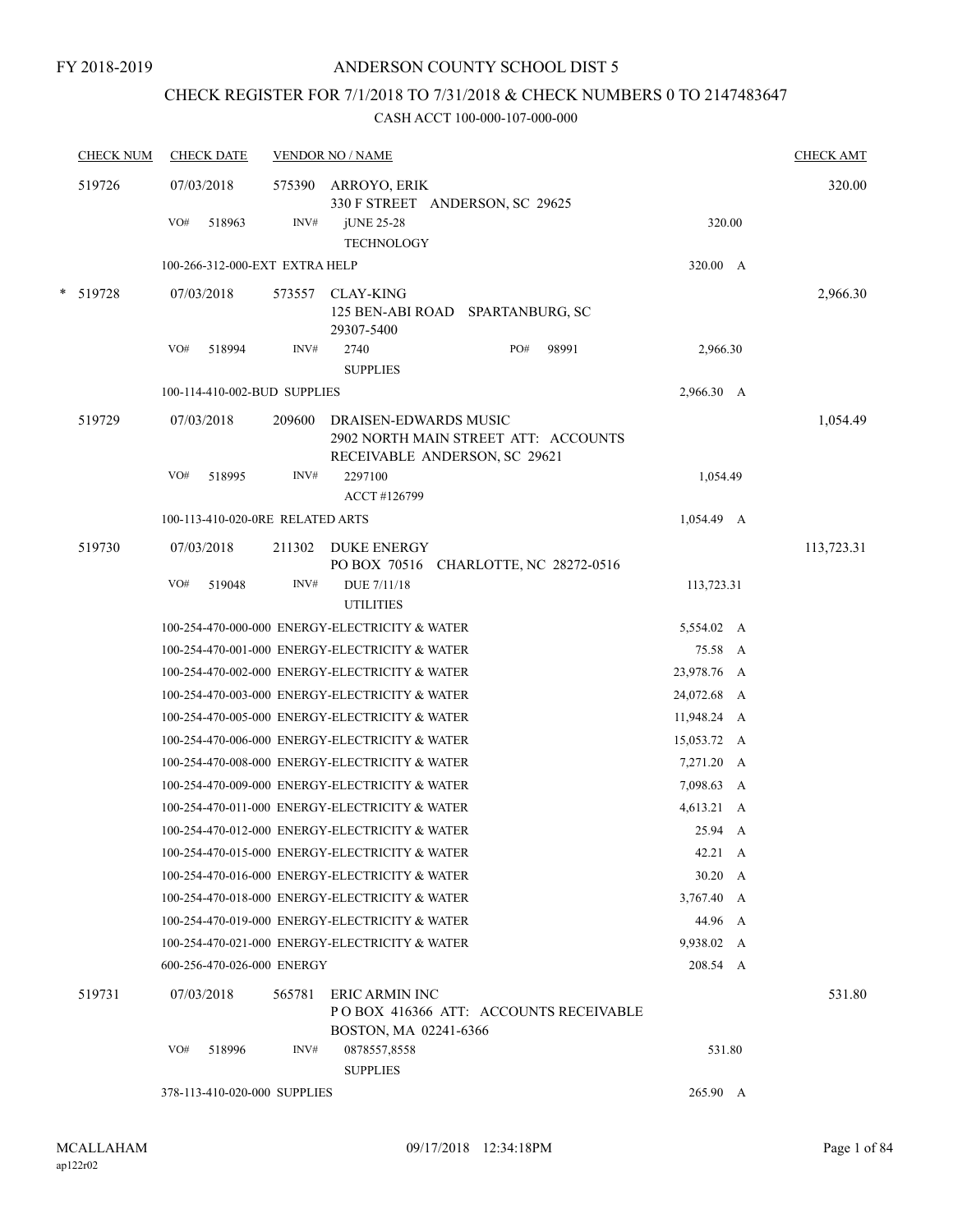# CHECK REGISTER FOR 7/1/2018 TO 7/31/2018 & CHECK NUMBERS 0 TO 2147483647

|   | <b>CHECK NUM</b> | <b>CHECK DATE</b>                |        | <b>VENDOR NO / NAME</b>                                                                        |             | <b>CHECK AMT</b> |
|---|------------------|----------------------------------|--------|------------------------------------------------------------------------------------------------|-------------|------------------|
|   | 519726           | 07/03/2018                       | 575390 | ARROYO, ERIK<br>330 F STREET ANDERSON, SC 29625                                                |             | 320.00           |
|   |                  | VO#<br>518963                    | INV#   | jUNE 25-28<br><b>TECHNOLOGY</b>                                                                | 320.00      |                  |
|   |                  | 100-266-312-000-EXT EXTRA HELP   |        |                                                                                                | 320.00 A    |                  |
| * | 519728           | 07/03/2018                       | 573557 | CLAY-KING<br>SPARTANBURG, SC<br>125 BEN-ABI ROAD<br>29307-5400                                 |             | 2,966.30         |
|   |                  | VO#<br>518994                    | INV#   | PO#<br>98991<br>2740                                                                           | 2,966.30    |                  |
|   |                  |                                  |        | <b>SUPPLIES</b>                                                                                |             |                  |
|   |                  | 100-114-410-002-BUD SUPPLIES     |        |                                                                                                | 2,966.30 A  |                  |
|   | 519729           | 07/03/2018                       | 209600 | DRAISEN-EDWARDS MUSIC<br>2902 NORTH MAIN STREET ATT: ACCOUNTS<br>RECEIVABLE ANDERSON, SC 29621 |             | 1,054.49         |
|   |                  | VO#<br>518995                    | INV#   | 2297100<br>ACCT #126799                                                                        | 1,054.49    |                  |
|   |                  | 100-113-410-020-0RE RELATED ARTS |        |                                                                                                | 1,054.49 A  |                  |
|   | 519730           | 07/03/2018                       | 211302 | DUKE ENERGY                                                                                    |             | 113,723.31       |
|   |                  | VO#<br>519048                    | INV#   | PO BOX 70516 CHARLOTTE, NC 28272-0516<br>DUE 7/11/18<br><b>UTILITIES</b>                       | 113,723.31  |                  |
|   |                  |                                  |        | 100-254-470-000-000 ENERGY-ELECTRICITY & WATER                                                 | 5,554.02 A  |                  |
|   |                  |                                  |        | 100-254-470-001-000 ENERGY-ELECTRICITY & WATER                                                 | 75.58 A     |                  |
|   |                  |                                  |        | 100-254-470-002-000 ENERGY-ELECTRICITY & WATER                                                 | 23,978.76 A |                  |
|   |                  |                                  |        | 100-254-470-003-000 ENERGY-ELECTRICITY & WATER                                                 | 24,072.68 A |                  |
|   |                  |                                  |        | 100-254-470-005-000 ENERGY-ELECTRICITY & WATER                                                 | 11,948.24 A |                  |
|   |                  |                                  |        | 100-254-470-006-000 ENERGY-ELECTRICITY & WATER                                                 | 15,053.72 A |                  |
|   |                  |                                  |        | 100-254-470-008-000 ENERGY-ELECTRICITY & WATER                                                 | 7,271.20 A  |                  |
|   |                  |                                  |        | 100-254-470-009-000 ENERGY-ELECTRICITY & WATER                                                 | 7,098.63 A  |                  |
|   |                  |                                  |        | 100-254-470-011-000 ENERGY-ELECTRICITY & WATER                                                 | 4,613.21 A  |                  |
|   |                  |                                  |        | 100-254-470-012-000 ENERGY-ELECTRICITY & WATER                                                 | 25.94 A     |                  |
|   |                  |                                  |        | 100-254-470-015-000 ENERGY-ELECTRICITY & WATER                                                 | 42.21 A     |                  |
|   |                  |                                  |        | 100-254-470-016-000 ENERGY-ELECTRICITY & WATER                                                 | $30.20\,$ A |                  |
|   |                  |                                  |        | 100-254-470-018-000 ENERGY-ELECTRICITY & WATER                                                 | 3,767.40 A  |                  |
|   |                  |                                  |        | 100-254-470-019-000 ENERGY-ELECTRICITY & WATER                                                 | 44.96 A     |                  |
|   |                  |                                  |        | 100-254-470-021-000 ENERGY-ELECTRICITY & WATER                                                 | 9,938.02 A  |                  |
|   |                  | 600-256-470-026-000 ENERGY       |        |                                                                                                | 208.54 A    |                  |
|   | 519731           | 07/03/2018                       | 565781 | ERIC ARMIN INC<br>POBOX 416366 ATT: ACCOUNTS RECEIVABLE<br>BOSTON, MA 02241-6366               |             | 531.80           |
|   |                  | VO#<br>518996                    | INV#   | 0878557,8558<br><b>SUPPLIES</b>                                                                | 531.80      |                  |
|   |                  | 378-113-410-020-000 SUPPLIES     |        |                                                                                                | 265.90 A    |                  |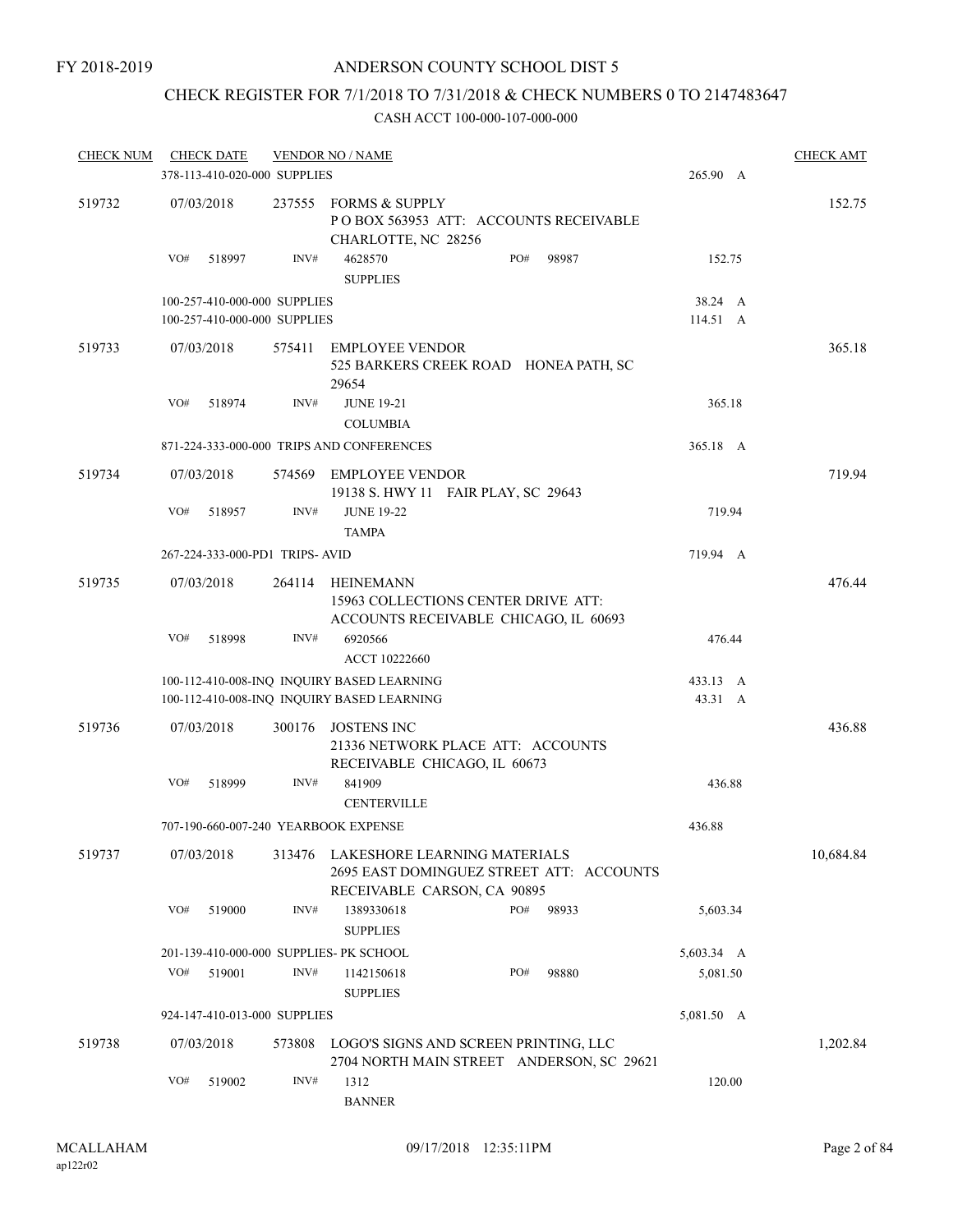# CHECK REGISTER FOR 7/1/2018 TO 7/31/2018 & CHECK NUMBERS 0 TO 2147483647

| <b>CHECK NUM</b> |     | <b>CHECK DATE</b><br>378-113-410-020-000 SUPPLIES |        | <b>VENDOR NO / NAME</b>                                                                                 | 265.90 A | <b>CHECK AMT</b>    |           |
|------------------|-----|---------------------------------------------------|--------|---------------------------------------------------------------------------------------------------------|----------|---------------------|-----------|
| 519732           |     | 07/03/2018                                        | 237555 | <b>FORMS &amp; SUPPLY</b><br>POBOX 563953 ATT: ACCOUNTS RECEIVABLE<br>CHARLOTTE, NC 28256               |          |                     | 152.75    |
|                  | VO# | 518997                                            | INV#   | 4628570<br>PO#<br><b>SUPPLIES</b>                                                                       | 98987    | 152.75              |           |
|                  |     | 100-257-410-000-000 SUPPLIES                      |        |                                                                                                         |          | 38.24 A             |           |
|                  |     | 100-257-410-000-000 SUPPLIES                      |        |                                                                                                         |          | 114.51 A            |           |
| 519733           |     | 07/03/2018                                        | 575411 | <b>EMPLOYEE VENDOR</b><br>525 BARKERS CREEK ROAD HONEA PATH, SC<br>29654                                |          |                     | 365.18    |
|                  | VO# | 518974                                            | INV#   | <b>JUNE 19-21</b>                                                                                       |          | 365.18              |           |
|                  |     |                                                   |        | <b>COLUMBIA</b>                                                                                         |          |                     |           |
|                  |     |                                                   |        | 871-224-333-000-000 TRIPS AND CONFERENCES                                                               |          | 365.18 A            |           |
| 519734           |     | 07/03/2018                                        |        | 574569 EMPLOYEE VENDOR<br>19138 S. HWY 11 FAIR PLAY, SC 29643                                           |          |                     | 719.94    |
|                  | VO# | 518957                                            | INV#   | <b>JUNE 19-22</b><br><b>TAMPA</b>                                                                       |          | 719.94              |           |
|                  |     | 267-224-333-000-PD1 TRIPS- AVID                   |        |                                                                                                         |          | 719.94 A            |           |
| 519735           |     | 07/03/2018                                        | 264114 | HEINEMANN<br>15963 COLLECTIONS CENTER DRIVE ATT:<br>ACCOUNTS RECEIVABLE CHICAGO, IL 60693               |          |                     | 476.44    |
|                  | VO# | 518998                                            | INV#   | 6920566<br>ACCT 10222660                                                                                |          | 476.44              |           |
|                  |     |                                                   |        | 100-112-410-008-INQ INQUIRY BASED LEARNING<br>100-112-410-008-INQ INQUIRY BASED LEARNING                |          | 433.13 A<br>43.31 A |           |
| 519736           |     | 07/03/2018                                        | 300176 | <b>JOSTENS INC</b><br>21336 NETWORK PLACE ATT: ACCOUNTS<br>RECEIVABLE CHICAGO, IL 60673                 |          |                     | 436.88    |
|                  | VO# | 518999                                            | INV#   | 841909<br><b>CENTERVILLE</b>                                                                            |          | 436.88              |           |
|                  |     |                                                   |        | 707-190-660-007-240 YEARBOOK EXPENSE                                                                    |          | 436.88              |           |
| 519737           |     | 07/03/2018                                        | 313476 | LAKESHORE LEARNING MATERIALS<br>2695 EAST DOMINGUEZ STREET ATT: ACCOUNTS<br>RECEIVABLE CARSON, CA 90895 |          |                     | 10,684.84 |
|                  | VO# | 519000                                            | INV#   | PO#<br>1389330618<br><b>SUPPLIES</b>                                                                    | 98933    | 5,603.34            |           |
|                  |     |                                                   |        | 201-139-410-000-000 SUPPLIES- PK SCHOOL                                                                 |          | 5,603.34 A          |           |
|                  | VO# | 519001                                            | INV#   | PO#<br>1142150618<br><b>SUPPLIES</b>                                                                    | 98880    | 5,081.50            |           |
|                  |     | 924-147-410-013-000 SUPPLIES                      |        |                                                                                                         |          | 5,081.50 A          |           |
| 519738           |     | 07/03/2018                                        | 573808 | LOGO'S SIGNS AND SCREEN PRINTING, LLC<br>2704 NORTH MAIN STREET ANDERSON, SC 29621                      |          |                     | 1,202.84  |
|                  | VO# | 519002                                            | INV#   | 1312<br><b>BANNER</b>                                                                                   |          | 120.00              |           |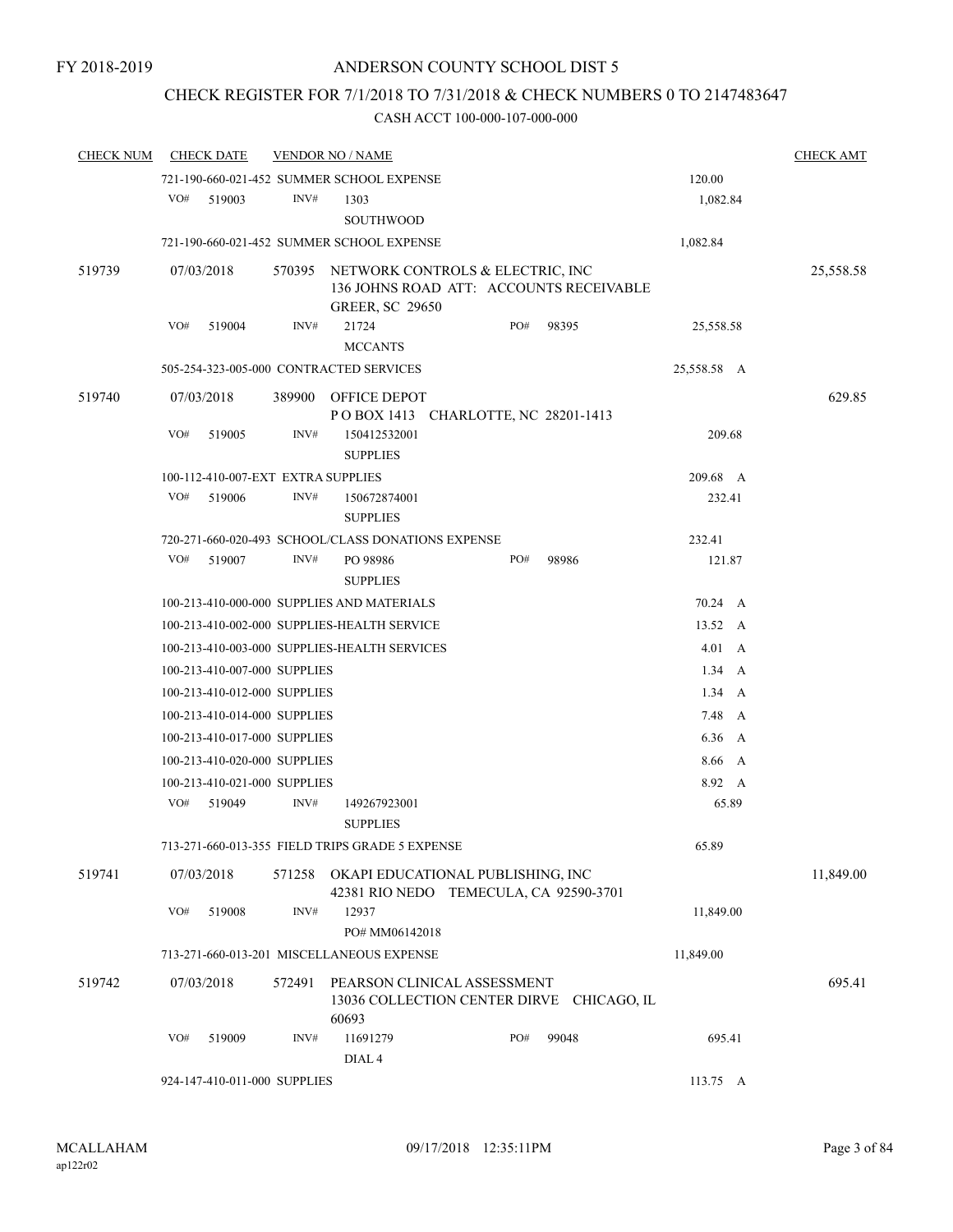# CHECK REGISTER FOR 7/1/2018 TO 7/31/2018 & CHECK NUMBERS 0 TO 2147483647

| <b>CHECK NUM</b> |     | <b>CHECK DATE</b>                  |        | <b>VENDOR NO / NAME</b>                                                                                      |  |     |                                           |                |                  | <b>CHECK AMT</b> |
|------------------|-----|------------------------------------|--------|--------------------------------------------------------------------------------------------------------------|--|-----|-------------------------------------------|----------------|------------------|------------------|
|                  |     |                                    |        | 721-190-660-021-452 SUMMER SCHOOL EXPENSE                                                                    |  |     |                                           | 120.00         |                  |                  |
|                  | VO# | 519003                             | INV#   | 1303<br>SOUTHWOOD                                                                                            |  |     |                                           | 1,082.84       |                  |                  |
|                  |     |                                    |        | 721-190-660-021-452 SUMMER SCHOOL EXPENSE                                                                    |  |     |                                           | 1,082.84       |                  |                  |
| 519739           |     | 07/03/2018                         |        | 570395 NETWORK CONTROLS & ELECTRIC, INC<br>136 JOHNS ROAD ATT: ACCOUNTS RECEIVABLE<br><b>GREER, SC 29650</b> |  |     |                                           |                |                  | 25,558.58        |
|                  | VO# | 519004                             | INV#   | 21724                                                                                                        |  | PO# | 98395                                     | 25,558.58      |                  |                  |
|                  |     |                                    |        | <b>MCCANTS</b>                                                                                               |  |     |                                           |                |                  |                  |
|                  |     |                                    |        | 505-254-323-005-000 CONTRACTED SERVICES                                                                      |  |     |                                           | 25,558.58 A    |                  |                  |
| 519740           |     | 07/03/2018                         | 389900 | OFFICE DEPOT<br>POBOX 1413 CHARLOTTE, NC 28201-1413                                                          |  |     |                                           |                |                  | 629.85           |
|                  | VO# | 519005                             | INV#   | 150412532001<br><b>SUPPLIES</b>                                                                              |  |     |                                           | 209.68         |                  |                  |
|                  |     | 100-112-410-007-EXT EXTRA SUPPLIES |        |                                                                                                              |  |     |                                           | 209.68 A       |                  |                  |
|                  | VO# | 519006                             | INV#   | 150672874001<br><b>SUPPLIES</b>                                                                              |  |     |                                           | 232.41         |                  |                  |
|                  |     |                                    |        | 720-271-660-020-493 SCHOOL/CLASS DONATIONS EXPENSE                                                           |  |     |                                           | 232.41         |                  |                  |
|                  | VO# | 519007                             | INV#   | PO 98986<br><b>SUPPLIES</b>                                                                                  |  | PO# | 98986                                     | 121.87         |                  |                  |
|                  |     |                                    |        | 100-213-410-000-000 SUPPLIES AND MATERIALS                                                                   |  |     |                                           | 70.24 A        |                  |                  |
|                  |     |                                    |        | 100-213-410-002-000 SUPPLIES-HEALTH SERVICE                                                                  |  |     |                                           | 13.52 A        |                  |                  |
|                  |     |                                    |        | 100-213-410-003-000 SUPPLIES-HEALTH SERVICES                                                                 |  |     |                                           | $4.01\quad A$  |                  |                  |
|                  |     | 100-213-410-007-000 SUPPLIES       |        |                                                                                                              |  |     |                                           | $1.34 \quad A$ |                  |                  |
|                  |     | 100-213-410-012-000 SUPPLIES       |        |                                                                                                              |  |     |                                           | $1.34\quad A$  |                  |                  |
|                  |     | 100-213-410-014-000 SUPPLIES       |        |                                                                                                              |  |     |                                           | 7.48 A         |                  |                  |
|                  |     | 100-213-410-017-000 SUPPLIES       |        |                                                                                                              |  |     |                                           | 6.36 A         |                  |                  |
|                  |     | 100-213-410-020-000 SUPPLIES       |        |                                                                                                              |  |     |                                           | 8.66 A         |                  |                  |
|                  |     | 100-213-410-021-000 SUPPLIES       |        |                                                                                                              |  |     |                                           | 8.92 A         |                  |                  |
|                  | VO# | 519049                             | INV#   | 149267923001<br><b>SUPPLIES</b>                                                                              |  |     |                                           | 65.89          |                  |                  |
|                  |     |                                    |        | 713-271-660-013-355 FIELD TRIPS GRADE 5 EXPENSE                                                              |  |     |                                           | 65.89          |                  |                  |
| 519741           |     | 07/03/2018                         | 571258 | OKAPI EDUCATIONAL PUBLISHING, INC<br>42381 RIO NEDO TEMECULA, CA 92590-3701                                  |  |     |                                           |                |                  | 11,849.00        |
|                  | VO# | 519008                             | INV#   | 12937<br>PO# MM06142018                                                                                      |  |     |                                           | 11,849.00      |                  |                  |
|                  |     |                                    |        | 713-271-660-013-201 MISCELLANEOUS EXPENSE                                                                    |  |     |                                           | 11,849.00      |                  |                  |
| 519742           |     | 07/03/2018                         | 572491 | PEARSON CLINICAL ASSESSMENT<br>60693                                                                         |  |     | 13036 COLLECTION CENTER DIRVE CHICAGO, IL |                |                  | 695.41           |
|                  | VO# | 519009                             | INV#   | 11691279<br>DIAL <sub>4</sub>                                                                                |  | PO# | 99048                                     | 695.41         |                  |                  |
|                  |     | 924-147-410-011-000 SUPPLIES       |        |                                                                                                              |  |     |                                           |                | $113.75 \quad A$ |                  |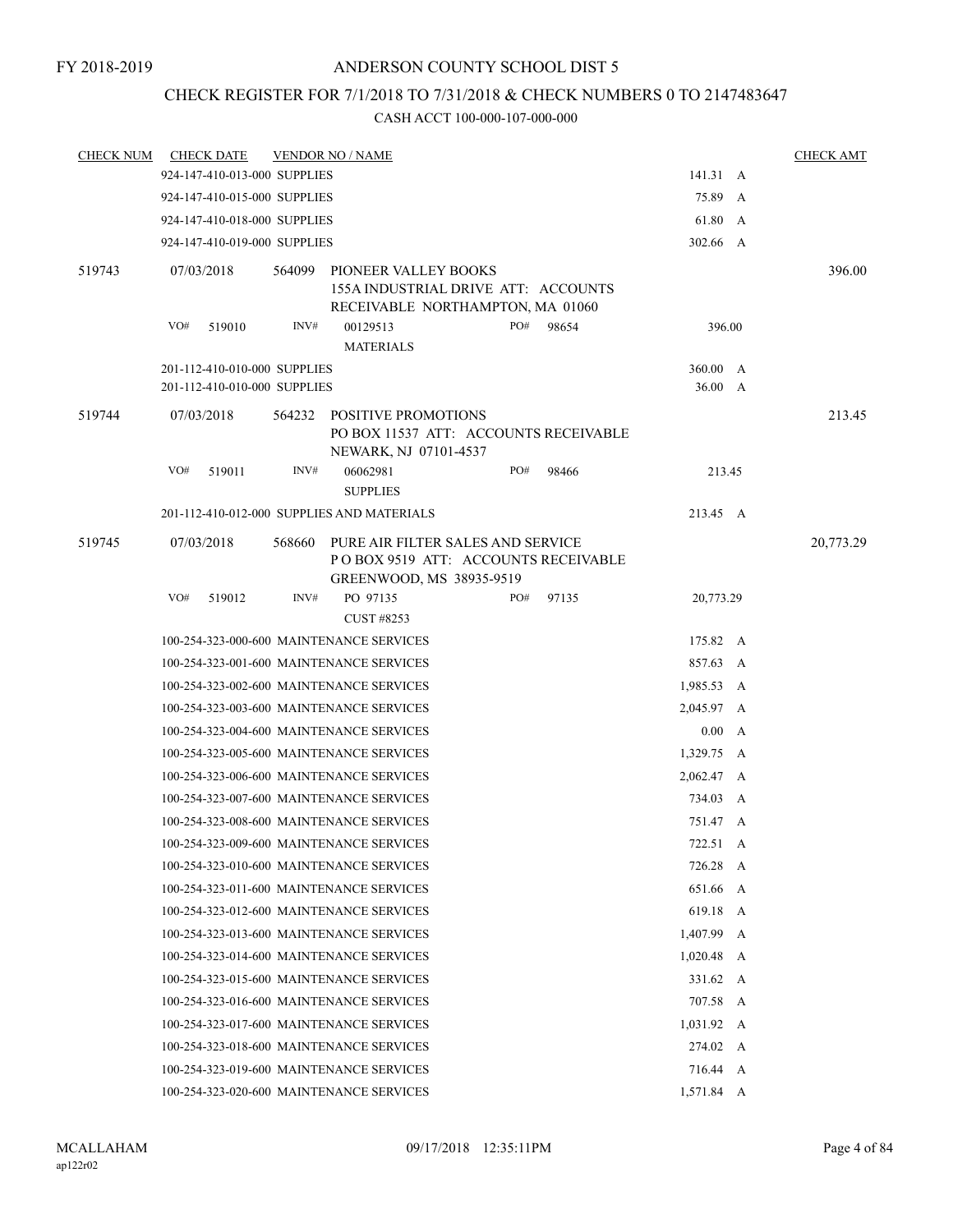# CHECK REGISTER FOR 7/1/2018 TO 7/31/2018 & CHECK NUMBERS 0 TO 2147483647

| <b>CHECK NUM</b> |                                          | <b>CHECK DATE</b>            |        | <b>VENDOR NO / NAME</b>                                                                              |     |       |                    |          | <b>CHECK AMT</b> |
|------------------|------------------------------------------|------------------------------|--------|------------------------------------------------------------------------------------------------------|-----|-------|--------------------|----------|------------------|
|                  |                                          | 924-147-410-013-000 SUPPLIES |        |                                                                                                      |     |       | 141.31 A           |          |                  |
|                  |                                          | 924-147-410-015-000 SUPPLIES |        |                                                                                                      |     |       | 75.89 A            |          |                  |
|                  |                                          | 924-147-410-018-000 SUPPLIES |        |                                                                                                      |     |       | 61.80 A            |          |                  |
|                  |                                          | 924-147-410-019-000 SUPPLIES |        |                                                                                                      |     |       | 302.66 A           |          |                  |
| 519743           |                                          | 07/03/2018                   | 564099 | PIONEER VALLEY BOOKS                                                                                 |     |       |                    |          | 396.00           |
|                  |                                          |                              |        | 155A INDUSTRIAL DRIVE ATT: ACCOUNTS                                                                  |     |       |                    |          |                  |
|                  |                                          |                              |        | RECEIVABLE NORTHAMPTON, MA 01060                                                                     |     |       |                    |          |                  |
|                  | VO#                                      | 519010                       | INV#   | 00129513<br><b>MATERIALS</b>                                                                         | PO# | 98654 | 396.00             |          |                  |
|                  |                                          | 201-112-410-010-000 SUPPLIES |        |                                                                                                      |     |       | 360.00 A           |          |                  |
|                  |                                          | 201-112-410-010-000 SUPPLIES |        |                                                                                                      |     |       | 36.00 A            |          |                  |
| 519744           |                                          | 07/03/2018                   |        | 564232 POSITIVE PROMOTIONS<br>PO BOX 11537 ATT: ACCOUNTS RECEIVABLE<br>NEWARK, NJ 07101-4537         |     |       |                    |          | 213.45           |
|                  | VO#                                      | 519011                       | INV#   | 06062981<br><b>SUPPLIES</b>                                                                          | PO# | 98466 | 213.45             |          |                  |
|                  |                                          |                              |        | 201-112-410-012-000 SUPPLIES AND MATERIALS                                                           |     |       | 213.45 A           |          |                  |
| 519745           |                                          | 07/03/2018                   | 568660 | PURE AIR FILTER SALES AND SERVICE<br>POBOX 9519 ATT: ACCOUNTS RECEIVABLE<br>GREENWOOD, MS 38935-9519 |     |       |                    |          | 20,773.29        |
|                  | VO#                                      | 519012                       | INV#   | PO 97135                                                                                             | PO# | 97135 | 20,773.29          |          |                  |
|                  |                                          |                              |        |                                                                                                      |     |       |                    |          |                  |
|                  |                                          |                              |        | 100-254-323-000-600 MAINTENANCE SERVICES                                                             |     |       | 175.82 A           |          |                  |
|                  |                                          |                              |        | 100-254-323-001-600 MAINTENANCE SERVICES                                                             |     |       | 857.63 A           |          |                  |
|                  |                                          |                              |        | 100-254-323-002-600 MAINTENANCE SERVICES                                                             |     |       | 1,985.53 A         |          |                  |
|                  |                                          |                              |        | 100-254-323-003-600 MAINTENANCE SERVICES                                                             |     |       | 2,045.97 A         |          |                  |
|                  |                                          |                              |        | 100-254-323-004-600 MAINTENANCE SERVICES                                                             |     |       | 0.00 A             |          |                  |
|                  |                                          |                              |        | 100-254-323-005-600 MAINTENANCE SERVICES                                                             |     |       | 1,329.75 A         |          |                  |
|                  |                                          |                              |        | 100-254-323-006-600 MAINTENANCE SERVICES                                                             |     |       | 2,062.47 A         |          |                  |
|                  |                                          |                              |        | 100-254-323-007-600 MAINTENANCE SERVICES                                                             |     |       | 734.03 A           |          |                  |
|                  |                                          |                              |        | 100-254-323-008-600 MAINTENANCE SERVICES                                                             |     |       | 751.47 A           |          |                  |
|                  |                                          |                              |        | 100-254-323-009-600 MAINTENANCE SERVICES                                                             |     |       | 722.51 A           |          |                  |
|                  |                                          |                              |        | 100-254-323-010-600 MAINTENANCE SERVICES                                                             |     |       | 726.28 A           |          |                  |
|                  |                                          |                              |        | 100-254-323-011-600 MAINTENANCE SERVICES                                                             |     |       | 651.66 A           |          |                  |
|                  |                                          |                              |        | 100-254-323-012-600 MAINTENANCE SERVICES                                                             |     |       | 619.18 A           |          |                  |
|                  |                                          |                              |        | 100-254-323-013-600 MAINTENANCE SERVICES                                                             |     |       | 1,407.99 A         |          |                  |
|                  |                                          |                              |        | 100-254-323-014-600 MAINTENANCE SERVICES                                                             |     |       | $1,020.48$ A       |          |                  |
|                  |                                          |                              |        | 100-254-323-015-600 MAINTENANCE SERVICES                                                             |     |       | 331.62 A           |          |                  |
|                  |                                          |                              |        | 100-254-323-016-600 MAINTENANCE SERVICES                                                             |     |       | 707.58 A           |          |                  |
|                  |                                          |                              |        | 100-254-323-017-600 MAINTENANCE SERVICES                                                             |     |       | $1,031.92 \quad A$ |          |                  |
|                  | 100-254-323-018-600 MAINTENANCE SERVICES |                              |        |                                                                                                      |     |       |                    | 274.02 A |                  |
|                  | 100-254-323-019-600 MAINTENANCE SERVICES |                              |        |                                                                                                      |     |       | 716.44 A           |          |                  |
|                  | 100-254-323-020-600 MAINTENANCE SERVICES |                              |        |                                                                                                      |     |       | 1,571.84 A         |          |                  |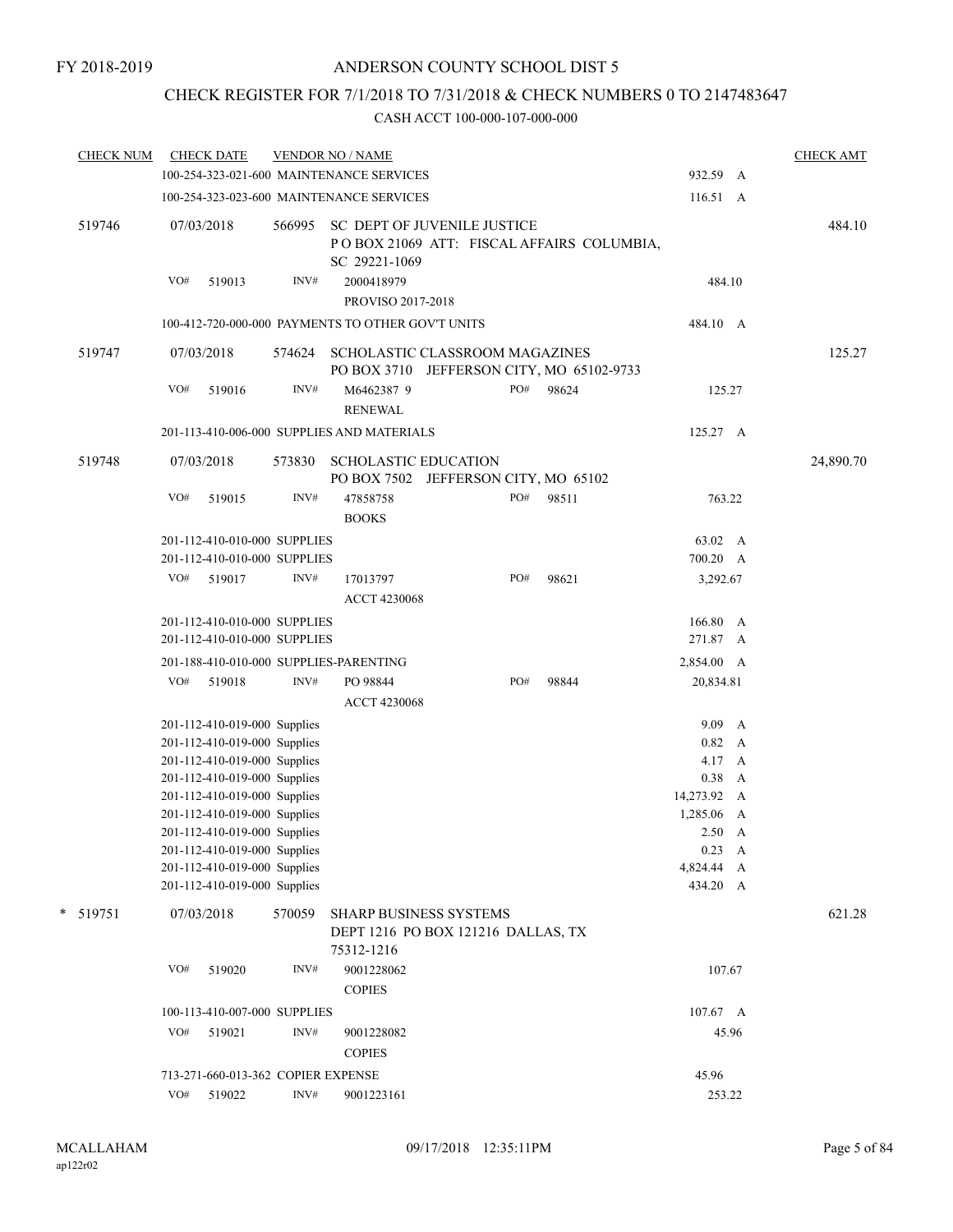# CHECK REGISTER FOR 7/1/2018 TO 7/31/2018 & CHECK NUMBERS 0 TO 2147483647

| <b>CHECK NUM</b> |     | <b>CHECK DATE</b>                                            |        | <b>VENDOR NO / NAME</b>                                                    |     |                                           |                           | <b>CHECK AMT</b> |
|------------------|-----|--------------------------------------------------------------|--------|----------------------------------------------------------------------------|-----|-------------------------------------------|---------------------------|------------------|
|                  |     |                                                              |        | 100-254-323-021-600 MAINTENANCE SERVICES                                   |     |                                           | 932.59 A                  |                  |
|                  |     |                                                              |        | 100-254-323-023-600 MAINTENANCE SERVICES                                   |     |                                           | 116.51 A                  |                  |
| 519746           |     | 07/03/2018                                                   | 566995 | <b>SC DEPT OF JUVENILE JUSTICE</b><br>SC 29221-1069                        |     | POBOX 21069 ATT: FISCAL AFFAIRS COLUMBIA, |                           | 484.10           |
|                  | VO# | 519013                                                       | INV#   | 2000418979<br>PROVISO 2017-2018                                            |     |                                           | 484.10                    |                  |
|                  |     |                                                              |        | 100-412-720-000-000 PAYMENTS TO OTHER GOV'T UNITS                          |     |                                           | 484.10 A                  |                  |
| 519747           |     | 07/03/2018                                                   | 574624 | SCHOLASTIC CLASSROOM MAGAZINES                                             |     | PO BOX 3710 JEFFERSON CITY, MO 65102-9733 |                           | 125.27           |
|                  | VO# | 519016                                                       | INV#   | M6462387 9<br><b>RENEWAL</b>                                               | PO# | 98624                                     | 125.27                    |                  |
|                  |     |                                                              |        | 201-113-410-006-000 SUPPLIES AND MATERIALS                                 |     |                                           | 125.27 A                  |                  |
| 519748           |     | 07/03/2018                                                   | 573830 | <b>SCHOLASTIC EDUCATION</b><br>PO BOX 7502 JEFFERSON CITY, MO 65102        |     |                                           |                           | 24,890.70        |
|                  | VO# | 519015                                                       | INV#   | 47858758<br><b>BOOKS</b>                                                   | PO# | 98511                                     | 763.22                    |                  |
|                  |     | 201-112-410-010-000 SUPPLIES                                 |        |                                                                            |     |                                           | 63.02 A                   |                  |
|                  |     | 201-112-410-010-000 SUPPLIES                                 |        |                                                                            |     |                                           | 700.20 A                  |                  |
|                  | VO# | 519017                                                       | INV#   | 17013797<br><b>ACCT 4230068</b>                                            | PO# | 98621                                     | 3,292.67                  |                  |
|                  |     | 201-112-410-010-000 SUPPLIES                                 |        |                                                                            |     |                                           | 166.80 A                  |                  |
|                  |     | 201-112-410-010-000 SUPPLIES                                 |        |                                                                            |     |                                           | 271.87 A                  |                  |
|                  |     |                                                              |        | 201-188-410-010-000 SUPPLIES-PARENTING                                     |     |                                           | 2,854.00 A                |                  |
|                  | VO# | 519018                                                       | INV#   | PO 98844                                                                   | PO# | 98844                                     | 20,834.81                 |                  |
|                  |     |                                                              |        | <b>ACCT 4230068</b>                                                        |     |                                           |                           |                  |
|                  |     | 201-112-410-019-000 Supplies                                 |        |                                                                            |     |                                           | 9.09 A                    |                  |
|                  |     | 201-112-410-019-000 Supplies                                 |        |                                                                            |     |                                           | 0.82 A                    |                  |
|                  |     | 201-112-410-019-000 Supplies                                 |        |                                                                            |     |                                           | 4.17 A                    |                  |
|                  |     | 201-112-410-019-000 Supplies                                 |        |                                                                            |     |                                           | $0.38$ A                  |                  |
|                  |     | 201-112-410-019-000 Supplies<br>201-112-410-019-000 Supplies |        |                                                                            |     |                                           | 14,273.92 A<br>1,285.06 A |                  |
|                  |     | 201-112-410-019-000 Supplies                                 |        |                                                                            |     |                                           | $2.50\quad A$             |                  |
|                  |     | 201-112-410-019-000 Supplies                                 |        |                                                                            |     |                                           | $0.23 \quad A$            |                  |
|                  |     | 201-112-410-019-000 Supplies                                 |        |                                                                            |     |                                           | 4,824.44 A                |                  |
|                  |     | 201-112-410-019-000 Supplies                                 |        |                                                                            |     |                                           | 434.20 A                  |                  |
| * 519751         |     | 07/03/2018                                                   | 570059 | SHARP BUSINESS SYSTEMS<br>DEPT 1216 PO BOX 121216 DALLAS, TX<br>75312-1216 |     |                                           |                           | 621.28           |
|                  | VO# | 519020                                                       | INV#   | 9001228062<br><b>COPIES</b>                                                |     |                                           | 107.67                    |                  |
|                  |     | 100-113-410-007-000 SUPPLIES                                 |        |                                                                            |     |                                           | $107.67 \quad A$          |                  |
|                  | VO# | 519021                                                       | INV#   |                                                                            |     |                                           | 45.96                     |                  |
|                  |     |                                                              |        | 9001228082<br><b>COPIES</b>                                                |     |                                           |                           |                  |
|                  |     | 713-271-660-013-362 COPIER EXPENSE                           |        |                                                                            |     |                                           | 45.96                     |                  |
|                  | VO# | 519022                                                       | INV#   | 9001223161                                                                 |     |                                           | 253.22                    |                  |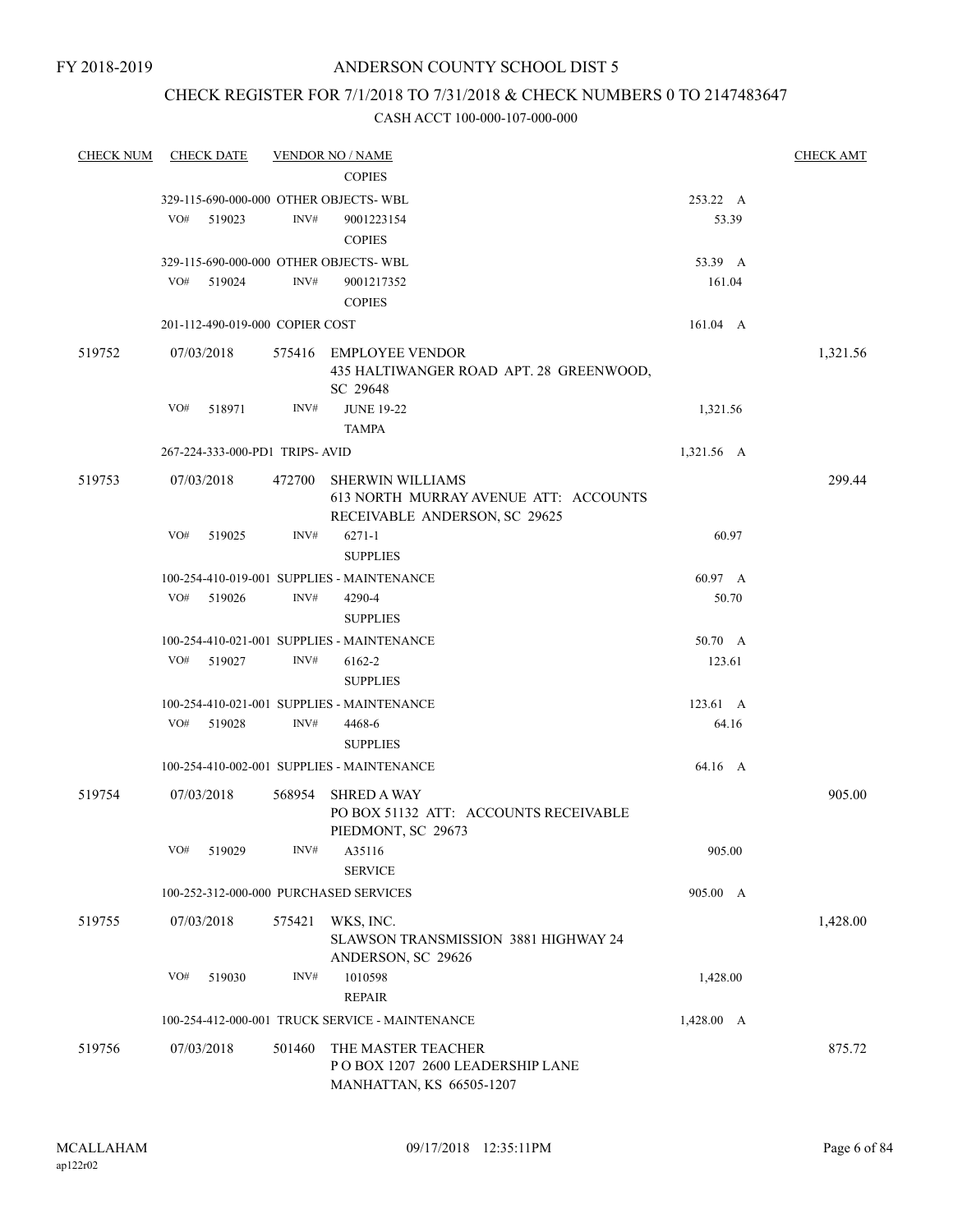# CHECK REGISTER FOR 7/1/2018 TO 7/31/2018 & CHECK NUMBERS 0 TO 2147483647

| <b>CHECK NUM</b> | <b>CHECK DATE</b>               |        |        | <b>VENDOR NO / NAME</b>                                                                           |            | <b>CHECK AMT</b> |
|------------------|---------------------------------|--------|--------|---------------------------------------------------------------------------------------------------|------------|------------------|
|                  |                                 |        |        | <b>COPIES</b>                                                                                     |            |                  |
|                  |                                 |        |        | 329-115-690-000-000 OTHER OBJECTS-WBL                                                             | 253.22 A   |                  |
|                  | VO#                             | 519023 | INV#   | 9001223154                                                                                        | 53.39      |                  |
|                  |                                 |        |        | <b>COPIES</b>                                                                                     |            |                  |
|                  |                                 |        |        | 329-115-690-000-000 OTHER OBJECTS-WBL                                                             | 53.39 A    |                  |
|                  | VO#                             | 519024 | INV#   | 9001217352                                                                                        | 161.04     |                  |
|                  |                                 |        |        | <b>COPIES</b>                                                                                     |            |                  |
|                  | 201-112-490-019-000 COPIER COST |        |        |                                                                                                   | 161.04 A   |                  |
|                  |                                 |        |        |                                                                                                   |            |                  |
| 519752           | 07/03/2018                      |        |        | 575416 EMPLOYEE VENDOR<br>435 HALTIWANGER ROAD APT. 28 GREENWOOD,<br>SC 29648                     |            | 1,321.56         |
|                  | VO#                             | 518971 | INV#   | <b>JUNE 19-22</b>                                                                                 | 1,321.56   |                  |
|                  |                                 |        |        | <b>TAMPA</b>                                                                                      |            |                  |
|                  | 267-224-333-000-PD1 TRIPS-AVID  |        |        |                                                                                                   | 1,321.56 A |                  |
|                  |                                 |        |        |                                                                                                   |            |                  |
| 519753           | 07/03/2018                      |        | 472700 | <b>SHERWIN WILLIAMS</b><br>613 NORTH MURRAY AVENUE ATT: ACCOUNTS<br>RECEIVABLE ANDERSON, SC 29625 |            | 299.44           |
|                  | VO#                             | 519025 | INV#   | $6271 - 1$<br><b>SUPPLIES</b>                                                                     | 60.97      |                  |
|                  |                                 |        |        | 100-254-410-019-001 SUPPLIES - MAINTENANCE                                                        | 60.97 A    |                  |
|                  | VO#                             | 519026 | INV#   | 4290-4                                                                                            | 50.70      |                  |
|                  |                                 |        |        | <b>SUPPLIES</b>                                                                                   |            |                  |
|                  |                                 |        |        | 100-254-410-021-001 SUPPLIES - MAINTENANCE                                                        | 50.70 A    |                  |
|                  | VO#                             | 519027 | INV#   | 6162-2                                                                                            | 123.61     |                  |
|                  |                                 |        |        | <b>SUPPLIES</b>                                                                                   |            |                  |
|                  |                                 |        |        | 100-254-410-021-001 SUPPLIES - MAINTENANCE                                                        | 123.61 A   |                  |
|                  | VO#                             | 519028 | INV#   | 4468-6                                                                                            | 64.16      |                  |
|                  |                                 |        |        | <b>SUPPLIES</b>                                                                                   |            |                  |
|                  |                                 |        |        | 100-254-410-002-001 SUPPLIES - MAINTENANCE                                                        | 64.16 A    |                  |
| 519754           | 07/03/2018                      |        |        | 568954 SHRED A WAY<br>PO BOX 51132 ATT: ACCOUNTS RECEIVABLE<br>PIEDMONT, SC 29673                 |            | 905.00           |
|                  | VO#                             | 519029 | INV#   | A35116<br><b>SERVICE</b>                                                                          | 905.00     |                  |
|                  |                                 |        |        | 100-252-312-000-000 PURCHASED SERVICES                                                            | 905.00 A   |                  |
| 519755           | 07/03/2018                      |        | 575421 | WKS, INC.<br><b>SLAWSON TRANSMISSION 3881 HIGHWAY 24</b><br>ANDERSON, SC 29626                    |            | 1,428.00         |
|                  | VO#                             | 519030 | INV#   | 1010598                                                                                           | 1,428.00   |                  |
|                  |                                 |        |        | <b>REPAIR</b>                                                                                     |            |                  |
|                  |                                 |        |        | 100-254-412-000-001 TRUCK SERVICE - MAINTENANCE                                                   | 1,428.00 A |                  |
| 519756           | 07/03/2018                      |        | 501460 | THE MASTER TEACHER<br>PO BOX 1207 2600 LEADERSHIP LANE<br>MANHATTAN, KS 66505-1207                |            | 875.72           |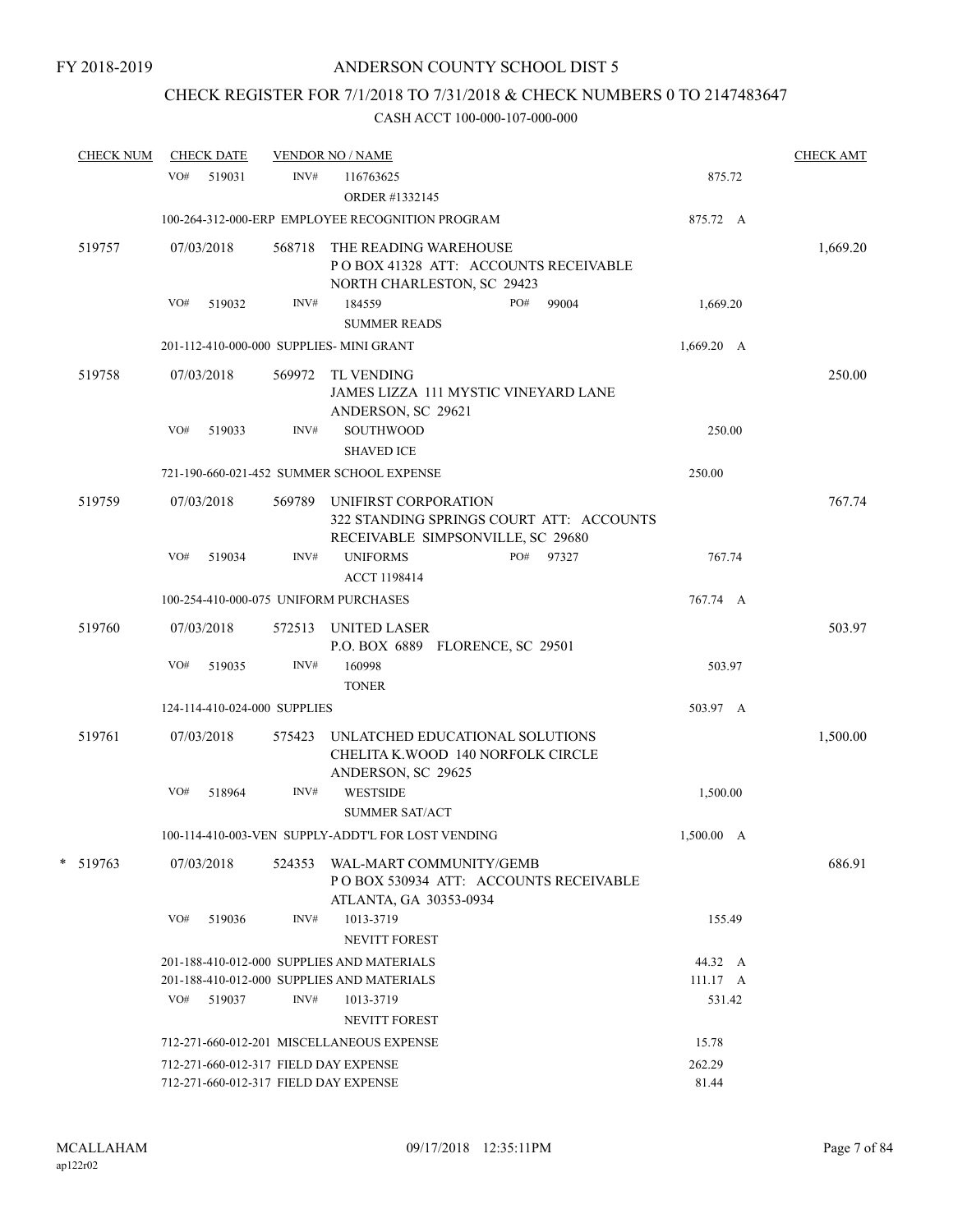# CHECK REGISTER FOR 7/1/2018 TO 7/31/2018 & CHECK NUMBERS 0 TO 2147483647

| <b>CHECK NUM</b> |     | <b>CHECK DATE</b>            |        | <b>VENDOR NO / NAME</b>                                                                                      |            |  | <b>CHECK AMT</b> |
|------------------|-----|------------------------------|--------|--------------------------------------------------------------------------------------------------------------|------------|--|------------------|
|                  | VO# | 519031                       | INV#   | 116763625<br>ORDER #1332145                                                                                  | 875.72     |  |                  |
|                  |     |                              |        | 100-264-312-000-ERP EMPLOYEE RECOGNITION PROGRAM                                                             | 875.72 A   |  |                  |
| 519757           |     | 07/03/2018                   | 568718 | THE READING WAREHOUSE<br>POBOX 41328 ATT: ACCOUNTS RECEIVABLE<br>NORTH CHARLESTON, SC 29423                  |            |  | 1,669.20         |
|                  | VO# | 519032                       | INV#   | PO#<br>99004<br>184559                                                                                       | 1,669.20   |  |                  |
|                  |     |                              |        | <b>SUMMER READS</b>                                                                                          |            |  |                  |
|                  |     |                              |        | 201-112-410-000-000 SUPPLIES- MINI GRANT                                                                     | 1,669.20 A |  |                  |
| 519758           |     | 07/03/2018                   |        | 569972 TL VENDING<br>JAMES LIZZA 111 MYSTIC VINEYARD LANE<br>ANDERSON, SC 29621                              |            |  | 250.00           |
|                  | VO# | 519033                       | INV#   | <b>SOUTHWOOD</b><br><b>SHAVED ICE</b>                                                                        | 250.00     |  |                  |
|                  |     |                              |        | 721-190-660-021-452 SUMMER SCHOOL EXPENSE                                                                    | 250.00     |  |                  |
| 519759           |     | 07/03/2018                   |        | 569789 UNIFIRST CORPORATION<br>322 STANDING SPRINGS COURT ATT: ACCOUNTS<br>RECEIVABLE SIMPSONVILLE, SC 29680 |            |  | 767.74           |
|                  | VO# | 519034                       | INV#   | <b>UNIFORMS</b><br>PO#<br>97327<br><b>ACCT 1198414</b>                                                       | 767.74     |  |                  |
|                  |     |                              |        | 100-254-410-000-075 UNIFORM PURCHASES                                                                        | 767.74 A   |  |                  |
| 519760           |     | 07/03/2018                   | 572513 | UNITED LASER<br>P.O. BOX 6889 FLORENCE, SC 29501                                                             |            |  | 503.97           |
|                  | VO# | 519035                       | INV#   | 160998<br><b>TONER</b>                                                                                       | 503.97     |  |                  |
|                  |     | 124-114-410-024-000 SUPPLIES |        |                                                                                                              | 503.97 A   |  |                  |
| 519761           |     | 07/03/2018                   | 575423 | UNLATCHED EDUCATIONAL SOLUTIONS<br>CHELITA K.WOOD 140 NORFOLK CIRCLE<br>ANDERSON, SC 29625                   |            |  | 1,500.00         |
|                  | VO# | 518964                       | INV#   | <b>WESTSIDE</b><br><b>SUMMER SAT/ACT</b>                                                                     | 1,500.00   |  |                  |
|                  |     |                              |        | 100-114-410-003-VEN SUPPLY-ADDT'L FOR LOST VENDING                                                           | 1,500.00 A |  |                  |
| $* 519763$       |     | 07/03/2018                   |        | 524353 WAL-MART COMMUNITY/GEMB<br>PO BOX 530934 ATT: ACCOUNTS RECEIVABLE<br>ATLANTA, GA 30353-0934           |            |  | 686.91           |
|                  | VO# | 519036                       | INV#   | 1013-3719<br><b>NEVITT FOREST</b>                                                                            | 155.49     |  |                  |
|                  |     |                              |        | 201-188-410-012-000 SUPPLIES AND MATERIALS                                                                   | 44.32 A    |  |                  |
|                  |     |                              |        | 201-188-410-012-000 SUPPLIES AND MATERIALS                                                                   | 111.17 A   |  |                  |
|                  | VO# | 519037                       | INV#   | 1013-3719<br><b>NEVITT FOREST</b>                                                                            | 531.42     |  |                  |
|                  |     |                              |        | 712-271-660-012-201 MISCELLANEOUS EXPENSE                                                                    | 15.78      |  |                  |
|                  |     |                              |        | 712-271-660-012-317 FIELD DAY EXPENSE                                                                        | 262.29     |  |                  |
|                  |     |                              |        | 712-271-660-012-317 FIELD DAY EXPENSE                                                                        | 81.44      |  |                  |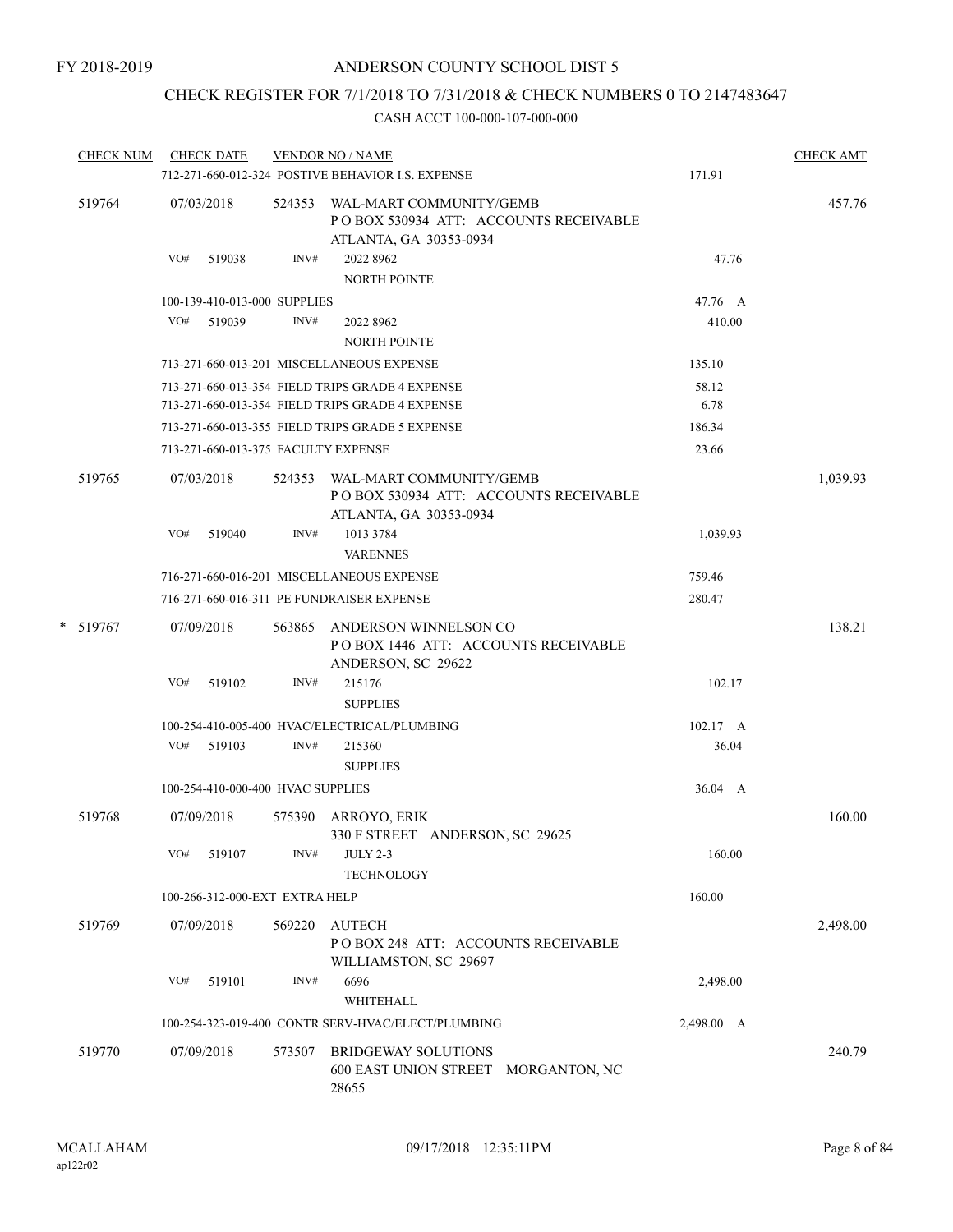# CHECK REGISTER FOR 7/1/2018 TO 7/31/2018 & CHECK NUMBERS 0 TO 2147483647

| <b>CHECK NUM</b> |            | <b>CHECK DATE</b>                   |        | <b>VENDOR NO / NAME</b><br>712-271-660-012-324 POSTIVE BEHAVIOR I.S. EXPENSE                       | 171.91             | <b>CHECK AMT</b> |
|------------------|------------|-------------------------------------|--------|----------------------------------------------------------------------------------------------------|--------------------|------------------|
| 519764           | 07/03/2018 |                                     |        | 524353 WAL-MART COMMUNITY/GEMB<br>PO BOX 530934 ATT: ACCOUNTS RECEIVABLE<br>ATLANTA, GA 30353-0934 |                    | 457.76           |
|                  |            | VO# 519038                          | INV#   | 2022 8962<br><b>NORTH POINTE</b>                                                                   | 47.76              |                  |
|                  |            | 100-139-410-013-000 SUPPLIES        |        |                                                                                                    | 47.76 A            |                  |
|                  |            | VO# 519039                          | INV#   | 2022 8962                                                                                          | 410.00             |                  |
|                  |            |                                     |        | <b>NORTH POINTE</b>                                                                                |                    |                  |
|                  |            |                                     |        | 713-271-660-013-201 MISCELLANEOUS EXPENSE                                                          | 135.10             |                  |
|                  |            |                                     |        | 713-271-660-013-354 FIELD TRIPS GRADE 4 EXPENSE<br>713-271-660-013-354 FIELD TRIPS GRADE 4 EXPENSE | 58.12<br>6.78      |                  |
|                  |            |                                     |        | 713-271-660-013-355 FIELD TRIPS GRADE 5 EXPENSE                                                    | 186.34             |                  |
|                  |            | 713-271-660-013-375 FACULTY EXPENSE |        |                                                                                                    | 23.66              |                  |
| 519765           |            | 07/03/2018                          |        | 524353 WAL-MART COMMUNITY/GEMB<br>POBOX 530934 ATT: ACCOUNTS RECEIVABLE<br>ATLANTA, GA 30353-0934  |                    | 1,039.93         |
|                  | VO#        | 519040                              | INV#   | 1013 3784<br><b>VARENNES</b>                                                                       | 1,039.93           |                  |
|                  |            |                                     |        | 716-271-660-016-201 MISCELLANEOUS EXPENSE                                                          | 759.46             |                  |
|                  |            |                                     |        | 716-271-660-016-311 PE FUNDRAISER EXPENSE                                                          | 280.47             |                  |
| * 519767         |            | 07/09/2018                          | 563865 | ANDERSON WINNELSON CO<br>POBOX 1446 ATT: ACCOUNTS RECEIVABLE<br>ANDERSON, SC 29622                 |                    | 138.21           |
|                  | VO#        | 519102                              | INV#   | 215176<br><b>SUPPLIES</b>                                                                          | 102.17             |                  |
|                  |            |                                     |        | 100-254-410-005-400 HVAC/ELECTRICAL/PLUMBING                                                       | $102.17 \text{ A}$ |                  |
|                  |            | $VO#$ 519103                        | INV#   | 215360<br><b>SUPPLIES</b>                                                                          | 36.04              |                  |
|                  |            | 100-254-410-000-400 HVAC SUPPLIES   |        |                                                                                                    | 36.04 A            |                  |
| 519768           |            | 07/09/2018                          | 575390 | ARROYO, ERIK<br>330 F STREET ANDERSON, SC 29625                                                    |                    | 160.00           |
|                  | VO#        | 519107                              | INV#   | <b>JULY 2-3</b><br><b>TECHNOLOGY</b>                                                               | 160.00             |                  |
|                  |            | 100-266-312-000-EXT EXTRA HELP      |        |                                                                                                    | 160.00             |                  |
| 519769           |            | 07/09/2018                          | 569220 | AUTECH<br>PO BOX 248 ATT: ACCOUNTS RECEIVABLE<br>WILLIAMSTON, SC 29697                             |                    | 2,498.00         |
|                  | VO#        | 519101                              | INV#   | 6696<br>WHITEHALL                                                                                  | 2,498.00           |                  |
|                  |            |                                     |        | 100-254-323-019-400 CONTR SERV-HVAC/ELECT/PLUMBING                                                 | 2,498.00 A         |                  |
| 519770           |            | 07/09/2018                          | 573507 | <b>BRIDGEWAY SOLUTIONS</b><br>600 EAST UNION STREET MORGANTON, NC<br>28655                         |                    | 240.79           |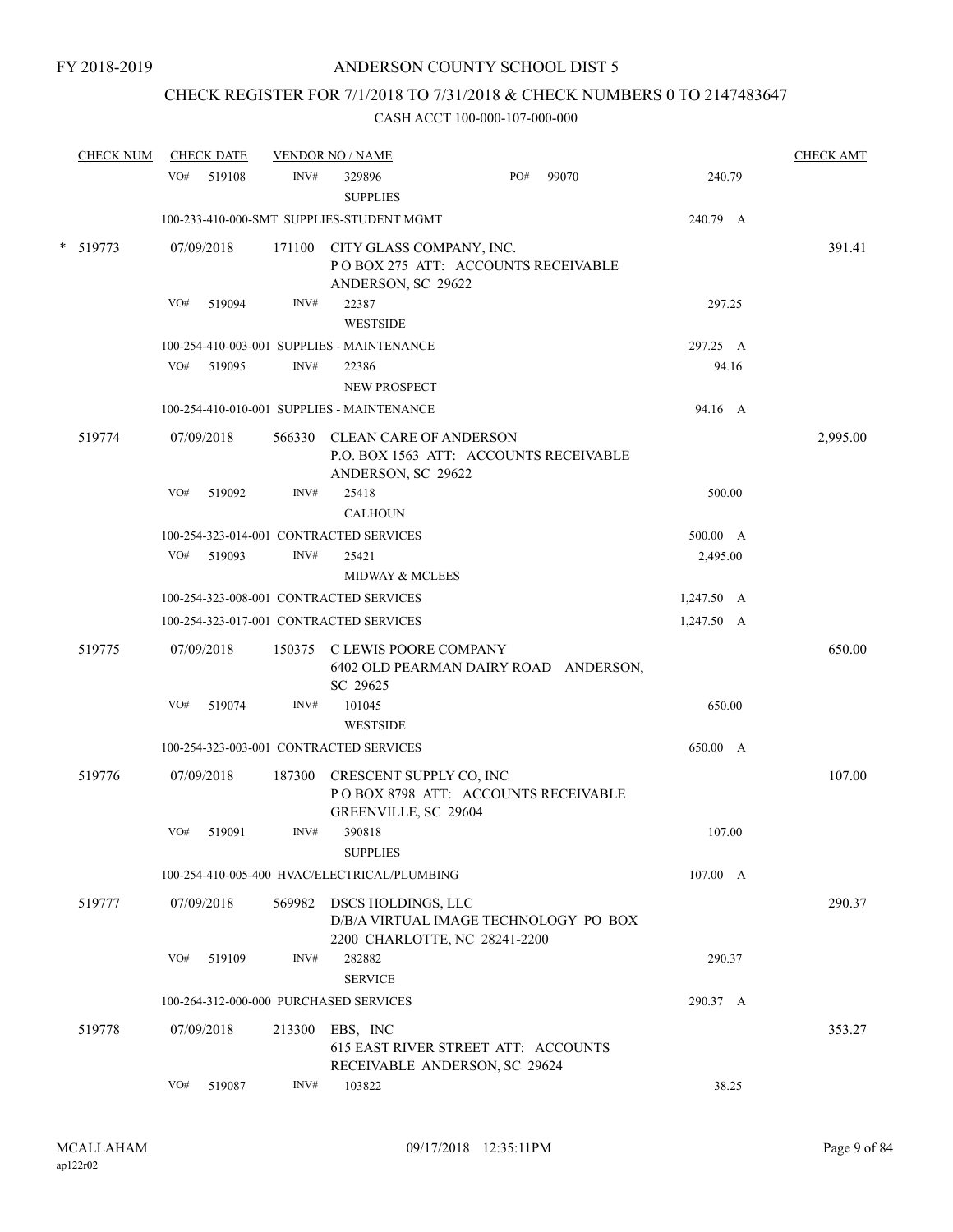# CHECK REGISTER FOR 7/1/2018 TO 7/31/2018 & CHECK NUMBERS 0 TO 2147483647

| <b>CHECK NUM</b> | <b>CHECK DATE</b> |        |        | <b>VENDOR NO / NAME</b>                                                                       |     |       |            | <b>CHECK AMT</b> |
|------------------|-------------------|--------|--------|-----------------------------------------------------------------------------------------------|-----|-------|------------|------------------|
|                  | VO#               | 519108 | INV#   | 329896<br><b>SUPPLIES</b>                                                                     | PO# | 99070 | 240.79     |                  |
|                  |                   |        |        | 100-233-410-000-SMT SUPPLIES-STUDENT MGMT                                                     |     |       | 240.79 A   |                  |
| $*$ 519773       | 07/09/2018        |        |        | 171100 CITY GLASS COMPANY, INC.<br>POBOX 275 ATT: ACCOUNTS RECEIVABLE<br>ANDERSON, SC 29622   |     |       |            | 391.41           |
|                  | VO#               | 519094 | INV#   | 22387<br><b>WESTSIDE</b>                                                                      |     |       | 297.25     |                  |
|                  |                   |        |        | 100-254-410-003-001 SUPPLIES - MAINTENANCE                                                    |     |       | 297.25 A   |                  |
|                  | VO#               | 519095 | INV#   | 22386                                                                                         |     |       | 94.16      |                  |
|                  |                   |        |        | <b>NEW PROSPECT</b>                                                                           |     |       |            |                  |
|                  |                   |        |        | 100-254-410-010-001 SUPPLIES - MAINTENANCE                                                    |     |       | 94.16 A    |                  |
| 519774           | 07/09/2018        |        |        | 566330 CLEAN CARE OF ANDERSON<br>P.O. BOX 1563 ATT: ACCOUNTS RECEIVABLE<br>ANDERSON, SC 29622 |     |       |            | 2,995.00         |
|                  | VO#               | 519092 | INV#   | 25418<br><b>CALHOUN</b>                                                                       |     |       | 500.00     |                  |
|                  |                   |        |        | 100-254-323-014-001 CONTRACTED SERVICES                                                       |     |       | 500.00 A   |                  |
|                  | VO#               | 519093 | INV#   | 25421                                                                                         |     |       | 2,495.00   |                  |
|                  |                   |        |        | <b>MIDWAY &amp; MCLEES</b>                                                                    |     |       |            |                  |
|                  |                   |        |        | 100-254-323-008-001 CONTRACTED SERVICES                                                       |     |       | 1,247.50 A |                  |
|                  |                   |        |        | 100-254-323-017-001 CONTRACTED SERVICES                                                       |     |       | 1,247.50 A |                  |
| 519775           | 07/09/2018        |        |        | 150375 C LEWIS POORE COMPANY<br>6402 OLD PEARMAN DAIRY ROAD ANDERSON,<br>SC 29625             |     |       |            | 650.00           |
|                  | VO#               | 519074 | INV#   | 101045<br><b>WESTSIDE</b>                                                                     |     |       | 650.00     |                  |
|                  |                   |        |        | 100-254-323-003-001 CONTRACTED SERVICES                                                       |     |       | 650.00 A   |                  |
| 519776           | 07/09/2018        |        | 187300 | CRESCENT SUPPLY CO, INC<br>POBOX 8798 ATT: ACCOUNTS RECEIVABLE<br>GREENVILLE, SC 29604        |     |       |            | 107.00           |
|                  | VO#               | 519091 | INV#   | 390818<br><b>SUPPLIES</b>                                                                     |     |       | 107.00     |                  |
|                  |                   |        |        | 100-254-410-005-400 HVAC/ELECTRICAL/PLUMBING                                                  |     |       | 107.00 A   |                  |
| 519777           | 07/09/2018        |        | 569982 | DSCS HOLDINGS, LLC<br>D/B/A VIRTUAL IMAGE TECHNOLOGY PO BOX                                   |     |       |            | 290.37           |
|                  | VO#               | 519109 | INV#   | 2200 CHARLOTTE, NC 28241-2200<br>282882<br><b>SERVICE</b>                                     |     |       | 290.37     |                  |
|                  |                   |        |        | 100-264-312-000-000 PURCHASED SERVICES                                                        |     |       | 290.37 A   |                  |
| 519778           | 07/09/2018        |        | 213300 | EBS, INC<br>615 EAST RIVER STREET ATT: ACCOUNTS<br>RECEIVABLE ANDERSON, SC 29624              |     |       |            | 353.27           |
|                  | VO#               | 519087 | INV#   | 103822                                                                                        |     |       | 38.25      |                  |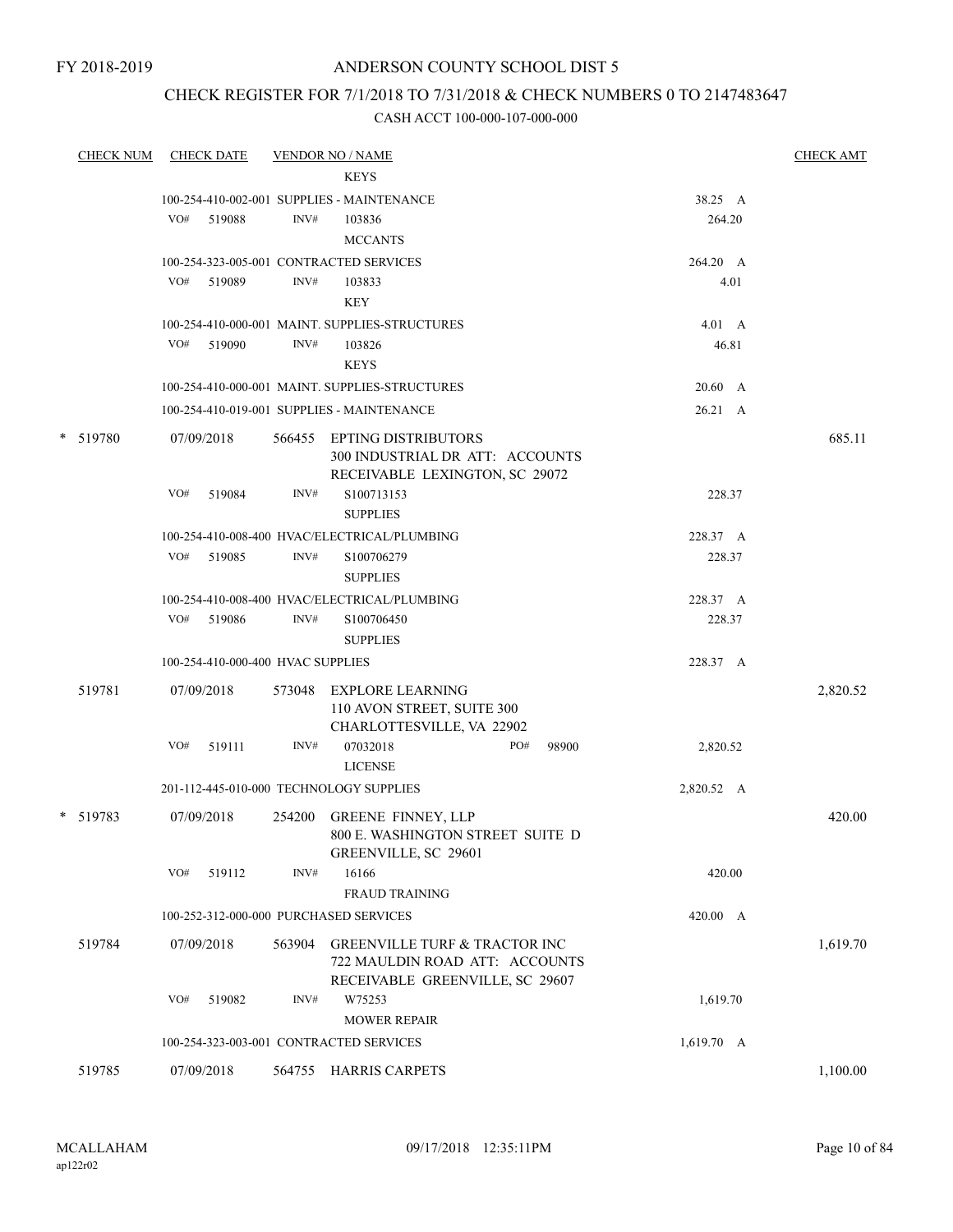# ANDERSON COUNTY SCHOOL DIST 5

# CHECK REGISTER FOR 7/1/2018 TO 7/31/2018 & CHECK NUMBERS 0 TO 2147483647

| CHECK NUM |     | <b>CHECK DATE</b>                 |        | <b>VENDOR NO / NAME</b>                        |                   | <b>CHECK AMT</b> |
|-----------|-----|-----------------------------------|--------|------------------------------------------------|-------------------|------------------|
|           |     |                                   |        | <b>KEYS</b>                                    |                   |                  |
|           |     |                                   |        | 100-254-410-002-001 SUPPLIES - MAINTENANCE     | 38.25 A           |                  |
|           | VO# | 519088                            | INV#   | 103836                                         | 264.20            |                  |
|           |     |                                   |        | <b>MCCANTS</b>                                 |                   |                  |
|           |     |                                   |        | 100-254-323-005-001 CONTRACTED SERVICES        | 264.20 A          |                  |
|           | VO# | 519089                            | INV#   | 103833                                         | 4.01              |                  |
|           |     |                                   |        | <b>KEY</b>                                     |                   |                  |
|           |     |                                   |        | 100-254-410-000-001 MAINT. SUPPLIES-STRUCTURES | $4.01\quad A$     |                  |
|           | VO# | 519090                            | INV#   | 103826                                         | 46.81             |                  |
|           |     |                                   |        | <b>KEYS</b>                                    |                   |                  |
|           |     |                                   |        | 100-254-410-000-001 MAINT. SUPPLIES-STRUCTURES | 20.60 A           |                  |
|           |     |                                   |        | 100-254-410-019-001 SUPPLIES - MAINTENANCE     | 26.21 A           |                  |
| * 519780  |     | 07/09/2018                        |        | 566455 EPTING DISTRIBUTORS                     |                   | 685.11           |
|           |     |                                   |        | 300 INDUSTRIAL DR ATT: ACCOUNTS                |                   |                  |
|           |     |                                   |        | RECEIVABLE LEXINGTON, SC 29072                 |                   |                  |
|           | VO# | 519084                            | INV#   | S100713153                                     | 228.37            |                  |
|           |     |                                   |        | <b>SUPPLIES</b>                                |                   |                  |
|           |     |                                   |        | 100-254-410-008-400 HVAC/ELECTRICAL/PLUMBING   | 228.37 A          |                  |
|           | VO# | 519085                            | INV#   | S100706279                                     | 228.37            |                  |
|           |     |                                   |        | <b>SUPPLIES</b>                                |                   |                  |
|           |     |                                   |        | 100-254-410-008-400 HVAC/ELECTRICAL/PLUMBING   | 228.37 A          |                  |
|           |     | VO# 519086                        | INV#   | S100706450                                     | 228.37            |                  |
|           |     |                                   |        | <b>SUPPLIES</b>                                |                   |                  |
|           |     | 100-254-410-000-400 HVAC SUPPLIES |        |                                                | 228.37 A          |                  |
| 519781    |     | 07/09/2018                        |        | 573048 EXPLORE LEARNING                        |                   | 2,820.52         |
|           |     |                                   |        | 110 AVON STREET, SUITE 300                     |                   |                  |
|           |     |                                   |        | CHARLOTTESVILLE, VA 22902                      |                   |                  |
|           | VO# | 519111                            | INV#   | 07032018<br>PO#                                | 98900<br>2,820.52 |                  |
|           |     |                                   |        | <b>LICENSE</b>                                 |                   |                  |
|           |     |                                   |        | 201-112-445-010-000 TECHNOLOGY SUPPLIES        | 2,820.52 A        |                  |
| * 519783  |     | 07/09/2018                        | 254200 | <b>GREENE FINNEY, LLP</b>                      |                   | 420.00           |
|           |     |                                   |        | 800 E. WASHINGTON STREET SUITE D               |                   |                  |
|           |     |                                   |        | GREENVILLE, SC 29601                           |                   |                  |
|           | VO# | 519112                            | INV#   | 16166                                          | 420.00            |                  |
|           |     |                                   |        | <b>FRAUD TRAINING</b>                          |                   |                  |
|           |     |                                   |        | 100-252-312-000-000 PURCHASED SERVICES         | 420.00 A          |                  |
| 519784    |     | 07/09/2018                        | 563904 | <b>GREENVILLE TURF &amp; TRACTOR INC</b>       |                   | 1,619.70         |
|           |     |                                   |        | 722 MAULDIN ROAD ATT: ACCOUNTS                 |                   |                  |
|           |     |                                   |        | RECEIVABLE GREENVILLE, SC 29607                |                   |                  |
|           | VO# | 519082                            | INV#   | W75253                                         | 1,619.70          |                  |
|           |     |                                   |        | <b>MOWER REPAIR</b>                            |                   |                  |
|           |     |                                   |        | 100-254-323-003-001 CONTRACTED SERVICES        | 1,619.70 A        |                  |
| 519785    |     | 07/09/2018                        |        | 564755 HARRIS CARPETS                          |                   | 1,100.00         |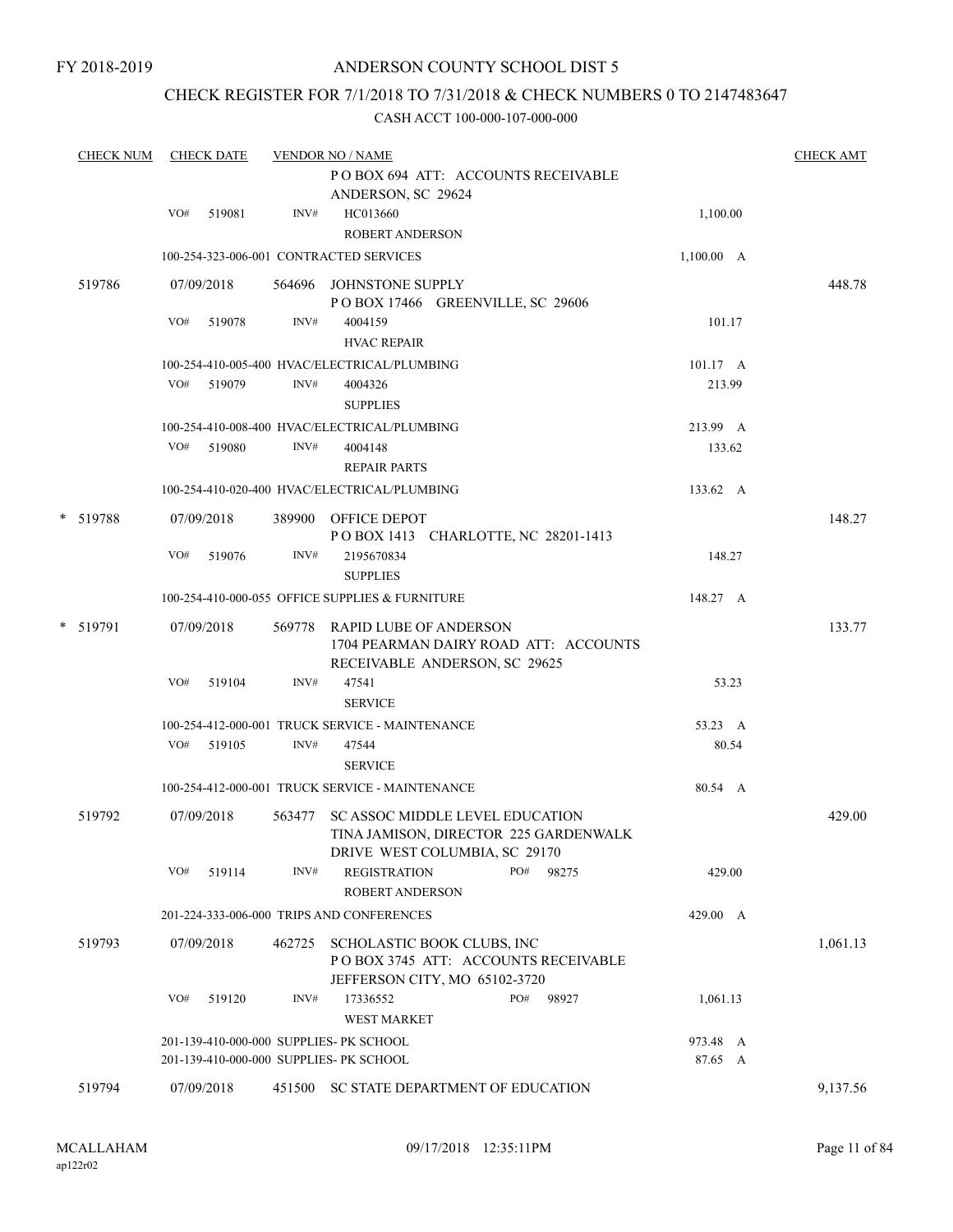# CHECK REGISTER FOR 7/1/2018 TO 7/31/2018 & CHECK NUMBERS 0 TO 2147483647

| <b>CHECK NUM</b> | <b>CHECK DATE</b> |            |        | <b>VENDOR NO / NAME</b><br>POBOX 694 ATT: ACCOUNTS RECEIVABLE<br>ANDERSON, SC 29624                              |                    | <b>CHECK AMT</b> |
|------------------|-------------------|------------|--------|------------------------------------------------------------------------------------------------------------------|--------------------|------------------|
|                  | VO#               | 519081     | INV#   | HC013660<br><b>ROBERT ANDERSON</b>                                                                               | 1,100.00           |                  |
|                  |                   |            |        | 100-254-323-006-001 CONTRACTED SERVICES                                                                          | $1,100.00$ A       |                  |
| 519786           |                   | 07/09/2018 |        | 564696 JOHNSTONE SUPPLY<br>POBOX 17466 GREENVILLE, SC 29606                                                      |                    | 448.78           |
|                  | VO#               | 519078     | INV#   | 4004159<br><b>HVAC REPAIR</b>                                                                                    | 101.17             |                  |
|                  |                   |            |        | 100-254-410-005-400 HVAC/ELECTRICAL/PLUMBING                                                                     | $101.17 \text{ A}$ |                  |
|                  |                   | VO# 519079 | INV#   | 4004326<br><b>SUPPLIES</b>                                                                                       | 213.99             |                  |
|                  |                   |            |        | 100-254-410-008-400 HVAC/ELECTRICAL/PLUMBING                                                                     | 213.99 A           |                  |
|                  | VO#               | 519080     | INV#   | 4004148<br><b>REPAIR PARTS</b>                                                                                   | 133.62             |                  |
|                  |                   |            |        | 100-254-410-020-400 HVAC/ELECTRICAL/PLUMBING                                                                     | 133.62 A           |                  |
| * 519788         |                   | 07/09/2018 |        | 389900 OFFICE DEPOT<br>POBOX 1413 CHARLOTTE, NC 28201-1413                                                       |                    | 148.27           |
|                  | VO#               | 519076     | INV#   | 2195670834<br><b>SUPPLIES</b>                                                                                    | 148.27             |                  |
|                  |                   |            |        | 100-254-410-000-055 OFFICE SUPPLIES & FURNITURE                                                                  | 148.27 A           |                  |
| * 519791         |                   | 07/09/2018 |        | 569778 RAPID LUBE OF ANDERSON<br>1704 PEARMAN DAIRY ROAD ATT: ACCOUNTS<br>RECEIVABLE ANDERSON, SC 29625          |                    | 133.77           |
|                  | VO#               | 519104     | INV#   | 47541<br><b>SERVICE</b>                                                                                          | 53.23              |                  |
|                  |                   |            |        | 100-254-412-000-001 TRUCK SERVICE - MAINTENANCE                                                                  | 53.23 A            |                  |
|                  |                   | VO# 519105 | INV#   | 47544<br><b>SERVICE</b>                                                                                          | 80.54              |                  |
|                  |                   |            |        | 100-254-412-000-001 TRUCK SERVICE - MAINTENANCE                                                                  | 80.54 A            |                  |
| 519792           |                   | 07/09/2018 |        | 563477 SC ASSOC MIDDLE LEVEL EDUCATION<br>TINA JAMISON, DIRECTOR 225 GARDENWALK<br>DRIVE WEST COLUMBIA, SC 29170 |                    | 429.00           |
|                  | VO#               | 519114     | INV#   | <b>REGISTRATION</b><br>PO#<br>98275<br><b>ROBERT ANDERSON</b>                                                    | 429.00             |                  |
|                  |                   |            |        | 201-224-333-006-000 TRIPS AND CONFERENCES                                                                        | 429.00 A           |                  |
| 519793           |                   | 07/09/2018 | 462725 | SCHOLASTIC BOOK CLUBS, INC<br>POBOX 3745 ATT: ACCOUNTS RECEIVABLE<br>JEFFERSON CITY, MO 65102-3720               |                    | 1,061.13         |
|                  | VO#               | 519120     | INV#   | 17336552<br>PO#<br>98927<br><b>WEST MARKET</b>                                                                   | 1,061.13           |                  |
|                  |                   |            |        | 201-139-410-000-000 SUPPLIES- PK SCHOOL                                                                          | 973.48 A           |                  |
|                  |                   |            |        | 201-139-410-000-000 SUPPLIES- PK SCHOOL                                                                          | 87.65 A            |                  |
| 519794           |                   | 07/09/2018 | 451500 | SC STATE DEPARTMENT OF EDUCATION                                                                                 |                    | 9,137.56         |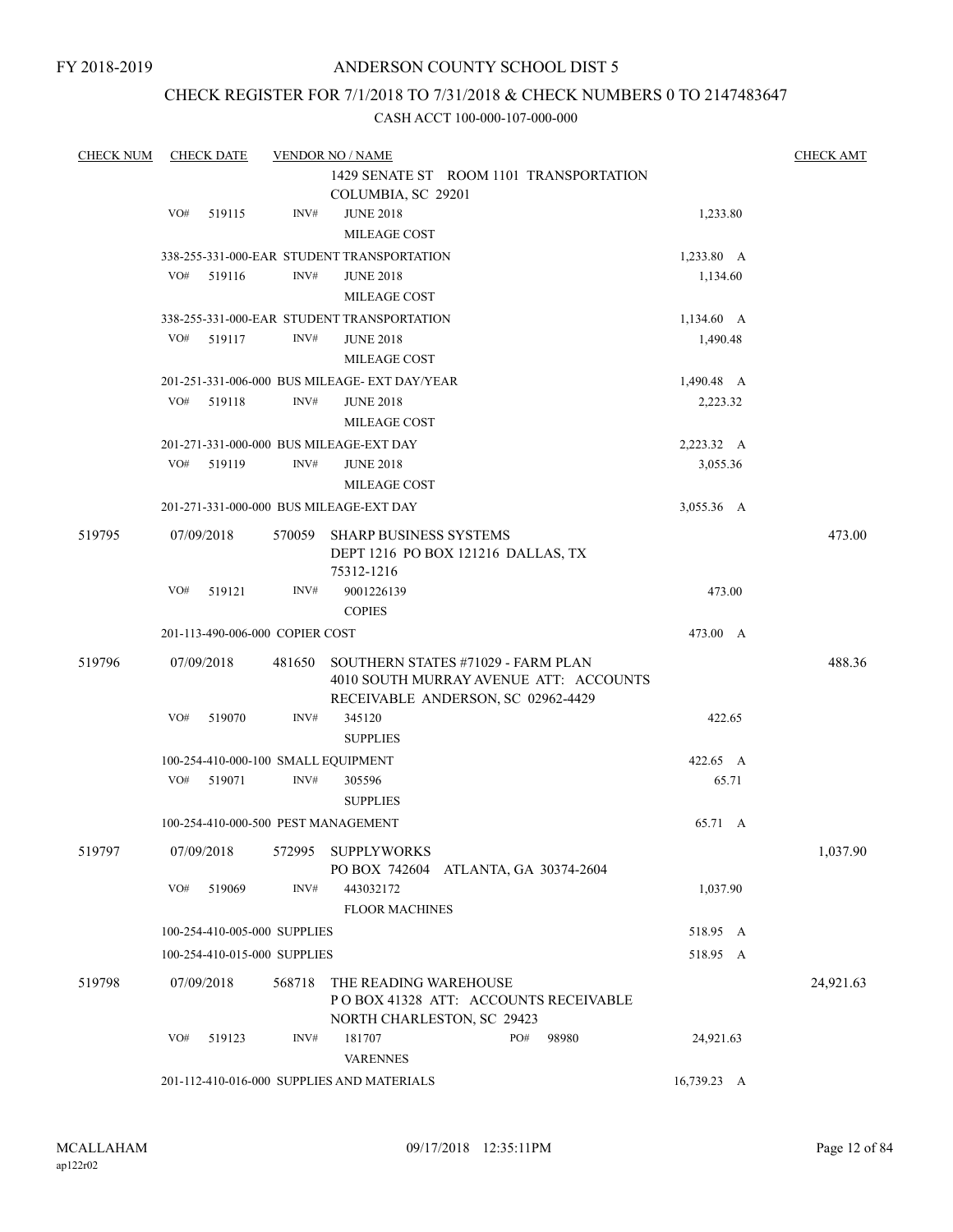# CHECK REGISTER FOR 7/1/2018 TO 7/31/2018 & CHECK NUMBERS 0 TO 2147483647

| <b>CHECK NUM</b> |     | <b>CHECK DATE</b>                       |                                      | <b>VENDOR NO / NAME</b>                       |                                        |       |              | <b>CHECK AMT</b> |
|------------------|-----|-----------------------------------------|--------------------------------------|-----------------------------------------------|----------------------------------------|-------|--------------|------------------|
|                  |     | 1429 SENATE ST ROOM 1101 TRANSPORTATION |                                      |                                               |                                        |       |              |                  |
|                  |     |                                         |                                      | COLUMBIA, SC 29201                            |                                        |       |              |                  |
|                  | VO# | 519115                                  | INV#                                 | <b>JUNE 2018</b>                              |                                        |       | 1,233.80     |                  |
|                  |     |                                         |                                      | MILEAGE COST                                  |                                        |       |              |                  |
|                  |     |                                         |                                      | 338-255-331-000-EAR STUDENT TRANSPORTATION    |                                        |       | 1,233.80 A   |                  |
|                  | VO# | 519116                                  | INV#                                 | <b>JUNE 2018</b>                              |                                        |       | 1,134.60     |                  |
|                  |     |                                         |                                      | MILEAGE COST                                  |                                        |       |              |                  |
|                  |     |                                         |                                      | 338-255-331-000-EAR STUDENT TRANSPORTATION    |                                        |       | $1,134.60$ A |                  |
|                  | VO# | 519117                                  | INV#                                 | <b>JUNE 2018</b>                              |                                        |       | 1,490.48     |                  |
|                  |     |                                         |                                      | MILEAGE COST                                  |                                        |       |              |                  |
|                  |     |                                         |                                      | 201-251-331-006-000 BUS MILEAGE- EXT DAY/YEAR |                                        |       | 1,490.48 A   |                  |
|                  | VO# | 519118                                  | INV#                                 | <b>JUNE 2018</b>                              |                                        |       | 2,223.32     |                  |
|                  |     |                                         |                                      | MILEAGE COST                                  |                                        |       |              |                  |
|                  |     |                                         |                                      | 201-271-331-000-000 BUS MILEAGE-EXT DAY       |                                        |       | 2,223.32 A   |                  |
|                  | VO# | 519119                                  | INV#                                 | <b>JUNE 2018</b>                              |                                        |       | 3,055.36     |                  |
|                  |     |                                         |                                      | MILEAGE COST                                  |                                        |       |              |                  |
|                  |     |                                         |                                      | 201-271-331-000-000 BUS MILEAGE-EXT DAY       |                                        |       | 3,055.36 A   |                  |
| 519795           |     | 07/09/2018                              |                                      | 570059 SHARP BUSINESS SYSTEMS                 |                                        |       |              | 473.00           |
|                  |     |                                         |                                      |                                               | DEPT 1216 PO BOX 121216 DALLAS, TX     |       |              |                  |
|                  |     |                                         |                                      | 75312-1216                                    |                                        |       |              |                  |
|                  | VO# | 519121                                  | INV#                                 | 9001226139                                    |                                        |       | 473.00       |                  |
|                  |     |                                         |                                      | <b>COPIES</b>                                 |                                        |       |              |                  |
|                  |     |                                         | 201-113-490-006-000 COPIER COST      |                                               |                                        |       | 473.00 A     |                  |
| 519796           |     | 07/09/2018                              | 481650                               | SOUTHERN STATES #71029 - FARM PLAN            |                                        |       |              | 488.36           |
|                  |     |                                         |                                      |                                               | 4010 SOUTH MURRAY AVENUE ATT: ACCOUNTS |       |              |                  |
|                  |     |                                         |                                      |                                               | RECEIVABLE ANDERSON, SC 02962-4429     |       |              |                  |
|                  | VO# | 519070                                  | INV#                                 | 345120                                        |                                        |       | 422.65       |                  |
|                  |     |                                         |                                      | <b>SUPPLIES</b>                               |                                        |       |              |                  |
|                  |     |                                         |                                      | 100-254-410-000-100 SMALL EQUIPMENT           |                                        |       | 422.65 A     |                  |
|                  | VO# | 519071                                  | INV#                                 | 305596                                        |                                        |       | 65.71        |                  |
|                  |     |                                         |                                      | <b>SUPPLIES</b>                               |                                        |       |              |                  |
|                  |     |                                         |                                      | 100-254-410-000-500 PEST MANAGEMENT           |                                        |       | 65.71 A      |                  |
| 519797           |     | 07/09/2018                              |                                      | 572995 SUPPLYWORKS                            |                                        |       |              | 1,037.90         |
|                  |     |                                         |                                      |                                               | PO BOX 742604 ATLANTA, GA 30374-2604   |       |              |                  |
|                  | VO# | 519069                                  | INV#                                 | 443032172                                     |                                        |       | 1,037.90     |                  |
|                  |     |                                         |                                      | <b>FLOOR MACHINES</b>                         |                                        |       |              |                  |
|                  |     |                                         | 100-254-410-005-000 SUPPLIES         |                                               |                                        |       | 518.95 A     |                  |
|                  |     |                                         | 100-254-410-015-000 SUPPLIES         |                                               |                                        |       | 518.95 A     |                  |
|                  |     |                                         |                                      |                                               |                                        |       |              |                  |
| 519798           |     | 07/09/2018                              | 568718                               | THE READING WAREHOUSE                         |                                        |       |              | 24,921.63        |
|                  |     |                                         | POBOX 41328 ATT: ACCOUNTS RECEIVABLE |                                               |                                        |       |              |                  |
|                  | VO# |                                         | INV#                                 |                                               | NORTH CHARLESTON, SC 29423<br>PO#      |       |              |                  |
|                  |     | 519123                                  |                                      | 181707<br><b>VARENNES</b>                     |                                        | 98980 | 24,921.63    |                  |
|                  |     |                                         |                                      |                                               |                                        |       |              |                  |
|                  |     |                                         |                                      | 201-112-410-016-000 SUPPLIES AND MATERIALS    |                                        |       | 16,739.23 A  |                  |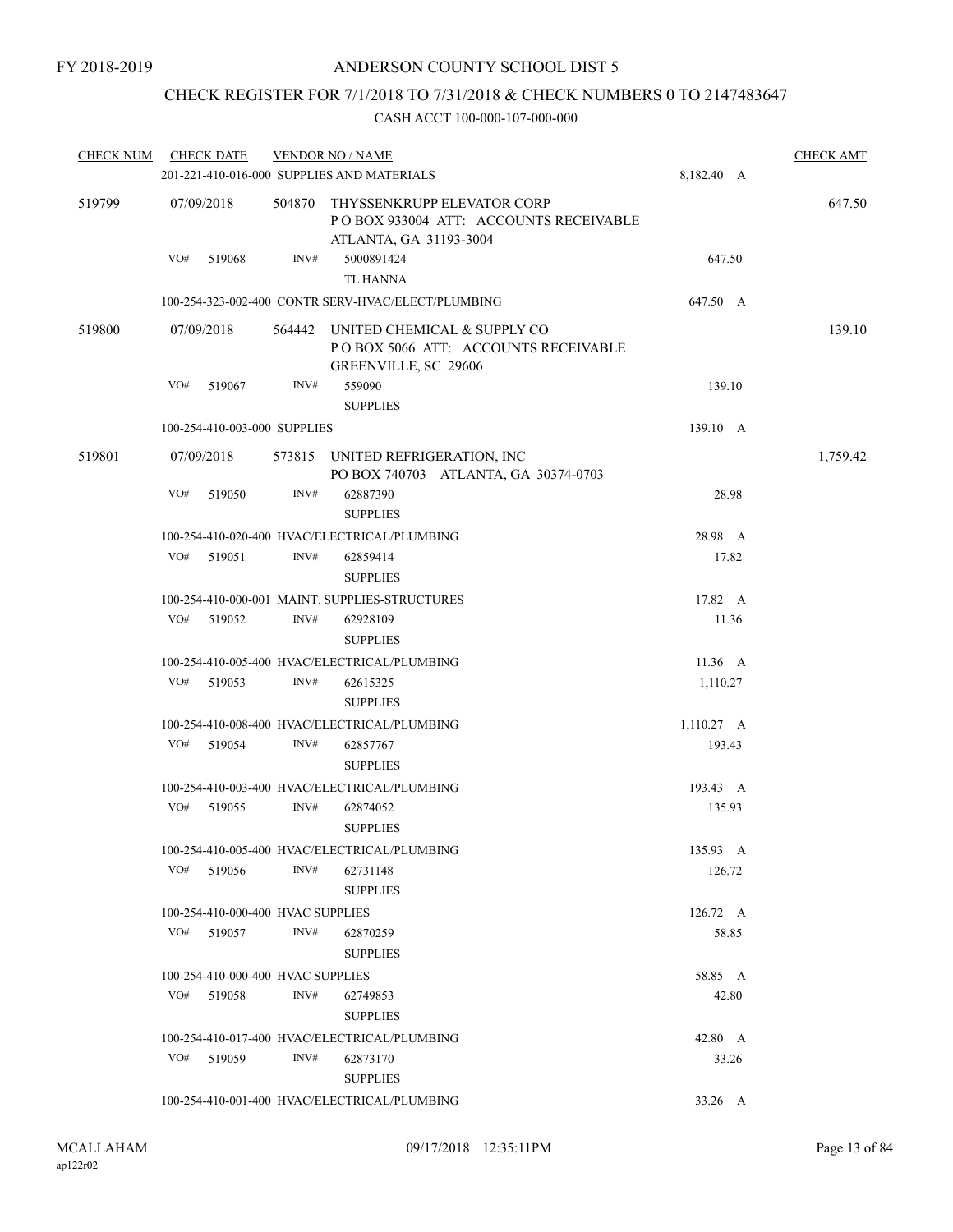# CHECK REGISTER FOR 7/1/2018 TO 7/31/2018 & CHECK NUMBERS 0 TO 2147483647

| <b>CHECK NUM</b> | <b>CHECK DATE</b>                            | <b>VENDOR NO / NAME</b> |                                                                                                   | <b>CHECK AMT</b> |          |
|------------------|----------------------------------------------|-------------------------|---------------------------------------------------------------------------------------------------|------------------|----------|
|                  |                                              |                         | 201-221-410-016-000 SUPPLIES AND MATERIALS                                                        | 8,182.40 A       |          |
| 519799           | 07/09/2018                                   | 504870                  | THYSSENKRUPP ELEVATOR CORP<br>PO BOX 933004 ATT: ACCOUNTS RECEIVABLE<br>ATLANTA, GA 31193-3004    |                  | 647.50   |
|                  | VO# 519068                                   | INV#                    | 5000891424<br><b>TL HANNA</b>                                                                     | 647.50           |          |
|                  |                                              |                         | 100-254-323-002-400 CONTR SERV-HVAC/ELECT/PLUMBING                                                | 647.50 A         |          |
| 519800           | 07/09/2018                                   |                         | 564442 UNITED CHEMICAL & SUPPLY CO<br>POBOX 5066 ATT: ACCOUNTS RECEIVABLE<br>GREENVILLE, SC 29606 |                  | 139.10   |
|                  | VO#<br>519067                                | INV#                    | 559090                                                                                            | 139.10           |          |
|                  |                                              |                         | <b>SUPPLIES</b>                                                                                   |                  |          |
|                  | 100-254-410-003-000 SUPPLIES                 |                         |                                                                                                   | 139.10 A         |          |
| 519801           | 07/09/2018                                   |                         | 573815 UNITED REFRIGERATION, INC<br>PO BOX 740703 ATLANTA, GA 30374-0703                          |                  | 1,759.42 |
|                  | VO#<br>519050                                | INV#                    | 62887390<br><b>SUPPLIES</b>                                                                       | 28.98            |          |
|                  |                                              |                         | 100-254-410-020-400 HVAC/ELECTRICAL/PLUMBING                                                      | 28.98 A          |          |
|                  | VO#<br>519051                                | INV#                    | 62859414                                                                                          | 17.82            |          |
|                  |                                              |                         | <b>SUPPLIES</b>                                                                                   |                  |          |
|                  |                                              |                         | 100-254-410-000-001 MAINT, SUPPLIES-STRUCTURES                                                    | 17.82 A          |          |
|                  | VO#<br>519052                                | INV#                    | 62928109<br><b>SUPPLIES</b>                                                                       | 11.36            |          |
|                  |                                              |                         | 100-254-410-005-400 HVAC/ELECTRICAL/PLUMBING                                                      | 11.36 A          |          |
|                  | VO#<br>519053                                | INV#                    | 62615325<br><b>SUPPLIES</b>                                                                       | 1,110.27         |          |
|                  |                                              |                         | 100-254-410-008-400 HVAC/ELECTRICAL/PLUMBING                                                      | 1,110.27 A       |          |
|                  | VO#<br>519054                                | INV#                    | 62857767<br><b>SUPPLIES</b>                                                                       | 193.43           |          |
|                  |                                              |                         | 100-254-410-003-400 HVAC/ELECTRICAL/PLUMBING                                                      | 193.43 A         |          |
|                  | VO#<br>519055                                | INV#                    | 62874052<br><b>SUPPLIES</b>                                                                       | 135.93           |          |
|                  |                                              |                         | 100-254-410-005-400 HVAC/ELECTRICAL/PLUMBING                                                      | 135.93 A         |          |
|                  | VO#<br>519056                                | INV#                    | 62731148<br><b>SUPPLIES</b>                                                                       | 126.72           |          |
|                  | 100-254-410-000-400 HVAC SUPPLIES            |                         |                                                                                                   | 126.72 A         |          |
|                  | VO# 519057                                   | INV#                    | 62870259<br><b>SUPPLIES</b>                                                                       | 58.85            |          |
|                  | 100-254-410-000-400 HVAC SUPPLIES            |                         |                                                                                                   | 58.85 A          |          |
|                  | VO#<br>519058                                | INV#                    | 62749853<br><b>SUPPLIES</b>                                                                       | 42.80            |          |
|                  | 100-254-410-017-400 HVAC/ELECTRICAL/PLUMBING |                         | 42.80 A                                                                                           |                  |          |
|                  | VO#<br>519059                                | INV#                    | 62873170<br><b>SUPPLIES</b>                                                                       | 33.26            |          |
|                  |                                              |                         | 100-254-410-001-400 HVAC/ELECTRICAL/PLUMBING                                                      | 33.26 A          |          |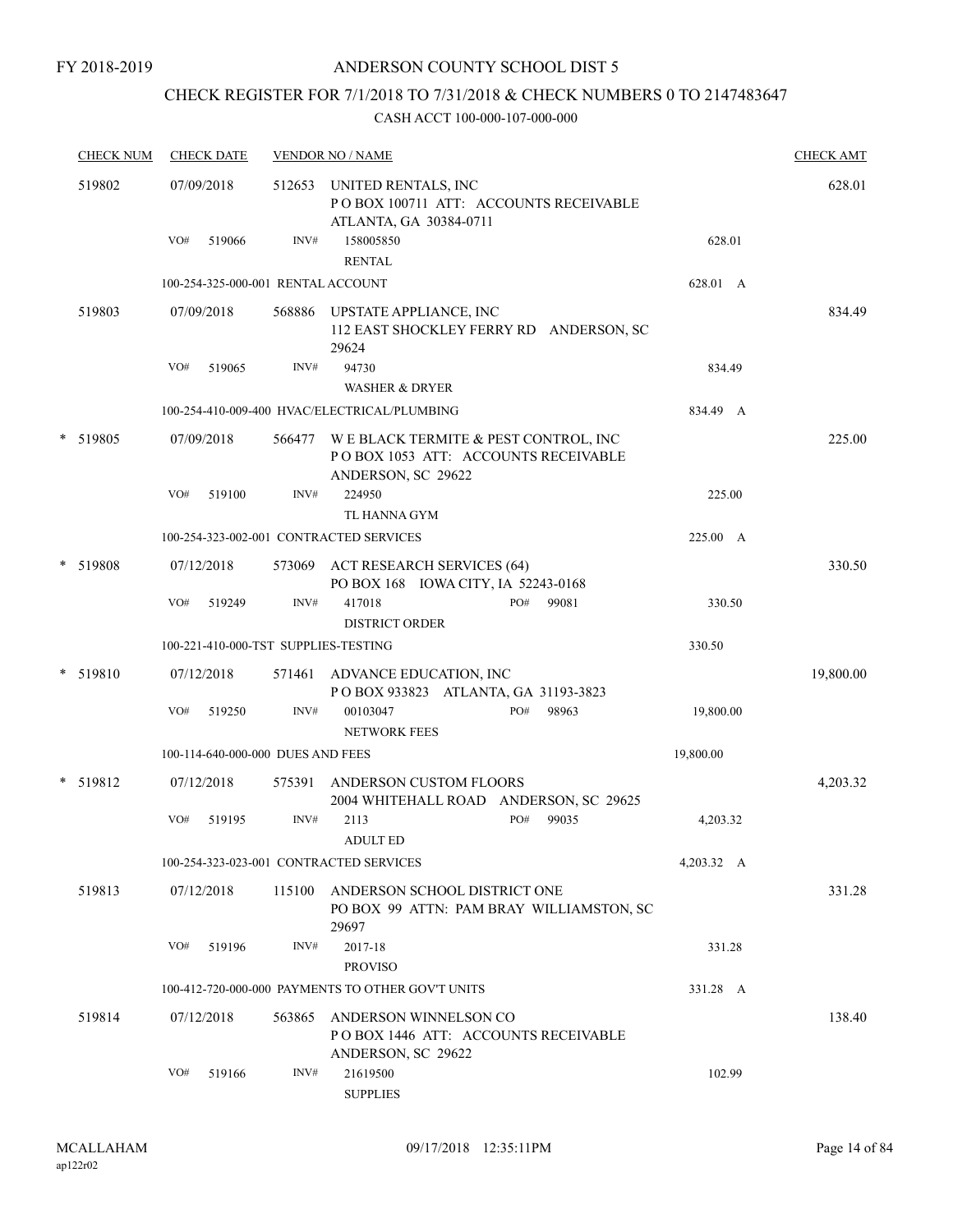# CHECK REGISTER FOR 7/1/2018 TO 7/31/2018 & CHECK NUMBERS 0 TO 2147483647

| <b>CHECK NUM</b> | <b>CHECK DATE</b> |                                      | <b>VENDOR NO / NAME</b>                                                                           |            | <b>CHECK AMT</b> |
|------------------|-------------------|--------------------------------------|---------------------------------------------------------------------------------------------------|------------|------------------|
| 519802           | 07/09/2018        |                                      | 512653 UNITED RENTALS, INC<br>PO BOX 100711 ATT: ACCOUNTS RECEIVABLE<br>ATLANTA, GA 30384-0711    |            | 628.01           |
|                  | VO#               | INV#<br>519066                       | 158005850<br><b>RENTAL</b>                                                                        | 628.01     |                  |
|                  |                   | 100-254-325-000-001 RENTAL ACCOUNT   |                                                                                                   | 628.01 A   |                  |
| 519803           | 07/09/2018        | 568886                               | UPSTATE APPLIANCE, INC<br>112 EAST SHOCKLEY FERRY RD ANDERSON, SC<br>29624                        |            | 834.49           |
|                  | VO#               | 519065<br>INV#                       | 94730                                                                                             | 834.49     |                  |
|                  |                   |                                      | <b>WASHER &amp; DRYER</b>                                                                         |            |                  |
|                  |                   |                                      | 100-254-410-009-400 HVAC/ELECTRICAL/PLUMBING                                                      | 834.49 A   |                  |
| * 519805         | 07/09/2018        | 566477                               | WE BLACK TERMITE & PEST CONTROL, INC<br>POBOX 1053 ATT: ACCOUNTS RECEIVABLE<br>ANDERSON, SC 29622 |            | 225.00           |
|                  | VO#               | INV#<br>519100                       | 224950<br>TL HANNA GYM                                                                            | 225.00     |                  |
|                  |                   |                                      | 100-254-323-002-001 CONTRACTED SERVICES                                                           | 225.00 A   |                  |
| * 519808         | 07/12/2018        | 573069                               | <b>ACT RESEARCH SERVICES (64)</b><br>PO BOX 168 IOWA CITY, IA 52243-0168                          |            | 330.50           |
|                  | VO#               | INV#<br>519249                       | 417018<br>PO#<br>99081<br><b>DISTRICT ORDER</b>                                                   | 330.50     |                  |
|                  |                   | 100-221-410-000-TST SUPPLIES-TESTING |                                                                                                   | 330.50     |                  |
| * 519810         | 07/12/2018        | 571461                               | ADVANCE EDUCATION, INC<br>POBOX 933823 ATLANTA, GA 31193-3823                                     |            | 19,800.00        |
|                  | VO#               | INV#<br>519250                       | 00103047<br>PO#<br>98963<br><b>NETWORK FEES</b>                                                   | 19,800.00  |                  |
|                  |                   | 100-114-640-000-000 DUES AND FEES    |                                                                                                   | 19,800.00  |                  |
| * 519812         | 07/12/2018        | 575391                               | ANDERSON CUSTOM FLOORS<br>2004 WHITEHALL ROAD ANDERSON, SC 29625                                  |            | 4,203.32         |
|                  | VO#               | INV#<br>519195                       | PO#<br>2113<br>99035<br><b>ADULT ED</b>                                                           | 4,203.32   |                  |
|                  |                   |                                      | 100-254-323-023-001 CONTRACTED SERVICES                                                           | 4,203.32 A |                  |
| 519813           | 07/12/2018        | 115100                               | ANDERSON SCHOOL DISTRICT ONE<br>PO BOX 99 ATTN: PAM BRAY WILLIAMSTON, SC<br>29697                 |            | 331.28           |
|                  | VO#               | 519196<br>INV#                       | 2017-18<br><b>PROVISO</b>                                                                         | 331.28     |                  |
|                  |                   |                                      | 100-412-720-000-000 PAYMENTS TO OTHER GOV'T UNITS                                                 | 331.28 A   |                  |
| 519814           | 07/12/2018        | 563865                               | ANDERSON WINNELSON CO<br>POBOX 1446 ATT: ACCOUNTS RECEIVABLE<br>ANDERSON, SC 29622                |            | 138.40           |
|                  | VO#               | 519166<br>INV#                       | 21619500<br><b>SUPPLIES</b>                                                                       | 102.99     |                  |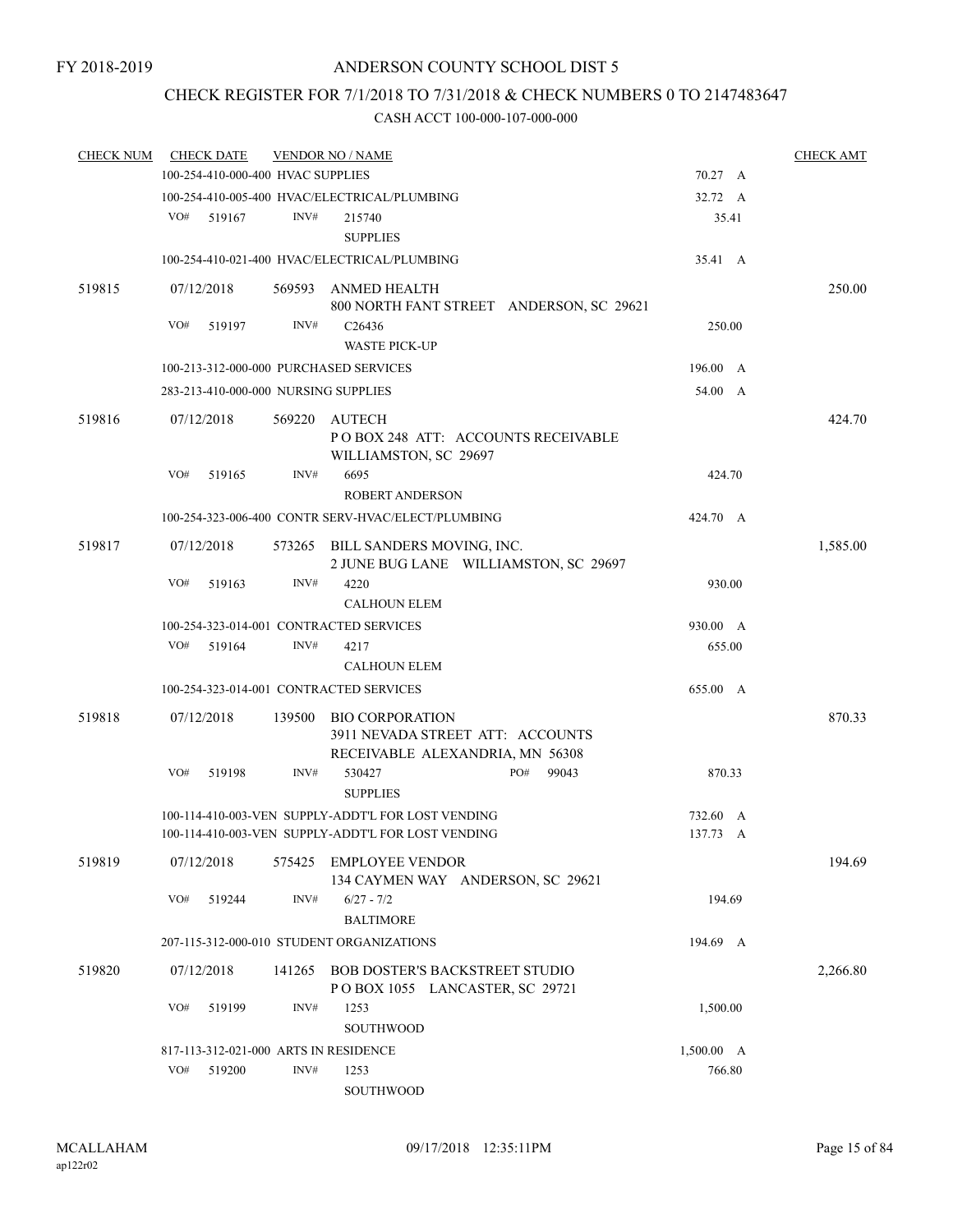# CHECK REGISTER FOR 7/1/2018 TO 7/31/2018 & CHECK NUMBERS 0 TO 2147483647

| <b>CHECK NUM</b> |     | <b>CHECK DATE</b> |                                   | <b>VENDOR NO / NAME</b>                                                                       |            | <b>CHECK AMT</b> |
|------------------|-----|-------------------|-----------------------------------|-----------------------------------------------------------------------------------------------|------------|------------------|
|                  |     |                   | 100-254-410-000-400 HVAC SUPPLIES |                                                                                               | 70.27 A    |                  |
|                  |     |                   |                                   | 100-254-410-005-400 HVAC/ELECTRICAL/PLUMBING                                                  | 32.72 A    |                  |
|                  | VO# | 519167            | INV#                              | 215740                                                                                        | 35.41      |                  |
|                  |     |                   |                                   | <b>SUPPLIES</b>                                                                               |            |                  |
|                  |     |                   |                                   | 100-254-410-021-400 HVAC/ELECTRICAL/PLUMBING                                                  | 35.41 A    |                  |
| 519815           |     | 07/12/2018        |                                   | 569593 ANMED HEALTH<br>800 NORTH FANT STREET ANDERSON, SC 29621                               |            | 250.00           |
|                  | VO# | 519197            | INV#                              | C <sub>26436</sub><br><b>WASTE PICK-UP</b>                                                    | 250.00     |                  |
|                  |     |                   |                                   | 100-213-312-000-000 PURCHASED SERVICES                                                        | 196.00 A   |                  |
|                  |     |                   |                                   | 283-213-410-000-000 NURSING SUPPLIES                                                          | 54.00 A    |                  |
|                  |     |                   |                                   |                                                                                               |            |                  |
| 519816           |     | 07/12/2018        |                                   | 569220 AUTECH<br>POBOX 248 ATT: ACCOUNTS RECEIVABLE<br>WILLIAMSTON, SC 29697                  |            | 424.70           |
|                  | VO# | 519165            | INV#                              | 6695<br><b>ROBERT ANDERSON</b>                                                                | 424.70     |                  |
|                  |     |                   |                                   | 100-254-323-006-400 CONTR SERV-HVAC/ELECT/PLUMBING                                            | 424.70 A   |                  |
| 519817           |     | 07/12/2018        |                                   | 573265 BILL SANDERS MOVING, INC.<br>2 JUNE BUG LANE WILLIAMSTON, SC 29697                     |            | 1,585.00         |
|                  | VO# | 519163            | INV#                              | 4220                                                                                          | 930.00     |                  |
|                  |     |                   |                                   | <b>CALHOUN ELEM</b>                                                                           |            |                  |
|                  |     |                   |                                   | 100-254-323-014-001 CONTRACTED SERVICES                                                       | 930.00 A   |                  |
|                  | VO# | 519164            | INV#                              | 4217                                                                                          | 655.00     |                  |
|                  |     |                   |                                   | <b>CALHOUN ELEM</b>                                                                           |            |                  |
|                  |     |                   |                                   | 100-254-323-014-001 CONTRACTED SERVICES                                                       | 655.00 A   |                  |
|                  |     |                   |                                   |                                                                                               |            |                  |
| 519818           |     | 07/12/2018        |                                   | 139500 BIO CORPORATION<br>3911 NEVADA STREET ATT: ACCOUNTS<br>RECEIVABLE ALEXANDRIA, MN 56308 |            | 870.33           |
|                  | VO# | 519198            | INV#                              | PO#<br>530427<br>99043                                                                        | 870.33     |                  |
|                  |     |                   |                                   | <b>SUPPLIES</b>                                                                               |            |                  |
|                  |     |                   |                                   | 100-114-410-003-VEN SUPPLY-ADDT'L FOR LOST VENDING                                            | 732.60 A   |                  |
|                  |     |                   |                                   | 100-114-410-003-VEN SUPPLY-ADDT'L FOR LOST VENDING                                            | 137.73 A   |                  |
| 519819           |     | 07/12/2018        |                                   | 575425 EMPLOYEE VENDOR<br>134 CAYMEN WAY ANDERSON, SC 29621                                   |            | 194.69           |
|                  | VO# | 519244            | INV#                              | $6/27 - 7/2$<br><b>BALTIMORE</b>                                                              | 194.69     |                  |
|                  |     |                   |                                   | 207-115-312-000-010 STUDENT ORGANIZATIONS                                                     | 194.69 A   |                  |
| 519820           |     | 07/12/2018        | 141265                            | BOB DOSTER'S BACKSTREET STUDIO                                                                |            | 2,266.80         |
|                  |     |                   |                                   | POBOX 1055 LANCASTER, SC 29721                                                                |            |                  |
|                  | VO# | 519199            | INV#                              | 1253                                                                                          | 1,500.00   |                  |
|                  |     |                   |                                   | <b>SOUTHWOOD</b>                                                                              |            |                  |
|                  |     |                   |                                   | 817-113-312-021-000 ARTS IN RESIDENCE                                                         | 1,500.00 A |                  |
|                  | VO# | 519200            | INV#                              | 1253                                                                                          | 766.80     |                  |
|                  |     |                   |                                   | <b>SOUTHWOOD</b>                                                                              |            |                  |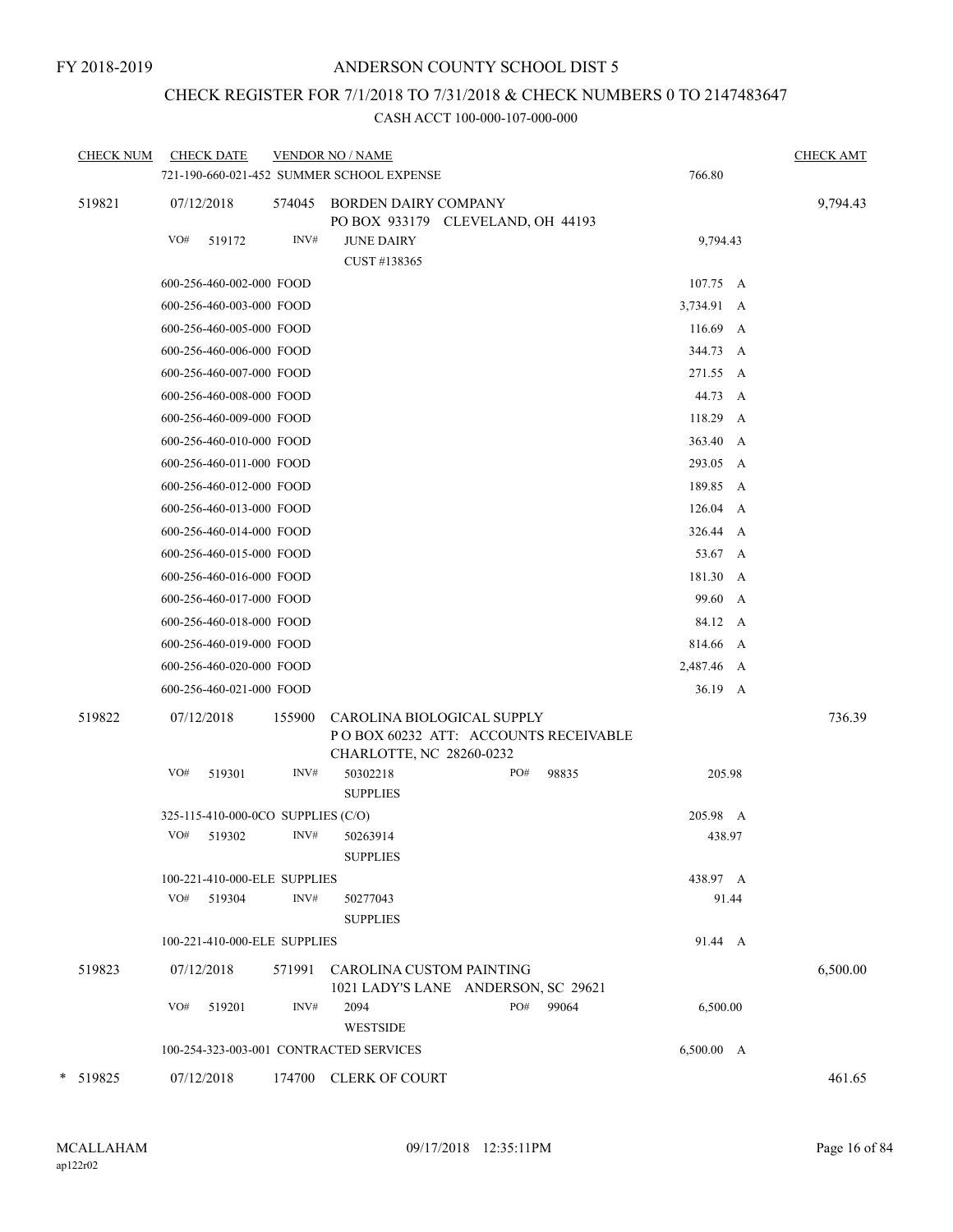# CHECK REGISTER FOR 7/1/2018 TO 7/31/2018 & CHECK NUMBERS 0 TO 2147483647

| <b>CHECK NUM</b> | <b>CHECK DATE</b>                  |        | <b>VENDOR NO / NAME</b><br>721-190-660-021-452 SUMMER SCHOOL EXPENSE                           |     |       | 766.80     |            | <b>CHECK AMT</b> |
|------------------|------------------------------------|--------|------------------------------------------------------------------------------------------------|-----|-------|------------|------------|------------------|
| 519821           | 07/12/2018                         | 574045 | <b>BORDEN DAIRY COMPANY</b><br>PO BOX 933179 CLEVELAND, OH 44193                               |     |       |            |            | 9,794.43         |
|                  | VO#<br>519172                      | INV#   | <b>JUNE DAIRY</b><br>CUST #138365                                                              |     |       | 9,794.43   |            |                  |
|                  | 600-256-460-002-000 FOOD           |        |                                                                                                |     |       | 107.75 A   |            |                  |
|                  | 600-256-460-003-000 FOOD           |        |                                                                                                |     |       | 3,734.91 A |            |                  |
|                  | 600-256-460-005-000 FOOD           |        |                                                                                                |     |       | 116.69     | A          |                  |
|                  | 600-256-460-006-000 FOOD           |        |                                                                                                |     |       | 344.73 A   |            |                  |
|                  | 600-256-460-007-000 FOOD           |        |                                                                                                |     |       | 271.55     | A          |                  |
|                  | 600-256-460-008-000 FOOD           |        |                                                                                                |     |       | 44.73      | A          |                  |
|                  | 600-256-460-009-000 FOOD           |        |                                                                                                |     |       | 118.29     | A          |                  |
|                  | 600-256-460-010-000 FOOD           |        |                                                                                                |     |       | 363.40     | A          |                  |
|                  | 600-256-460-011-000 FOOD           |        |                                                                                                |     |       | 293.05 A   |            |                  |
|                  | 600-256-460-012-000 FOOD           |        |                                                                                                |     |       | 189.85     | A          |                  |
|                  | 600-256-460-013-000 FOOD           |        |                                                                                                |     |       | 126.04     | A          |                  |
|                  | 600-256-460-014-000 FOOD           |        |                                                                                                |     |       | 326.44     | A          |                  |
|                  | 600-256-460-015-000 FOOD           |        |                                                                                                |     |       | 53.67 A    |            |                  |
|                  | 600-256-460-016-000 FOOD           |        |                                                                                                |     |       | 181.30     | A          |                  |
|                  | 600-256-460-017-000 FOOD           |        |                                                                                                |     |       | 99.60      | A          |                  |
|                  | 600-256-460-018-000 FOOD           |        |                                                                                                |     |       | 84.12 A    |            |                  |
|                  | 600-256-460-019-000 FOOD           |        |                                                                                                |     |       | 814.66     | A          |                  |
|                  | 600-256-460-020-000 FOOD           |        |                                                                                                |     |       | 2,487.46 A |            |                  |
|                  | 600-256-460-021-000 FOOD           |        |                                                                                                |     |       | 36.19 A    |            |                  |
| 519822           | 07/12/2018                         | 155900 | CAROLINA BIOLOGICAL SUPPLY<br>POBOX 60232 ATT: ACCOUNTS RECEIVABLE<br>CHARLOTTE, NC 28260-0232 |     |       |            |            | 736.39           |
|                  | VO#<br>519301                      | INV#   | 50302218<br><b>SUPPLIES</b>                                                                    | PO# | 98835 | 205.98     |            |                  |
|                  | 325-115-410-000-0CO SUPPLIES (C/O) |        |                                                                                                |     |       | 205.98 A   |            |                  |
|                  | VO#<br>519302                      | INV#   | 50263914<br><b>SUPPLIES</b>                                                                    |     |       | 438.97     |            |                  |
|                  | 100-221-410-000-ELE SUPPLIES       |        |                                                                                                |     |       | 438.97 A   |            |                  |
|                  | VO#<br>519304                      | INV#   | 50277043<br><b>SUPPLIES</b>                                                                    |     |       | 91.44      |            |                  |
|                  | 100-221-410-000-ELE SUPPLIES       |        |                                                                                                |     |       | 91.44 A    |            |                  |
| 519823           | 07/12/2018                         | 571991 | CAROLINA CUSTOM PAINTING<br>1021 LADY'S LANE ANDERSON, SC 29621                                |     |       |            |            | 6,500.00         |
|                  | VO#<br>519201                      | INV#   | 2094<br><b>WESTSIDE</b>                                                                        | PO# | 99064 | 6,500.00   |            |                  |
|                  |                                    |        | 100-254-323-003-001 CONTRACTED SERVICES                                                        |     |       |            | 6,500.00 A |                  |
| * 519825         | 07/12/2018                         | 174700 | <b>CLERK OF COURT</b>                                                                          |     |       |            |            | 461.65           |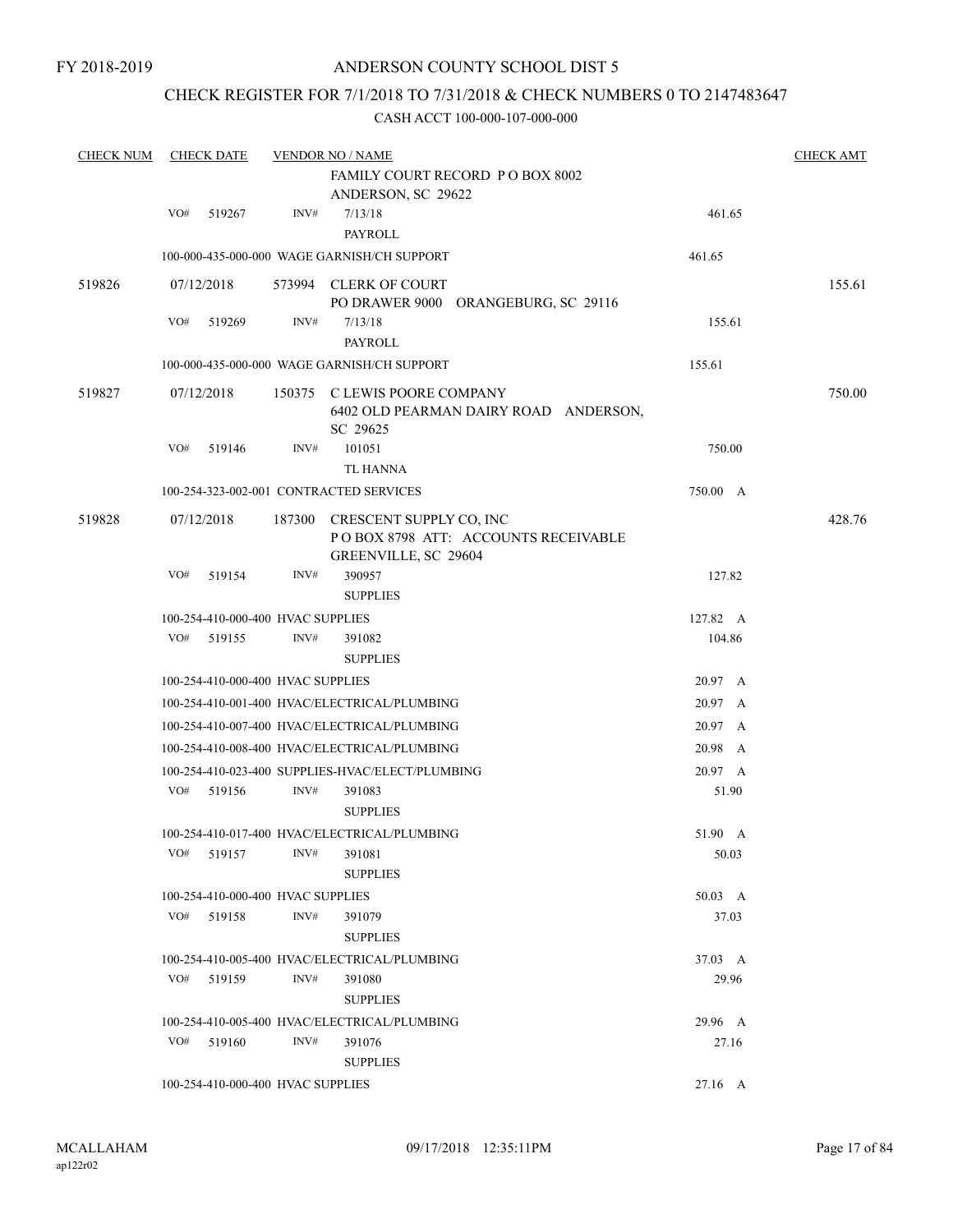# CHECK REGISTER FOR 7/1/2018 TO 7/31/2018 & CHECK NUMBERS 0 TO 2147483647

| <b>CHECK NUM</b> |     | <b>CHECK DATE</b>                 | <b>VENDOR NO / NAME</b> | <b>CHECK AMT</b>                                                                       |          |  |        |
|------------------|-----|-----------------------------------|-------------------------|----------------------------------------------------------------------------------------|----------|--|--------|
|                  |     |                                   |                         | FAMILY COURT RECORD P O BOX 8002<br>ANDERSON, SC 29622                                 |          |  |        |
|                  | VO# | 519267                            | INV#                    | 7/13/18<br>PAYROLL                                                                     | 461.65   |  |        |
|                  |     |                                   |                         | 100-000-435-000-000 WAGE GARNISH/CH SUPPORT                                            | 461.65   |  |        |
| 519826           |     | 07/12/2018                        |                         | 573994 CLERK OF COURT<br>PO DRAWER 9000 ORANGEBURG, SC 29116                           |          |  | 155.61 |
|                  | VO# | 519269                            | INV#                    | 7/13/18<br>PAYROLL                                                                     | 155.61   |  |        |
|                  |     |                                   |                         | 100-000-435-000-000 WAGE GARNISH/CH SUPPORT                                            | 155.61   |  |        |
| 519827           |     | 07/12/2018                        |                         | 150375 C LEWIS POORE COMPANY<br>6402 OLD PEARMAN DAIRY ROAD ANDERSON,<br>SC 29625      |          |  | 750.00 |
|                  | VO# | 519146                            | INV#                    | 101051<br>TL HANNA                                                                     | 750.00   |  |        |
|                  |     |                                   |                         | 100-254-323-002-001 CONTRACTED SERVICES                                                | 750.00 A |  |        |
| 519828           |     | 07/12/2018                        | 187300                  | CRESCENT SUPPLY CO, INC<br>POBOX 8798 ATT: ACCOUNTS RECEIVABLE<br>GREENVILLE, SC 29604 |          |  | 428.76 |
|                  | VO# | 519154                            | INV#                    | 390957<br><b>SUPPLIES</b>                                                              | 127.82   |  |        |
|                  |     | 100-254-410-000-400 HVAC SUPPLIES |                         |                                                                                        | 127.82 A |  |        |
|                  | VO# | 519155                            | INV#                    | 391082<br><b>SUPPLIES</b>                                                              | 104.86   |  |        |
|                  |     | 100-254-410-000-400 HVAC SUPPLIES |                         |                                                                                        | 20.97 A  |  |        |
|                  |     |                                   |                         | 100-254-410-001-400 HVAC/ELECTRICAL/PLUMBING                                           | 20.97 A  |  |        |
|                  |     |                                   |                         | 100-254-410-007-400 HVAC/ELECTRICAL/PLUMBING                                           | 20.97 A  |  |        |
|                  |     |                                   |                         | 100-254-410-008-400 HVAC/ELECTRICAL/PLUMBING                                           | 20.98 A  |  |        |
|                  |     |                                   |                         | 100-254-410-023-400 SUPPLIES-HVAC/ELECT/PLUMBING                                       | 20.97 A  |  |        |
|                  | VO# | 519156                            | INV#                    | 391083<br><b>SUPPLIES</b>                                                              | 51.90    |  |        |
|                  |     |                                   |                         | 100-254-410-017-400 HVAC/ELECTRICAL/PLUMBING                                           | 51.90 A  |  |        |
|                  | VO# | 519157                            | INV#                    | 391081<br><b>SUPPLIES</b>                                                              | 50.03    |  |        |
|                  |     | 100-254-410-000-400 HVAC SUPPLIES |                         |                                                                                        | 50.03 A  |  |        |
|                  | VO# | 519158                            | INV#                    | 391079<br><b>SUPPLIES</b>                                                              | 37.03    |  |        |
|                  |     |                                   |                         | 100-254-410-005-400 HVAC/ELECTRICAL/PLUMBING                                           | 37.03 A  |  |        |
|                  | VO# | 519159                            | INV#                    | 391080<br><b>SUPPLIES</b>                                                              | 29.96    |  |        |
|                  |     |                                   |                         | 100-254-410-005-400 HVAC/ELECTRICAL/PLUMBING                                           | 29.96 A  |  |        |
|                  | VO# | 519160                            | INV#                    | 391076<br><b>SUPPLIES</b>                                                              | 27.16    |  |        |
|                  |     | 100-254-410-000-400 HVAC SUPPLIES |                         |                                                                                        | 27.16 A  |  |        |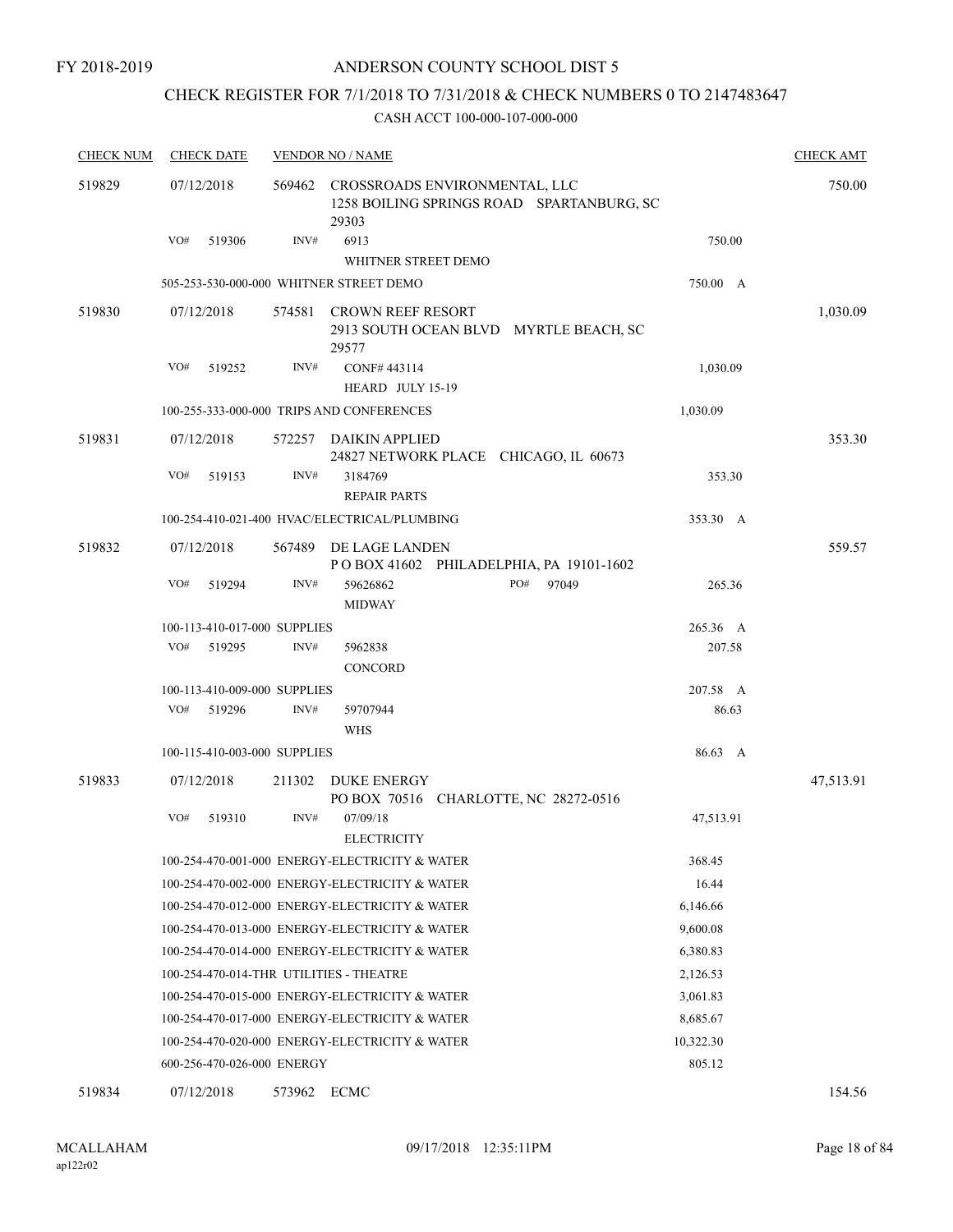# CHECK REGISTER FOR 7/1/2018 TO 7/31/2018 & CHECK NUMBERS 0 TO 2147483647

| <b>CHECK NUM</b> | <b>CHECK DATE</b>                       |        | <b>VENDOR NO / NAME</b>                                                                    |           | <b>CHECK AMT</b> |
|------------------|-----------------------------------------|--------|--------------------------------------------------------------------------------------------|-----------|------------------|
| 519829           | 07/12/2018                              |        | 569462 CROSSROADS ENVIRONMENTAL, LLC<br>1258 BOILING SPRINGS ROAD SPARTANBURG, SC<br>29303 |           | 750.00           |
|                  | VO#<br>519306                           | INV#   | 6913                                                                                       | 750.00    |                  |
|                  |                                         |        | WHITNER STREET DEMO                                                                        |           |                  |
|                  |                                         |        | 505-253-530-000-000 WHITNER STREET DEMO                                                    | 750.00 A  |                  |
| 519830           | 07/12/2018                              | 574581 | <b>CROWN REEF RESORT</b><br>2913 SOUTH OCEAN BLVD MYRTLE BEACH, SC<br>29577                |           | 1,030.09         |
|                  | VO#<br>519252                           | INV#   | CONF#443114                                                                                | 1,030.09  |                  |
|                  |                                         |        | HEARD JULY 15-19                                                                           |           |                  |
|                  |                                         |        | 100-255-333-000-000 TRIPS AND CONFERENCES                                                  | 1,030.09  |                  |
| 519831           | 07/12/2018                              |        | 572257 DAIKIN APPLIED<br>24827 NETWORK PLACE CHICAGO, IL 60673                             |           | 353.30           |
|                  | VO#<br>519153                           | INV#   | 3184769<br><b>REPAIR PARTS</b>                                                             | 353.30    |                  |
|                  |                                         |        | 100-254-410-021-400 HVAC/ELECTRICAL/PLUMBING                                               | 353.30 A  |                  |
| 519832           | 07/12/2018                              | 567489 | DE LAGE LANDEN<br>POBOX 41602 PHILADELPHIA, PA 19101-1602                                  |           | 559.57           |
|                  | VO#<br>519294                           | INV#   | PO#<br>97049<br>59626862<br><b>MIDWAY</b>                                                  | 265.36    |                  |
|                  | 100-113-410-017-000 SUPPLIES            |        |                                                                                            | 265.36 A  |                  |
|                  | VO#<br>519295                           | INV#   | 5962838<br><b>CONCORD</b>                                                                  | 207.58    |                  |
|                  | 100-113-410-009-000 SUPPLIES            |        |                                                                                            | 207.58 A  |                  |
|                  | VO#<br>519296                           | INV#   | 59707944<br><b>WHS</b>                                                                     | 86.63     |                  |
|                  | 100-115-410-003-000 SUPPLIES            |        |                                                                                            | 86.63 A   |                  |
| 519833           | 07/12/2018                              | 211302 | DUKE ENERGY<br>PO BOX 70516 CHARLOTTE, NC 28272-0516                                       |           | 47,513.91        |
|                  | VO#<br>519310                           | INV#   | 07/09/18<br><b>ELECTRICITY</b>                                                             | 47,513.91 |                  |
|                  |                                         |        | 100-254-470-001-000 ENERGY-ELECTRICITY & WATER                                             | 368.45    |                  |
|                  |                                         |        | 100-254-470-002-000 ENERGY-ELECTRICITY & WATER                                             | 16.44     |                  |
|                  |                                         |        | 100-254-470-012-000 ENERGY-ELECTRICITY & WATER                                             | 6,146.66  |                  |
|                  |                                         |        | 100-254-470-013-000 ENERGY-ELECTRICITY & WATER                                             | 9,600.08  |                  |
|                  |                                         |        | 100-254-470-014-000 ENERGY-ELECTRICITY & WATER                                             | 6,380.83  |                  |
|                  | 100-254-470-014-THR UTILITIES - THEATRE |        |                                                                                            | 2,126.53  |                  |
|                  |                                         |        | 100-254-470-015-000 ENERGY-ELECTRICITY & WATER                                             | 3,061.83  |                  |
|                  |                                         |        | 100-254-470-017-000 ENERGY-ELECTRICITY & WATER                                             | 8,685.67  |                  |
|                  |                                         |        | 100-254-470-020-000 ENERGY-ELECTRICITY & WATER                                             | 10,322.30 |                  |
|                  | 600-256-470-026-000 ENERGY              |        |                                                                                            | 805.12    |                  |
| 519834           | 07/12/2018                              | 573962 | ECMC                                                                                       |           | 154.56           |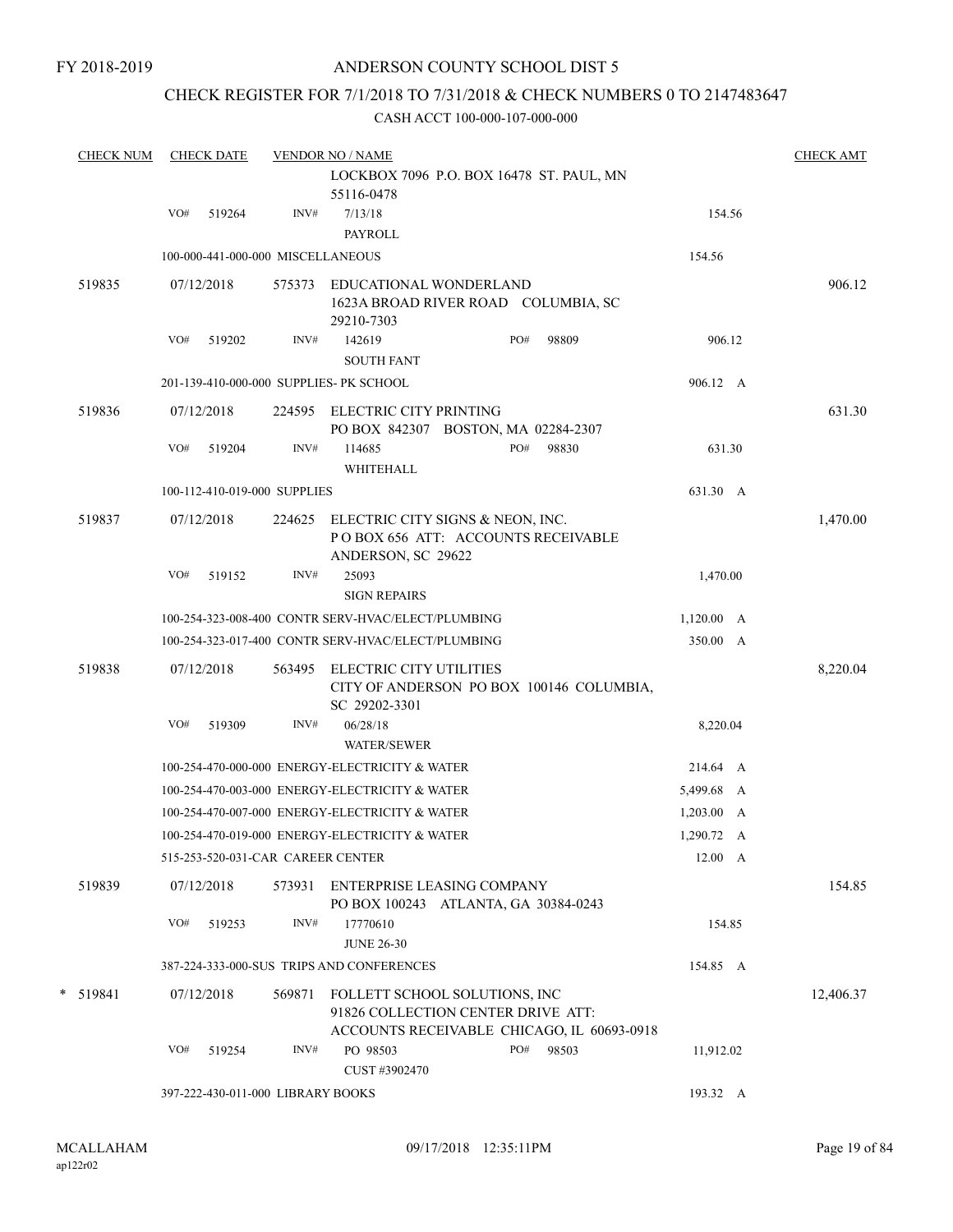# CHECK REGISTER FOR 7/1/2018 TO 7/31/2018 & CHECK NUMBERS 0 TO 2147483647

| <b>CHECK NUM</b> |     | <b>CHECK DATE</b> |                                   | <b>VENDOR NO / NAME</b>                            |  |              |  |                    | <b>CHECK AMT</b> |
|------------------|-----|-------------------|-----------------------------------|----------------------------------------------------|--|--------------|--|--------------------|------------------|
|                  |     |                   |                                   | LOCKBOX 7096 P.O. BOX 16478 ST. PAUL, MN           |  |              |  |                    |                  |
|                  |     |                   |                                   | 55116-0478                                         |  |              |  |                    |                  |
|                  | VO# | 519264            | INV#                              | 7/13/18                                            |  |              |  | 154.56             |                  |
|                  |     |                   |                                   | <b>PAYROLL</b>                                     |  |              |  |                    |                  |
|                  |     |                   | 100-000-441-000-000 MISCELLANEOUS |                                                    |  |              |  | 154.56             |                  |
| 519835           |     | 07/12/2018        | 575373                            | EDUCATIONAL WONDERLAND                             |  |              |  |                    | 906.12           |
|                  |     |                   |                                   | 1623A BROAD RIVER ROAD COLUMBIA, SC                |  |              |  |                    |                  |
|                  |     |                   |                                   | 29210-7303                                         |  |              |  |                    |                  |
|                  | VO# | 519202            | INV#                              | 142619                                             |  | PO#<br>98809 |  | 906.12             |                  |
|                  |     |                   |                                   | <b>SOUTH FANT</b>                                  |  |              |  |                    |                  |
|                  |     |                   |                                   | 201-139-410-000-000 SUPPLIES- PK SCHOOL            |  |              |  | 906.12 A           |                  |
| 519836           |     | 07/12/2018        | 224595                            | ELECTRIC CITY PRINTING                             |  |              |  |                    | 631.30           |
|                  |     |                   |                                   | PO BOX 842307 BOSTON, MA 02284-2307                |  |              |  |                    |                  |
|                  | VO# | 519204            | INV#                              | 114685                                             |  | PO#<br>98830 |  | 631.30             |                  |
|                  |     |                   |                                   | WHITEHALL                                          |  |              |  |                    |                  |
|                  |     |                   | 100-112-410-019-000 SUPPLIES      |                                                    |  |              |  | 631.30 A           |                  |
| 519837           |     | 07/12/2018        | 224625                            | ELECTRIC CITY SIGNS & NEON, INC.                   |  |              |  |                    | 1,470.00         |
|                  |     |                   |                                   | POBOX 656 ATT: ACCOUNTS RECEIVABLE                 |  |              |  |                    |                  |
|                  |     |                   |                                   | ANDERSON, SC 29622                                 |  |              |  |                    |                  |
|                  | VO# | 519152            | INV#                              | 25093                                              |  |              |  | 1,470.00           |                  |
|                  |     |                   |                                   | <b>SIGN REPAIRS</b>                                |  |              |  |                    |                  |
|                  |     |                   |                                   | 100-254-323-008-400 CONTR SERV-HVAC/ELECT/PLUMBING |  |              |  | $1,120.00 \, A$    |                  |
|                  |     |                   |                                   | 100-254-323-017-400 CONTR SERV-HVAC/ELECT/PLUMBING |  |              |  | 350.00 A           |                  |
| 519838           |     | 07/12/2018        | 563495                            | ELECTRIC CITY UTILITIES                            |  |              |  |                    | 8,220.04         |
|                  |     |                   |                                   | CITY OF ANDERSON PO BOX 100146 COLUMBIA,           |  |              |  |                    |                  |
|                  |     |                   |                                   | SC 29202-3301                                      |  |              |  |                    |                  |
|                  | VO# | 519309            | INV#                              | 06/28/18                                           |  |              |  | 8,220.04           |                  |
|                  |     |                   |                                   | <b>WATER/SEWER</b>                                 |  |              |  |                    |                  |
|                  |     |                   |                                   | 100-254-470-000-000 ENERGY-ELECTRICITY & WATER     |  |              |  | 214.64 A           |                  |
|                  |     |                   |                                   | 100-254-470-003-000 ENERGY-ELECTRICITY & WATER     |  |              |  | 5,499.68 A         |                  |
|                  |     |                   |                                   | 100-254-470-007-000 ENERGY-ELECTRICITY & WATER     |  |              |  | $1,203.00 \quad A$ |                  |
|                  |     |                   |                                   | 100-254-470-019-000 ENERGY-ELECTRICITY & WATER     |  |              |  | 1,290.72 A         |                  |
|                  |     |                   | 515-253-520-031-CAR CAREER CENTER |                                                    |  |              |  | 12.00 A            |                  |
| 519839           |     | 07/12/2018        |                                   | 573931 ENTERPRISE LEASING COMPANY                  |  |              |  |                    | 154.85           |
|                  |     |                   |                                   | PO BOX 100243 ATLANTA, GA 30384-0243               |  |              |  |                    |                  |
|                  | VO# | 519253            | INV#                              | 17770610                                           |  |              |  | 154.85             |                  |
|                  |     |                   |                                   | <b>JUNE 26-30</b>                                  |  |              |  |                    |                  |
|                  |     |                   |                                   | 387-224-333-000-SUS TRIPS AND CONFERENCES          |  |              |  | 154.85 A           |                  |
| * 519841         |     | 07/12/2018        | 569871                            | FOLLETT SCHOOL SOLUTIONS, INC                      |  |              |  |                    | 12,406.37        |
|                  |     |                   |                                   | 91826 COLLECTION CENTER DRIVE ATT:                 |  |              |  |                    |                  |
|                  |     |                   |                                   | ACCOUNTS RECEIVABLE CHICAGO, IL 60693-0918         |  |              |  |                    |                  |
|                  | VO# | 519254            | INV#                              | PO 98503                                           |  | PO# 98503    |  | 11,912.02          |                  |
|                  |     |                   |                                   | CUST #3902470                                      |  |              |  |                    |                  |
|                  |     |                   | 397-222-430-011-000 LIBRARY BOOKS |                                                    |  |              |  | 193.32 A           |                  |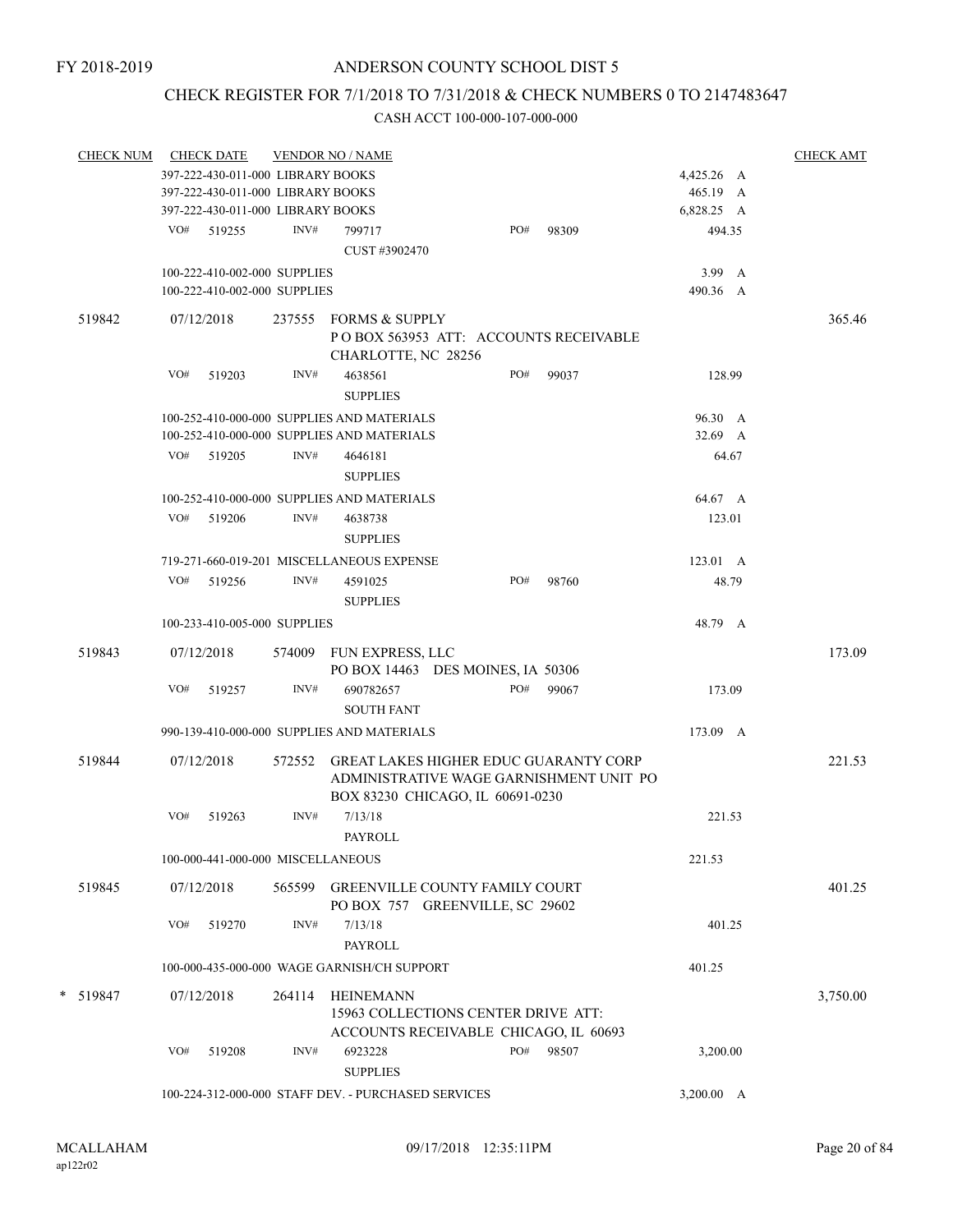# CHECK REGISTER FOR 7/1/2018 TO 7/31/2018 & CHECK NUMBERS 0 TO 2147483647

| <b>CHECK NUM</b> |     | <b>CHECK DATE</b>                                   |        | <b>VENDOR NO / NAME</b>                                                  |  |     |                                                                                         |            |  | <b>CHECK AMT</b> |
|------------------|-----|-----------------------------------------------------|--------|--------------------------------------------------------------------------|--|-----|-----------------------------------------------------------------------------------------|------------|--|------------------|
|                  |     | 397-222-430-011-000 LIBRARY BOOKS                   |        |                                                                          |  |     |                                                                                         | 4,425.26 A |  |                  |
|                  |     | 397-222-430-011-000 LIBRARY BOOKS                   |        |                                                                          |  |     |                                                                                         | 465.19 A   |  |                  |
|                  |     | 397-222-430-011-000 LIBRARY BOOKS                   |        |                                                                          |  |     |                                                                                         | 6,828.25 A |  |                  |
|                  |     | VO# 519255                                          | INV#   | 799717                                                                   |  | PO# | 98309                                                                                   | 494.35     |  |                  |
|                  |     |                                                     |        | CUST #3902470                                                            |  |     |                                                                                         |            |  |                  |
|                  |     |                                                     |        |                                                                          |  |     |                                                                                         |            |  |                  |
|                  |     | 100-222-410-002-000 SUPPLIES                        |        |                                                                          |  |     |                                                                                         | 3.99 A     |  |                  |
|                  |     | 100-222-410-002-000 SUPPLIES                        |        |                                                                          |  |     |                                                                                         | 490.36 A   |  |                  |
| 519842           |     | 07/12/2018                                          |        | 237555 FORMS & SUPPLY<br>CHARLOTTE, NC 28256                             |  |     | PO BOX 563953 ATT: ACCOUNTS RECEIVABLE                                                  |            |  | 365.46           |
|                  | VO# | 519203                                              | INV#   | 4638561<br><b>SUPPLIES</b>                                               |  | PO# | 99037                                                                                   | 128.99     |  |                  |
|                  |     |                                                     |        | 100-252-410-000-000 SUPPLIES AND MATERIALS                               |  |     |                                                                                         | 96.30 A    |  |                  |
|                  |     |                                                     |        | 100-252-410-000-000 SUPPLIES AND MATERIALS                               |  |     |                                                                                         | 32.69 A    |  |                  |
|                  | VO# | 519205                                              | INV#   | 4646181                                                                  |  |     |                                                                                         | 64.67      |  |                  |
|                  |     |                                                     |        |                                                                          |  |     |                                                                                         |            |  |                  |
|                  |     |                                                     |        | <b>SUPPLIES</b>                                                          |  |     |                                                                                         |            |  |                  |
|                  |     |                                                     |        | 100-252-410-000-000 SUPPLIES AND MATERIALS                               |  |     |                                                                                         | 64.67 A    |  |                  |
|                  | VO# | 519206                                              | INV#   | 4638738<br><b>SUPPLIES</b>                                               |  |     |                                                                                         | 123.01     |  |                  |
|                  |     |                                                     |        | 719-271-660-019-201 MISCELLANEOUS EXPENSE                                |  |     |                                                                                         | 123.01 A   |  |                  |
|                  | VO# | 519256                                              | INV#   | 4591025                                                                  |  | PO# | 98760                                                                                   | 48.79      |  |                  |
|                  |     |                                                     |        |                                                                          |  |     |                                                                                         |            |  |                  |
|                  |     |                                                     |        | <b>SUPPLIES</b>                                                          |  |     |                                                                                         |            |  |                  |
|                  |     | 100-233-410-005-000 SUPPLIES                        |        |                                                                          |  |     |                                                                                         | 48.79 A    |  |                  |
| 519843           |     | 07/12/2018                                          |        | 574009 FUN EXPRESS, LLC                                                  |  |     |                                                                                         |            |  | 173.09           |
|                  |     |                                                     |        | PO BOX 14463 DES MOINES, IA 50306                                        |  |     |                                                                                         |            |  |                  |
|                  | VO# | 519257                                              | INV#   | 690782657                                                                |  | PO# | 99067                                                                                   | 173.09     |  |                  |
|                  |     |                                                     |        | <b>SOUTH FANT</b>                                                        |  |     |                                                                                         |            |  |                  |
|                  |     |                                                     |        |                                                                          |  |     |                                                                                         |            |  |                  |
|                  |     |                                                     |        | 990-139-410-000-000 SUPPLIES AND MATERIALS                               |  |     |                                                                                         | 173.09 A   |  |                  |
| 519844           |     | 07/12/2018                                          |        | BOX 83230 CHICAGO, IL 60691-0230                                         |  |     | 572552 GREAT LAKES HIGHER EDUC GUARANTY CORP<br>ADMINISTRATIVE WAGE GARNISHMENT UNIT PO |            |  | 221.53           |
|                  | VO# | 519263                                              | INV#   | 7/13/18                                                                  |  |     |                                                                                         | 221.53     |  |                  |
|                  |     |                                                     |        | PAYROLL                                                                  |  |     |                                                                                         |            |  |                  |
|                  |     |                                                     |        |                                                                          |  |     |                                                                                         |            |  |                  |
|                  |     | 100-000-441-000-000 MISCELLANEOUS                   |        |                                                                          |  |     |                                                                                         | 221.53     |  |                  |
| 519845           |     | 07/12/2018                                          | 565599 | <b>GREENVILLE COUNTY FAMILY COURT</b><br>PO BOX 757 GREENVILLE, SC 29602 |  |     |                                                                                         |            |  | 401.25           |
|                  | VO# | 519270                                              | INV#   | 7/13/18                                                                  |  |     |                                                                                         | 401.25     |  |                  |
|                  |     |                                                     |        | <b>PAYROLL</b>                                                           |  |     |                                                                                         |            |  |                  |
|                  |     |                                                     |        | 100-000-435-000-000 WAGE GARNISH/CH SUPPORT                              |  |     |                                                                                         |            |  |                  |
|                  |     |                                                     |        |                                                                          |  |     |                                                                                         | 401.25     |  |                  |
| * 519847         |     | 07/12/2018                                          | 264114 | HEINEMANN<br>15963 COLLECTIONS CENTER DRIVE ATT:                         |  |     |                                                                                         |            |  | 3,750.00         |
|                  |     |                                                     |        | ACCOUNTS RECEIVABLE CHICAGO, IL 60693                                    |  |     |                                                                                         |            |  |                  |
|                  | VO# | 519208                                              | INV#   | 6923228<br><b>SUPPLIES</b>                                               |  | PO# | 98507                                                                                   | 3,200.00   |  |                  |
|                  |     | 100-224-312-000-000 STAFF DEV. - PURCHASED SERVICES |        |                                                                          |  |     |                                                                                         |            |  |                  |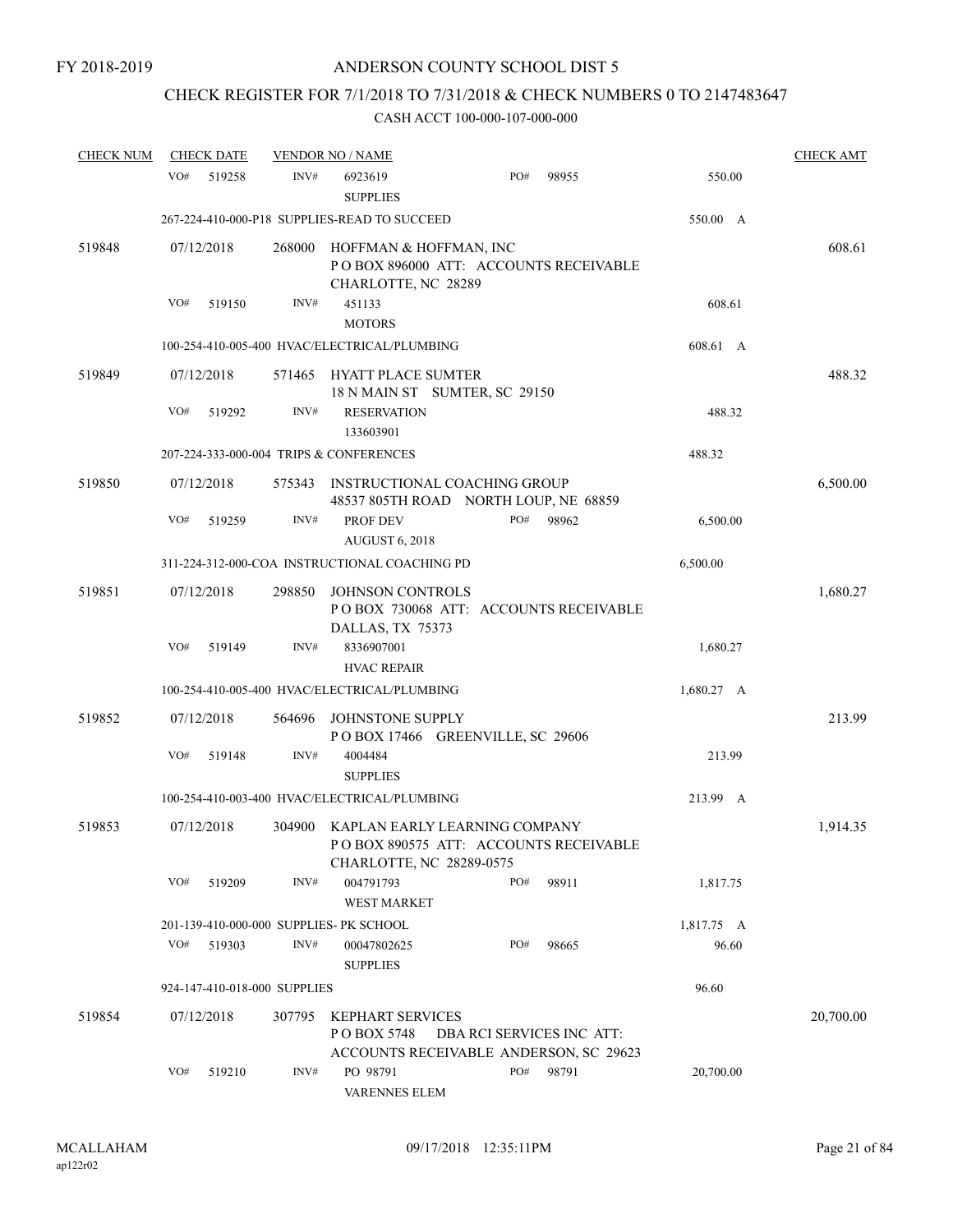# CHECK REGISTER FOR 7/1/2018 TO 7/31/2018 & CHECK NUMBERS 0 TO 2147483647

| <b>CHECK NUM</b> | <b>CHECK DATE</b>                       |        | <b>VENDOR NO / NAME</b>                                                                                   |     |                                       |            | <b>CHECK AMT</b> |
|------------------|-----------------------------------------|--------|-----------------------------------------------------------------------------------------------------------|-----|---------------------------------------|------------|------------------|
|                  | VO#<br>519258                           | INV#   | 6923619<br><b>SUPPLIES</b>                                                                                | PO# | 98955                                 | 550.00     |                  |
|                  |                                         |        | 267-224-410-000-P18 SUPPLIES-READ TO SUCCEED                                                              |     |                                       | 550.00 A   |                  |
| 519848           | 07/12/2018                              | 268000 | HOFFMAN & HOFFMAN, INC<br>POBOX 896000 ATT: ACCOUNTS RECEIVABLE<br>CHARLOTTE, NC 28289                    |     |                                       |            | 608.61           |
|                  | VO#<br>519150                           | INV#   | 451133<br><b>MOTORS</b>                                                                                   |     |                                       | 608.61     |                  |
|                  |                                         |        | 100-254-410-005-400 HVAC/ELECTRICAL/PLUMBING                                                              |     |                                       | 608.61 A   |                  |
| 519849           | 07/12/2018                              |        | 571465 HYATT PLACE SUMTER<br>18 N MAIN ST SUMTER, SC 29150                                                |     |                                       |            | 488.32           |
|                  | VO#<br>519292                           | INV#   | <b>RESERVATION</b><br>133603901                                                                           |     |                                       | 488.32     |                  |
|                  | 207-224-333-000-004 TRIPS & CONFERENCES |        |                                                                                                           |     |                                       | 488.32     |                  |
| 519850           | 07/12/2018                              | 575343 | INSTRUCTIONAL COACHING GROUP<br>48537 805TH ROAD NORTH LOUP, NE 68859                                     |     |                                       |            | 6,500.00         |
|                  | VO#<br>519259                           | INV#   | PROF DEV<br><b>AUGUST 6, 2018</b>                                                                         | PO# | 98962                                 | 6,500.00   |                  |
|                  |                                         |        | 311-224-312-000-COA INSTRUCTIONAL COACHING PD                                                             |     |                                       | 6,500.00   |                  |
| 519851           | 07/12/2018                              | 298850 | JOHNSON CONTROLS<br>DALLAS, TX 75373                                                                      |     | POBOX 730068 ATT: ACCOUNTS RECEIVABLE |            | 1,680.27         |
|                  | VO#<br>519149                           | INV#   | 8336907001<br><b>HVAC REPAIR</b>                                                                          |     |                                       | 1,680.27   |                  |
|                  |                                         |        | 100-254-410-005-400 HVAC/ELECTRICAL/PLUMBING                                                              |     |                                       | 1,680.27 A |                  |
| 519852           | 07/12/2018                              | 564696 | JOHNSTONE SUPPLY<br>POBOX 17466 GREENVILLE, SC 29606                                                      |     |                                       |            | 213.99           |
|                  | VO#<br>519148                           | INV#   | 4004484<br><b>SUPPLIES</b>                                                                                |     |                                       | 213.99     |                  |
|                  |                                         |        | 100-254-410-003-400 HVAC/ELECTRICAL/PLUMBING                                                              |     |                                       | 213.99 A   |                  |
| 519853           | 07/12/2018                              |        | 304900 KAPLAN EARLY LEARNING COMPANY<br>POBOX 890575 ATT: ACCOUNTS RECEIVABLE<br>CHARLOTTE, NC 28289-0575 |     |                                       |            | 1,914.35         |
|                  | VO#<br>519209                           | INV#   | 004791793<br><b>WEST MARKET</b>                                                                           | PO# | 98911                                 | 1,817.75   |                  |
|                  | 201-139-410-000-000 SUPPLIES- PK SCHOOL |        |                                                                                                           |     |                                       | 1,817.75 A |                  |
|                  | VO#<br>519303                           | INV#   | 00047802625<br><b>SUPPLIES</b>                                                                            | PO# | 98665                                 | 96.60      |                  |
|                  | 924-147-410-018-000 SUPPLIES            |        |                                                                                                           |     |                                       | 96.60      |                  |
| 519854           | 07/12/2018                              | 307795 | <b>KEPHART SERVICES</b><br>P O BOX 5748<br>ACCOUNTS RECEIVABLE ANDERSON, SC 29623                         |     | DBA RCI SERVICES INC ATT:             |            | 20,700.00        |
|                  | VO#<br>519210                           | INV#   | PO 98791<br><b>VARENNES ELEM</b>                                                                          | PO# | 98791                                 | 20,700.00  |                  |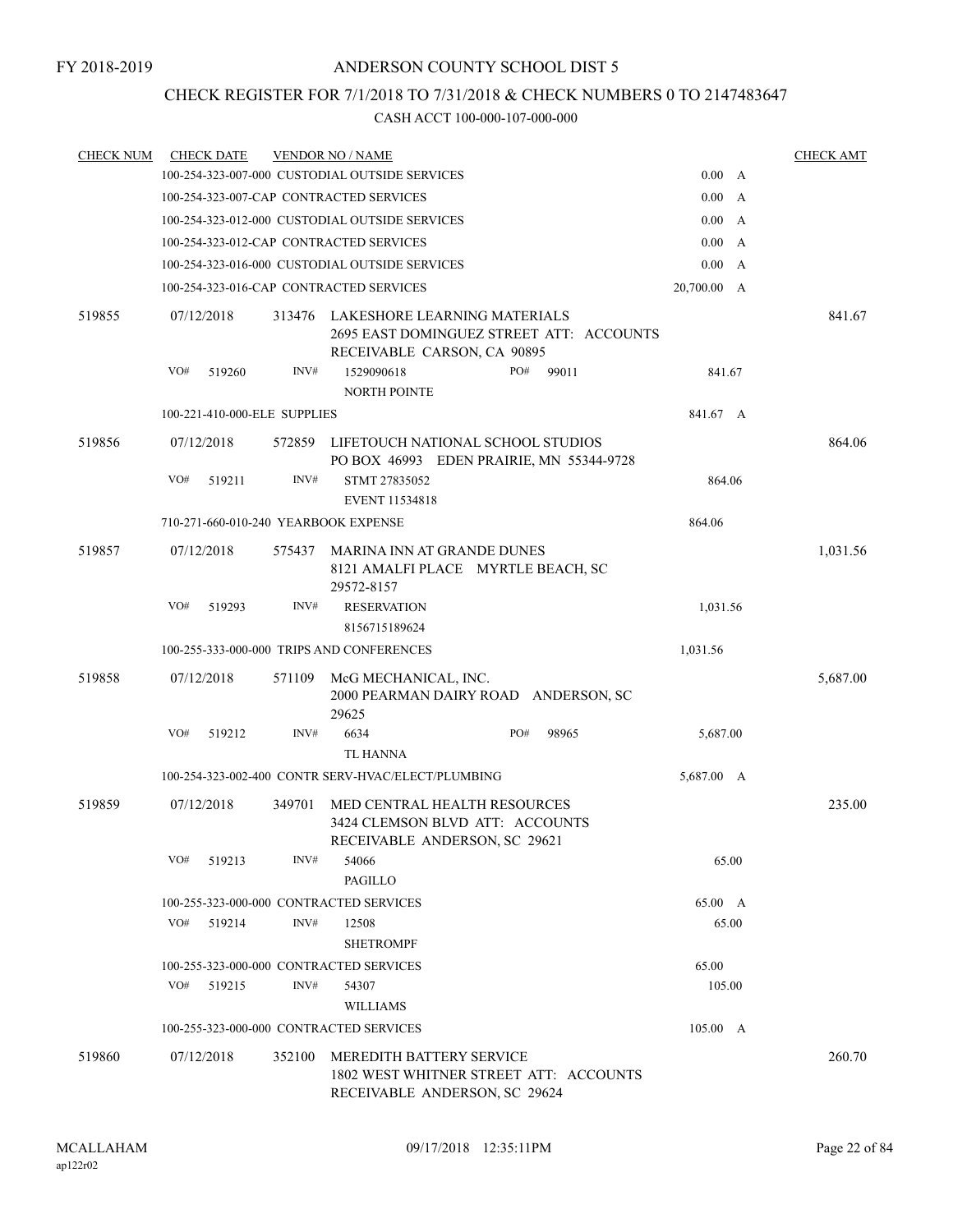# CHECK REGISTER FOR 7/1/2018 TO 7/31/2018 & CHECK NUMBERS 0 TO 2147483647

| <b>CHECK NUM</b> |                                         | <b>CHECK DATE</b>                    |        | <b>VENDOR NO / NAME</b>                                                                                    |     |       |             |              | <b>CHECK AMT</b> |
|------------------|-----------------------------------------|--------------------------------------|--------|------------------------------------------------------------------------------------------------------------|-----|-------|-------------|--------------|------------------|
|                  |                                         |                                      |        | 100-254-323-007-000 CUSTODIAL OUTSIDE SERVICES                                                             |     |       | 0.00 A      |              |                  |
|                  |                                         |                                      |        | 100-254-323-007-CAP CONTRACTED SERVICES                                                                    |     |       | 0.00 A      |              |                  |
|                  |                                         |                                      |        | 100-254-323-012-000 CUSTODIAL OUTSIDE SERVICES                                                             |     |       | 0.00        | $\mathbf{A}$ |                  |
|                  |                                         |                                      |        | 100-254-323-012-CAP CONTRACTED SERVICES                                                                    |     |       | 0.00 A      |              |                  |
|                  |                                         |                                      |        | 100-254-323-016-000 CUSTODIAL OUTSIDE SERVICES                                                             |     |       | 0.00 A      |              |                  |
|                  |                                         |                                      |        | 100-254-323-016-CAP CONTRACTED SERVICES                                                                    |     |       | 20,700.00 A |              |                  |
| 519855           |                                         | 07/12/2018                           | 313476 | LAKESHORE LEARNING MATERIALS<br>2695 EAST DOMINGUEZ STREET ATT: ACCOUNTS<br>RECEIVABLE CARSON, CA 90895    |     |       |             |              | 841.67           |
|                  | VO#                                     | 519260                               | INV#   | 1529090618<br>NORTH POINTE                                                                                 | PO# | 99011 | 841.67      |              |                  |
|                  |                                         | 100-221-410-000-ELE SUPPLIES         |        |                                                                                                            |     |       | 841.67 A    |              |                  |
| 519856           |                                         | 07/12/2018                           | 572859 | LIFETOUCH NATIONAL SCHOOL STUDIOS<br>PO BOX 46993 EDEN PRAIRIE, MN 55344-9728                              |     |       |             |              | 864.06           |
|                  | VO#                                     | 519211                               | INV#   | STMT 27835052<br><b>EVENT 11534818</b>                                                                     |     |       | 864.06      |              |                  |
|                  |                                         | 710-271-660-010-240 YEARBOOK EXPENSE |        | 864.06                                                                                                     |     |       |             |              |                  |
| 519857           |                                         | 07/12/2018                           | 575437 | MARINA INN AT GRANDE DUNES<br>8121 AMALFI PLACE MYRTLE BEACH, SC<br>29572-8157                             |     |       |             |              | 1,031.56         |
|                  | VO#                                     | 519293                               | INV#   | <b>RESERVATION</b><br>8156715189624                                                                        |     |       | 1,031.56    |              |                  |
|                  |                                         |                                      |        | 100-255-333-000-000 TRIPS AND CONFERENCES                                                                  |     |       | 1,031.56    |              |                  |
| 519858           |                                         | 07/12/2018                           | 571109 | McG MECHANICAL, INC.<br>2000 PEARMAN DAIRY ROAD ANDERSON, SC<br>29625                                      |     |       |             |              | 5,687.00         |
|                  | VO#                                     | 519212                               | INV#   | 6634<br><b>TL HANNA</b>                                                                                    | PO# | 98965 | 5,687.00    |              |                  |
|                  |                                         |                                      |        | 100-254-323-002-400 CONTR SERV-HVAC/ELECT/PLUMBING                                                         |     |       | 5,687.00 A  |              |                  |
| 519859           |                                         | 07/12/2018                           | 349701 | MED CENTRAL HEALTH RESOURCES<br>3424 CLEMSON BLVD ATT: ACCOUNTS<br>RECEIVABLE ANDERSON, SC 29621           |     |       |             |              | 235.00           |
|                  | VO#                                     | 519213                               | INV#   | 54066<br><b>PAGILLO</b>                                                                                    |     |       | 65.00       |              |                  |
|                  |                                         |                                      |        | 100-255-323-000-000 CONTRACTED SERVICES                                                                    |     |       | 65.00 A     |              |                  |
|                  | VO#                                     | 519214                               | INV#   | 12508<br><b>SHETROMPF</b>                                                                                  |     |       | 65.00       |              |                  |
|                  |                                         |                                      |        | 100-255-323-000-000 CONTRACTED SERVICES                                                                    |     |       | 65.00       |              |                  |
|                  | VO#                                     | 519215                               | INV#   | 54307<br><b>WILLIAMS</b>                                                                                   |     |       | 105.00      |              |                  |
|                  | 100-255-323-000-000 CONTRACTED SERVICES |                                      |        |                                                                                                            |     |       | 105.00 A    |              |                  |
| 519860           |                                         | 07/12/2018                           | 352100 | <b>MEREDITH BATTERY SERVICE</b><br>1802 WEST WHITNER STREET ATT: ACCOUNTS<br>RECEIVABLE ANDERSON, SC 29624 |     |       |             |              | 260.70           |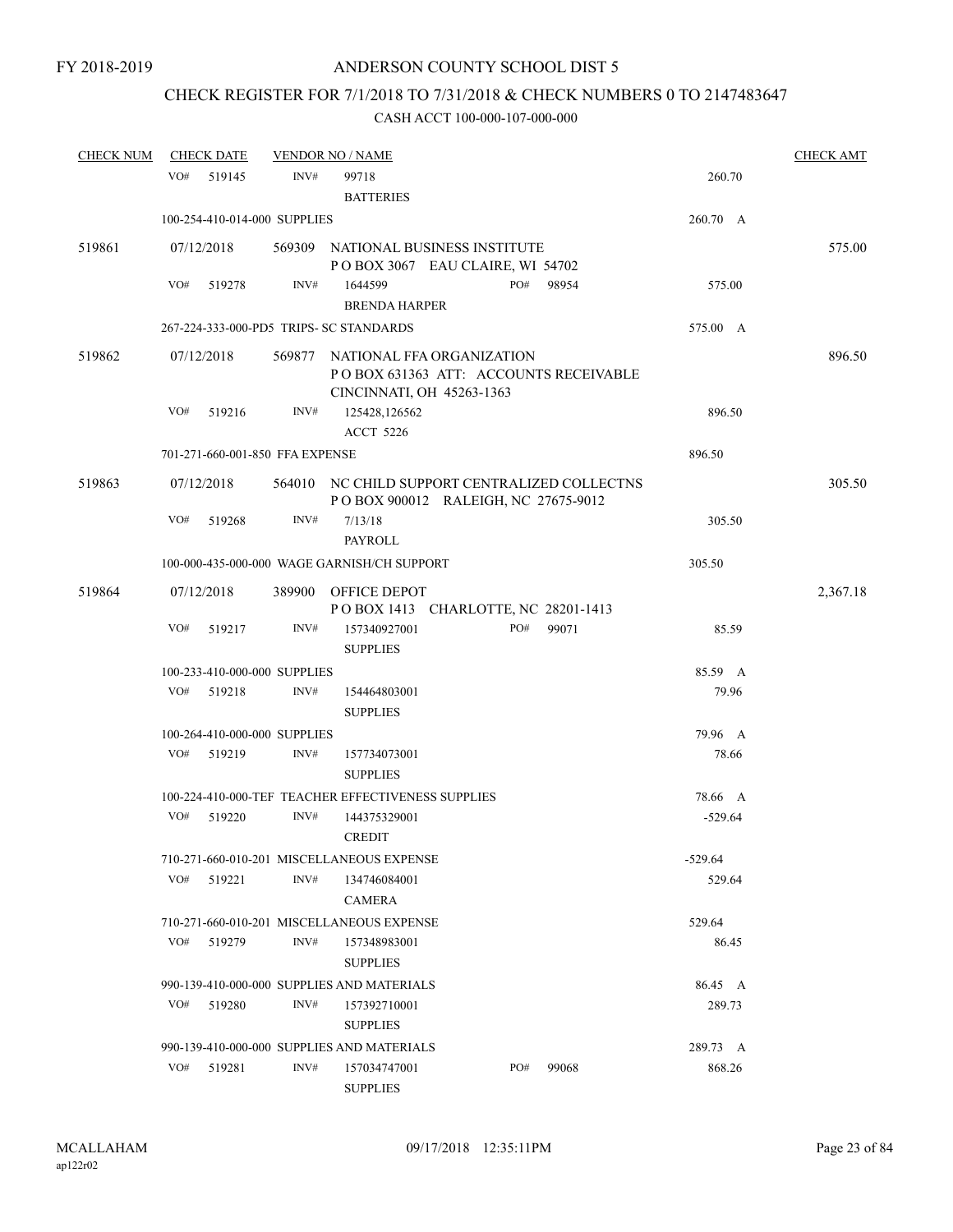# CHECK REGISTER FOR 7/1/2018 TO 7/31/2018 & CHECK NUMBERS 0 TO 2147483647

| <b>CHECK NUM</b> |     | <b>CHECK DATE</b>               |      | <b>VENDOR NO / NAME</b>                                                                                |     |       |           | <b>CHECK AMT</b> |
|------------------|-----|---------------------------------|------|--------------------------------------------------------------------------------------------------------|-----|-------|-----------|------------------|
|                  | VO# | 519145                          | INV# | 99718<br><b>BATTERIES</b>                                                                              |     |       | 260.70    |                  |
|                  |     | 100-254-410-014-000 SUPPLIES    |      |                                                                                                        |     |       | 260.70 A  |                  |
| 519861           |     | 07/12/2018                      |      | 569309 NATIONAL BUSINESS INSTITUTE                                                                     |     |       |           | 575.00           |
|                  | VO# | 519278                          | INV# | POBOX 3067 EAU CLAIRE, WI 54702<br>1644599<br><b>BRENDA HARPER</b>                                     | PO# | 98954 | 575.00    |                  |
|                  |     |                                 |      | 267-224-333-000-PD5 TRIPS- SC STANDARDS                                                                |     |       | 575.00 A  |                  |
| 519862           |     | 07/12/2018                      |      | 569877 NATIONAL FFA ORGANIZATION<br>POBOX 631363 ATT: ACCOUNTS RECEIVABLE<br>CINCINNATI, OH 45263-1363 |     |       |           | 896.50           |
|                  | VO# | 519216                          | INV# | 125428,126562<br><b>ACCT 5226</b>                                                                      |     |       | 896.50    |                  |
|                  |     | 701-271-660-001-850 FFA EXPENSE |      |                                                                                                        |     |       | 896.50    |                  |
| 519863           |     | 07/12/2018                      |      | 564010 NC CHILD SUPPORT CENTRALIZED COLLECTNS<br>P O BOX 900012 RALEIGH, NC 27675-9012                 |     |       |           | 305.50           |
|                  | VO# | 519268                          | INV# | 7/13/18<br>PAYROLL                                                                                     |     |       | 305.50    |                  |
|                  |     |                                 |      | 100-000-435-000-000 WAGE GARNISH/CH SUPPORT                                                            |     |       | 305.50    |                  |
| 519864           |     | 07/12/2018                      |      | 389900 OFFICE DEPOT<br>POBOX 1413 CHARLOTTE, NC 28201-1413                                             |     |       |           | 2,367.18         |
|                  | VO# | 519217                          | INV# | 157340927001<br><b>SUPPLIES</b>                                                                        | PO# | 99071 | 85.59     |                  |
|                  |     | 100-233-410-000-000 SUPPLIES    |      |                                                                                                        |     |       | 85.59 A   |                  |
|                  | VO# | 519218                          | INV# | 154464803001<br><b>SUPPLIES</b>                                                                        |     |       | 79.96     |                  |
|                  |     | 100-264-410-000-000 SUPPLIES    |      |                                                                                                        |     |       | 79.96 A   |                  |
|                  | VO# | 519219                          | INV# | 157734073001<br><b>SUPPLIES</b>                                                                        |     |       | 78.66     |                  |
|                  |     |                                 |      | 100-224-410-000-TEF TEACHER EFFECTIVENESS SUPPLIES                                                     |     |       | 78.66 A   |                  |
|                  | VO# | 519220                          | INV# | 144375329001<br><b>CREDIT</b>                                                                          |     |       | $-529.64$ |                  |
|                  |     |                                 |      | 710-271-660-010-201 MISCELLANEOUS EXPENSE                                                              |     |       | $-529.64$ |                  |
|                  | VO# | 519221                          | INV# | 134746084001<br><b>CAMERA</b>                                                                          |     |       | 529.64    |                  |
|                  |     |                                 |      | 710-271-660-010-201 MISCELLANEOUS EXPENSE                                                              |     |       | 529.64    |                  |
|                  | VO# | 519279                          | INV# | 157348983001<br><b>SUPPLIES</b>                                                                        |     |       | 86.45     |                  |
|                  |     |                                 |      | 990-139-410-000-000 SUPPLIES AND MATERIALS                                                             |     |       | 86.45 A   |                  |
|                  | VO# | 519280                          | INV# | 157392710001<br><b>SUPPLIES</b>                                                                        |     |       | 289.73    |                  |
|                  |     |                                 |      | 990-139-410-000-000 SUPPLIES AND MATERIALS                                                             |     |       | 289.73 A  |                  |
|                  | VO# | 519281                          | INV# | 157034747001<br><b>SUPPLIES</b>                                                                        | PO# | 99068 | 868.26    |                  |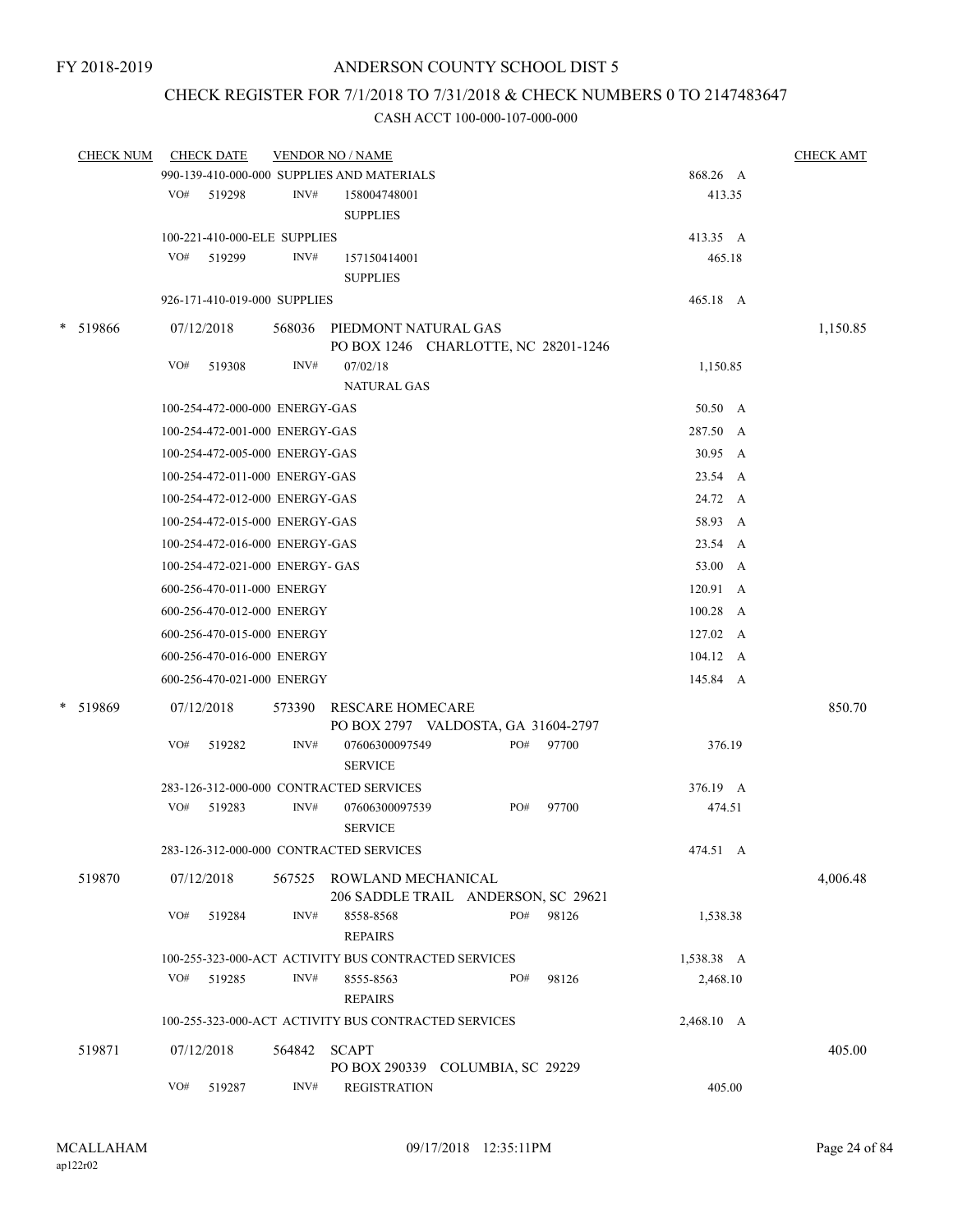# CHECK REGISTER FOR 7/1/2018 TO 7/31/2018 & CHECK NUMBERS 0 TO 2147483647

|        | <b>CHECK NUM</b> |     | <b>CHECK DATE</b>               |        | <b>VENDOR NO / NAME</b>                              |     |       |                  | <b>CHECK AMT</b> |
|--------|------------------|-----|---------------------------------|--------|------------------------------------------------------|-----|-------|------------------|------------------|
|        |                  |     |                                 |        | 990-139-410-000-000 SUPPLIES AND MATERIALS           |     |       | 868.26 A         |                  |
|        |                  |     | VO# 519298                      | INV#   | 158004748001                                         |     |       | 413.35           |                  |
|        |                  |     |                                 |        | <b>SUPPLIES</b>                                      |     |       |                  |                  |
|        |                  |     | 100-221-410-000-ELE SUPPLIES    |        |                                                      |     |       | 413.35 A         |                  |
|        |                  | VO# | 519299                          | INV#   | 157150414001                                         |     |       | 465.18           |                  |
|        |                  |     |                                 |        | <b>SUPPLIES</b>                                      |     |       |                  |                  |
|        |                  |     | 926-171-410-019-000 SUPPLIES    |        |                                                      |     |       | 465.18 A         |                  |
| $\ast$ | 519866           |     | 07/12/2018                      |        | 568036 PIEDMONT NATURAL GAS                          |     |       |                  | 1,150.85         |
|        |                  |     |                                 |        | PO BOX 1246 CHARLOTTE, NC 28201-1246                 |     |       |                  |                  |
|        |                  | VO# | 519308                          | INV#   | 07/02/18                                             |     |       | 1,150.85         |                  |
|        |                  |     |                                 |        | <b>NATURAL GAS</b>                                   |     |       |                  |                  |
|        |                  |     | 100-254-472-000-000 ENERGY-GAS  |        |                                                      |     |       | 50.50 A          |                  |
|        |                  |     | 100-254-472-001-000 ENERGY-GAS  |        |                                                      |     |       | 287.50 A         |                  |
|        |                  |     | 100-254-472-005-000 ENERGY-GAS  |        |                                                      |     |       | 30.95 A          |                  |
|        |                  |     | 100-254-472-011-000 ENERGY-GAS  |        |                                                      |     |       | 23.54 A          |                  |
|        |                  |     | 100-254-472-012-000 ENERGY-GAS  |        |                                                      |     |       | 24.72 A          |                  |
|        |                  |     | 100-254-472-015-000 ENERGY-GAS  |        |                                                      |     |       | 58.93 A          |                  |
|        |                  |     | 100-254-472-016-000 ENERGY-GAS  |        |                                                      |     |       | 23.54 A          |                  |
|        |                  |     | 100-254-472-021-000 ENERGY- GAS |        |                                                      |     |       | 53.00 A          |                  |
|        |                  |     | 600-256-470-011-000 ENERGY      |        |                                                      |     |       | 120.91 A         |                  |
|        |                  |     |                                 |        |                                                      |     |       |                  |                  |
|        |                  |     | 600-256-470-012-000 ENERGY      |        |                                                      |     |       | 100.28 A         |                  |
|        |                  |     | 600-256-470-015-000 ENERGY      |        |                                                      |     |       | $127.02 \quad A$ |                  |
|        |                  |     | 600-256-470-016-000 ENERGY      |        |                                                      |     |       | 104.12 A         |                  |
|        |                  |     | 600-256-470-021-000 ENERGY      |        |                                                      |     |       | 145.84 A         |                  |
|        | * 519869         |     | 07/12/2018                      |        | 573390 RESCARE HOMECARE                              |     |       |                  | 850.70           |
|        |                  |     |                                 |        | PO BOX 2797 VALDOSTA, GA 31604-2797                  |     |       |                  |                  |
|        |                  | VO# | 519282                          | INV#   | 07606300097549                                       | PO# | 97700 | 376.19           |                  |
|        |                  |     |                                 |        | <b>SERVICE</b>                                       |     |       |                  |                  |
|        |                  |     |                                 |        | 283-126-312-000-000 CONTRACTED SERVICES              |     |       | 376.19 A         |                  |
|        |                  | VO# | 519283                          | INV#   | 07606300097539                                       | PO# | 97700 | 474.51           |                  |
|        |                  |     |                                 |        | <b>SERVICE</b>                                       |     |       |                  |                  |
|        |                  |     |                                 |        | 283-126-312-000-000 CONTRACTED SERVICES              |     |       | 474.51 A         |                  |
|        | 519870           |     | 07/12/2018                      |        | 567525 ROWLAND MECHANICAL                            |     |       |                  | 4,006.48         |
|        |                  |     |                                 |        | 206 SADDLE TRAIL ANDERSON, SC 29621                  |     |       |                  |                  |
|        |                  | VO# | 519284                          | INV#   | 8558-8568                                            | PO# | 98126 | 1,538.38         |                  |
|        |                  |     |                                 |        | <b>REPAIRS</b>                                       |     |       |                  |                  |
|        |                  | VO# |                                 | INV#   | 100-255-323-000-ACT ACTIVITY BUS CONTRACTED SERVICES | PO# |       | 1,538.38 A       |                  |
|        |                  |     | 519285                          |        | 8555-8563<br><b>REPAIRS</b>                          |     | 98126 | 2,468.10         |                  |
|        |                  |     |                                 |        |                                                      |     |       |                  |                  |
|        |                  |     |                                 |        | 100-255-323-000-ACT ACTIVITY BUS CONTRACTED SERVICES |     |       | 2,468.10 A       |                  |
|        | 519871           |     | 07/12/2018                      | 564842 | SCAPT                                                |     |       |                  | 405.00           |
|        |                  |     |                                 |        | PO BOX 290339 COLUMBIA, SC 29229                     |     |       |                  |                  |
|        |                  | VO# | 519287                          | INV#   | <b>REGISTRATION</b>                                  |     |       | 405.00           |                  |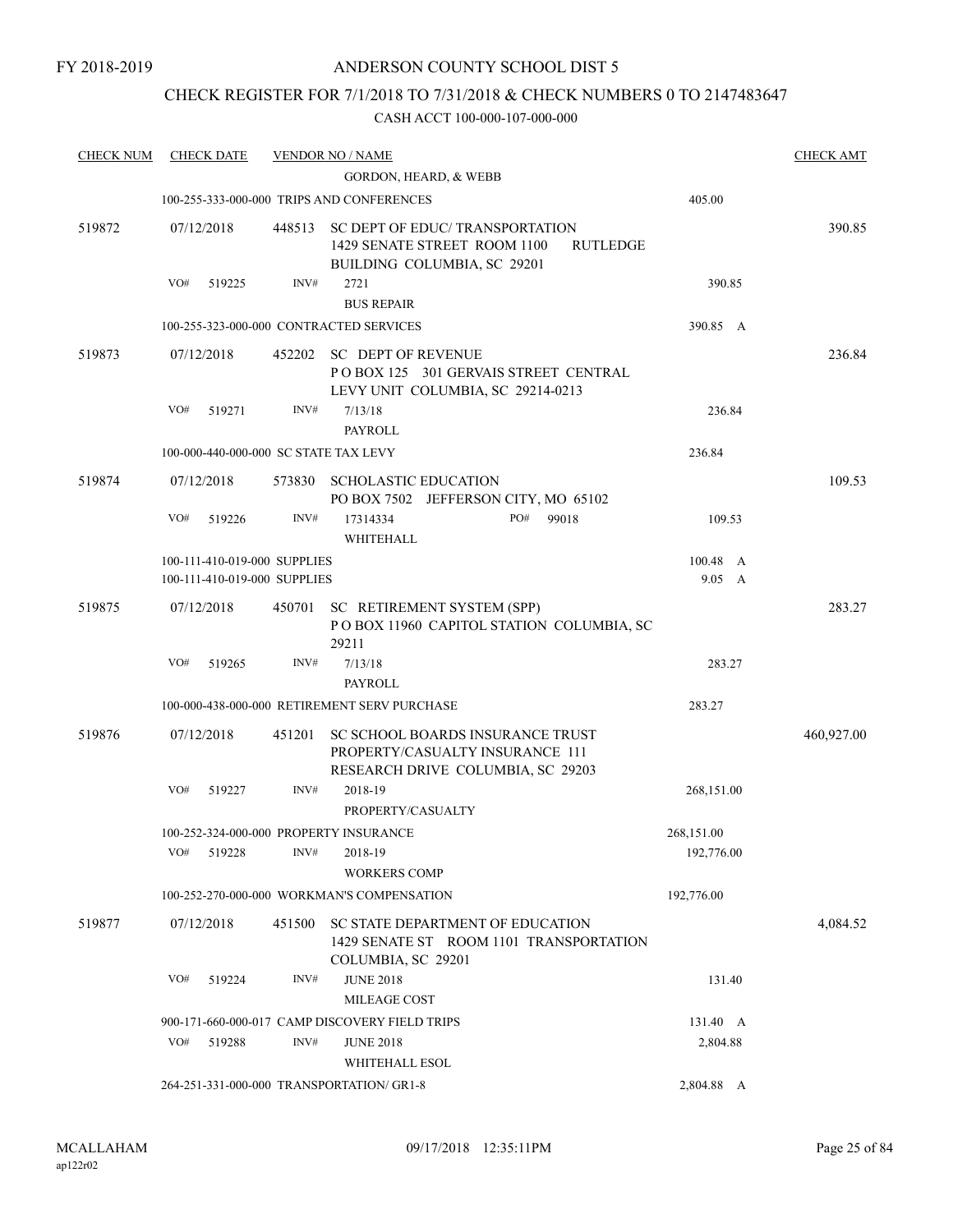# CHECK REGISTER FOR 7/1/2018 TO 7/31/2018 & CHECK NUMBERS 0 TO 2147483647

| <b>CHECK NUM</b> | <b>CHECK DATE</b>                      |        | <b>VENDOR NO / NAME</b>                                                                                  |                | <b>CHECK AMT</b> |
|------------------|----------------------------------------|--------|----------------------------------------------------------------------------------------------------------|----------------|------------------|
|                  |                                        |        | <b>GORDON, HEARD, &amp; WEBB</b>                                                                         |                |                  |
|                  |                                        |        | 100-255-333-000-000 TRIPS AND CONFERENCES                                                                | 405.00         |                  |
| 519872           | 07/12/2018                             | 448513 | SC DEPT OF EDUC/TRANSPORTATION<br>1429 SENATE STREET ROOM 1100<br><b>RUTLEDGE</b>                        |                | 390.85           |
|                  | VO#<br>519225                          | INV#   | BUILDING COLUMBIA, SC 29201<br>2721                                                                      | 390.85         |                  |
|                  |                                        |        | <b>BUS REPAIR</b>                                                                                        |                |                  |
|                  |                                        |        |                                                                                                          |                |                  |
|                  |                                        |        | 100-255-323-000-000 CONTRACTED SERVICES                                                                  | 390.85 A       |                  |
| 519873           | 07/12/2018                             | 452202 | <b>SC DEPT OF REVENUE</b><br>POBOX 125 301 GERVAIS STREET CENTRAL<br>LEVY UNIT COLUMBIA, SC 29214-0213   |                | 236.84           |
|                  | VO#<br>519271                          | INV#   | 7/13/18<br><b>PAYROLL</b>                                                                                | 236.84         |                  |
|                  |                                        |        |                                                                                                          |                |                  |
|                  | 100-000-440-000-000 SC STATE TAX LEVY  |        |                                                                                                          | 236.84         |                  |
| 519874           | 07/12/2018                             | 573830 | <b>SCHOLASTIC EDUCATION</b><br>PO BOX 7502 JEFFERSON CITY, MO 65102                                      |                | 109.53           |
|                  | VO#<br>519226                          | INV#   | PO#<br>17314334<br>99018                                                                                 | 109.53         |                  |
|                  |                                        |        | WHITEHALL                                                                                                |                |                  |
|                  | 100-111-410-019-000 SUPPLIES           |        |                                                                                                          | 100.48 A       |                  |
|                  | 100-111-410-019-000 SUPPLIES           |        |                                                                                                          | $9.05 \quad A$ |                  |
| 519875           | 07/12/2018                             | 450701 |                                                                                                          |                | 283.27           |
|                  |                                        |        | SC RETIREMENT SYSTEM (SPP)<br>POBOX 11960 CAPITOL STATION COLUMBIA, SC<br>29211                          |                |                  |
|                  | VO#<br>519265                          | INV#   | 7/13/18                                                                                                  | 283.27         |                  |
|                  |                                        |        | PAYROLL                                                                                                  |                |                  |
|                  |                                        |        | 100-000-438-000-000 RETIREMENT SERV PURCHASE                                                             | 283.27         |                  |
|                  |                                        |        |                                                                                                          |                |                  |
| 519876           | 07/12/2018                             | 451201 | SC SCHOOL BOARDS INSURANCE TRUST<br>PROPERTY/CASUALTY INSURANCE 111<br>RESEARCH DRIVE COLUMBIA, SC 29203 |                | 460,927.00       |
|                  | VO#<br>519227                          | INV#   | 2018-19                                                                                                  | 268,151.00     |                  |
|                  |                                        |        | PROPERTY/CASUALTY                                                                                        |                |                  |
|                  | 100-252-324-000-000 PROPERTY INSURANCE |        |                                                                                                          | 268,151.00     |                  |
|                  | VO#<br>519228                          | INV#   | 2018-19                                                                                                  | 192,776.00     |                  |
|                  |                                        |        | <b>WORKERS COMP</b>                                                                                      |                |                  |
|                  |                                        |        | 100-252-270-000-000 WORKMAN'S COMPENSATION                                                               | 192,776.00     |                  |
| 519877           | 07/12/2018                             | 451500 | SC STATE DEPARTMENT OF EDUCATION                                                                         |                | 4,084.52         |
|                  |                                        |        | 1429 SENATE ST ROOM 1101 TRANSPORTATION<br>COLUMBIA, SC 29201                                            |                |                  |
|                  | VO#<br>519224                          | INV#   | <b>JUNE 2018</b>                                                                                         | 131.40         |                  |
|                  |                                        |        | MILEAGE COST                                                                                             |                |                  |
|                  |                                        |        | 900-171-660-000-017 CAMP DISCOVERY FIELD TRIPS                                                           | 131.40 A       |                  |
|                  | VO#<br>519288                          | INV#   | <b>JUNE 2018</b>                                                                                         | 2,804.88       |                  |
|                  |                                        |        | WHITEHALL ESOL                                                                                           |                |                  |
|                  |                                        |        | 264-251-331-000-000 TRANSPORTATION/ GR1-8                                                                | 2,804.88 A     |                  |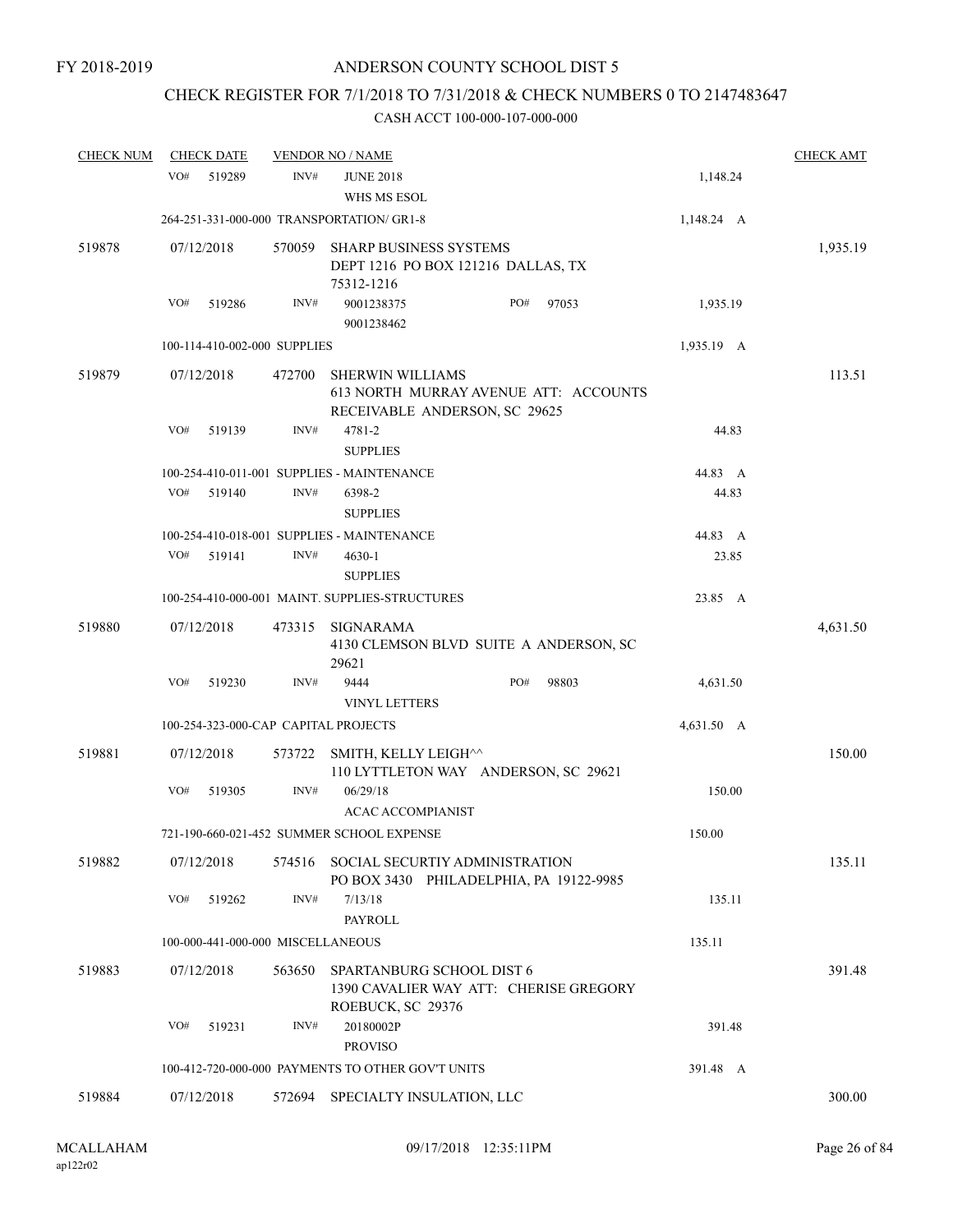# CHECK REGISTER FOR 7/1/2018 TO 7/31/2018 & CHECK NUMBERS 0 TO 2147483647

| <b>CHECK NUM</b> |            | <b>CHECK DATE</b> |                                   | <b>VENDOR NO / NAME</b>                                                                           |     |       |            | <b>CHECK AMT</b> |
|------------------|------------|-------------------|-----------------------------------|---------------------------------------------------------------------------------------------------|-----|-------|------------|------------------|
|                  | VO#        | 519289            | INV#                              | <b>JUNE 2018</b><br>WHS MS ESOL                                                                   |     |       | 1,148.24   |                  |
|                  |            |                   |                                   | 264-251-331-000-000 TRANSPORTATION/ GR1-8                                                         |     |       | 1,148.24 A |                  |
| 519878           | 07/12/2018 |                   | 570059                            | SHARP BUSINESS SYSTEMS<br>DEPT 1216 PO BOX 121216 DALLAS, TX<br>75312-1216                        |     |       |            | 1,935.19         |
|                  | VO#        | 519286            | INV#                              | 9001238375<br>9001238462                                                                          | PO# | 97053 | 1,935.19   |                  |
|                  |            |                   | 100-114-410-002-000 SUPPLIES      |                                                                                                   |     |       | 1,935.19 A |                  |
| 519879           | 07/12/2018 |                   | 472700                            | <b>SHERWIN WILLIAMS</b><br>613 NORTH MURRAY AVENUE ATT: ACCOUNTS<br>RECEIVABLE ANDERSON, SC 29625 |     |       |            | 113.51           |
|                  | VO#        | 519139            | INV#                              | 4781-2<br><b>SUPPLIES</b>                                                                         |     |       | 44.83      |                  |
|                  |            |                   |                                   | 100-254-410-011-001 SUPPLIES - MAINTENANCE                                                        |     |       | 44.83 A    |                  |
|                  | VO#        | 519140            | INV#                              | 6398-2                                                                                            |     |       | 44.83      |                  |
|                  |            |                   |                                   | <b>SUPPLIES</b>                                                                                   |     |       |            |                  |
|                  |            |                   |                                   | 100-254-410-018-001 SUPPLIES - MAINTENANCE                                                        |     |       | 44.83 A    |                  |
|                  | VO#        | 519141            | INV#                              | $4630 - 1$<br><b>SUPPLIES</b>                                                                     |     |       | 23.85      |                  |
|                  |            |                   |                                   | 100-254-410-000-001 MAINT. SUPPLIES-STRUCTURES                                                    |     |       | 23.85 A    |                  |
| 519880           | 07/12/2018 |                   | 473315                            | SIGNARAMA<br>4130 CLEMSON BLVD SUITE A ANDERSON, SC<br>29621                                      |     |       |            | 4,631.50         |
|                  | VO#        | 519230            | INV#                              | 9444<br><b>VINYL LETTERS</b>                                                                      | PO# | 98803 | 4,631.50   |                  |
|                  |            |                   |                                   | 100-254-323-000-CAP CAPITAL PROJECTS                                                              |     |       | 4,631.50 A |                  |
| 519881           | 07/12/2018 |                   | 573722                            | SMITH, KELLY LEIGH^^<br>110 LYTTLETON WAY ANDERSON, SC 29621                                      |     |       |            | 150.00           |
|                  | VO#        | 519305            | INV#                              | 06/29/18<br><b>ACAC ACCOMPIANIST</b>                                                              |     |       | 150.00     |                  |
|                  |            |                   |                                   | 721-190-660-021-452 SUMMER SCHOOL EXPENSE                                                         |     |       | 150.00     |                  |
| 519882           | 07/12/2018 |                   |                                   | 574516 SOCIAL SECURTIY ADMINISTRATION<br>PO BOX 3430 PHILADELPHIA, PA 19122-9985                  |     |       |            | 135.11           |
|                  | VO#        | 519262            | INV#                              | 7/13/18<br><b>PAYROLL</b>                                                                         |     |       | 135.11     |                  |
|                  |            |                   | 100-000-441-000-000 MISCELLANEOUS |                                                                                                   |     |       | 135.11     |                  |
| 519883           | 07/12/2018 |                   | 563650                            | SPARTANBURG SCHOOL DIST 6<br>1390 CAVALIER WAY ATT: CHERISE GREGORY<br>ROEBUCK, SC 29376          |     |       |            | 391.48           |
|                  | VO#        | 519231            | INV#                              | 20180002P<br><b>PROVISO</b>                                                                       |     |       | 391.48     |                  |
|                  |            |                   |                                   | 100-412-720-000-000 PAYMENTS TO OTHER GOV'T UNITS                                                 |     |       | 391.48 A   |                  |
| 519884           | 07/12/2018 |                   | 572694                            | SPECIALTY INSULATION, LLC                                                                         |     |       |            | 300.00           |
|                  |            |                   |                                   |                                                                                                   |     |       |            |                  |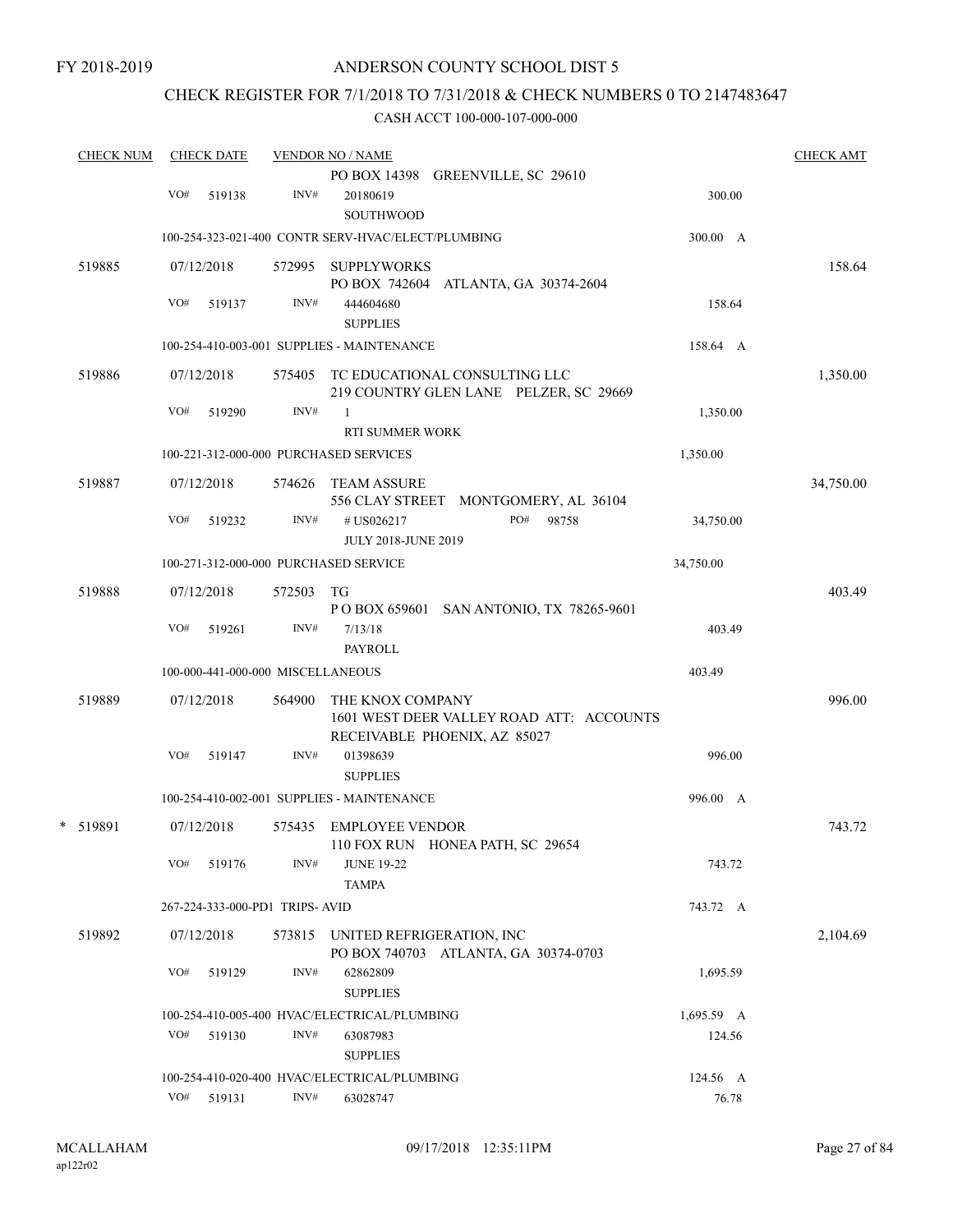# CHECK REGISTER FOR 7/1/2018 TO 7/31/2018 & CHECK NUMBERS 0 TO 2147483647

| <b>CHECK NUM</b> |     | <b>CHECK DATE</b>                 |        | <b>VENDOR NO / NAME</b>                                                |                                                                                |            | <b>CHECK AMT</b> |
|------------------|-----|-----------------------------------|--------|------------------------------------------------------------------------|--------------------------------------------------------------------------------|------------|------------------|
|                  | VO# | 519138                            | INV#   | 20180619                                                               | PO BOX 14398 GREENVILLE, SC 29610                                              | 300.00     |                  |
|                  |     |                                   |        | <b>SOUTHWOOD</b><br>100-254-323-021-400 CONTR SERV-HVAC/ELECT/PLUMBING |                                                                                | 300.00 A   |                  |
| 519885           |     | 07/12/2018                        |        | 572995 SUPPLYWORKS                                                     |                                                                                |            | 158.64           |
|                  | VO# | 519137                            | INV#   | 444604680<br><b>SUPPLIES</b>                                           | PO BOX 742604 ATLANTA, GA 30374-2604                                           | 158.64     |                  |
|                  |     |                                   |        | 100-254-410-003-001 SUPPLIES - MAINTENANCE                             |                                                                                | 158.64 A   |                  |
| 519886           |     | 07/12/2018                        |        |                                                                        | 575405 TC EDUCATIONAL CONSULTING LLC<br>219 COUNTRY GLEN LANE PELZER, SC 29669 |            | 1,350.00         |
|                  | VO# | 519290                            | INV#   | $\mathbf{1}$<br>RTI SUMMER WORK                                        |                                                                                | 1,350.00   |                  |
|                  |     |                                   |        | 100-221-312-000-000 PURCHASED SERVICES                                 |                                                                                | 1,350.00   |                  |
| 519887           |     | 07/12/2018                        |        | 574626 TEAM ASSURE                                                     | 556 CLAY STREET MONTGOMERY, AL 36104                                           |            | 34,750.00        |
|                  | VO# | 519232                            | INV#   | # US026217<br><b>JULY 2018-JUNE 2019</b>                               | PO#<br>98758                                                                   | 34,750.00  |                  |
|                  |     |                                   |        | 100-271-312-000-000 PURCHASED SERVICE                                  |                                                                                | 34,750.00  |                  |
| 519888           |     | 07/12/2018                        | 572503 | TG                                                                     | POBOX 659601 SAN ANTONIO, TX 78265-9601                                        |            | 403.49           |
|                  | VO# | 519261                            | INV#   | 7/13/18<br>PAYROLL                                                     |                                                                                | 403.49     |                  |
|                  |     | 100-000-441-000-000 MISCELLANEOUS |        |                                                                        |                                                                                | 403.49     |                  |
| 519889           |     | 07/12/2018                        | 564900 | THE KNOX COMPANY                                                       | 1601 WEST DEER VALLEY ROAD ATT: ACCOUNTS<br>RECEIVABLE PHOENIX, AZ 85027       |            | 996.00           |
|                  | VO# | 519147                            | INV#   | 01398639<br><b>SUPPLIES</b>                                            |                                                                                | 996.00     |                  |
|                  |     |                                   |        | 100-254-410-002-001 SUPPLIES - MAINTENANCE                             |                                                                                | 996.00 A   |                  |
| * 519891         |     | 07/12/2018                        |        | 575435 EMPLOYEE VENDOR                                                 | 110 FOX RUN HONEA PATH, SC 29654                                               |            | 743.72           |
|                  |     | VO# 519176                        | INV#   | <b>JUNE 19-22</b><br><b>TAMPA</b>                                      |                                                                                | 743.72     |                  |
|                  |     | 267-224-333-000-PD1 TRIPS-AVID    |        |                                                                        |                                                                                | 743.72 A   |                  |
| 519892           |     | 07/12/2018                        |        | 573815 UNITED REFRIGERATION, INC                                       | PO BOX 740703 ATLANTA, GA 30374-0703                                           |            | 2,104.69         |
|                  | VO# | 519129                            | INV#   | 62862809<br><b>SUPPLIES</b>                                            |                                                                                | 1,695.59   |                  |
|                  |     |                                   |        | 100-254-410-005-400 HVAC/ELECTRICAL/PLUMBING                           |                                                                                | 1,695.59 A |                  |
|                  | VO# | 519130                            | INV#   | 63087983<br><b>SUPPLIES</b>                                            |                                                                                | 124.56     |                  |
|                  |     |                                   |        | 100-254-410-020-400 HVAC/ELECTRICAL/PLUMBING                           |                                                                                | 124.56 A   |                  |
|                  |     | VO# 519131                        | INV#   | 63028747                                                               |                                                                                | 76.78      |                  |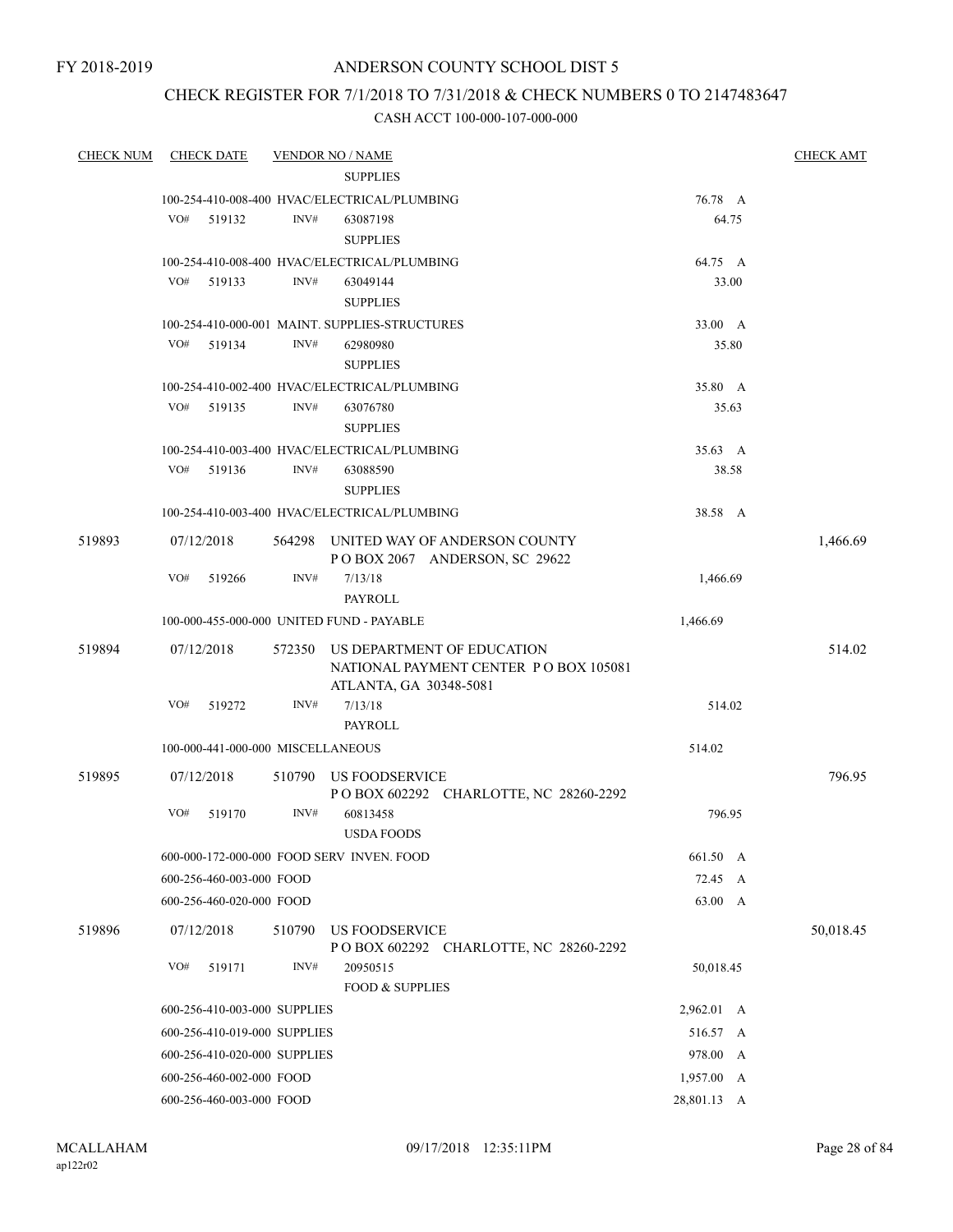# ANDERSON COUNTY SCHOOL DIST 5

# CHECK REGISTER FOR 7/1/2018 TO 7/31/2018 & CHECK NUMBERS 0 TO 2147483647

| <b>CHECK NUM</b> | <b>CHECK DATE</b>                 |        | <b>VENDOR NO / NAME</b>                                                                       |             |       | <b>CHECK AMT</b> |
|------------------|-----------------------------------|--------|-----------------------------------------------------------------------------------------------|-------------|-------|------------------|
|                  |                                   |        | <b>SUPPLIES</b>                                                                               |             |       |                  |
|                  |                                   |        | 100-254-410-008-400 HVAC/ELECTRICAL/PLUMBING                                                  | 76.78 A     |       |                  |
|                  | VO#<br>519132                     | INV#   | 63087198<br><b>SUPPLIES</b>                                                                   |             | 64.75 |                  |
|                  |                                   |        | 100-254-410-008-400 HVAC/ELECTRICAL/PLUMBING                                                  | 64.75 A     |       |                  |
|                  | VO# 519133                        | INV#   | 63049144<br><b>SUPPLIES</b>                                                                   |             | 33.00 |                  |
|                  |                                   |        | 100-254-410-000-001 MAINT. SUPPLIES-STRUCTURES                                                | 33.00 A     |       |                  |
|                  | VO#<br>519134                     | INV#   | 62980980<br><b>SUPPLIES</b>                                                                   |             | 35.80 |                  |
|                  |                                   |        | 100-254-410-002-400 HVAC/ELECTRICAL/PLUMBING                                                  | 35.80 A     |       |                  |
|                  | VO#<br>519135                     | INV#   | 63076780<br><b>SUPPLIES</b>                                                                   |             | 35.63 |                  |
|                  |                                   |        | 100-254-410-003-400 HVAC/ELECTRICAL/PLUMBING                                                  | 35.63 A     |       |                  |
|                  | VO# 519136                        | INV#   | 63088590<br><b>SUPPLIES</b>                                                                   |             | 38.58 |                  |
|                  |                                   |        | 100-254-410-003-400 HVAC/ELECTRICAL/PLUMBING                                                  | 38.58 A     |       |                  |
| 519893           | 07/12/2018                        |        | 564298 UNITED WAY OF ANDERSON COUNTY<br>POBOX 2067 ANDERSON, SC 29622                         |             |       | 1,466.69         |
|                  | VO#<br>519266                     | INV#   | 7/13/18<br>PAYROLL                                                                            | 1,466.69    |       |                  |
|                  |                                   |        | 100-000-455-000-000 UNITED FUND - PAYABLE                                                     | 1,466.69    |       |                  |
| 519894           | 07/12/2018                        | 572350 | US DEPARTMENT OF EDUCATION<br>NATIONAL PAYMENT CENTER PO BOX 105081<br>ATLANTA, GA 30348-5081 |             |       | 514.02           |
|                  | VO#<br>519272                     | INV#   | 7/13/18<br><b>PAYROLL</b>                                                                     | 514.02      |       |                  |
|                  | 100-000-441-000-000 MISCELLANEOUS |        |                                                                                               | 514.02      |       |                  |
| 519895           | 07/12/2018                        |        | US FOODSERVICE                                                                                |             |       | 796.95           |
|                  |                                   | 510790 | P O BOX 602292 CHARLOTTE, NC 28260-2292                                                       |             |       |                  |
|                  | VO#<br>519170                     | INV#   | 60813458<br><b>USDA FOODS</b>                                                                 | 796.95      |       |                  |
|                  |                                   |        | 600-000-172-000-000 FOOD SERV INVEN. FOOD                                                     | 661.50 A    |       |                  |
|                  | 600-256-460-003-000 FOOD          |        |                                                                                               | 72.45 A     |       |                  |
|                  | 600-256-460-020-000 FOOD          |        |                                                                                               | 63.00 A     |       |                  |
| 519896           | 07/12/2018                        | 510790 | US FOODSERVICE<br>POBOX 602292 CHARLOTTE, NC 28260-2292                                       |             |       | 50,018.45        |
|                  | VO#<br>519171                     | INV#   | 20950515<br><b>FOOD &amp; SUPPLIES</b>                                                        | 50,018.45   |       |                  |
|                  | 600-256-410-003-000 SUPPLIES      |        |                                                                                               | 2,962.01 A  |       |                  |
|                  | 600-256-410-019-000 SUPPLIES      |        |                                                                                               | 516.57 A    |       |                  |
|                  | 600-256-410-020-000 SUPPLIES      |        |                                                                                               | 978.00 A    |       |                  |
|                  | 600-256-460-002-000 FOOD          |        |                                                                                               | 1,957.00 A  |       |                  |
|                  | 600-256-460-003-000 FOOD          |        |                                                                                               | 28,801.13 A |       |                  |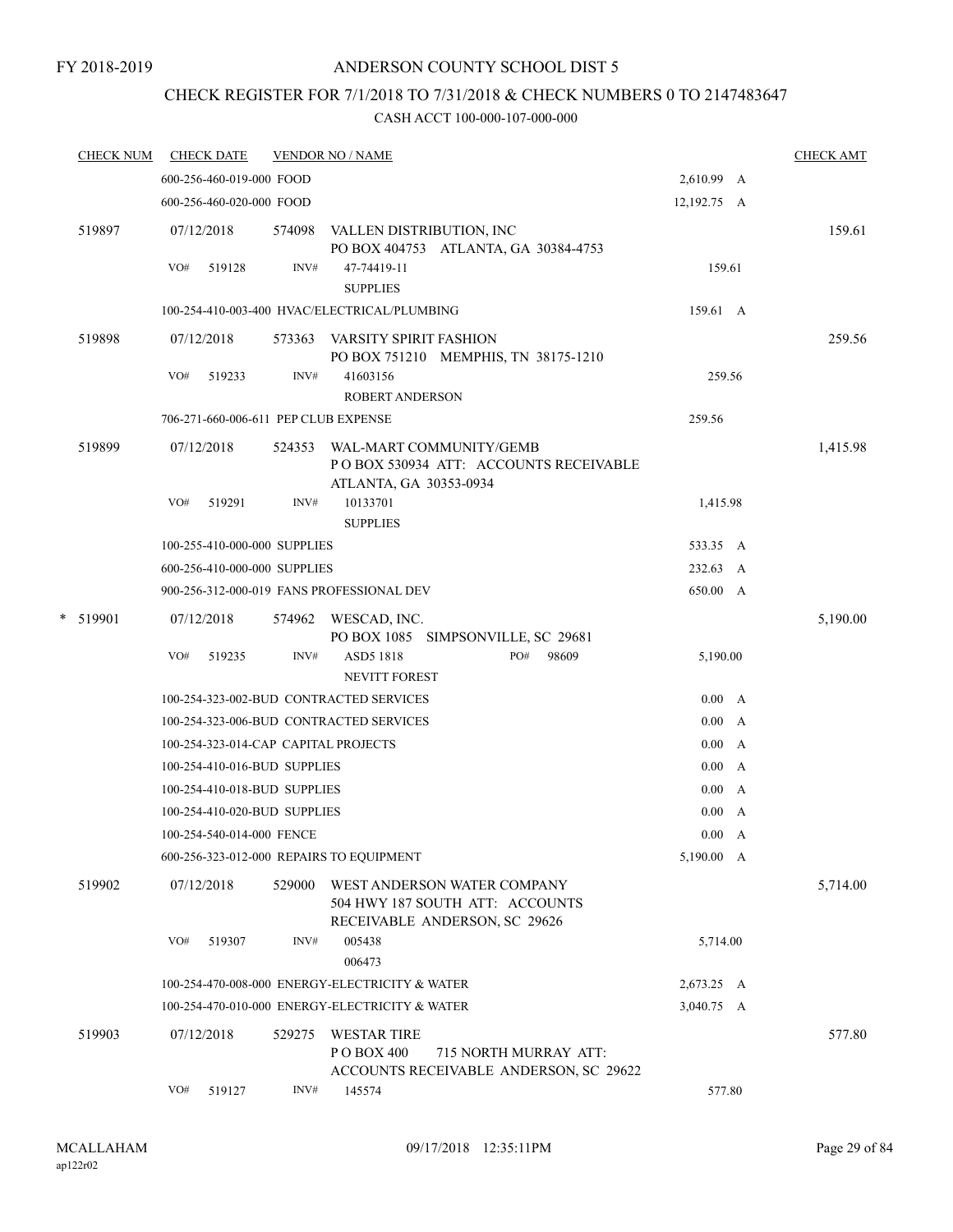# ANDERSON COUNTY SCHOOL DIST 5

# CHECK REGISTER FOR 7/1/2018 TO 7/31/2018 & CHECK NUMBERS 0 TO 2147483647

| <b>CHECK DATE</b><br><b>VENDOR NO / NAME</b>                                                                       |                                                                                                                                                       |   | <b>CHECK AMT</b>                                                                                                                                                                                                                        |
|--------------------------------------------------------------------------------------------------------------------|-------------------------------------------------------------------------------------------------------------------------------------------------------|---|-----------------------------------------------------------------------------------------------------------------------------------------------------------------------------------------------------------------------------------------|
| 600-256-460-019-000 FOOD                                                                                           |                                                                                                                                                       |   |                                                                                                                                                                                                                                         |
| 600-256-460-020-000 FOOD                                                                                           |                                                                                                                                                       |   |                                                                                                                                                                                                                                         |
| 07/12/2018<br>574098<br>VALLEN DISTRIBUTION, INC                                                                   |                                                                                                                                                       |   | 159.61                                                                                                                                                                                                                                  |
| INV#<br>VO#<br>519128<br>47-74419-11<br><b>SUPPLIES</b>                                                            |                                                                                                                                                       |   |                                                                                                                                                                                                                                         |
| 100-254-410-003-400 HVAC/ELECTRICAL/PLUMBING                                                                       |                                                                                                                                                       |   |                                                                                                                                                                                                                                         |
| 07/12/2018<br>573363 VARSITY SPIRIT FASHION<br>PO BOX 751210 MEMPHIS, TN 38175-1210                                |                                                                                                                                                       |   | 259.56                                                                                                                                                                                                                                  |
| INV#<br>VO#<br>519233<br>41603156<br><b>ROBERT ANDERSON</b>                                                        |                                                                                                                                                       |   |                                                                                                                                                                                                                                         |
| 706-271-660-006-611 PEP CLUB EXPENSE                                                                               | 259.56                                                                                                                                                |   |                                                                                                                                                                                                                                         |
| 07/12/2018<br>WAL-MART COMMUNITY/GEMB<br>524353<br>POBOX 530934 ATT: ACCOUNTS RECEIVABLE<br>ATLANTA, GA 30353-0934 |                                                                                                                                                       |   | 1,415.98                                                                                                                                                                                                                                |
| VO#<br>519291<br>INV#<br>10133701<br><b>SUPPLIES</b>                                                               |                                                                                                                                                       |   |                                                                                                                                                                                                                                         |
| 100-255-410-000-000 SUPPLIES                                                                                       |                                                                                                                                                       |   |                                                                                                                                                                                                                                         |
| 600-256-410-000-000 SUPPLIES                                                                                       |                                                                                                                                                       |   |                                                                                                                                                                                                                                         |
| 900-256-312-000-019 FANS PROFESSIONAL DEV                                                                          |                                                                                                                                                       |   |                                                                                                                                                                                                                                         |
| 07/12/2018<br>574962 WESCAD, INC.                                                                                  |                                                                                                                                                       |   | 5,190.00                                                                                                                                                                                                                                |
| PO#<br>98609<br>VO#<br>519235<br>INV#<br>ASD5 1818<br><b>NEVITT FOREST</b>                                         |                                                                                                                                                       |   |                                                                                                                                                                                                                                         |
| 100-254-323-002-BUD CONTRACTED SERVICES                                                                            |                                                                                                                                                       |   |                                                                                                                                                                                                                                         |
| 100-254-323-006-BUD CONTRACTED SERVICES                                                                            |                                                                                                                                                       |   |                                                                                                                                                                                                                                         |
| 100-254-323-014-CAP CAPITAL PROJECTS                                                                               | 0.00                                                                                                                                                  |   |                                                                                                                                                                                                                                         |
| 100-254-410-016-BUD SUPPLIES                                                                                       |                                                                                                                                                       |   |                                                                                                                                                                                                                                         |
| 100-254-410-018-BUD SUPPLIES                                                                                       | $0.00\,$                                                                                                                                              |   |                                                                                                                                                                                                                                         |
| 100-254-410-020-BUD SUPPLIES                                                                                       | 0.00                                                                                                                                                  | A |                                                                                                                                                                                                                                         |
| 100-254-540-014-000 FENCE                                                                                          |                                                                                                                                                       |   |                                                                                                                                                                                                                                         |
| 600-256-323-012-000 REPAIRS TO EQUIPMENT                                                                           |                                                                                                                                                       |   |                                                                                                                                                                                                                                         |
| 07/12/2018<br>529000<br>WEST ANDERSON WATER COMPANY<br>504 HWY 187 SOUTH ATT: ACCOUNTS                             |                                                                                                                                                       |   | 5,714.00                                                                                                                                                                                                                                |
| VO#<br>INV#<br>519307<br>005438<br>006473                                                                          |                                                                                                                                                       |   |                                                                                                                                                                                                                                         |
| 100-254-470-008-000 ENERGY-ELECTRICITY & WATER                                                                     |                                                                                                                                                       |   |                                                                                                                                                                                                                                         |
| 100-254-470-010-000 ENERGY-ELECTRICITY & WATER                                                                     |                                                                                                                                                       |   |                                                                                                                                                                                                                                         |
| 07/12/2018<br>529275<br><b>WESTAR TIRE</b><br>P O BOX 400<br>715 NORTH MURRAY ATT:                                 |                                                                                                                                                       |   | 577.80                                                                                                                                                                                                                                  |
| INV#<br>145574<br>VO#<br>519127                                                                                    |                                                                                                                                                       |   |                                                                                                                                                                                                                                         |
| <b>CHECK NUM</b>                                                                                                   | PO BOX 404753 ATLANTA, GA 30384-4753<br>PO BOX 1085 SIMPSONVILLE, SC 29681<br>RECEIVABLE ANDERSON, SC 29626<br>ACCOUNTS RECEIVABLE ANDERSON, SC 29622 |   | 2,610.99 A<br>12,192.75 A<br>159.61<br>159.61 A<br>259.56<br>1,415.98<br>533.35 A<br>232.63 A<br>650.00 A<br>5,190.00<br>0.00 A<br>0.00 A<br>A<br>0.00 A<br>A<br>0.00 A<br>5,190.00 A<br>5,714.00<br>2,673.25 A<br>3,040.75 A<br>577.80 |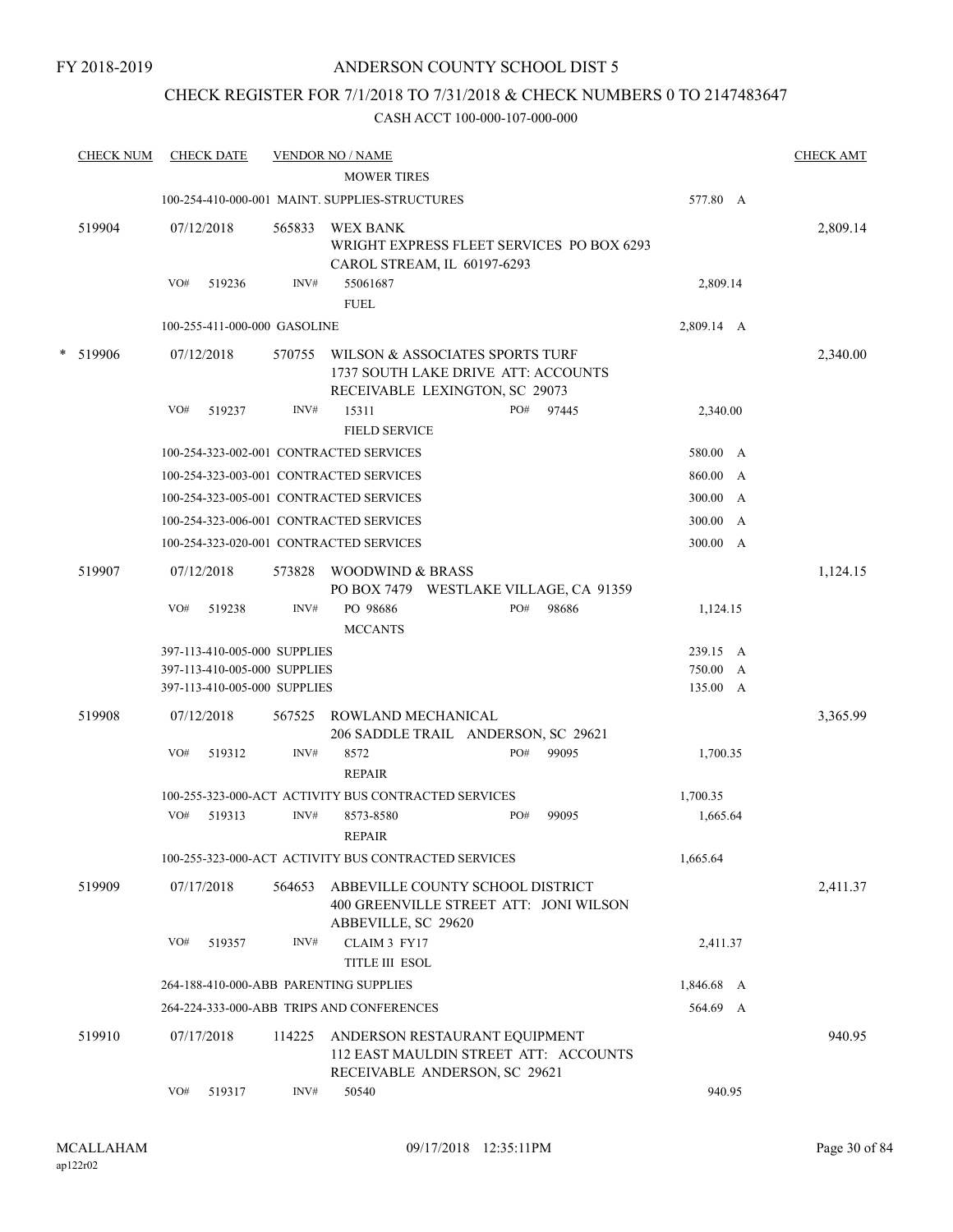# ANDERSON COUNTY SCHOOL DIST 5

# CHECK REGISTER FOR 7/1/2018 TO 7/31/2018 & CHECK NUMBERS 0 TO 2147483647

|        | <b>CHECK NUM</b> | <b>CHECK DATE</b>                       |        | <b>VENDOR NO / NAME</b>                              |                                                                                                          |       |            |              | <b>CHECK AMT</b> |
|--------|------------------|-----------------------------------------|--------|------------------------------------------------------|----------------------------------------------------------------------------------------------------------|-------|------------|--------------|------------------|
|        |                  |                                         |        | <b>MOWER TIRES</b>                                   |                                                                                                          |       |            |              |                  |
|        |                  |                                         |        | 100-254-410-000-001 MAINT. SUPPLIES-STRUCTURES       |                                                                                                          |       | 577.80 A   |              |                  |
|        | 519904           | 07/12/2018                              | 565833 | <b>WEX BANK</b>                                      | WRIGHT EXPRESS FLEET SERVICES PO BOX 6293<br>CAROL STREAM, IL 60197-6293                                 |       |            |              | 2,809.14         |
|        |                  | VO#<br>519236                           | INV#   | 55061687<br><b>FUEL</b>                              |                                                                                                          |       | 2,809.14   |              |                  |
|        |                  | 100-255-411-000-000 GASOLINE            |        |                                                      |                                                                                                          |       | 2,809.14 A |              |                  |
| $\ast$ | 519906           | 07/12/2018                              | 570755 |                                                      | WILSON & ASSOCIATES SPORTS TURF<br>1737 SOUTH LAKE DRIVE ATT: ACCOUNTS<br>RECEIVABLE LEXINGTON, SC 29073 |       |            |              | 2,340.00         |
|        |                  | VO#<br>519237                           | INV#   | 15311<br><b>FIELD SERVICE</b>                        | PO#                                                                                                      | 97445 | 2,340.00   |              |                  |
|        |                  | 100-254-323-002-001 CONTRACTED SERVICES |        |                                                      |                                                                                                          |       | 580.00 A   |              |                  |
|        |                  | 100-254-323-003-001 CONTRACTED SERVICES |        |                                                      |                                                                                                          |       | 860.00     | $\mathbf{A}$ |                  |
|        |                  | 100-254-323-005-001 CONTRACTED SERVICES |        |                                                      |                                                                                                          |       | 300.00     | A            |                  |
|        |                  | 100-254-323-006-001 CONTRACTED SERVICES |        |                                                      |                                                                                                          |       | 300.00     | A            |                  |
|        |                  | 100-254-323-020-001 CONTRACTED SERVICES |        |                                                      |                                                                                                          |       | 300.00 A   |              |                  |
|        | 519907           | 07/12/2018                              | 573828 | WOODWIND & BRASS                                     | PO BOX 7479 WESTLAKE VILLAGE, CA 91359                                                                   |       |            |              | 1,124.15         |
|        |                  | VO#<br>519238                           | INV#   | PO 98686<br><b>MCCANTS</b>                           | PO#                                                                                                      | 98686 | 1,124.15   |              |                  |
|        |                  | 397-113-410-005-000 SUPPLIES            |        |                                                      |                                                                                                          |       | 239.15 A   |              |                  |
|        |                  | 397-113-410-005-000 SUPPLIES            |        |                                                      |                                                                                                          |       | 750.00 A   |              |                  |
|        |                  | 397-113-410-005-000 SUPPLIES            |        |                                                      |                                                                                                          |       | 135.00 A   |              |                  |
|        | 519908           | 07/12/2018                              | 567525 | ROWLAND MECHANICAL                                   | 206 SADDLE TRAIL ANDERSON, SC 29621                                                                      |       |            |              | 3,365.99         |
|        |                  | VO#<br>519312                           | INV#   | 8572<br><b>REPAIR</b>                                | PO#                                                                                                      | 99095 | 1,700.35   |              |                  |
|        |                  |                                         |        | 100-255-323-000-ACT ACTIVITY BUS CONTRACTED SERVICES |                                                                                                          |       | 1,700.35   |              |                  |
|        |                  | VO#<br>519313                           | INV#   | 8573-8580<br><b>REPAIR</b>                           | PO#                                                                                                      | 99095 | 1,665.64   |              |                  |
|        |                  |                                         |        | 100-255-323-000-ACT ACTIVITY BUS CONTRACTED SERVICES |                                                                                                          |       | 1,665.64   |              |                  |
|        | 519909           | 07/17/2018                              | 564653 | ABBEVILLE, SC 29620                                  | ABBEVILLE COUNTY SCHOOL DISTRICT<br>400 GREENVILLE STREET ATT: JONI WILSON                               |       |            |              | 2,411.37         |
|        |                  | VO#<br>519357                           | INV#   | CLAIM 3 FY17<br><b>TITLE III ESOL</b>                |                                                                                                          |       | 2,411.37   |              |                  |
|        |                  | 264-188-410-000-ABB PARENTING SUPPLIES  |        |                                                      |                                                                                                          |       | 1,846.68 A |              |                  |
|        |                  |                                         |        | 264-224-333-000-ABB TRIPS AND CONFERENCES            |                                                                                                          |       | 564.69 A   |              |                  |
|        | 519910           | 07/17/2018                              | 114225 |                                                      | ANDERSON RESTAURANT EQUIPMENT<br>112 EAST MAULDIN STREET ATT: ACCOUNTS<br>RECEIVABLE ANDERSON, SC 29621  |       |            |              | 940.95           |
|        |                  | VO#<br>519317                           | INV#   | 50540                                                |                                                                                                          |       | 940.95     |              |                  |
|        |                  |                                         |        |                                                      |                                                                                                          |       |            |              |                  |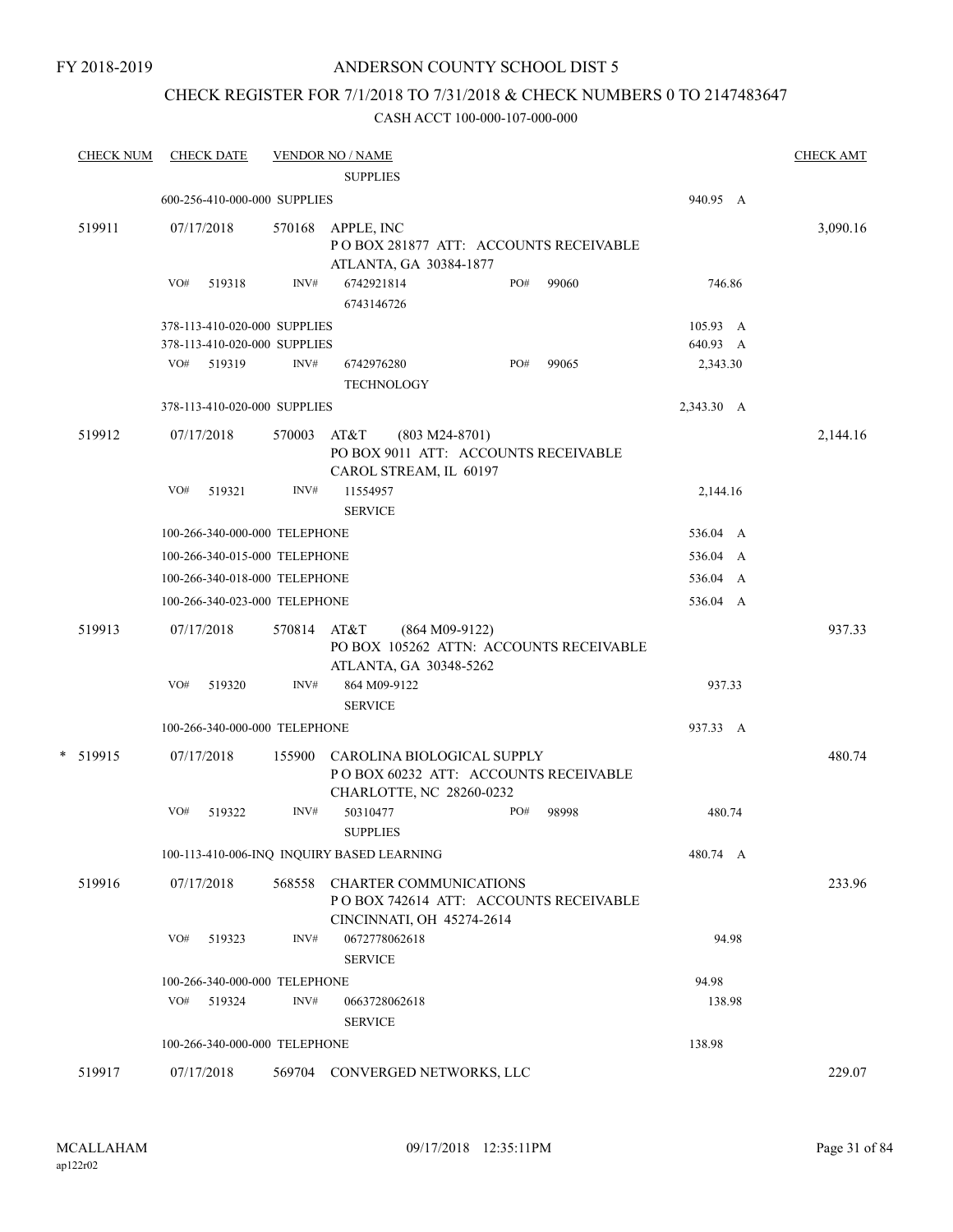# ANDERSON COUNTY SCHOOL DIST 5

# CHECK REGISTER FOR 7/1/2018 TO 7/31/2018 & CHECK NUMBERS 0 TO 2147483647

| <b>CHECK NUM</b> | <b>CHECK DATE</b>             |        | <b>VENDOR NO / NAME</b><br><b>SUPPLIES</b>                                                           |            | <b>CHECK AMT</b> |
|------------------|-------------------------------|--------|------------------------------------------------------------------------------------------------------|------------|------------------|
|                  | 600-256-410-000-000 SUPPLIES  |        |                                                                                                      | 940.95 A   |                  |
| 519911           | 07/17/2018                    | 570168 | APPLE, INC<br>POBOX 281877 ATT: ACCOUNTS RECEIVABLE<br>ATLANTA, GA 30384-1877                        |            | 3,090.16         |
|                  | VO#<br>519318                 | INV#   | 6742921814<br>PO#<br>99060<br>6743146726                                                             | 746.86     |                  |
|                  | 378-113-410-020-000 SUPPLIES  |        |                                                                                                      | 105.93 A   |                  |
|                  | 378-113-410-020-000 SUPPLIES  |        |                                                                                                      | 640.93 A   |                  |
|                  | VO# 519319                    | INV#   | PO#<br>99065<br>6742976280<br><b>TECHNOLOGY</b>                                                      | 2,343.30   |                  |
|                  | 378-113-410-020-000 SUPPLIES  |        |                                                                                                      | 2,343.30 A |                  |
| 519912           | 07/17/2018                    | 570003 | AT&T<br>$(803 M24-8701)$<br>PO BOX 9011 ATT: ACCOUNTS RECEIVABLE<br>CAROL STREAM, IL 60197           |            | 2,144.16         |
|                  | VO#<br>519321                 | INV#   | 11554957<br><b>SERVICE</b>                                                                           | 2,144.16   |                  |
|                  | 100-266-340-000-000 TELEPHONE |        |                                                                                                      | 536.04 A   |                  |
|                  | 100-266-340-015-000 TELEPHONE |        |                                                                                                      | 536.04 A   |                  |
|                  | 100-266-340-018-000 TELEPHONE |        |                                                                                                      | 536.04 A   |                  |
|                  | 100-266-340-023-000 TELEPHONE |        |                                                                                                      | 536.04 A   |                  |
| 519913           | 07/17/2018                    | 570814 | AT&T<br>$(864 M09-9122)$<br>PO BOX 105262 ATTN: ACCOUNTS RECEIVABLE<br>ATLANTA, GA 30348-5262        |            | 937.33           |
|                  | VO#<br>519320                 | INV#   | 864 M09-9122<br><b>SERVICE</b>                                                                       | 937.33     |                  |
|                  | 100-266-340-000-000 TELEPHONE |        |                                                                                                      | 937.33 A   |                  |
| * 519915         | 07/17/2018                    | 155900 | CAROLINA BIOLOGICAL SUPPLY<br>POBOX 60232 ATT: ACCOUNTS RECEIVABLE<br>CHARLOTTE, NC 28260-0232       |            | 480.74           |
|                  | VO#<br>519322                 | INV#   | 50310477<br>PO#<br>98998<br><b>SUPPLIES</b>                                                          | 480.74     |                  |
|                  |                               |        | 100-113-410-006-INQ INQUIRY BASED LEARNING                                                           | 480.74 A   |                  |
| 519916           | 07/17/2018                    |        | 568558 CHARTER COMMUNICATIONS<br>PO BOX 742614 ATT: ACCOUNTS RECEIVABLE<br>CINCINNATI, OH 45274-2614 |            | 233.96           |
|                  | VO#<br>519323                 | INV#   | 0672778062618<br><b>SERVICE</b>                                                                      | 94.98      |                  |
|                  | 100-266-340-000-000 TELEPHONE |        |                                                                                                      | 94.98      |                  |
|                  | VO#<br>519324                 | INV#   | 0663728062618<br><b>SERVICE</b>                                                                      | 138.98     |                  |
|                  | 100-266-340-000-000 TELEPHONE |        |                                                                                                      | 138.98     |                  |
| 519917           | 07/17/2018                    |        | 569704 CONVERGED NETWORKS, LLC                                                                       |            | 229.07           |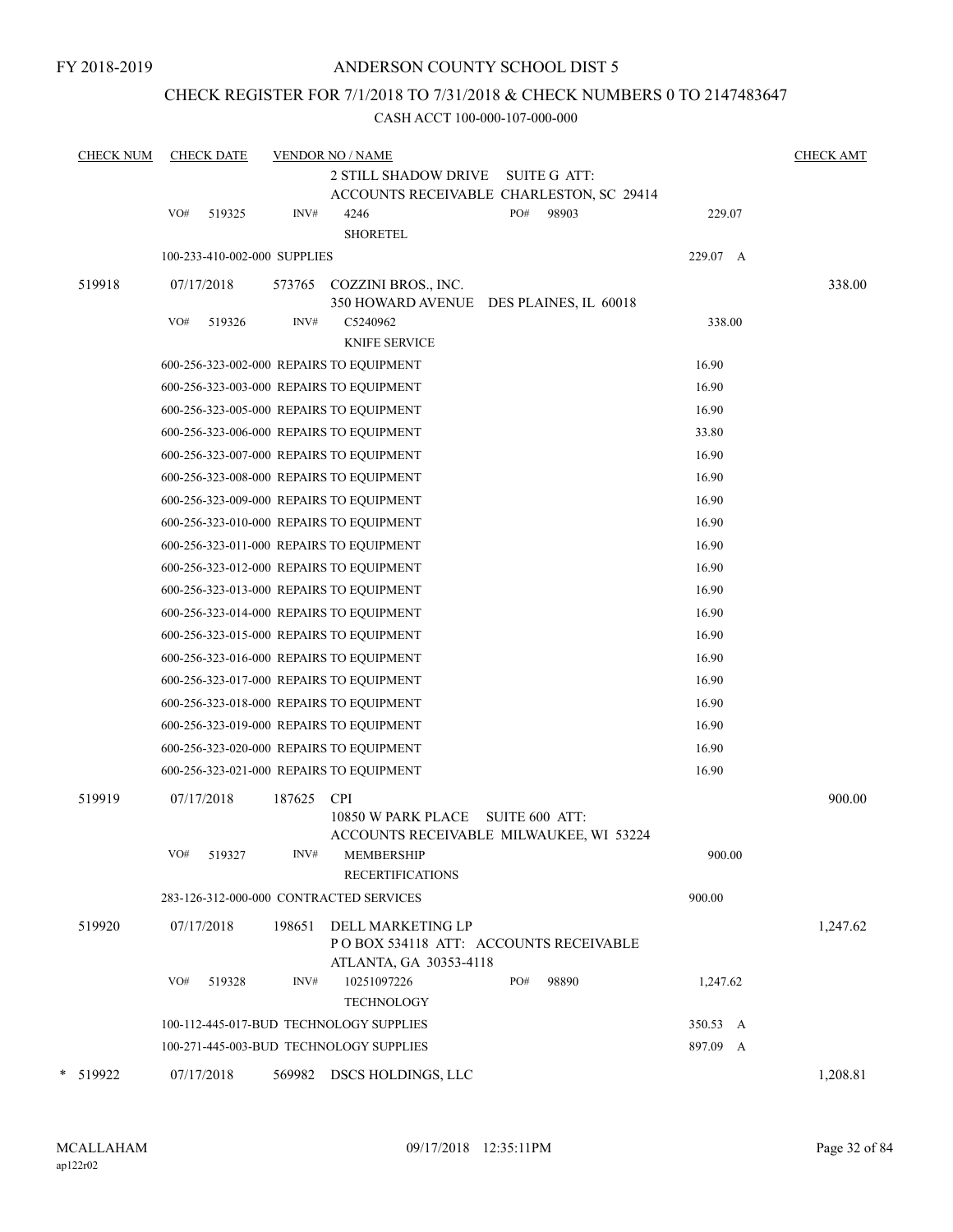# CHECK REGISTER FOR 7/1/2018 TO 7/31/2018 & CHECK NUMBERS 0 TO 2147483647

| <b>CHECK NUM</b> |            | <b>CHECK DATE</b>            |        | <b>VENDOR NO / NAME</b><br><b>2 STILL SHADOW DRIVE</b><br>SUITE G ATT:                        |          | <b>CHECK AMT</b> |
|------------------|------------|------------------------------|--------|-----------------------------------------------------------------------------------------------|----------|------------------|
|                  |            |                              |        | ACCOUNTS RECEIVABLE CHARLESTON, SC 29414                                                      |          |                  |
|                  | VO#        | 519325                       | INV#   | PO#<br>98903<br>4246<br><b>SHORETEL</b>                                                       | 229.07   |                  |
|                  |            | 100-233-410-002-000 SUPPLIES |        |                                                                                               | 229.07 A |                  |
| 519918           | 07/17/2018 |                              | 573765 | COZZINI BROS., INC.<br>350 HOWARD AVENUE DES PLAINES, IL 60018                                |          | 338.00           |
|                  | VO#        | 519326                       | INV#   | C5240962<br><b>KNIFE SERVICE</b>                                                              | 338.00   |                  |
|                  |            |                              |        | 600-256-323-002-000 REPAIRS TO EQUIPMENT                                                      | 16.90    |                  |
|                  |            |                              |        | 600-256-323-003-000 REPAIRS TO EQUIPMENT                                                      | 16.90    |                  |
|                  |            |                              |        | 600-256-323-005-000 REPAIRS TO EQUIPMENT                                                      | 16.90    |                  |
|                  |            |                              |        | 600-256-323-006-000 REPAIRS TO EQUIPMENT                                                      | 33.80    |                  |
|                  |            |                              |        | 600-256-323-007-000 REPAIRS TO EQUIPMENT                                                      | 16.90    |                  |
|                  |            |                              |        | 600-256-323-008-000 REPAIRS TO EQUIPMENT                                                      | 16.90    |                  |
|                  |            |                              |        | 600-256-323-009-000 REPAIRS TO EQUIPMENT                                                      | 16.90    |                  |
|                  |            |                              |        | 600-256-323-010-000 REPAIRS TO EQUIPMENT                                                      | 16.90    |                  |
|                  |            |                              |        | 600-256-323-011-000 REPAIRS TO EQUIPMENT                                                      | 16.90    |                  |
|                  |            |                              |        | 600-256-323-012-000 REPAIRS TO EQUIPMENT                                                      | 16.90    |                  |
|                  |            |                              |        | 600-256-323-013-000 REPAIRS TO EQUIPMENT                                                      | 16.90    |                  |
|                  |            |                              |        | 600-256-323-014-000 REPAIRS TO EQUIPMENT                                                      | 16.90    |                  |
|                  |            |                              |        | 600-256-323-015-000 REPAIRS TO EQUIPMENT                                                      | 16.90    |                  |
|                  |            |                              |        | 600-256-323-016-000 REPAIRS TO EQUIPMENT                                                      | 16.90    |                  |
|                  |            |                              |        | 600-256-323-017-000 REPAIRS TO EQUIPMENT                                                      | 16.90    |                  |
|                  |            |                              |        | 600-256-323-018-000 REPAIRS TO EQUIPMENT                                                      | 16.90    |                  |
|                  |            |                              |        | 600-256-323-019-000 REPAIRS TO EQUIPMENT                                                      | 16.90    |                  |
|                  |            |                              |        | 600-256-323-020-000 REPAIRS TO EQUIPMENT                                                      | 16.90    |                  |
|                  |            |                              |        | 600-256-323-021-000 REPAIRS TO EQUIPMENT                                                      | 16.90    |                  |
| 519919           | 07/17/2018 |                              | 187625 | <b>CPI</b><br>10850 W PARK PLACE<br>SUITE 600 ATT:<br>ACCOUNTS RECEIVABLE MILWAUKEE, WI 53224 |          | 900.00           |
|                  | VO#        | 519327                       | INV#   | <b>MEMBERSHIP</b><br><b>RECERTIFICATIONS</b>                                                  | 900.00   |                  |
|                  |            |                              |        | 283-126-312-000-000 CONTRACTED SERVICES                                                       | 900.00   |                  |
| 519920           | 07/17/2018 |                              | 198651 | DELL MARKETING LP<br>PO BOX 534118 ATT: ACCOUNTS RECEIVABLE<br>ATLANTA, GA 30353-4118         |          | 1,247.62         |
|                  | VO#        | 519328                       | INV#   | 10251097226<br>PO#<br>98890<br><b>TECHNOLOGY</b>                                              | 1,247.62 |                  |
|                  |            |                              |        | 100-112-445-017-BUD TECHNOLOGY SUPPLIES                                                       | 350.53 A |                  |
|                  |            |                              |        | 100-271-445-003-BUD TECHNOLOGY SUPPLIES                                                       | 897.09 A |                  |
| * 519922         | 07/17/2018 |                              | 569982 | DSCS HOLDINGS, LLC                                                                            |          | 1,208.81         |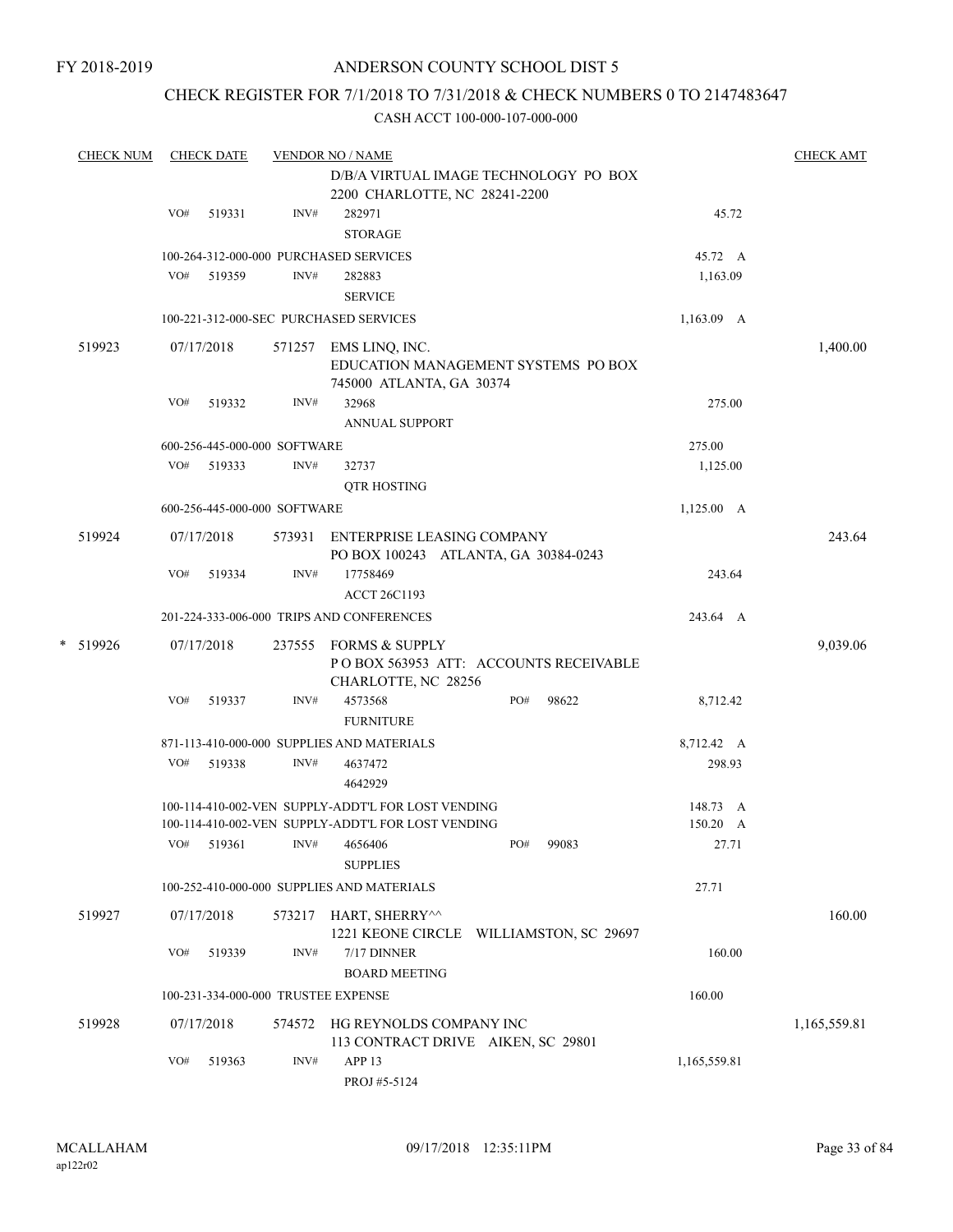# CHECK REGISTER FOR 7/1/2018 TO 7/31/2018 & CHECK NUMBERS 0 TO 2147483647

| <b>CHECK NUM</b> |     | <b>CHECK DATE</b> |                                      | <b>VENDOR NO / NAME</b>                                                                  |     |       |                 | <b>CHECK AMT</b> |
|------------------|-----|-------------------|--------------------------------------|------------------------------------------------------------------------------------------|-----|-------|-----------------|------------------|
|                  |     |                   |                                      | D/B/A VIRTUAL IMAGE TECHNOLOGY PO BOX<br>2200 CHARLOTTE, NC 28241-2200                   |     |       |                 |                  |
|                  | VO# | 519331            | INV#                                 | 282971                                                                                   |     |       | 45.72           |                  |
|                  |     |                   |                                      | <b>STORAGE</b>                                                                           |     |       |                 |                  |
|                  |     |                   |                                      | 100-264-312-000-000 PURCHASED SERVICES                                                   |     |       | 45.72 A         |                  |
|                  |     | VO# 519359        | INV#                                 | 282883                                                                                   |     |       | 1,163.09        |                  |
|                  |     |                   |                                      | <b>SERVICE</b>                                                                           |     |       |                 |                  |
|                  |     |                   |                                      | 100-221-312-000-SEC PURCHASED SERVICES                                                   |     |       | 1,163.09 A      |                  |
| 519923           |     | 07/17/2018        |                                      | 571257 EMS LINQ, INC.<br>EDUCATION MANAGEMENT SYSTEMS PO BOX<br>745000 ATLANTA, GA 30374 |     |       |                 | 1,400.00         |
|                  | VO# | 519332            | INV#                                 | 32968<br>ANNUAL SUPPORT                                                                  |     |       | 275.00          |                  |
|                  |     |                   |                                      |                                                                                          |     |       | 275.00          |                  |
|                  | VO# | 519333            | 600-256-445-000-000 SOFTWARE<br>INV# | 32737                                                                                    |     |       | 1,125.00        |                  |
|                  |     |                   |                                      | <b>QTR HOSTING</b>                                                                       |     |       |                 |                  |
|                  |     |                   | 600-256-445-000-000 SOFTWARE         |                                                                                          |     |       | $1,125.00$ A    |                  |
| 519924           |     | 07/17/2018        |                                      | 573931 ENTERPRISE LEASING COMPANY                                                        |     |       |                 | 243.64           |
|                  |     |                   |                                      | PO BOX 100243 ATLANTA, GA 30384-0243                                                     |     |       |                 |                  |
|                  | VO# | 519334            | INV#                                 | 17758469                                                                                 |     |       | 243.64          |                  |
|                  |     |                   |                                      | <b>ACCT 26C1193</b>                                                                      |     |       |                 |                  |
|                  |     |                   |                                      | 201-224-333-006-000 TRIPS AND CONFERENCES                                                |     |       | 243.64 A        |                  |
| * 519926         |     | 07/17/2018        |                                      | 237555 FORMS & SUPPLY<br>POBOX 563953 ATT: ACCOUNTS RECEIVABLE                           |     |       |                 | 9,039.06         |
|                  | VO# | 519337            | INV#                                 | CHARLOTTE, NC 28256<br>4573568                                                           | PO# | 98622 | 8,712.42        |                  |
|                  |     |                   |                                      | <b>FURNITURE</b>                                                                         |     |       |                 |                  |
|                  |     |                   |                                      | 871-113-410-000-000 SUPPLIES AND MATERIALS                                               |     |       | 8,712.42 A      |                  |
|                  | VO# | 519338            | INV#                                 | 4637472<br>4642929                                                                       |     |       | 298.93          |                  |
|                  |     |                   |                                      | 100-114-410-002-VEN SUPPLY-ADDT'L FOR LOST VENDING                                       |     |       | 148.73 A        |                  |
|                  |     |                   |                                      | 100-114-410-002-VEN SUPPLY-ADDT'L FOR LOST VENDING                                       |     |       | $150.20\quad A$ |                  |
|                  |     |                   |                                      | VO# 519361 INV# 4656406<br><b>SUPPLIES</b>                                               | PO# | 99083 | 27.71           |                  |
|                  |     |                   |                                      | 100-252-410-000-000 SUPPLIES AND MATERIALS                                               |     |       | 27.71           |                  |
| 519927           |     | 07/17/2018        |                                      | 573217 HART, SHERRY^^<br>1221 KEONE CIRCLE WILLIAMSTON, SC 29697                         |     |       |                 | 160.00           |
|                  | VO# | 519339            | INV#                                 | $7/17$ DINNER<br><b>BOARD MEETING</b>                                                    |     |       | 160.00          |                  |
|                  |     |                   |                                      | 100-231-334-000-000 TRUSTEE EXPENSE                                                      |     |       | 160.00          |                  |
| 519928           |     | 07/17/2018        |                                      | 574572 HG REYNOLDS COMPANY INC                                                           |     |       |                 | 1,165,559.81     |
|                  | VO# | 519363            | INV#                                 | 113 CONTRACT DRIVE AIKEN, SC 29801<br>APP <sub>13</sub><br>PROJ #5-5124                  |     |       | 1,165,559.81    |                  |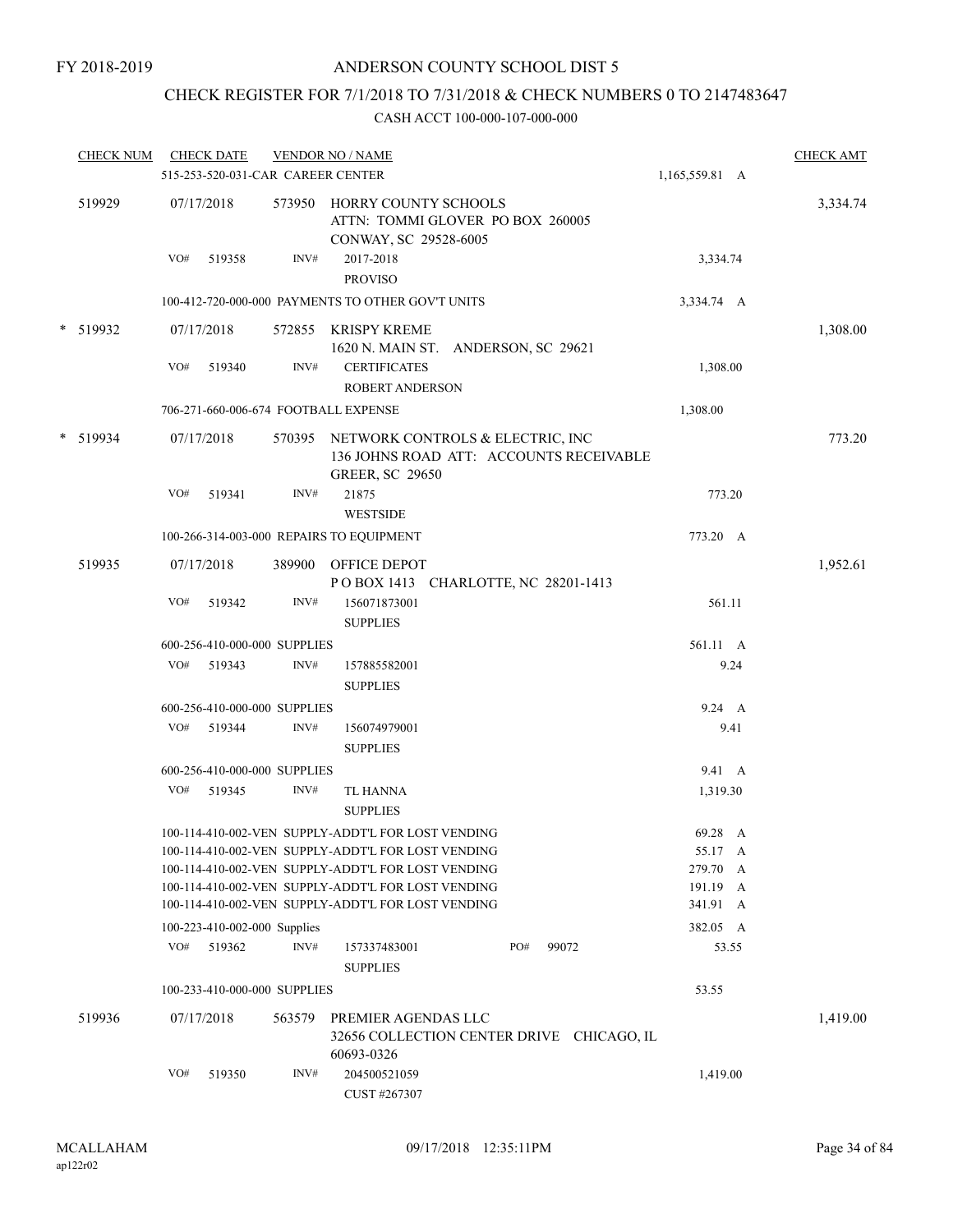# CHECK REGISTER FOR 7/1/2018 TO 7/31/2018 & CHECK NUMBERS 0 TO 2147483647

| <b>CHECK NUM</b> |     | <b>CHECK DATE</b> | 515-253-520-031-CAR CAREER CENTER | <b>VENDOR NO / NAME</b>                                                                                  |     |       | 1,165,559.81 A       | <b>CHECK AMT</b> |
|------------------|-----|-------------------|-----------------------------------|----------------------------------------------------------------------------------------------------------|-----|-------|----------------------|------------------|
| 519929           |     | 07/17/2018        |                                   | 573950 HORRY COUNTY SCHOOLS<br>ATTN: TOMMI GLOVER PO BOX 260005<br>CONWAY, SC 29528-6005                 |     |       |                      | 3,334.74         |
|                  | VO# | 519358            | INV#                              | 2017-2018<br><b>PROVISO</b>                                                                              |     |       | 3,334.74             |                  |
|                  |     |                   |                                   | 100-412-720-000-000 PAYMENTS TO OTHER GOV'T UNITS                                                        |     |       | 3,334.74 A           |                  |
| * 519932         |     | 07/17/2018        | 572855                            | <b>KRISPY KREME</b><br>1620 N. MAIN ST. ANDERSON, SC 29621                                               |     |       |                      | 1,308.00         |
|                  | VO# | 519340            | INV#                              | <b>CERTIFICATES</b><br><b>ROBERT ANDERSON</b>                                                            |     |       | 1,308.00             |                  |
|                  |     |                   |                                   | 706-271-660-006-674 FOOTBALL EXPENSE                                                                     |     |       | 1,308.00             |                  |
| * 519934         |     | 07/17/2018        | 570395                            | NETWORK CONTROLS & ELECTRIC, INC<br>136 JOHNS ROAD ATT: ACCOUNTS RECEIVABLE<br><b>GREER, SC 29650</b>    |     |       |                      | 773.20           |
|                  | VO# | 519341            | INV#                              | 21875<br><b>WESTSIDE</b>                                                                                 |     |       | 773.20               |                  |
|                  |     |                   |                                   | 100-266-314-003-000 REPAIRS TO EQUIPMENT                                                                 |     |       | 773.20 A             |                  |
| 519935           |     | 07/17/2018        | 389900                            | OFFICE DEPOT<br>POBOX 1413 CHARLOTTE, NC 28201-1413                                                      |     |       |                      | 1,952.61         |
|                  | VO# | 519342            | INV#                              | 156071873001<br><b>SUPPLIES</b>                                                                          |     |       | 561.11               |                  |
|                  |     |                   | 600-256-410-000-000 SUPPLIES      |                                                                                                          |     |       | 561.11 A             |                  |
|                  |     | VO# 519343        | INV#                              | 157885582001<br><b>SUPPLIES</b>                                                                          |     |       | 9.24                 |                  |
|                  |     |                   | 600-256-410-000-000 SUPPLIES      |                                                                                                          |     |       | 9.24 A               |                  |
|                  | VO# | 519344            | INV#                              | 156074979001<br><b>SUPPLIES</b>                                                                          |     |       | 9.41                 |                  |
|                  |     |                   | 600-256-410-000-000 SUPPLIES      |                                                                                                          |     |       | 9.41 A               |                  |
|                  |     | VO# 519345        | INV#                              | TL HANNA<br><b>SUPPLIES</b>                                                                              |     |       | 1,319.30             |                  |
|                  |     |                   |                                   | 100-114-410-002-VEN SUPPLY-ADDT'L FOR LOST VENDING                                                       |     |       | 69.28 A              |                  |
|                  |     |                   |                                   | 100-114-410-002-VEN SUPPLY-ADDT'L FOR LOST VENDING                                                       |     |       | 55.17 A              |                  |
|                  |     |                   |                                   | 100-114-410-002-VEN SUPPLY-ADDT'L FOR LOST VENDING<br>100-114-410-002-VEN SUPPLY-ADDT'L FOR LOST VENDING |     |       | 279.70 A<br>191.19 A |                  |
|                  |     |                   |                                   | 100-114-410-002-VEN SUPPLY-ADDT'L FOR LOST VENDING                                                       |     |       | 341.91 A             |                  |
|                  |     |                   | 100-223-410-002-000 Supplies      |                                                                                                          |     |       | 382.05 A             |                  |
|                  | VO# | 519362            | INV#                              | 157337483001<br><b>SUPPLIES</b>                                                                          | PO# | 99072 | 53.55                |                  |
|                  |     |                   | 100-233-410-000-000 SUPPLIES      |                                                                                                          |     |       | 53.55                |                  |
| 519936           |     | 07/17/2018        | 563579                            | PREMIER AGENDAS LLC<br>32656 COLLECTION CENTER DRIVE CHICAGO, IL<br>60693-0326                           |     |       |                      | 1,419.00         |
|                  | VO# | 519350            | INV#                              | 204500521059<br>CUST #267307                                                                             |     |       | 1,419.00             |                  |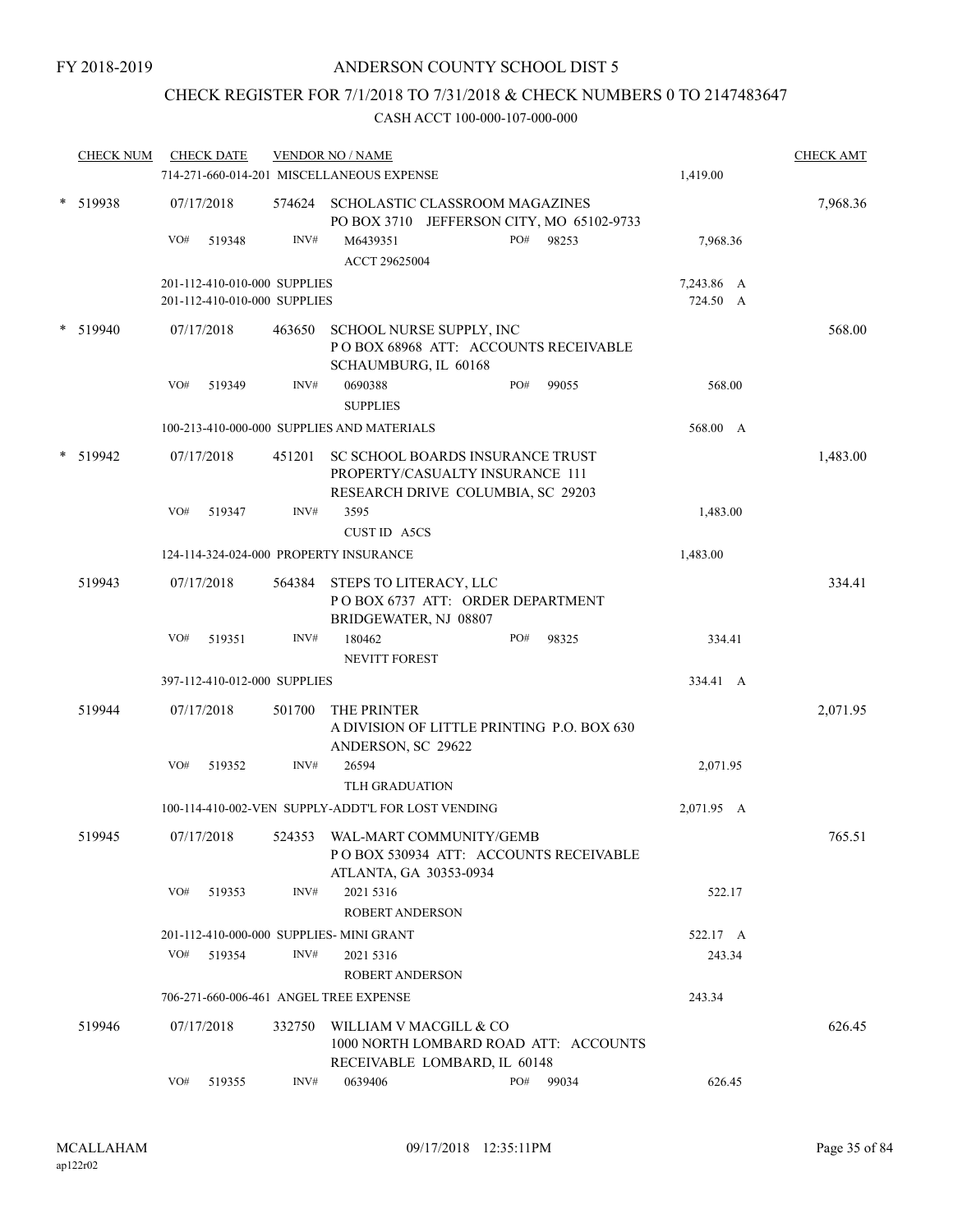# CHECK REGISTER FOR 7/1/2018 TO 7/31/2018 & CHECK NUMBERS 0 TO 2147483647

|        | <b>CHECK NUM</b> |     | <b>CHECK DATE</b>            |        | <b>VENDOR NO / NAME</b><br>714-271-660-014-201 MISCELLANEOUS EXPENSE                                     |     |           | 1,419.00   | <b>CHECK AMT</b> |
|--------|------------------|-----|------------------------------|--------|----------------------------------------------------------------------------------------------------------|-----|-----------|------------|------------------|
|        | * 519938         |     | 07/17/2018                   |        | 574624 SCHOLASTIC CLASSROOM MAGAZINES<br>PO BOX 3710 JEFFERSON CITY, MO 65102-9733                       |     |           |            | 7,968.36         |
|        |                  | VO# | 519348                       | INV#   | M6439351<br>ACCT 29625004                                                                                |     | PO# 98253 | 7,968.36   |                  |
|        |                  |     | 201-112-410-010-000 SUPPLIES |        |                                                                                                          |     |           | 7,243.86 A |                  |
|        |                  |     | 201-112-410-010-000 SUPPLIES |        |                                                                                                          |     |           | 724.50 A   |                  |
| $\ast$ | 519940           |     | 07/17/2018                   | 463650 | SCHOOL NURSE SUPPLY, INC<br>POBOX 68968 ATT: ACCOUNTS RECEIVABLE<br>SCHAUMBURG, IL 60168                 |     |           |            | 568.00           |
|        |                  | VO# | 519349                       | INV#   | 0690388<br><b>SUPPLIES</b>                                                                               | PO# | 99055     | 568.00     |                  |
|        |                  |     |                              |        | 100-213-410-000-000 SUPPLIES AND MATERIALS                                                               |     |           | 568.00 A   |                  |
|        | 519942           |     | 07/17/2018                   | 451201 | SC SCHOOL BOARDS INSURANCE TRUST<br>PROPERTY/CASUALTY INSURANCE 111<br>RESEARCH DRIVE COLUMBIA, SC 29203 |     |           |            | 1,483.00         |
|        |                  | VO# | 519347                       | INV#   | 3595<br>CUST ID A5CS                                                                                     |     |           | 1,483.00   |                  |
|        |                  |     |                              |        | 124-114-324-024-000 PROPERTY INSURANCE                                                                   |     |           | 1,483.00   |                  |
|        | 519943           |     | 07/17/2018                   |        | 564384 STEPS TO LITERACY, LLC<br>POBOX 6737 ATT: ORDER DEPARTMENT<br>BRIDGEWATER, NJ 08807               |     |           |            | 334.41           |
|        |                  | VO# | 519351                       | INV#   | 180462<br><b>NEVITT FOREST</b>                                                                           | PO# | 98325     | 334.41     |                  |
|        |                  |     | 397-112-410-012-000 SUPPLIES |        |                                                                                                          |     |           | 334.41 A   |                  |
|        | 519944           |     | 07/17/2018                   | 501700 | THE PRINTER<br>A DIVISION OF LITTLE PRINTING P.O. BOX 630<br>ANDERSON, SC 29622                          |     |           |            | 2,071.95         |
|        |                  | VO# | 519352                       | INV#   | 26594<br>TLH GRADUATION                                                                                  |     |           | 2,071.95   |                  |
|        |                  |     |                              |        | 100-114-410-002-VEN SUPPLY-ADDT'L FOR LOST VENDING                                                       |     |           | 2,071.95 A |                  |
|        | 519945           |     | 07/17/2018                   | 524353 | WAL-MART COMMUNITY/GEMB<br>POBOX 530934 ATT: ACCOUNTS RECEIVABLE<br>ATLANTA, GA 30353-0934               |     |           |            | 765.51           |
|        |                  | VO# | 519353                       | INV#   | 2021 5316<br>ROBERT ANDERSON                                                                             |     |           | 522.17     |                  |
|        |                  |     |                              |        | 201-112-410-000-000 SUPPLIES- MINI GRANT                                                                 |     |           | 522.17 A   |                  |
|        |                  | VO# | 519354                       | INV#   | 2021 5316<br><b>ROBERT ANDERSON</b>                                                                      |     |           | 243.34     |                  |
|        |                  |     |                              |        | 706-271-660-006-461 ANGEL TREE EXPENSE                                                                   |     |           | 243.34     |                  |
|        | 519946           |     | 07/17/2018                   | 332750 | WILLIAM V MACGILL & CO<br>1000 NORTH LOMBARD ROAD ATT: ACCOUNTS<br>RECEIVABLE LOMBARD, IL 60148          |     |           |            | 626.45           |
|        |                  | VO# | 519355                       | INV#   | 0639406                                                                                                  | PO# | 99034     | 626.45     |                  |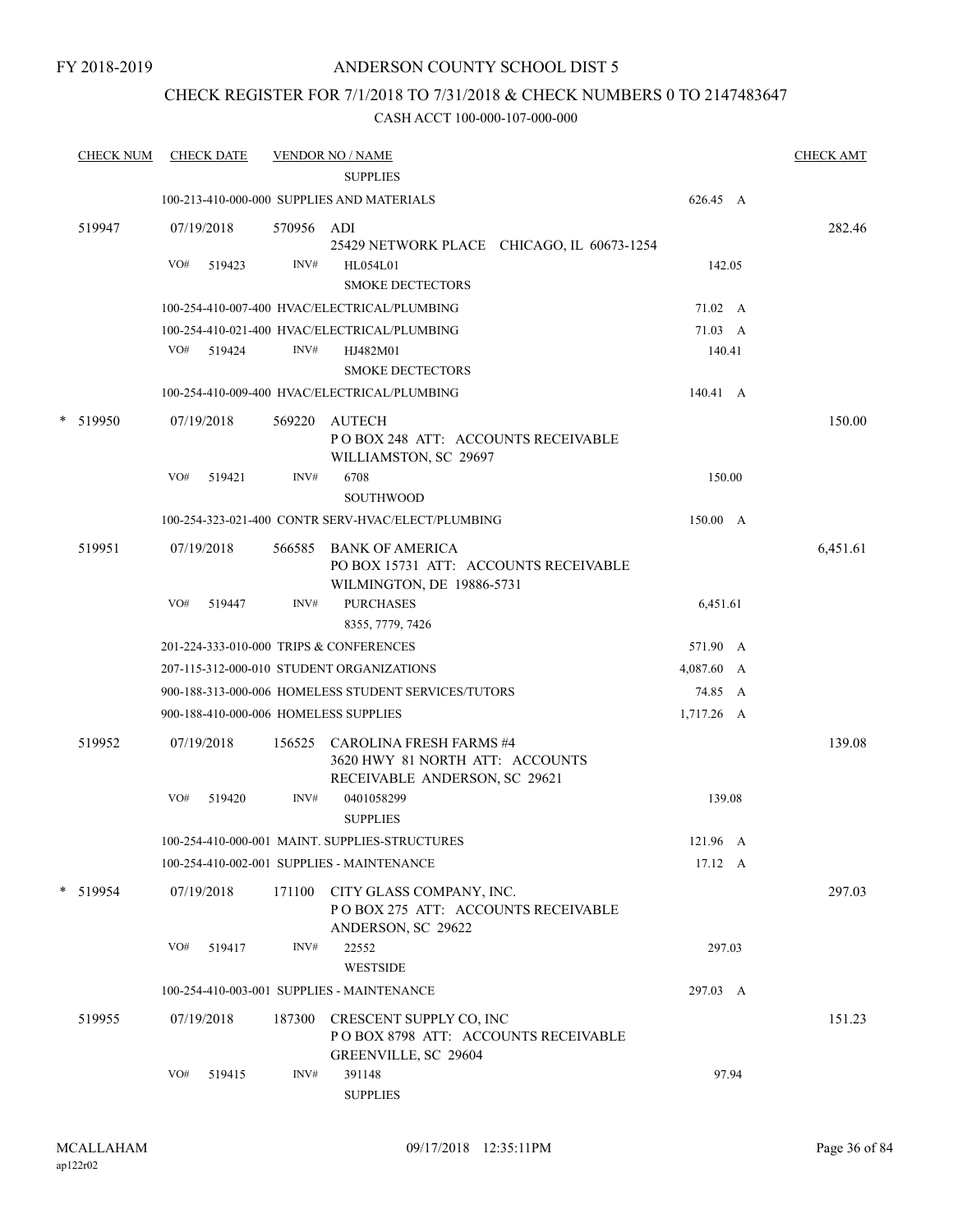# ANDERSON COUNTY SCHOOL DIST 5

# CHECK REGISTER FOR 7/1/2018 TO 7/31/2018 & CHECK NUMBERS 0 TO 2147483647

| <b>CHECK NUM</b> |     | <b>CHECK DATE</b>    |                    | <b>VENDOR NO / NAME</b><br><b>SUPPLIES</b>                                                         |                 |       | <b>CHECK AMT</b> |
|------------------|-----|----------------------|--------------------|----------------------------------------------------------------------------------------------------|-----------------|-------|------------------|
|                  |     |                      |                    | 100-213-410-000-000 SUPPLIES AND MATERIALS                                                         | 626.45 A        |       |                  |
| 519947           | VO# | 07/19/2018<br>519423 | 570956 ADI<br>INV# | 25429 NETWORK PLACE CHICAGO, IL 60673-1254<br>HL054L01                                             | 142.05          |       | 282.46           |
|                  |     |                      |                    | <b>SMOKE DECTECTORS</b><br>100-254-410-007-400 HVAC/ELECTRICAL/PLUMBING                            | 71.02 A         |       |                  |
|                  |     |                      |                    | 100-254-410-021-400 HVAC/ELECTRICAL/PLUMBING                                                       | 71.03 A         |       |                  |
|                  |     | VO# 519424           | INV#               | HJ482M01<br><b>SMOKE DECTECTORS</b>                                                                | 140.41          |       |                  |
|                  |     |                      |                    | 100-254-410-009-400 HVAC/ELECTRICAL/PLUMBING                                                       | 140.41 A        |       |                  |
| * 519950         | VO# | 07/19/2018<br>519421 | 569220<br>INV#     | AUTECH<br>POBOX 248 ATT: ACCOUNTS RECEIVABLE<br>WILLIAMSTON, SC 29697<br>6708                      | 150.00          |       | 150.00           |
|                  |     |                      |                    | <b>SOUTHWOOD</b>                                                                                   |                 |       |                  |
|                  |     |                      |                    | 100-254-323-021-400 CONTR SERV-HVAC/ELECT/PLUMBING                                                 | 150.00 A        |       |                  |
| 519951           |     | 07/19/2018           |                    | 566585 BANK OF AMERICA<br>PO BOX 15731 ATT: ACCOUNTS RECEIVABLE<br>WILMINGTON, DE 19886-5731       |                 |       | 6,451.61         |
|                  | VO# | 519447               | INV#               | <b>PURCHASES</b><br>8355, 7779, 7426                                                               | 6,451.61        |       |                  |
|                  |     |                      |                    | 201-224-333-010-000 TRIPS & CONFERENCES                                                            | 571.90 A        |       |                  |
|                  |     |                      |                    | 207-115-312-000-010 STUDENT ORGANIZATIONS                                                          | 4,087.60 A      |       |                  |
|                  |     |                      |                    | 900-188-313-000-006 HOMELESS STUDENT SERVICES/TUTORS                                               | 74.85 A         |       |                  |
|                  |     |                      |                    | 900-188-410-000-006 HOMELESS SUPPLIES                                                              | 1,717.26 A      |       |                  |
| 519952           |     | 07/19/2018           |                    | 156525 CAROLINA FRESH FARMS #4<br>3620 HWY 81 NORTH ATT: ACCOUNTS<br>RECEIVABLE ANDERSON, SC 29621 |                 |       | 139.08           |
|                  | VO# | 519420               | INV#               | 0401058299<br><b>SUPPLIES</b>                                                                      | 139.08          |       |                  |
|                  |     |                      |                    | 100-254-410-000-001 MAINT. SUPPLIES-STRUCTURES                                                     | 121.96 A        |       |                  |
|                  |     |                      |                    | 100-254-410-002-001 SUPPLIES - MAINTENANCE                                                         | $17.12 \quad A$ |       |                  |
| * 519954         |     | 07/19/2018           | 171100             | CITY GLASS COMPANY, INC.<br>POBOX 275 ATT: ACCOUNTS RECEIVABLE<br>ANDERSON, SC 29622               |                 |       | 297.03           |
|                  | VO# | 519417               | INV#               | 22552<br><b>WESTSIDE</b>                                                                           | 297.03          |       |                  |
|                  |     |                      |                    | 100-254-410-003-001 SUPPLIES - MAINTENANCE                                                         | 297.03 A        |       |                  |
| 519955           |     | 07/19/2018           | 187300             | CRESCENT SUPPLY CO, INC<br>POBOX 8798 ATT: ACCOUNTS RECEIVABLE<br>GREENVILLE, SC 29604             |                 |       | 151.23           |
|                  | VO# | 519415               | INV#               | 391148<br><b>SUPPLIES</b>                                                                          |                 | 97.94 |                  |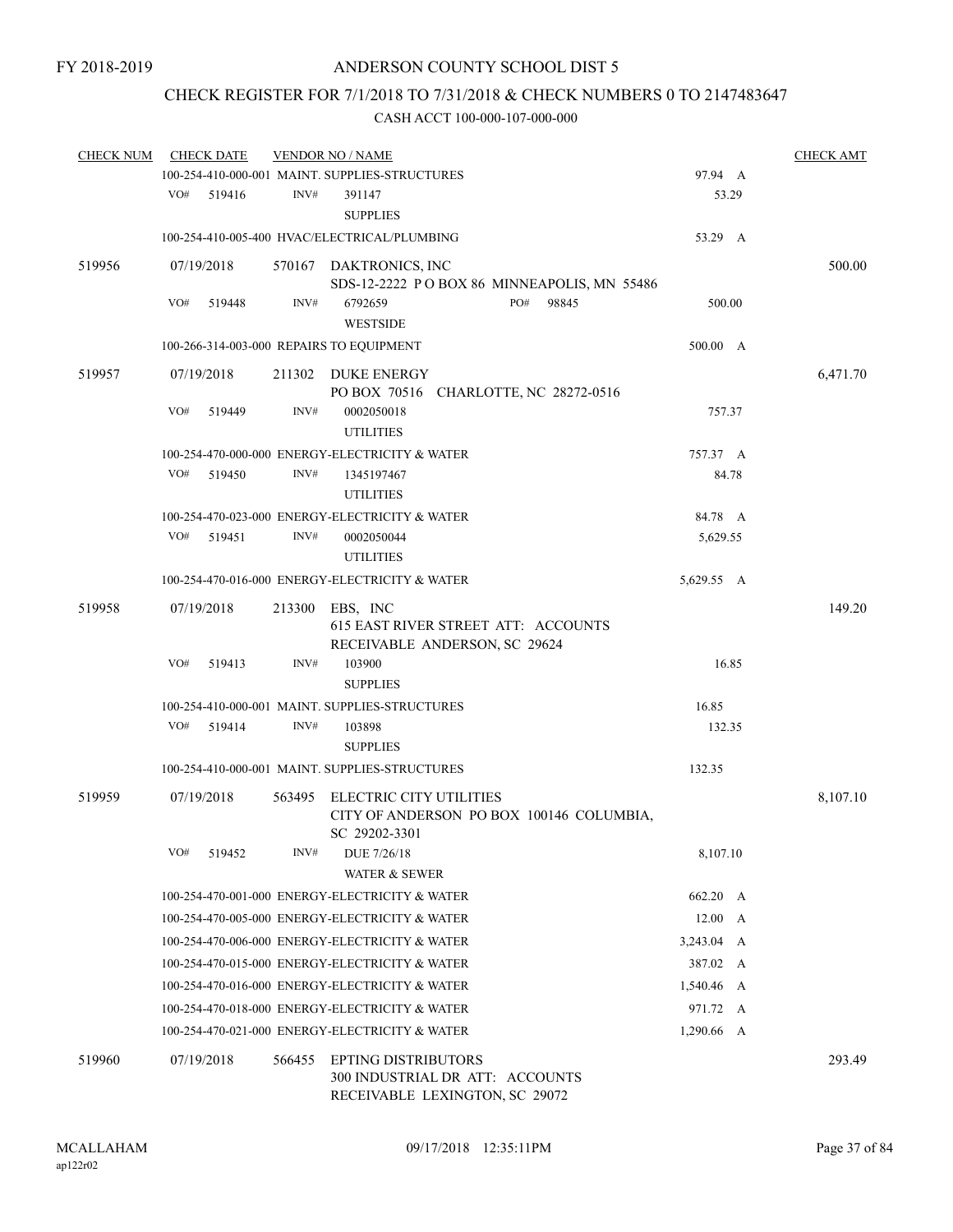## CHECK REGISTER FOR 7/1/2018 TO 7/31/2018 & CHECK NUMBERS 0 TO 2147483647

| <b>CHECK NUM</b> |     | <b>CHECK DATE</b> |        | <b>VENDOR NO / NAME</b>                                                                         |                | <b>CHECK AMT</b> |
|------------------|-----|-------------------|--------|-------------------------------------------------------------------------------------------------|----------------|------------------|
|                  |     |                   |        | 100-254-410-000-001 MAINT. SUPPLIES-STRUCTURES                                                  | 97.94 A        |                  |
|                  | VO# | 519416            | INV#   | 391147<br><b>SUPPLIES</b>                                                                       | 53.29          |                  |
|                  |     |                   |        | 100-254-410-005-400 HVAC/ELECTRICAL/PLUMBING                                                    | 53.29 A        |                  |
| 519956           |     | 07/19/2018        |        | 570167 DAKTRONICS, INC                                                                          |                | 500.00           |
|                  |     |                   |        | SDS-12-2222 POBOX 86 MINNEAPOLIS, MN 55486                                                      |                |                  |
|                  | VO# | 519448            | INV#   | PO#<br>6792659<br>98845<br><b>WESTSIDE</b>                                                      | 500.00         |                  |
|                  |     |                   |        | 100-266-314-003-000 REPAIRS TO EQUIPMENT                                                        | 500.00 A       |                  |
| 519957           |     | 07/19/2018        | 211302 | DUKE ENERGY                                                                                     |                | 6,471.70         |
|                  |     |                   |        | PO BOX 70516 CHARLOTTE, NC 28272-0516                                                           |                |                  |
|                  | VO# | 519449            | INV#   | 0002050018<br><b>UTILITIES</b>                                                                  | 757.37         |                  |
|                  |     |                   |        | 100-254-470-000-000 ENERGY-ELECTRICITY & WATER                                                  | 757.37 A       |                  |
|                  | VO# | 519450            | INV#   | 1345197467<br><b>UTILITIES</b>                                                                  | 84.78          |                  |
|                  |     |                   |        | 100-254-470-023-000 ENERGY-ELECTRICITY & WATER                                                  | 84.78 A        |                  |
|                  | VO# | 519451            | INV#   | 0002050044                                                                                      | 5,629.55       |                  |
|                  |     |                   |        | <b>UTILITIES</b>                                                                                |                |                  |
|                  |     |                   |        | 100-254-470-016-000 ENERGY-ELECTRICITY & WATER                                                  | 5,629.55 A     |                  |
| 519958           |     | 07/19/2018        | 213300 | EBS, INC                                                                                        |                | 149.20           |
|                  |     |                   |        | 615 EAST RIVER STREET ATT: ACCOUNTS<br>RECEIVABLE ANDERSON, SC 29624                            |                |                  |
|                  | VO# | 519413            | INV#   | 103900                                                                                          | 16.85          |                  |
|                  |     |                   |        | <b>SUPPLIES</b>                                                                                 |                |                  |
|                  |     |                   |        | 100-254-410-000-001 MAINT. SUPPLIES-STRUCTURES                                                  | 16.85          |                  |
|                  | VO# | 519414            | INV#   | 103898<br><b>SUPPLIES</b>                                                                       | 132.35         |                  |
|                  |     |                   |        | 100-254-410-000-001 MAINT. SUPPLIES-STRUCTURES                                                  | 132.35         |                  |
| 519959           |     | 07/19/2018        | 563495 | ELECTRIC CITY UTILITIES                                                                         |                | 8,107.10         |
|                  |     |                   |        | CITY OF ANDERSON PO BOX 100146 COLUMBIA,<br>SC 29202-3301                                       |                |                  |
|                  | VO# | 519452            | INV#   | DUE 7/26/18<br><b>WATER &amp; SEWER</b>                                                         | 8,107.10       |                  |
|                  |     |                   |        | 100-254-470-001-000 ENERGY-ELECTRICITY & WATER                                                  | 662.20 A       |                  |
|                  |     |                   |        | 100-254-470-005-000 ENERGY-ELECTRICITY & WATER                                                  | $12.00\quad A$ |                  |
|                  |     |                   |        | 100-254-470-006-000 ENERGY-ELECTRICITY & WATER                                                  | 3,243.04 A     |                  |
|                  |     |                   |        | 100-254-470-015-000 ENERGY-ELECTRICITY & WATER                                                  | 387.02 A       |                  |
|                  |     |                   |        | 100-254-470-016-000 ENERGY-ELECTRICITY & WATER                                                  | 1,540.46 A     |                  |
|                  |     |                   |        | 100-254-470-018-000 ENERGY-ELECTRICITY & WATER                                                  | 971.72 A       |                  |
|                  |     |                   |        | 100-254-470-021-000 ENERGY-ELECTRICITY & WATER                                                  | 1,290.66 A     |                  |
| 519960           |     | 07/19/2018        | 566455 | <b>EPTING DISTRIBUTORS</b><br>300 INDUSTRIAL DR ATT: ACCOUNTS<br>RECEIVABLE LEXINGTON, SC 29072 |                | 293.49           |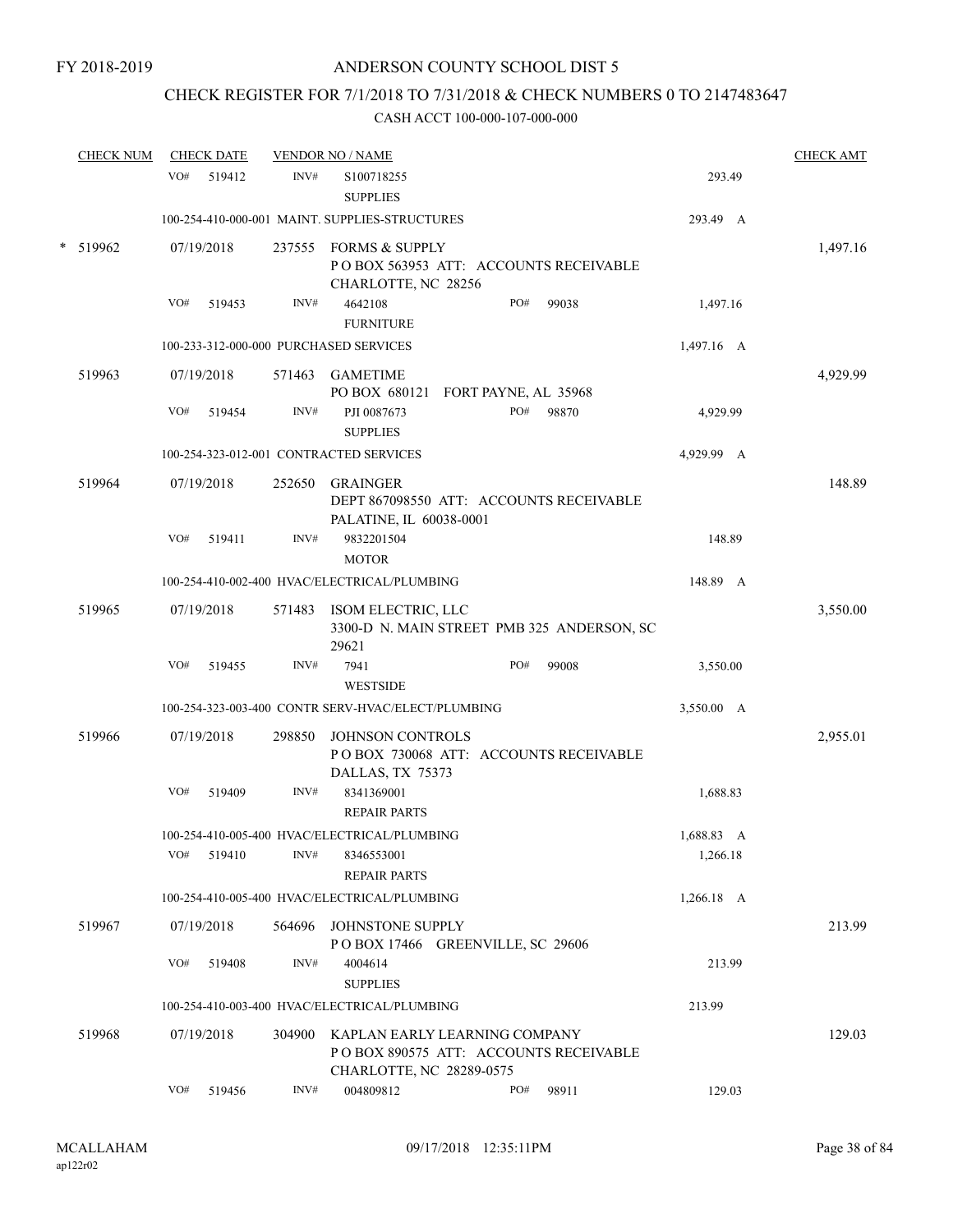## CHECK REGISTER FOR 7/1/2018 TO 7/31/2018 & CHECK NUMBERS 0 TO 2147483647

| <b>CHECK NUM</b> | <b>CHECK DATE</b> |        | <b>VENDOR NO / NAME</b>                                                                            |     |       |              | <b>CHECK AMT</b> |
|------------------|-------------------|--------|----------------------------------------------------------------------------------------------------|-----|-------|--------------|------------------|
|                  | VO#<br>519412     | INV#   | S100718255<br><b>SUPPLIES</b>                                                                      |     |       | 293.49       |                  |
|                  |                   |        | 100-254-410-000-001 MAINT. SUPPLIES-STRUCTURES                                                     |     |       | 293.49 A     |                  |
| * 519962         | 07/19/2018        |        | 237555 FORMS & SUPPLY<br>PO BOX 563953 ATT: ACCOUNTS RECEIVABLE<br>CHARLOTTE, NC 28256             |     |       |              | 1,497.16         |
|                  | VO#<br>519453     | INV#   | 4642108<br><b>FURNITURE</b>                                                                        | PO# | 99038 | 1,497.16     |                  |
|                  |                   |        | 100-233-312-000-000 PURCHASED SERVICES                                                             |     |       | $1,497.16$ A |                  |
| 519963           | 07/19/2018        | 571463 | GAMETIME<br>PO BOX 680121 FORT PAYNE, AL 35968                                                     |     |       |              | 4,929.99         |
|                  | VO#<br>519454     | INV#   | PJI 0087673<br><b>SUPPLIES</b>                                                                     | PO# | 98870 | 4,929.99     |                  |
|                  |                   |        | 100-254-323-012-001 CONTRACTED SERVICES                                                            |     |       | 4,929.99 A   |                  |
| 519964           | 07/19/2018        | 252650 | <b>GRAINGER</b><br>DEPT 867098550 ATT: ACCOUNTS RECEIVABLE<br>PALATINE, IL 60038-0001              |     |       |              | 148.89           |
|                  | VO#<br>519411     | INV#   | 9832201504<br><b>MOTOR</b>                                                                         |     |       | 148.89       |                  |
|                  |                   |        | 100-254-410-002-400 HVAC/ELECTRICAL/PLUMBING                                                       |     |       | 148.89 A     |                  |
| 519965           | 07/19/2018        |        | 571483 ISOM ELECTRIC, LLC<br>3300-D N. MAIN STREET PMB 325 ANDERSON, SC<br>29621                   |     |       |              | 3,550.00         |
|                  | VO#<br>519455     | INV#   | 7941                                                                                               | PO# | 99008 | 3,550.00     |                  |
|                  |                   |        | <b>WESTSIDE</b>                                                                                    |     |       |              |                  |
|                  |                   |        | 100-254-323-003-400 CONTR SERV-HVAC/ELECT/PLUMBING                                                 |     |       | 3,550.00 A   |                  |
| 519966           | 07/19/2018        | 298850 | JOHNSON CONTROLS<br>POBOX 730068 ATT: ACCOUNTS RECEIVABLE<br>DALLAS, TX 75373                      |     |       |              | 2,955.01         |
|                  | VO#<br>519409     | INV#   | 8341369001<br><b>REPAIR PARTS</b>                                                                  |     |       | 1,688.83     |                  |
|                  |                   |        | 100-254-410-005-400 HVAC/ELECTRICAL/PLUMBING                                                       |     |       | 1,688.83 A   |                  |
|                  | VO#<br>519410     | INV#   | 8346553001<br><b>REPAIR PARTS</b>                                                                  |     |       | 1,266.18     |                  |
|                  |                   |        | 100-254-410-005-400 HVAC/ELECTRICAL/PLUMBING                                                       |     |       | 1,266.18 A   |                  |
| 519967           | 07/19/2018        | 564696 | JOHNSTONE SUPPLY<br>POBOX 17466 GREENVILLE, SC 29606                                               |     |       |              | 213.99           |
|                  | VO#<br>519408     | INV#   | 4004614<br><b>SUPPLIES</b>                                                                         |     |       | 213.99       |                  |
|                  |                   |        | 100-254-410-003-400 HVAC/ELECTRICAL/PLUMBING                                                       |     |       | 213.99       |                  |
| 519968           | 07/19/2018        | 304900 | KAPLAN EARLY LEARNING COMPANY<br>POBOX 890575 ATT: ACCOUNTS RECEIVABLE<br>CHARLOTTE, NC 28289-0575 |     |       |              | 129.03           |
|                  | VO#<br>519456     | INV#   | 004809812                                                                                          | PO# | 98911 | 129.03       |                  |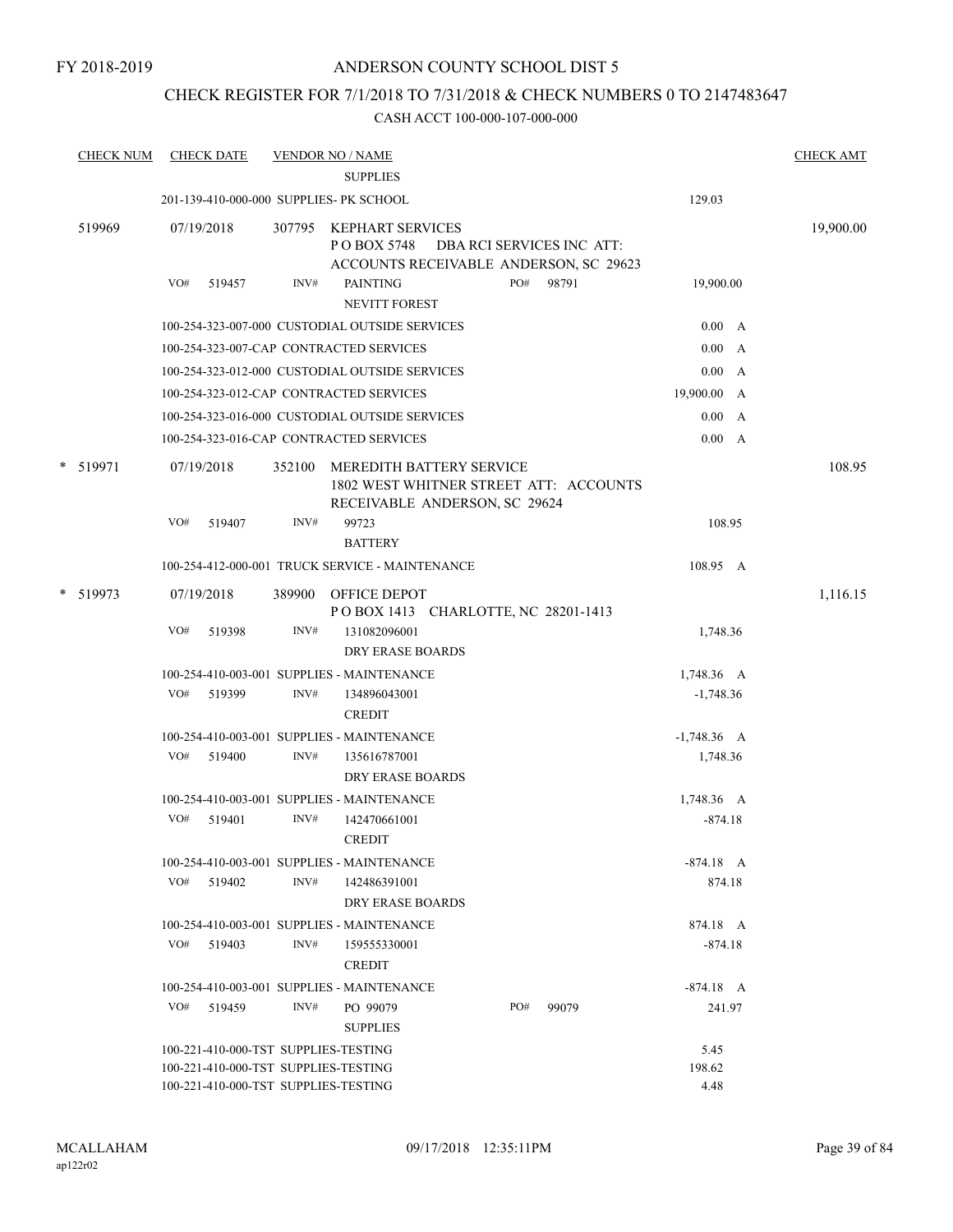## CHECK REGISTER FOR 7/1/2018 TO 7/31/2018 & CHECK NUMBERS 0 TO 2147483647

|          | <b>CHECK NUM</b> |     | <b>CHECK DATE</b>                    |        | <b>VENDOR NO / NAME</b><br><b>SUPPLIES</b>                                                          |     |                           |               | <b>CHECK AMT</b> |
|----------|------------------|-----|--------------------------------------|--------|-----------------------------------------------------------------------------------------------------|-----|---------------------------|---------------|------------------|
|          |                  |     |                                      |        | 201-139-410-000-000 SUPPLIES- PK SCHOOL                                                             |     |                           | 129.03        |                  |
|          | 519969           |     | 07/19/2018                           |        | 307795 KEPHART SERVICES<br>PO BOX 5748<br>ACCOUNTS RECEIVABLE ANDERSON, SC 29623                    |     | DBA RCI SERVICES INC ATT: |               | 19,900.00        |
|          |                  | VO# | 519457                               | INV#   | <b>PAINTING</b><br>NEVITT FOREST                                                                    | PO# | 98791                     | 19,900.00     |                  |
|          |                  |     |                                      |        | 100-254-323-007-000 CUSTODIAL OUTSIDE SERVICES                                                      |     |                           | 0.00 A        |                  |
|          |                  |     |                                      |        | 100-254-323-007-CAP CONTRACTED SERVICES                                                             |     |                           | 0.00 A        |                  |
|          |                  |     |                                      |        | 100-254-323-012-000 CUSTODIAL OUTSIDE SERVICES                                                      |     |                           | 0.00 A        |                  |
|          |                  |     |                                      |        | 100-254-323-012-CAP CONTRACTED SERVICES                                                             |     |                           | 19,900.00 A   |                  |
|          |                  |     |                                      |        | 100-254-323-016-000 CUSTODIAL OUTSIDE SERVICES                                                      |     |                           | 0.00 A        |                  |
|          |                  |     |                                      |        | 100-254-323-016-CAP CONTRACTED SERVICES                                                             |     |                           | 0.00 A        |                  |
|          | * 519971         |     | 07/19/2018                           | 352100 | MEREDITH BATTERY SERVICE<br>1802 WEST WHITNER STREET ATT: ACCOUNTS<br>RECEIVABLE ANDERSON, SC 29624 |     |                           |               | 108.95           |
|          |                  | VO# | 519407                               | INV#   | 99723                                                                                               |     |                           | 108.95        |                  |
|          |                  |     |                                      |        | <b>BATTERY</b>                                                                                      |     |                           |               |                  |
|          |                  |     |                                      |        | 100-254-412-000-001 TRUCK SERVICE - MAINTENANCE                                                     |     |                           | 108.95 A      |                  |
| * 519973 |                  |     | 07/19/2018                           | 389900 | OFFICE DEPOT<br>POBOX 1413 CHARLOTTE, NC 28201-1413                                                 |     |                           |               | 1,116.15         |
|          |                  | VO# | 519398                               | INV#   | 131082096001<br><b>DRY ERASE BOARDS</b>                                                             |     |                           | 1,748.36      |                  |
|          |                  |     |                                      |        | 100-254-410-003-001 SUPPLIES - MAINTENANCE                                                          |     |                           | 1,748.36 A    |                  |
|          |                  | VO# | 519399                               | INV#   | 134896043001<br><b>CREDIT</b>                                                                       |     |                           | $-1,748.36$   |                  |
|          |                  |     |                                      |        | 100-254-410-003-001 SUPPLIES - MAINTENANCE                                                          |     |                           | $-1,748.36$ A |                  |
|          |                  | VO# | 519400                               | INV#   | 135616787001<br><b>DRY ERASE BOARDS</b>                                                             |     |                           | 1,748.36      |                  |
|          |                  |     |                                      |        | 100-254-410-003-001 SUPPLIES - MAINTENANCE                                                          |     |                           | 1,748.36 A    |                  |
|          |                  | VO# | 519401                               | INV#   | 142470661001<br><b>CREDIT</b>                                                                       |     |                           | $-874.18$     |                  |
|          |                  |     |                                      |        | 100-254-410-003-001 SUPPLIES - MAINTENANCE                                                          |     |                           | $-874.18$ A   |                  |
|          |                  | VO# | 519402                               | INV#   | 142486391001<br>DRY ERASE BOARDS                                                                    |     |                           | 874.18        |                  |
|          |                  |     |                                      |        | 100-254-410-003-001 SUPPLIES - MAINTENANCE                                                          |     |                           | 874.18 A      |                  |
|          |                  | VO# | 519403                               | INV#   | 159555330001<br><b>CREDIT</b>                                                                       |     |                           | $-874.18$     |                  |
|          |                  |     |                                      |        | 100-254-410-003-001 SUPPLIES - MAINTENANCE                                                          |     |                           | $-874.18$ A   |                  |
|          |                  |     | VO# 519459                           | INV#   | PO 99079<br><b>SUPPLIES</b>                                                                         | PO# | 99079                     | 241.97        |                  |
|          |                  |     | 100-221-410-000-TST SUPPLIES-TESTING |        |                                                                                                     |     |                           | 5.45          |                  |
|          |                  |     | 100-221-410-000-TST SUPPLIES-TESTING |        |                                                                                                     |     |                           | 198.62        |                  |
|          |                  |     | 100-221-410-000-TST SUPPLIES-TESTING |        |                                                                                                     |     |                           | 4.48          |                  |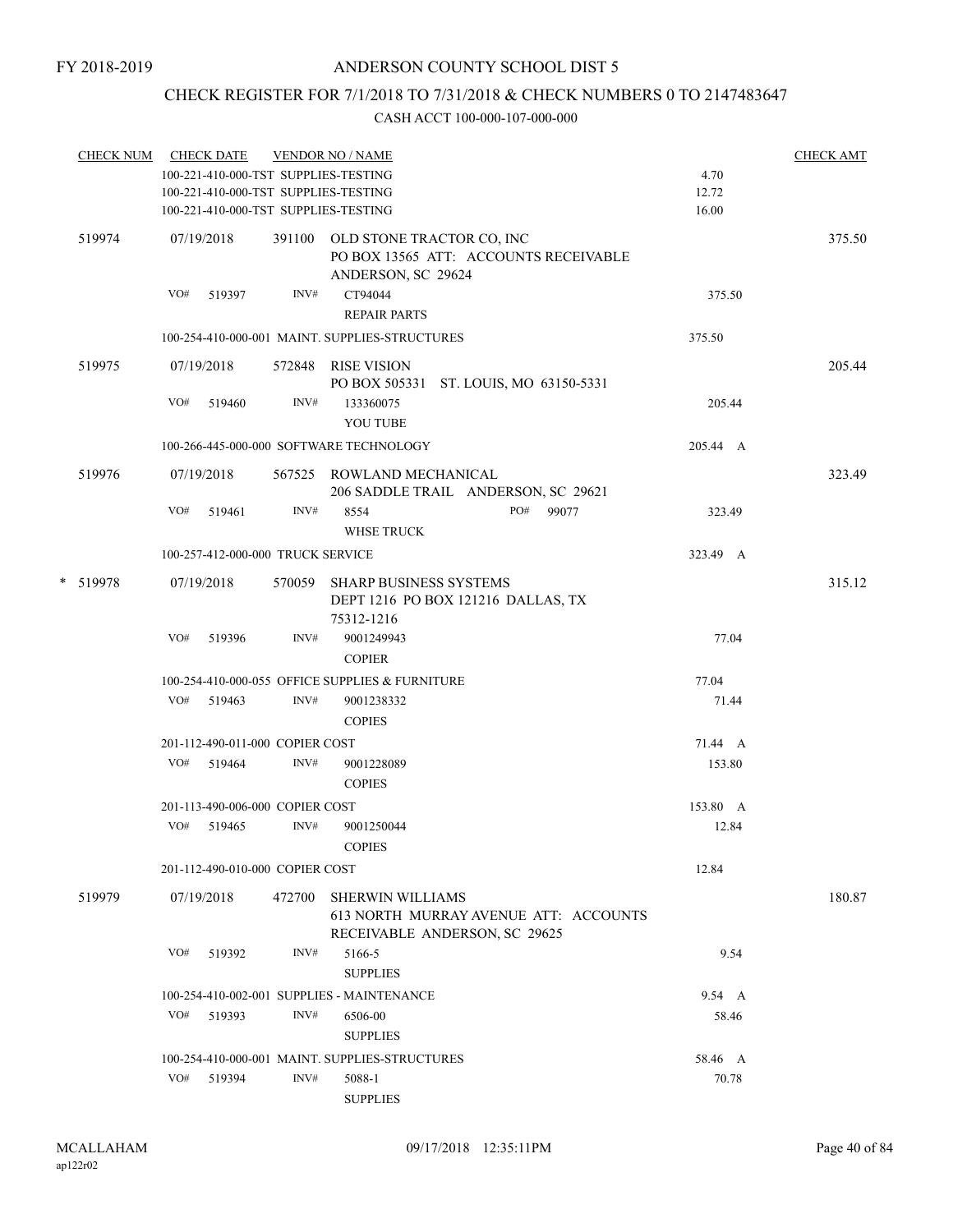## CHECK REGISTER FOR 7/1/2018 TO 7/31/2018 & CHECK NUMBERS 0 TO 2147483647

| <b>CHECK NUM</b> |     | <b>CHECK DATE</b>                    |        | <b>VENDOR NO / NAME</b>                                                                           |          | <b>CHECK AMT</b> |
|------------------|-----|--------------------------------------|--------|---------------------------------------------------------------------------------------------------|----------|------------------|
|                  |     | 100-221-410-000-TST SUPPLIES-TESTING |        |                                                                                                   | 4.70     |                  |
|                  |     | 100-221-410-000-TST SUPPLIES-TESTING |        |                                                                                                   | 12.72    |                  |
|                  |     | 100-221-410-000-TST SUPPLIES-TESTING |        |                                                                                                   | 16.00    |                  |
| 519974           |     | 07/19/2018                           |        | 391100 OLD STONE TRACTOR CO, INC<br>PO BOX 13565 ATT: ACCOUNTS RECEIVABLE<br>ANDERSON, SC 29624   |          | 375.50           |
|                  | VO# | 519397                               | INV#   | CT94044<br><b>REPAIR PARTS</b>                                                                    | 375.50   |                  |
|                  |     |                                      |        | 100-254-410-000-001 MAINT. SUPPLIES-STRUCTURES                                                    | 375.50   |                  |
| 519975           |     | 07/19/2018                           |        | 572848 RISE VISION<br>PO BOX 505331 ST. LOUIS, MO 63150-5331                                      |          | 205.44           |
|                  | VO# | 519460                               | INV#   | 133360075<br><b>YOU TUBE</b>                                                                      | 205.44   |                  |
|                  |     |                                      |        | 100-266-445-000-000 SOFTWARE TECHNOLOGY                                                           | 205.44 A |                  |
| 519976           |     | 07/19/2018                           |        | 567525 ROWLAND MECHANICAL<br>206 SADDLE TRAIL ANDERSON, SC 29621                                  |          | 323.49           |
|                  | VO# | 519461                               | INV#   | 8554<br>PO# 99077<br><b>WHSE TRUCK</b>                                                            | 323.49   |                  |
|                  |     | 100-257-412-000-000 TRUCK SERVICE    |        |                                                                                                   | 323.49 A |                  |
| * 519978         |     | 07/19/2018                           | 570059 | SHARP BUSINESS SYSTEMS<br>DEPT 1216 PO BOX 121216 DALLAS, TX<br>75312-1216                        |          | 315.12           |
|                  | VO# | 519396                               | INV#   | 9001249943<br><b>COPIER</b>                                                                       | 77.04    |                  |
|                  |     |                                      |        | 100-254-410-000-055 OFFICE SUPPLIES & FURNITURE                                                   | 77.04    |                  |
|                  | VO# | 519463                               | INV#   | 9001238332<br><b>COPIES</b>                                                                       | 71.44    |                  |
|                  |     | 201-112-490-011-000 COPIER COST      |        |                                                                                                   | 71.44 A  |                  |
|                  | VO# | 519464                               | INV#   | 9001228089<br><b>COPIES</b>                                                                       | 153.80   |                  |
|                  |     | 201-113-490-006-000 COPIER COST      |        |                                                                                                   | 153.80 A |                  |
|                  | VO# | 519465                               | INV#   | 9001250044                                                                                        | 12.84    |                  |
|                  |     |                                      |        | <b>COPIES</b>                                                                                     |          |                  |
|                  |     | 201-112-490-010-000 COPIER COST      |        |                                                                                                   | 12.84    |                  |
| 519979           |     | 07/19/2018                           | 472700 | <b>SHERWIN WILLIAMS</b><br>613 NORTH MURRAY AVENUE ATT: ACCOUNTS<br>RECEIVABLE ANDERSON, SC 29625 |          | 180.87           |
|                  | VO# | 519392                               | INV#   | 5166-5<br><b>SUPPLIES</b>                                                                         | 9.54     |                  |
|                  |     |                                      |        | 100-254-410-002-001 SUPPLIES - MAINTENANCE                                                        | 9.54 A   |                  |
|                  | VO# | 519393                               | INV#   | 6506-00                                                                                           | 58.46    |                  |
|                  |     |                                      |        | <b>SUPPLIES</b>                                                                                   |          |                  |
|                  |     |                                      |        | 100-254-410-000-001 MAINT. SUPPLIES-STRUCTURES                                                    | 58.46 A  |                  |
|                  |     | VO# 519394                           | INV#   | 5088-1                                                                                            | 70.78    |                  |
|                  |     |                                      |        | <b>SUPPLIES</b>                                                                                   |          |                  |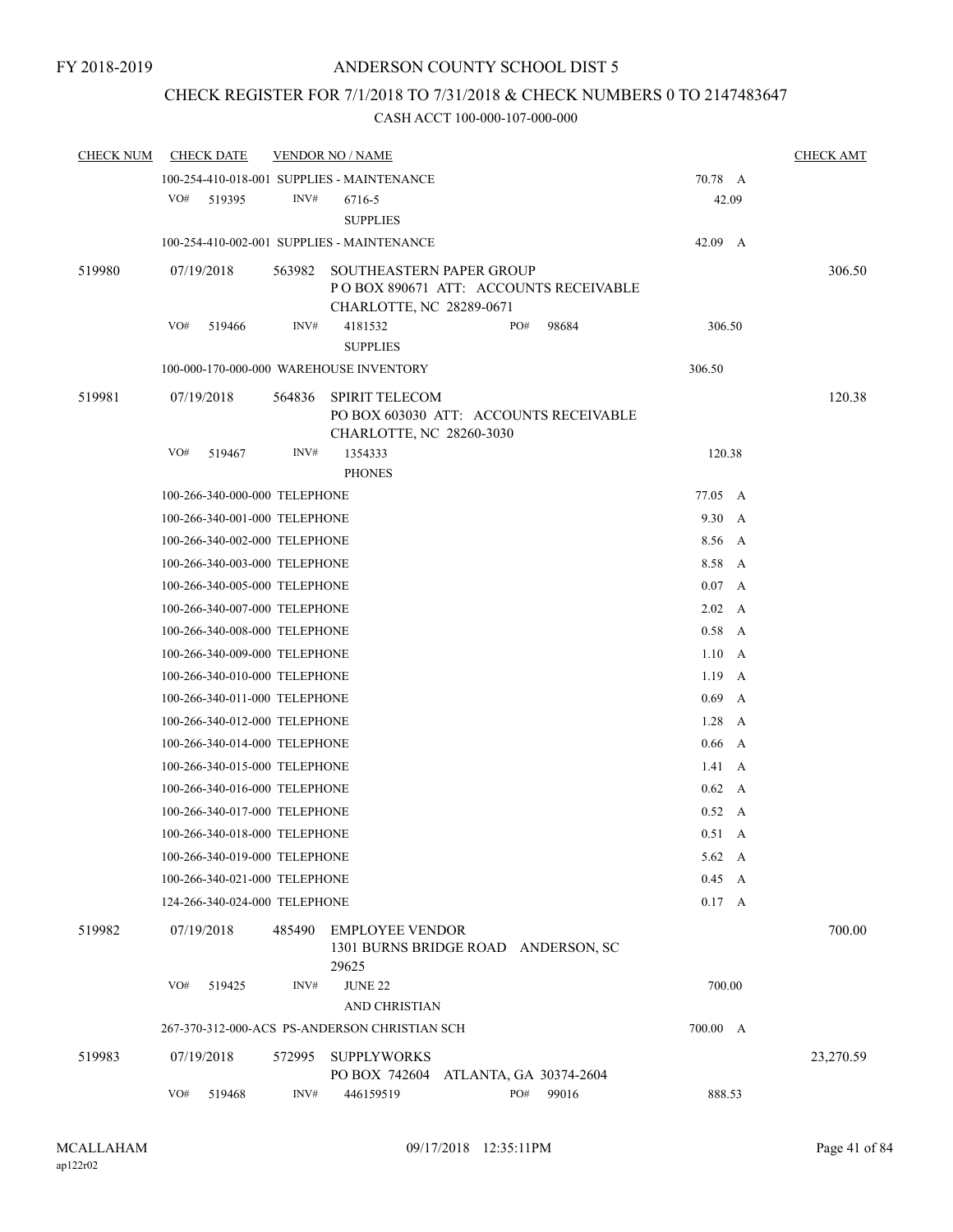## CHECK REGISTER FOR 7/1/2018 TO 7/31/2018 & CHECK NUMBERS 0 TO 2147483647

| <b>CHECK NUM</b> |     | <b>CHECK DATE</b>             |        | <b>VENDOR NO / NAME</b>                                                                               |                                     |       |                |              | <b>CHECK AMT</b> |
|------------------|-----|-------------------------------|--------|-------------------------------------------------------------------------------------------------------|-------------------------------------|-------|----------------|--------------|------------------|
|                  |     |                               |        | 100-254-410-018-001 SUPPLIES - MAINTENANCE                                                            |                                     |       | 70.78 A        |              |                  |
|                  | VO# | 519395                        | INV#   | 6716-5<br><b>SUPPLIES</b>                                                                             |                                     |       | 42.09          |              |                  |
|                  |     |                               |        | 100-254-410-002-001 SUPPLIES - MAINTENANCE                                                            |                                     |       | 42.09 A        |              |                  |
| 519980           |     | 07/19/2018                    | 563982 | <b>SOUTHEASTERN PAPER GROUP</b><br>PO BOX 890671 ATT: ACCOUNTS RECEIVABLE<br>CHARLOTTE, NC 28289-0671 |                                     |       |                |              | 306.50           |
|                  | VO# | 519466                        | INV#   | 4181532                                                                                               | PO#                                 | 98684 | 306.50         |              |                  |
|                  |     |                               |        | <b>SUPPLIES</b>                                                                                       |                                     |       |                |              |                  |
|                  |     |                               |        | 100-000-170-000-000 WAREHOUSE INVENTORY                                                               |                                     |       | 306.50         |              |                  |
| 519981           |     | 07/19/2018                    | 564836 | <b>SPIRIT TELECOM</b><br>PO BOX 603030 ATT: ACCOUNTS RECEIVABLE<br>CHARLOTTE, NC 28260-3030           |                                     |       |                |              | 120.38           |
|                  | VO# | 519467                        | INV#   | 1354333<br><b>PHONES</b>                                                                              |                                     |       | 120.38         |              |                  |
|                  |     | 100-266-340-000-000 TELEPHONE |        |                                                                                                       |                                     |       | 77.05 A        |              |                  |
|                  |     | 100-266-340-001-000 TELEPHONE |        |                                                                                                       |                                     |       | 9.30 A         |              |                  |
|                  |     | 100-266-340-002-000 TELEPHONE |        |                                                                                                       |                                     |       | 8.56           | A            |                  |
|                  |     | 100-266-340-003-000 TELEPHONE |        |                                                                                                       |                                     |       | 8.58 A         |              |                  |
|                  |     | 100-266-340-005-000 TELEPHONE |        |                                                                                                       |                                     |       | 0.07 A         |              |                  |
|                  |     | 100-266-340-007-000 TELEPHONE |        |                                                                                                       |                                     |       | $2.02\quad A$  |              |                  |
|                  |     | 100-266-340-008-000 TELEPHONE |        |                                                                                                       |                                     |       | $0.58$ A       |              |                  |
|                  |     | 100-266-340-009-000 TELEPHONE |        |                                                                                                       |                                     |       | 1.10           | A            |                  |
|                  |     | 100-266-340-010-000 TELEPHONE |        |                                                                                                       |                                     |       | $1.19\quad A$  |              |                  |
|                  |     | 100-266-340-011-000 TELEPHONE |        |                                                                                                       |                                     |       | 0.69           | $\mathbf{A}$ |                  |
|                  |     | 100-266-340-012-000 TELEPHONE |        |                                                                                                       |                                     |       | 1.28           | A            |                  |
|                  |     | 100-266-340-014-000 TELEPHONE |        |                                                                                                       |                                     |       | $0.66$ A       |              |                  |
|                  |     | 100-266-340-015-000 TELEPHONE |        |                                                                                                       |                                     |       | $1.41 \quad A$ |              |                  |
|                  |     | 100-266-340-016-000 TELEPHONE |        |                                                                                                       |                                     |       | $0.62 \quad A$ |              |                  |
|                  |     | 100-266-340-017-000 TELEPHONE |        |                                                                                                       |                                     |       | $0.52 \quad A$ |              |                  |
|                  |     | 100-266-340-018-000 TELEPHONE |        |                                                                                                       |                                     |       | $0.51\quad A$  |              |                  |
|                  |     | 100-266-340-019-000 TELEPHONE |        |                                                                                                       |                                     |       | $5.62 \quad A$ |              |                  |
|                  |     | 100-266-340-021-000 TELEPHONE |        |                                                                                                       |                                     |       | $0.45\quad A$  |              |                  |
|                  |     | 124-266-340-024-000 TELEPHONE |        |                                                                                                       |                                     |       | 0.17 A         |              |                  |
| 519982           |     | 07/19/2018                    | 485490 | <b>EMPLOYEE VENDOR</b><br>29625                                                                       | 1301 BURNS BRIDGE ROAD ANDERSON, SC |       |                |              | 700.00           |
|                  | VO# | 519425                        | INV#   | <b>JUNE 22</b><br><b>AND CHRISTIAN</b>                                                                |                                     |       | 700.00         |              |                  |
|                  |     |                               |        | 267-370-312-000-ACS PS-ANDERSON CHRISTIAN SCH                                                         |                                     |       | 700.00 A       |              |                  |
| 519983           |     | 07/19/2018                    | 572995 | <b>SUPPLYWORKS</b><br>PO BOX 742604                                                                   | ATLANTA, GA 30374-2604              |       |                |              | 23,270.59        |
|                  | VO# | 519468                        | INV#   | 446159519                                                                                             | PO#                                 | 99016 | 888.53         |              |                  |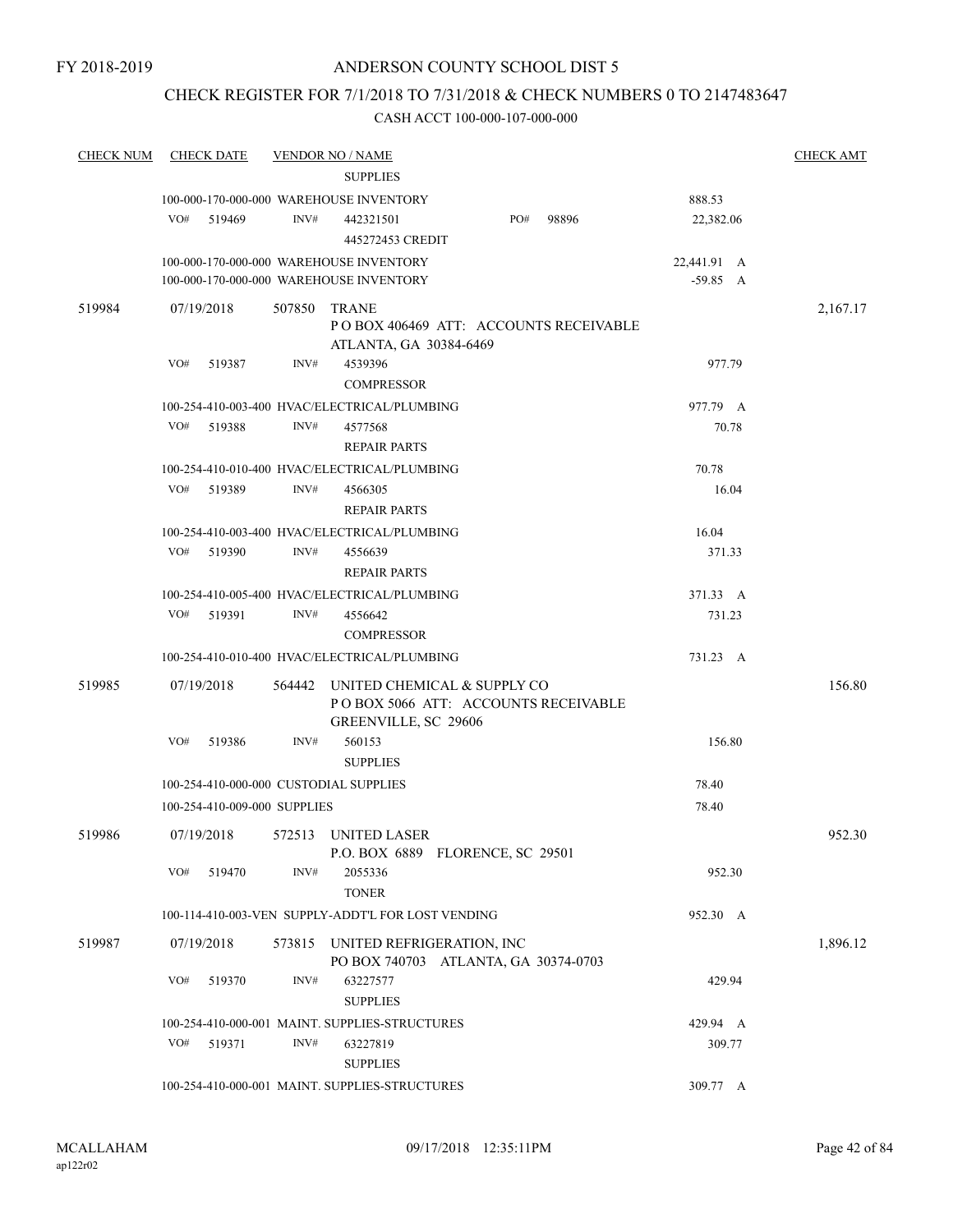## CHECK REGISTER FOR 7/1/2018 TO 7/31/2018 & CHECK NUMBERS 0 TO 2147483647

| <b>CHECK NUM</b> | <b>CHECK DATE</b>                      |        | <u>VENDOR NO / NAME</u>                                                                    |     |       |             | <b>CHECK AMT</b> |
|------------------|----------------------------------------|--------|--------------------------------------------------------------------------------------------|-----|-------|-------------|------------------|
|                  |                                        |        | <b>SUPPLIES</b>                                                                            |     |       |             |                  |
|                  |                                        |        | 100-000-170-000-000 WAREHOUSE INVENTORY                                                    |     |       | 888.53      |                  |
|                  | VO#<br>519469                          | INV#   | 442321501                                                                                  | PO# | 98896 | 22,382.06   |                  |
|                  |                                        |        | 445272453 CREDIT                                                                           |     |       |             |                  |
|                  |                                        |        | 100-000-170-000-000 WAREHOUSE INVENTORY                                                    |     |       | 22,441.91 A |                  |
|                  |                                        |        | 100-000-170-000-000 WAREHOUSE INVENTORY                                                    |     |       | $-59.85$ A  |                  |
| 519984           | 07/19/2018                             | 507850 | <b>TRANE</b><br>POBOX 406469 ATT: ACCOUNTS RECEIVABLE<br>ATLANTA, GA 30384-6469            |     |       |             | 2,167.17         |
|                  | VO#<br>519387                          | INV#   | 4539396<br><b>COMPRESSOR</b>                                                               |     |       | 977.79      |                  |
|                  |                                        |        | 100-254-410-003-400 HVAC/ELECTRICAL/PLUMBING                                               |     |       | 977.79 A    |                  |
|                  | VO#<br>519388                          | INV#   | 4577568<br><b>REPAIR PARTS</b>                                                             |     |       | 70.78       |                  |
|                  |                                        |        | 100-254-410-010-400 HVAC/ELECTRICAL/PLUMBING                                               |     |       | 70.78       |                  |
|                  | VO#<br>519389                          | INV#   | 4566305                                                                                    |     |       | 16.04       |                  |
|                  |                                        |        | <b>REPAIR PARTS</b>                                                                        |     |       |             |                  |
|                  |                                        |        | 100-254-410-003-400 HVAC/ELECTRICAL/PLUMBING                                               |     |       | 16.04       |                  |
|                  | VO#<br>519390                          | INV#   | 4556639                                                                                    |     |       | 371.33      |                  |
|                  |                                        |        | <b>REPAIR PARTS</b>                                                                        |     |       |             |                  |
|                  |                                        |        | 100-254-410-005-400 HVAC/ELECTRICAL/PLUMBING                                               |     |       | 371.33 A    |                  |
|                  | VO#<br>519391                          | INV#   | 4556642                                                                                    |     |       | 731.23      |                  |
|                  |                                        |        | <b>COMPRESSOR</b>                                                                          |     |       |             |                  |
|                  |                                        |        | 100-254-410-010-400 HVAC/ELECTRICAL/PLUMBING                                               |     |       | 731.23 A    |                  |
| 519985           | 07/19/2018                             | 564442 | UNITED CHEMICAL & SUPPLY CO<br>POBOX 5066 ATT: ACCOUNTS RECEIVABLE<br>GREENVILLE, SC 29606 |     |       |             | 156.80           |
|                  | VO#<br>519386                          | INV#   | 560153                                                                                     |     |       | 156.80      |                  |
|                  |                                        |        | <b>SUPPLIES</b>                                                                            |     |       |             |                  |
|                  | 100-254-410-000-000 CUSTODIAL SUPPLIES |        |                                                                                            |     |       | 78.40       |                  |
|                  | 100-254-410-009-000 SUPPLIES           |        |                                                                                            |     |       | 78.40       |                  |
| 519986           | 07/19/2018                             |        | 572513 UNITED LASER<br>P.O. BOX 6889 FLORENCE, SC 29501                                    |     |       |             | 952.30           |
|                  | VO#<br>519470                          | INV#   | 2055336<br><b>TONER</b>                                                                    |     |       | 952.30      |                  |
|                  |                                        |        | 100-114-410-003-VEN SUPPLY-ADDT'L FOR LOST VENDING                                         |     |       | 952.30 A    |                  |
| 519987           | 07/19/2018                             | 573815 | UNITED REFRIGERATION, INC<br>PO BOX 740703 ATLANTA, GA 30374-0703                          |     |       |             | 1,896.12         |
|                  | VO#<br>519370                          | INV#   | 63227577<br><b>SUPPLIES</b>                                                                |     |       | 429.94      |                  |
|                  |                                        |        | 100-254-410-000-001 MAINT. SUPPLIES-STRUCTURES                                             |     |       | 429.94 A    |                  |
|                  | VO#<br>519371                          | INV#   | 63227819<br><b>SUPPLIES</b>                                                                |     |       | 309.77      |                  |
|                  |                                        |        | 100-254-410-000-001 MAINT. SUPPLIES-STRUCTURES                                             |     |       | 309.77 A    |                  |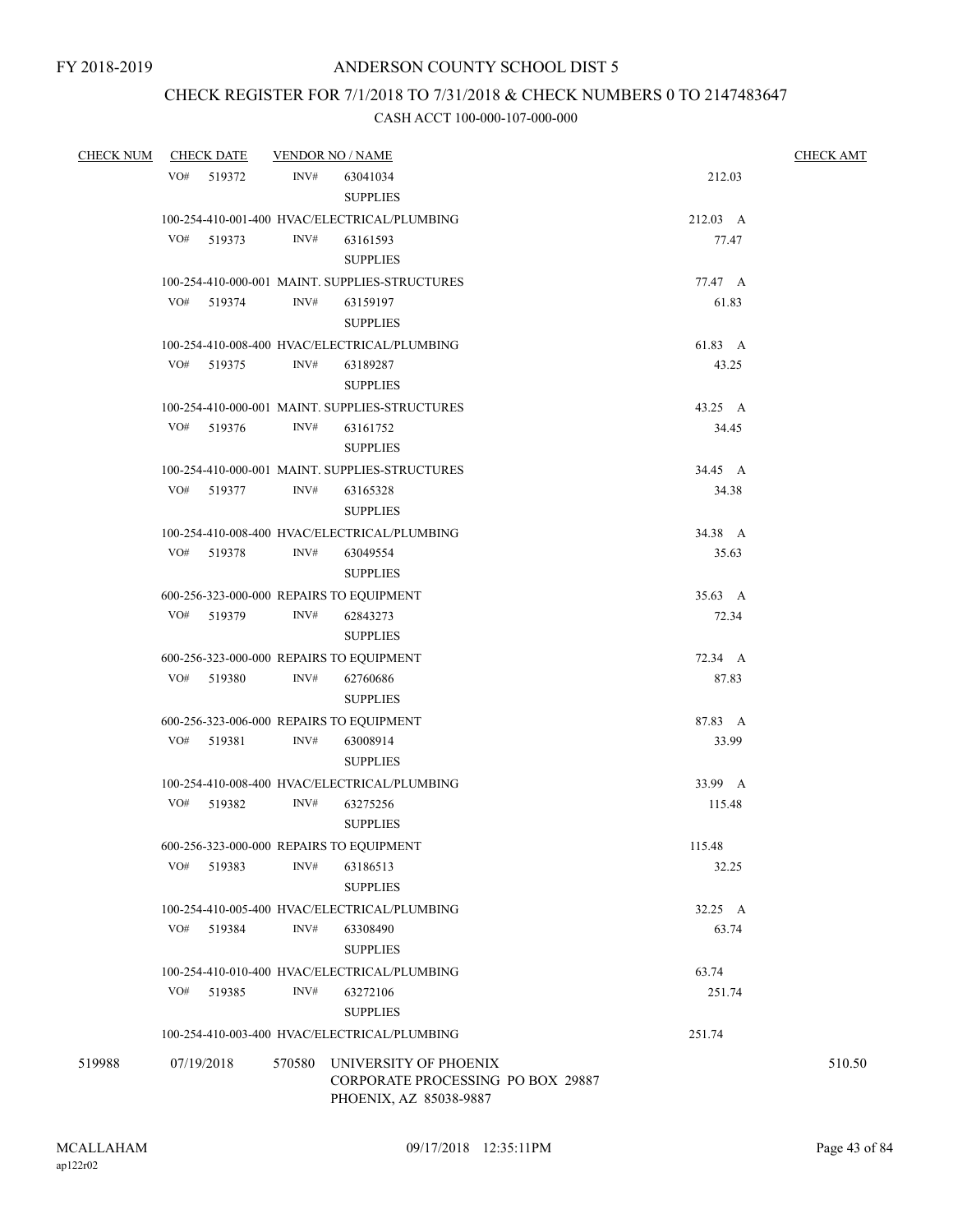## CHECK REGISTER FOR 7/1/2018 TO 7/31/2018 & CHECK NUMBERS 0 TO 2147483647

| CHECK NUM CHECK DATE |               |        | <b>VENDOR NO / NAME</b>                                                                     |          | <b>CHECK AMT</b> |  |  |
|----------------------|---------------|--------|---------------------------------------------------------------------------------------------|----------|------------------|--|--|
|                      | VO# 519372    | INV#   | 63041034                                                                                    | 212.03   |                  |  |  |
|                      |               |        | <b>SUPPLIES</b>                                                                             |          |                  |  |  |
|                      |               |        | 100-254-410-001-400 HVAC/ELECTRICAL/PLUMBING                                                | 212.03 A |                  |  |  |
|                      | VO#<br>519373 | INV#   | 63161593                                                                                    | 77.47    |                  |  |  |
|                      |               |        | <b>SUPPLIES</b>                                                                             |          |                  |  |  |
|                      |               |        | 100-254-410-000-001 MAINT. SUPPLIES-STRUCTURES                                              | 77.47 A  |                  |  |  |
|                      | VO#<br>519374 | INV#   | 63159197                                                                                    | 61.83    |                  |  |  |
|                      |               |        | <b>SUPPLIES</b>                                                                             |          |                  |  |  |
|                      |               |        | 100-254-410-008-400 HVAC/ELECTRICAL/PLUMBING                                                | 61.83 A  |                  |  |  |
|                      | VO#<br>519375 | INV#   | 63189287                                                                                    | 43.25    |                  |  |  |
|                      |               |        | <b>SUPPLIES</b>                                                                             |          |                  |  |  |
|                      |               |        | 100-254-410-000-001 MAINT. SUPPLIES-STRUCTURES                                              | 43.25 A  |                  |  |  |
|                      | VO#<br>519376 | INV#   | 63161752                                                                                    | 34.45    |                  |  |  |
|                      |               |        | <b>SUPPLIES</b>                                                                             |          |                  |  |  |
|                      |               |        | 100-254-410-000-001 MAINT. SUPPLIES-STRUCTURES                                              | 34.45 A  |                  |  |  |
|                      | VO# 519377    | INV#   | 63165328                                                                                    | 34.38    |                  |  |  |
|                      |               |        | <b>SUPPLIES</b>                                                                             |          |                  |  |  |
|                      |               |        | 100-254-410-008-400 HVAC/ELECTRICAL/PLUMBING                                                | 34.38 A  |                  |  |  |
|                      | VO#<br>519378 | INV#   | 63049554                                                                                    | 35.63    |                  |  |  |
|                      |               |        | <b>SUPPLIES</b>                                                                             |          |                  |  |  |
|                      |               |        | 600-256-323-000-000 REPAIRS TO EQUIPMENT                                                    | 35.63 A  |                  |  |  |
|                      | VO# 519379    | INV#   | 62843273                                                                                    | 72.34    |                  |  |  |
|                      |               |        | <b>SUPPLIES</b>                                                                             |          |                  |  |  |
|                      |               |        | 600-256-323-000-000 REPAIRS TO EQUIPMENT                                                    | 72.34 A  |                  |  |  |
|                      | VO# 519380    | INV#   | 62760686                                                                                    | 87.83    |                  |  |  |
|                      |               |        | <b>SUPPLIES</b>                                                                             |          |                  |  |  |
|                      |               |        | 600-256-323-006-000 REPAIRS TO EQUIPMENT                                                    | 87.83 A  |                  |  |  |
|                      | VO#<br>519381 | INV#   | 63008914                                                                                    | 33.99    |                  |  |  |
|                      |               |        | <b>SUPPLIES</b>                                                                             |          |                  |  |  |
|                      |               |        | 100-254-410-008-400 HVAC/ELECTRICAL/PLUMBING                                                | 33.99 A  |                  |  |  |
|                      | VO#<br>519382 | INV#   | 63275256                                                                                    | 115.48   |                  |  |  |
|                      |               |        | <b>SUPPLIES</b>                                                                             |          |                  |  |  |
|                      |               |        | 600-256-323-000-000 REPAIRS TO EQUIPMENT                                                    | 115.48   |                  |  |  |
|                      | VO#<br>519383 | INV#   | 63186513                                                                                    | 32.25    |                  |  |  |
|                      |               |        | <b>SUPPLIES</b>                                                                             |          |                  |  |  |
|                      |               |        | 100-254-410-005-400 HVAC/ELECTRICAL/PLUMBING                                                | 32.25 A  |                  |  |  |
|                      | VO#<br>519384 | INV#   | 63308490                                                                                    | 63.74    |                  |  |  |
|                      |               |        | <b>SUPPLIES</b>                                                                             |          |                  |  |  |
|                      |               |        | 100-254-410-010-400 HVAC/ELECTRICAL/PLUMBING                                                | 63.74    |                  |  |  |
|                      | VO#<br>519385 | INV#   | 63272106                                                                                    | 251.74   |                  |  |  |
|                      |               |        | <b>SUPPLIES</b>                                                                             |          |                  |  |  |
|                      |               |        | 100-254-410-003-400 HVAC/ELECTRICAL/PLUMBING                                                | 251.74   |                  |  |  |
| 519988               | 07/19/2018    | 570580 | UNIVERSITY OF PHOENIX<br><b>CORPORATE PROCESSING PO BOX 29887</b><br>PHOENIX, AZ 85038-9887 |          | 510.50           |  |  |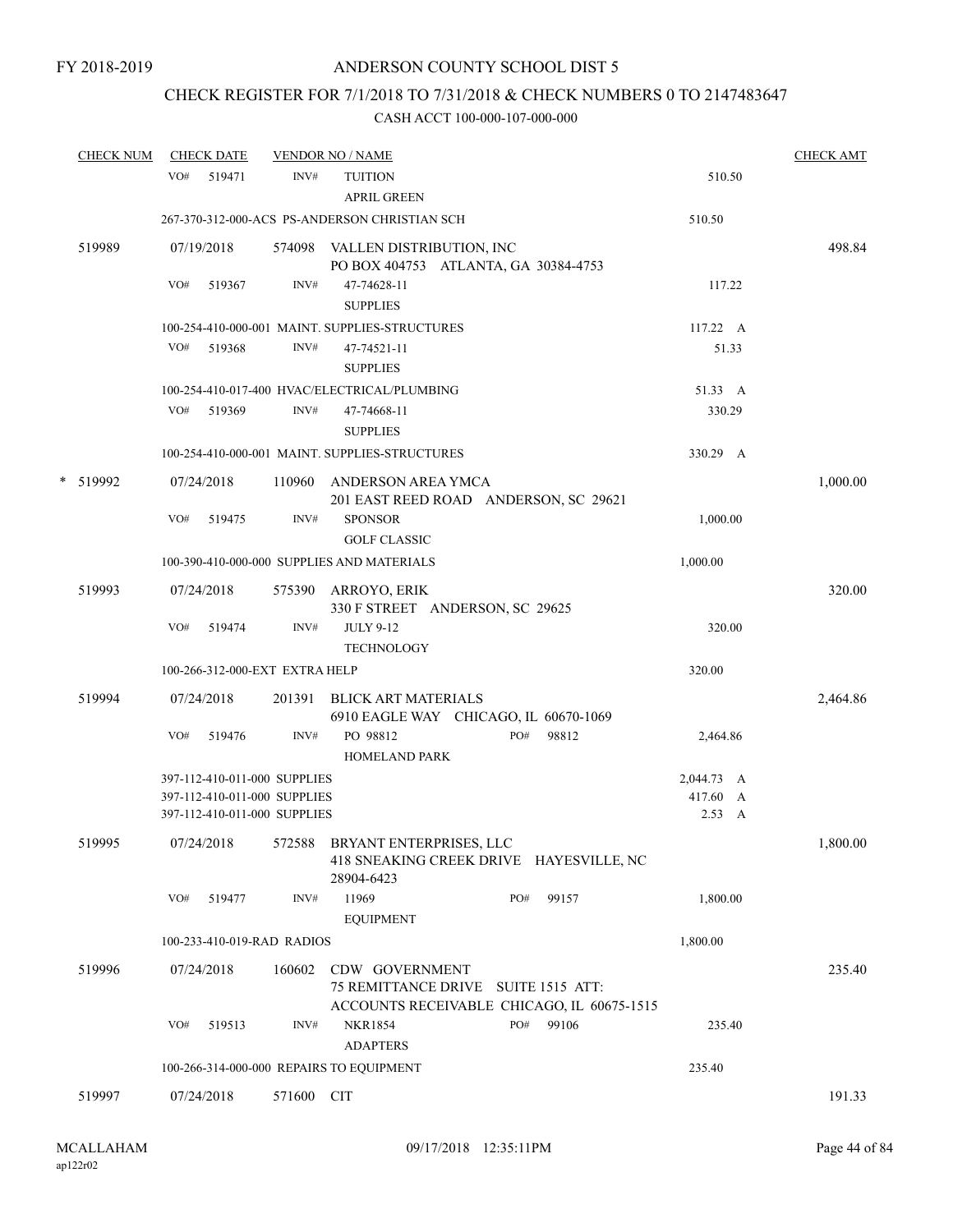## CHECK REGISTER FOR 7/1/2018 TO 7/31/2018 & CHECK NUMBERS 0 TO 2147483647

| <b>CHECK NUM</b> | <b>CHECK DATE</b> |                                |            | <b>VENDOR NO / NAME</b>                                                                            |     |       |                  | <b>CHECK AMT</b> |
|------------------|-------------------|--------------------------------|------------|----------------------------------------------------------------------------------------------------|-----|-------|------------------|------------------|
|                  | VO# 519471        |                                | INV#       | <b>TUITION</b><br><b>APRIL GREEN</b>                                                               |     |       | 510.50           |                  |
|                  |                   |                                |            | 267-370-312-000-ACS PS-ANDERSON CHRISTIAN SCH                                                      |     |       | 510.50           |                  |
| 519989           | 07/19/2018        |                                |            | 574098 VALLEN DISTRIBUTION, INC<br>PO BOX 404753 ATLANTA, GA 30384-4753                            |     |       |                  | 498.84           |
|                  | VO#               | 519367                         | INV#       | 47-74628-11<br><b>SUPPLIES</b>                                                                     |     |       | 117.22           |                  |
|                  |                   |                                |            | 100-254-410-000-001 MAINT. SUPPLIES-STRUCTURES                                                     |     |       | $117.22 \quad A$ |                  |
|                  | VO#               | 519368                         | INV#       | 47-74521-11<br><b>SUPPLIES</b>                                                                     |     |       | 51.33            |                  |
|                  |                   |                                |            | 100-254-410-017-400 HVAC/ELECTRICAL/PLUMBING                                                       |     |       | 51.33 A          |                  |
|                  | VO# 519369        |                                | INV#       | 47-74668-11<br><b>SUPPLIES</b>                                                                     |     |       | 330.29           |                  |
|                  |                   |                                |            | 100-254-410-000-001 MAINT. SUPPLIES-STRUCTURES                                                     |     |       | 330.29 A         |                  |
| * 519992         | 07/24/2018        |                                |            | 110960 ANDERSON AREA YMCA<br>201 EAST REED ROAD ANDERSON, SC 29621                                 |     |       |                  | 1,000.00         |
|                  | VO#               | 519475                         | INV#       | <b>SPONSOR</b><br><b>GOLF CLASSIC</b>                                                              |     |       | 1,000.00         |                  |
|                  |                   |                                |            | 100-390-410-000-000 SUPPLIES AND MATERIALS                                                         |     |       | 1,000.00         |                  |
| 519993           | 07/24/2018        |                                |            | 575390 ARROYO, ERIK<br>330 F STREET ANDERSON, SC 29625                                             |     |       |                  | 320.00           |
|                  | VO#               | 519474                         | INV#       | <b>JULY 9-12</b><br><b>TECHNOLOGY</b>                                                              |     |       | 320.00           |                  |
|                  |                   | 100-266-312-000-EXT EXTRA HELP |            |                                                                                                    |     |       | 320.00           |                  |
| 519994           | 07/24/2018        |                                | 201391     | BLICK ART MATERIALS<br>6910 EAGLE WAY CHICAGO, IL 60670-1069                                       |     |       |                  | 2,464.86         |
|                  | VO#               | 519476                         | INV#       | PO 98812<br>HOMELAND PARK                                                                          | PO# | 98812 | 2,464.86         |                  |
|                  |                   | 397-112-410-011-000 SUPPLIES   |            |                                                                                                    |     |       | 2,044.73 A       |                  |
|                  |                   | 397-112-410-011-000 SUPPLIES   |            |                                                                                                    |     |       | 417.60 A         |                  |
|                  |                   | 397-112-410-011-000 SUPPLIES   |            |                                                                                                    |     |       | 2.53 A           |                  |
| 519995           |                   |                                |            | 07/24/2018 572588 BRYANT ENTERPRISES, LLC<br>418 SNEAKING CREEK DRIVE HAYESVILLE, NC<br>28904-6423 |     |       |                  | 1,800.00         |
|                  | VO# 519477        |                                | INV#       | 11969<br><b>EQUIPMENT</b>                                                                          | PO# | 99157 | 1,800.00         |                  |
|                  |                   | 100-233-410-019-RAD RADIOS     |            |                                                                                                    |     |       | 1,800.00         |                  |
| 519996           | 07/24/2018        |                                | 160602     | CDW GOVERNMENT<br>75 REMITTANCE DRIVE SUITE 1515 ATT:                                              |     |       |                  | 235.40           |
|                  | VO#               | 519513                         | INV#       | ACCOUNTS RECEIVABLE CHICAGO, IL 60675-1515<br><b>NKR1854</b><br><b>ADAPTERS</b>                    | PO# | 99106 | 235.40           |                  |
|                  |                   |                                |            | 100-266-314-000-000 REPAIRS TO EQUIPMENT                                                           |     |       | 235.40           |                  |
|                  |                   |                                |            |                                                                                                    |     |       |                  |                  |
| 519997           | 07/24/2018        |                                | 571600 CIT |                                                                                                    |     |       |                  | 191.33           |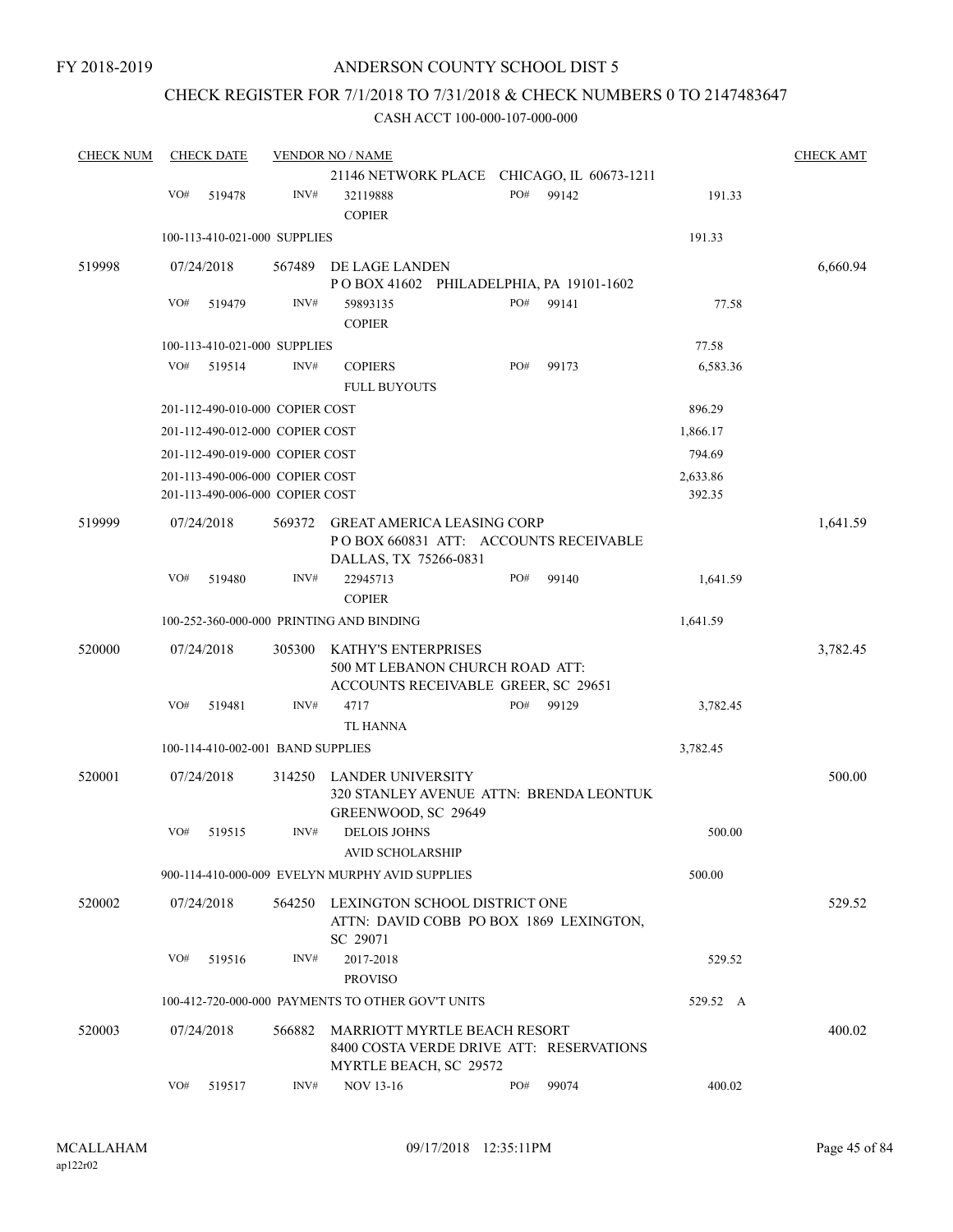FY 2018-2019

## ANDERSON COUNTY SCHOOL DIST 5

## CHECK REGISTER FOR 7/1/2018 TO 7/31/2018 & CHECK NUMBERS 0 TO 2147483647

| <b>CHECK NUM</b> |     | <b>CHECK DATE</b>                 |        | <b>VENDOR NO / NAME</b>                                                                              |     |       |          | <b>CHECK AMT</b> |
|------------------|-----|-----------------------------------|--------|------------------------------------------------------------------------------------------------------|-----|-------|----------|------------------|
|                  |     |                                   |        | 21146 NETWORK PLACE CHICAGO, IL 60673-1211                                                           |     |       |          |                  |
|                  | VO# | 519478                            | INV#   | 32119888<br><b>COPIER</b>                                                                            | PO# | 99142 | 191.33   |                  |
|                  |     | 100-113-410-021-000 SUPPLIES      |        |                                                                                                      |     |       | 191.33   |                  |
| 519998           |     | 07/24/2018                        | 567489 | DE LAGE LANDEN                                                                                       |     |       |          | 6,660.94         |
|                  |     |                                   |        | POBOX 41602 PHILADELPHIA, PA 19101-1602                                                              |     |       |          |                  |
|                  | VO# | 519479                            | INV#   | 59893135                                                                                             | PO# | 99141 | 77.58    |                  |
|                  |     |                                   |        | <b>COPIER</b>                                                                                        |     |       |          |                  |
|                  |     | 100-113-410-021-000 SUPPLIES      |        |                                                                                                      |     |       | 77.58    |                  |
|                  | VO# | 519514                            | INV#   | <b>COPIERS</b><br><b>FULL BUYOUTS</b>                                                                | PO# | 99173 | 6,583.36 |                  |
|                  |     | 201-112-490-010-000 COPIER COST   |        |                                                                                                      |     |       | 896.29   |                  |
|                  |     | 201-112-490-012-000 COPIER COST   |        |                                                                                                      |     |       | 1,866.17 |                  |
|                  |     | 201-112-490-019-000 COPIER COST   |        |                                                                                                      |     |       | 794.69   |                  |
|                  |     | 201-113-490-006-000 COPIER COST   |        |                                                                                                      |     |       | 2,633.86 |                  |
|                  |     | 201-113-490-006-000 COPIER COST   |        |                                                                                                      |     |       | 392.35   |                  |
| 519999           |     | 07/24/2018                        | 569372 | <b>GREAT AMERICA LEASING CORP</b><br>PO BOX 660831 ATT: ACCOUNTS RECEIVABLE<br>DALLAS, TX 75266-0831 |     |       |          | 1,641.59         |
|                  | VO# | 519480                            | INV#   | 22945713<br><b>COPIER</b>                                                                            | PO# | 99140 | 1,641.59 |                  |
|                  |     |                                   |        | 100-252-360-000-000 PRINTING AND BINDING                                                             |     |       | 1,641.59 |                  |
| 520000           |     | 07/24/2018                        | 305300 | KATHY'S ENTERPRISES<br>500 MT LEBANON CHURCH ROAD ATT:<br>ACCOUNTS RECEIVABLE GREER, SC 29651        |     |       |          | 3,782.45         |
|                  | VO# | 519481                            | INV#   | 4717                                                                                                 | PO# | 99129 | 3,782.45 |                  |
|                  |     |                                   |        | <b>TL HANNA</b>                                                                                      |     |       |          |                  |
|                  |     | 100-114-410-002-001 BAND SUPPLIES |        |                                                                                                      |     |       | 3,782.45 |                  |
| 520001           |     | 07/24/2018                        | 314250 | LANDER UNIVERSITY<br>320 STANLEY AVENUE ATTN: BRENDA LEONTUK<br>GREENWOOD, SC 29649                  |     |       |          | 500.00           |
|                  | VO# | 519515                            | INV#   | <b>DELOIS JOHNS</b><br><b>AVID SCHOLARSHIP</b>                                                       |     |       | 500.00   |                  |
|                  |     |                                   |        | 900-114-410-000-009 EVELYN MURPHY AVID SUPPLIES                                                      |     |       | 500.00   |                  |
| 520002           |     | 07/24/2018                        | 564250 | LEXINGTON SCHOOL DISTRICT ONE<br>ATTN: DAVID COBB PO BOX 1869 LEXINGTON,<br>SC 29071                 |     |       |          | 529.52           |
|                  | VO# | 519516                            | INV#   | 2017-2018                                                                                            |     |       | 529.52   |                  |
|                  |     |                                   |        | <b>PROVISO</b>                                                                                       |     |       |          |                  |
|                  |     |                                   |        | 100-412-720-000-000 PAYMENTS TO OTHER GOV'T UNITS                                                    |     |       | 529.52 A |                  |
| 520003           |     | 07/24/2018                        | 566882 | MARRIOTT MYRTLE BEACH RESORT<br>8400 COSTA VERDE DRIVE ATT: RESERVATIONS<br>MYRTLE BEACH, SC 29572   |     |       |          | 400.02           |
|                  | VO# | 519517                            | INV#   | <b>NOV 13-16</b>                                                                                     | PO# | 99074 | 400.02   |                  |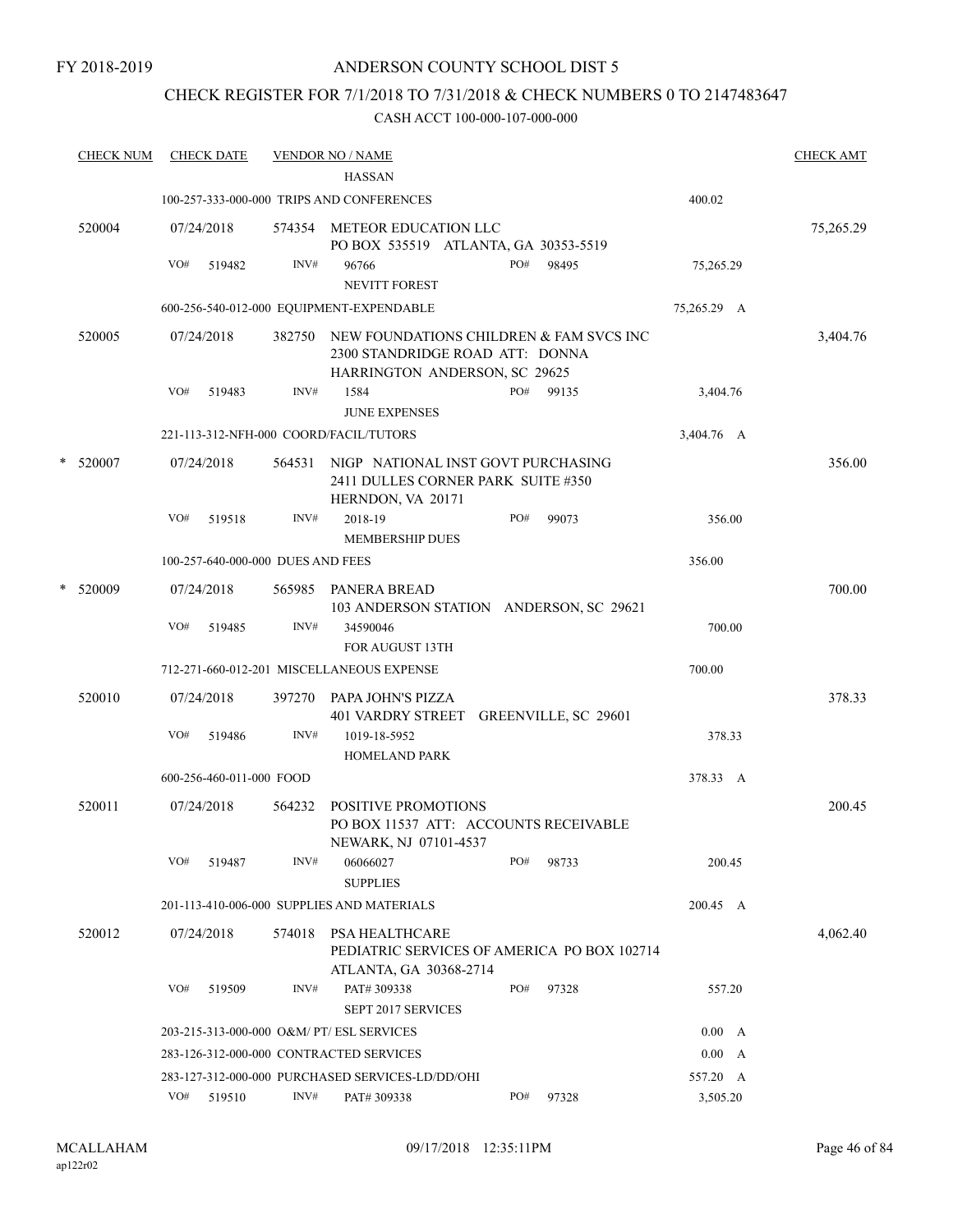### FY 2018-2019

## ANDERSON COUNTY SCHOOL DIST 5

## CHECK REGISTER FOR 7/1/2018 TO 7/31/2018 & CHECK NUMBERS 0 TO 2147483647

|   | <b>CHECK NUM</b> |     | <b>CHECK DATE</b>                 |        | <b>VENDOR NO / NAME</b>                                                                                     |     |       |               | <b>CHECK AMT</b> |
|---|------------------|-----|-----------------------------------|--------|-------------------------------------------------------------------------------------------------------------|-----|-------|---------------|------------------|
|   |                  |     |                                   |        | <b>HASSAN</b>                                                                                               |     |       |               |                  |
|   |                  |     |                                   |        | 100-257-333-000-000 TRIPS AND CONFERENCES                                                                   |     |       | 400.02        |                  |
|   | 520004           |     | 07/24/2018                        | 574354 | METEOR EDUCATION LLC<br>PO BOX 535519 ATLANTA, GA 30353-5519                                                |     |       |               | 75,265.29        |
|   |                  | VO# | 519482                            | INV#   | 96766                                                                                                       | PO# | 98495 | 75,265.29     |                  |
|   |                  |     |                                   |        | <b>NEVITT FOREST</b>                                                                                        |     |       |               |                  |
|   |                  |     |                                   |        | 600-256-540-012-000 EQUIPMENT-EXPENDABLE                                                                    |     |       | 75,265.29 A   |                  |
|   | 520005           |     | 07/24/2018                        | 382750 | NEW FOUNDATIONS CHILDREN & FAM SVCS INC<br>2300 STANDRIDGE ROAD ATT: DONNA<br>HARRINGTON ANDERSON, SC 29625 |     |       |               | 3,404.76         |
|   |                  | VO# | 519483                            | INV#   | 1584                                                                                                        | PO# | 99135 | 3,404.76      |                  |
|   |                  |     |                                   |        | <b>JUNE EXPENSES</b>                                                                                        |     |       |               |                  |
|   |                  |     |                                   |        | 221-113-312-NFH-000 COORD/FACIL/TUTORS                                                                      |     |       | 3,404.76 A    |                  |
| * | 520007           |     | 07/24/2018                        | 564531 | NIGP NATIONAL INST GOVT PURCHASING<br>2411 DULLES CORNER PARK SUITE #350<br>HERNDON, VA 20171               |     |       |               | 356.00           |
|   |                  | VO# | 519518                            | INV#   | 2018-19<br><b>MEMBERSHIP DUES</b>                                                                           | PO# | 99073 | 356.00        |                  |
|   |                  |     | 100-257-640-000-000 DUES AND FEES |        |                                                                                                             |     |       | 356.00        |                  |
|   | * 520009         |     | 07/24/2018                        |        | 565985 PANERA BREAD<br>103 ANDERSON STATION ANDERSON, SC 29621                                              |     |       |               | 700.00           |
|   |                  | VO# | 519485                            | INV#   | 34590046<br><b>FOR AUGUST 13TH</b>                                                                          |     |       | 700.00        |                  |
|   |                  |     |                                   |        | 712-271-660-012-201 MISCELLANEOUS EXPENSE                                                                   |     |       | 700.00        |                  |
|   | 520010           |     | 07/24/2018                        | 397270 | PAPA JOHN'S PIZZA<br>401 VARDRY STREET GREENVILLE, SC 29601                                                 |     |       |               | 378.33           |
|   |                  | VO# | 519486                            | INV#   | 1019-18-5952<br><b>HOMELAND PARK</b>                                                                        |     |       | 378.33        |                  |
|   |                  |     | 600-256-460-011-000 FOOD          |        |                                                                                                             |     |       | 378.33 A      |                  |
|   | 520011           |     | 07/24/2018                        | 564232 | POSITIVE PROMOTIONS<br>PO BOX 11537 ATT: ACCOUNTS RECEIVABLE                                                |     |       |               | 200.45           |
|   |                  | VO# | 519487                            | INV#   | NEWARK, NJ 07101-4537<br>06066027                                                                           | PO# | 98733 | 200.45        |                  |
|   |                  |     |                                   |        | <b>SUPPLIES</b><br>201-113-410-006-000 SUPPLIES AND MATERIALS                                               |     |       | 200.45 A      |                  |
|   |                  |     |                                   |        |                                                                                                             |     |       |               |                  |
|   | 520012           |     | 07/24/2018                        | 574018 | <b>PSA HEALTHCARE</b><br>PEDIATRIC SERVICES OF AMERICA PO BOX 102714<br>ATLANTA, GA 30368-2714              |     |       |               | 4,062.40         |
|   |                  | VO# | 519509                            | INV#   | PAT# 309338                                                                                                 | PO# | 97328 | 557.20        |                  |
|   |                  |     |                                   |        | SEPT 2017 SERVICES                                                                                          |     |       |               |                  |
|   |                  |     |                                   |        | 203-215-313-000-000 O&M/ PT/ ESL SERVICES                                                                   |     |       | 0.00 A        |                  |
|   |                  |     |                                   |        | 283-126-312-000-000 CONTRACTED SERVICES                                                                     |     |       | $0.00\quad A$ |                  |
|   |                  |     |                                   |        | 283-127-312-000-000 PURCHASED SERVICES-LD/DD/OHI                                                            |     |       | 557.20 A      |                  |
|   |                  |     | VO# 519510                        | INV#   | PAT# 309338                                                                                                 | PO# | 97328 | 3,505.20      |                  |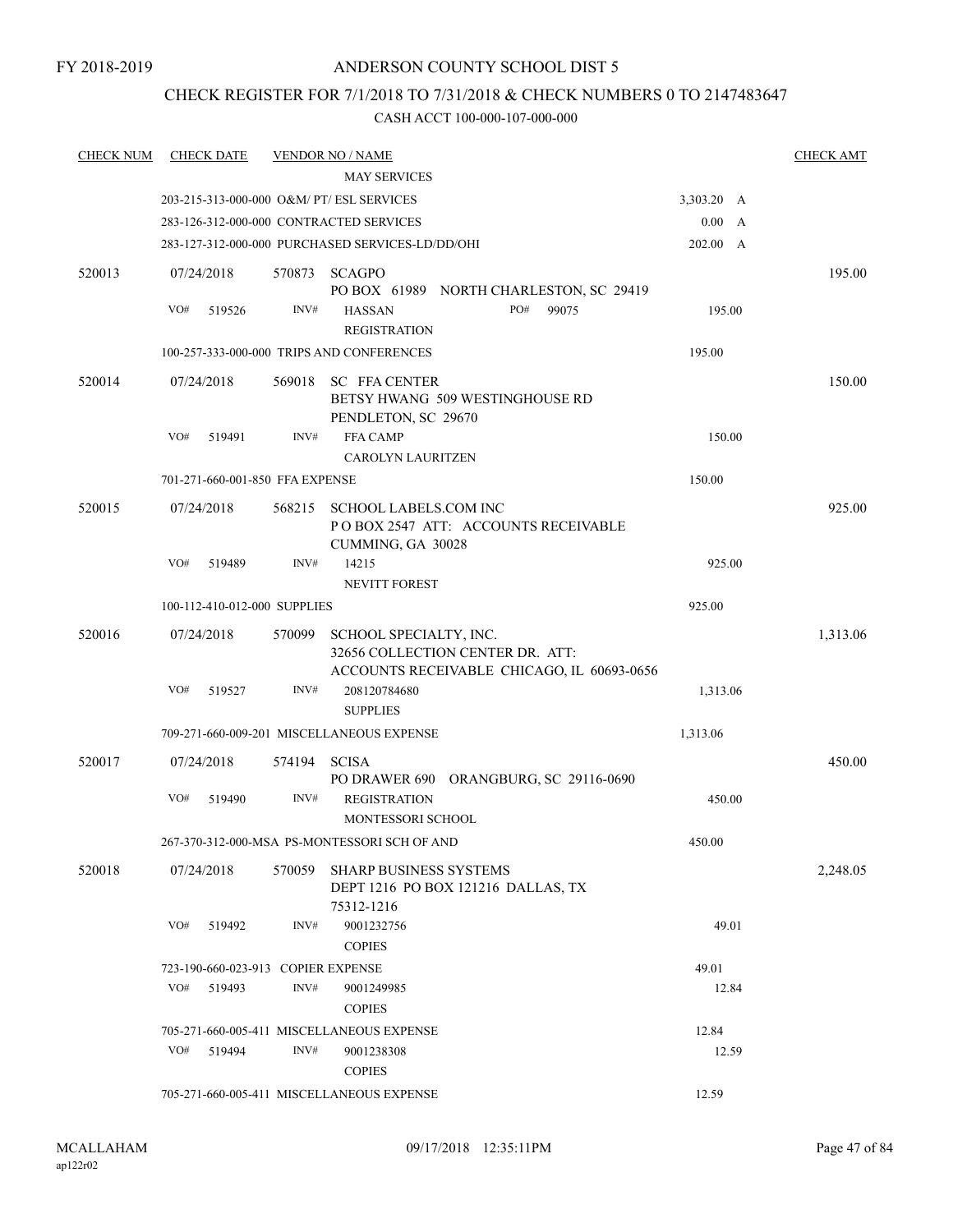## CHECK REGISTER FOR 7/1/2018 TO 7/31/2018 & CHECK NUMBERS 0 TO 2147483647

| <b>CHECK NUM</b> | <b>CHECK DATE</b>                  |        | <b>VENDOR NO / NAME</b>                                                                                  |            |   | <b>CHECK AMT</b> |
|------------------|------------------------------------|--------|----------------------------------------------------------------------------------------------------------|------------|---|------------------|
|                  |                                    |        | <b>MAY SERVICES</b>                                                                                      |            |   |                  |
|                  |                                    |        | 203-215-313-000-000 O&M/ PT/ ESL SERVICES                                                                | 3,303.20 A |   |                  |
|                  |                                    |        | 283-126-312-000-000 CONTRACTED SERVICES                                                                  | 0.00       | A |                  |
|                  |                                    |        | 283-127-312-000-000 PURCHASED SERVICES-LD/DD/OHI                                                         | 202.00 A   |   |                  |
| 520013           | 07/24/2018                         |        | 570873 SCAGPO<br>PO BOX 61989 NORTH CHARLESTON, SC 29419                                                 |            |   | 195.00           |
|                  | VO#<br>519526                      | INV#   | PO#<br>99075<br><b>HASSAN</b><br><b>REGISTRATION</b>                                                     | 195.00     |   |                  |
|                  |                                    |        | 100-257-333-000-000 TRIPS AND CONFERENCES                                                                | 195.00     |   |                  |
| 520014           | 07/24/2018                         | 569018 | <b>SC FFA CENTER</b><br>BETSY HWANG 509 WESTINGHOUSE RD<br>PENDLETON, SC 29670                           |            |   | 150.00           |
|                  | VO#<br>519491                      | INV#   | <b>FFA CAMP</b><br><b>CAROLYN LAURITZEN</b>                                                              | 150.00     |   |                  |
|                  | 701-271-660-001-850 FFA EXPENSE    |        |                                                                                                          | 150.00     |   |                  |
| 520015           | 07/24/2018                         | 568215 | <b>SCHOOL LABELS.COM INC</b><br>PO BOX 2547 ATT: ACCOUNTS RECEIVABLE<br>CUMMING, GA 30028                |            |   | 925.00           |
|                  | VO#<br>519489                      | INV#   | 14215                                                                                                    | 925.00     |   |                  |
|                  |                                    |        | <b>NEVITT FOREST</b>                                                                                     |            |   |                  |
|                  | 100-112-410-012-000 SUPPLIES       |        |                                                                                                          | 925.00     |   |                  |
| 520016           | 07/24/2018                         | 570099 | SCHOOL SPECIALTY, INC.<br>32656 COLLECTION CENTER DR. ATT:<br>ACCOUNTS RECEIVABLE CHICAGO, IL 60693-0656 |            |   | 1,313.06         |
|                  | VO#<br>519527                      | INV#   | 208120784680<br><b>SUPPLIES</b>                                                                          | 1,313.06   |   |                  |
|                  |                                    |        | 709-271-660-009-201 MISCELLANEOUS EXPENSE                                                                | 1,313.06   |   |                  |
| 520017           | 07/24/2018                         | 574194 | <b>SCISA</b><br>PO DRAWER 690 ORANGBURG, SC 29116-0690                                                   |            |   | 450.00           |
|                  | VO#<br>519490                      | INV#   | <b>REGISTRATION</b><br>MONTESSORI SCHOOL                                                                 | 450.00     |   |                  |
|                  |                                    |        | 267-370-312-000-MSA PS-MONTESSORI SCH OF AND                                                             | 450.00     |   |                  |
| 520018           | 07/24/2018                         | 570059 | <b>SHARP BUSINESS SYSTEMS</b><br>DEPT 1216 PO BOX 121216 DALLAS, TX<br>75312-1216                        |            |   | 2,248.05         |
|                  | VO#<br>519492                      | INV#   | 9001232756<br><b>COPIES</b>                                                                              | 49.01      |   |                  |
|                  | 723-190-660-023-913 COPIER EXPENSE |        |                                                                                                          | 49.01      |   |                  |
|                  | VO#<br>519493                      | INV#   | 9001249985<br><b>COPIES</b>                                                                              | 12.84      |   |                  |
|                  |                                    |        | 705-271-660-005-411 MISCELLANEOUS EXPENSE                                                                | 12.84      |   |                  |
|                  | VO#<br>519494                      | INV#   | 9001238308<br><b>COPIES</b>                                                                              | 12.59      |   |                  |
|                  |                                    |        | 705-271-660-005-411 MISCELLANEOUS EXPENSE                                                                | 12.59      |   |                  |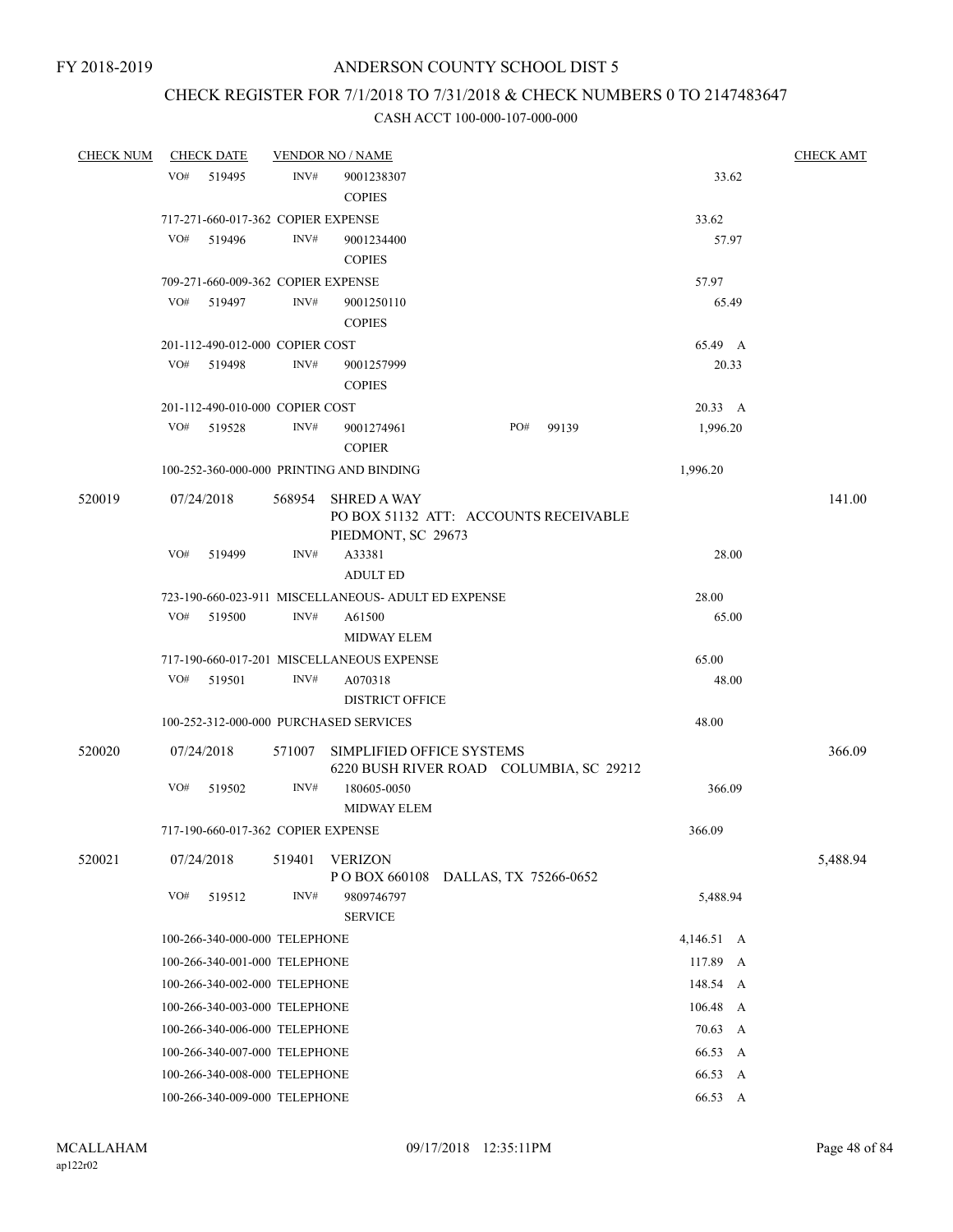## CHECK REGISTER FOR 7/1/2018 TO 7/31/2018 & CHECK NUMBERS 0 TO 2147483647

| <b>CHECK NUM</b> | <b>CHECK DATE</b>                  |        | <b>VENDOR NO / NAME</b>                                                           |                       |       |            | <b>CHECK AMT</b> |
|------------------|------------------------------------|--------|-----------------------------------------------------------------------------------|-----------------------|-------|------------|------------------|
|                  | VO#<br>519495                      | INV#   | 9001238307<br><b>COPIES</b>                                                       |                       |       | 33.62      |                  |
|                  | 717-271-660-017-362 COPIER EXPENSE |        |                                                                                   |                       |       | 33.62      |                  |
|                  | VO#<br>519496                      | INV#   | 9001234400<br><b>COPIES</b>                                                       |                       |       | 57.97      |                  |
|                  | 709-271-660-009-362 COPIER EXPENSE |        |                                                                                   |                       |       | 57.97      |                  |
|                  | VO#<br>519497                      | INV#   | 9001250110<br><b>COPIES</b>                                                       |                       |       | 65.49      |                  |
|                  | 201-112-490-012-000 COPIER COST    |        |                                                                                   |                       |       | 65.49 A    |                  |
|                  | VO#<br>519498                      | INV#   | 9001257999<br><b>COPIES</b>                                                       |                       |       | 20.33      |                  |
|                  | 201-112-490-010-000 COPIER COST    |        |                                                                                   |                       |       | 20.33 A    |                  |
|                  | VO#<br>519528                      | INV#   | 9001274961<br><b>COPIER</b>                                                       | PO#                   | 99139 | 1,996.20   |                  |
|                  |                                    |        | 100-252-360-000-000 PRINTING AND BINDING                                          |                       |       | 1,996.20   |                  |
| 520019           | 07/24/2018                         | 568954 | <b>SHRED A WAY</b><br>PO BOX 51132 ATT: ACCOUNTS RECEIVABLE<br>PIEDMONT, SC 29673 |                       |       |            | 141.00           |
|                  | VO#<br>519499                      | INV#   | A33381<br><b>ADULT ED</b>                                                         |                       |       | 28.00      |                  |
|                  |                                    |        | 723-190-660-023-911 MISCELLANEOUS- ADULT ED EXPENSE                               |                       |       | 28.00      |                  |
|                  | VO#<br>519500                      | INV#   | A61500<br><b>MIDWAY ELEM</b>                                                      |                       |       | 65.00      |                  |
|                  |                                    |        | 717-190-660-017-201 MISCELLANEOUS EXPENSE                                         |                       |       | 65.00      |                  |
|                  | VO#<br>519501                      | INV#   | A070318<br><b>DISTRICT OFFICE</b>                                                 |                       |       | 48.00      |                  |
|                  |                                    |        | 100-252-312-000-000 PURCHASED SERVICES                                            |                       |       | 48.00      |                  |
| 520020           | 07/24/2018                         | 571007 | SIMPLIFIED OFFICE SYSTEMS<br>6220 BUSH RIVER ROAD COLUMBIA, SC 29212              |                       |       |            | 366.09           |
|                  | VO#<br>519502                      | INV#   | 180605-0050<br><b>MIDWAY ELEM</b>                                                 |                       |       | 366.09     |                  |
|                  | 717-190-660-017-362 COPIER EXPENSE |        |                                                                                   |                       |       | 366.09     |                  |
| 520021           | 07/24/2018                         | 519401 | <b>VERIZON</b><br>P O BOX 660108                                                  | DALLAS, TX 75266-0652 |       |            | 5,488.94         |
|                  | VO#<br>519512                      | INV#   | 9809746797<br><b>SERVICE</b>                                                      |                       |       | 5,488.94   |                  |
|                  | 100-266-340-000-000 TELEPHONE      |        |                                                                                   |                       |       | 4,146.51 A |                  |
|                  | 100-266-340-001-000 TELEPHONE      |        |                                                                                   |                       |       | 117.89 A   |                  |
|                  | 100-266-340-002-000 TELEPHONE      |        |                                                                                   |                       |       | 148.54 A   |                  |
|                  | 100-266-340-003-000 TELEPHONE      |        |                                                                                   |                       |       | 106.48 A   |                  |
|                  | 100-266-340-006-000 TELEPHONE      |        |                                                                                   |                       |       | 70.63 A    |                  |
|                  | 100-266-340-007-000 TELEPHONE      |        |                                                                                   |                       |       | 66.53<br>A |                  |
|                  | 100-266-340-008-000 TELEPHONE      |        |                                                                                   |                       |       | 66.53 A    |                  |
|                  | 100-266-340-009-000 TELEPHONE      |        | 66.53 A                                                                           |                       |       |            |                  |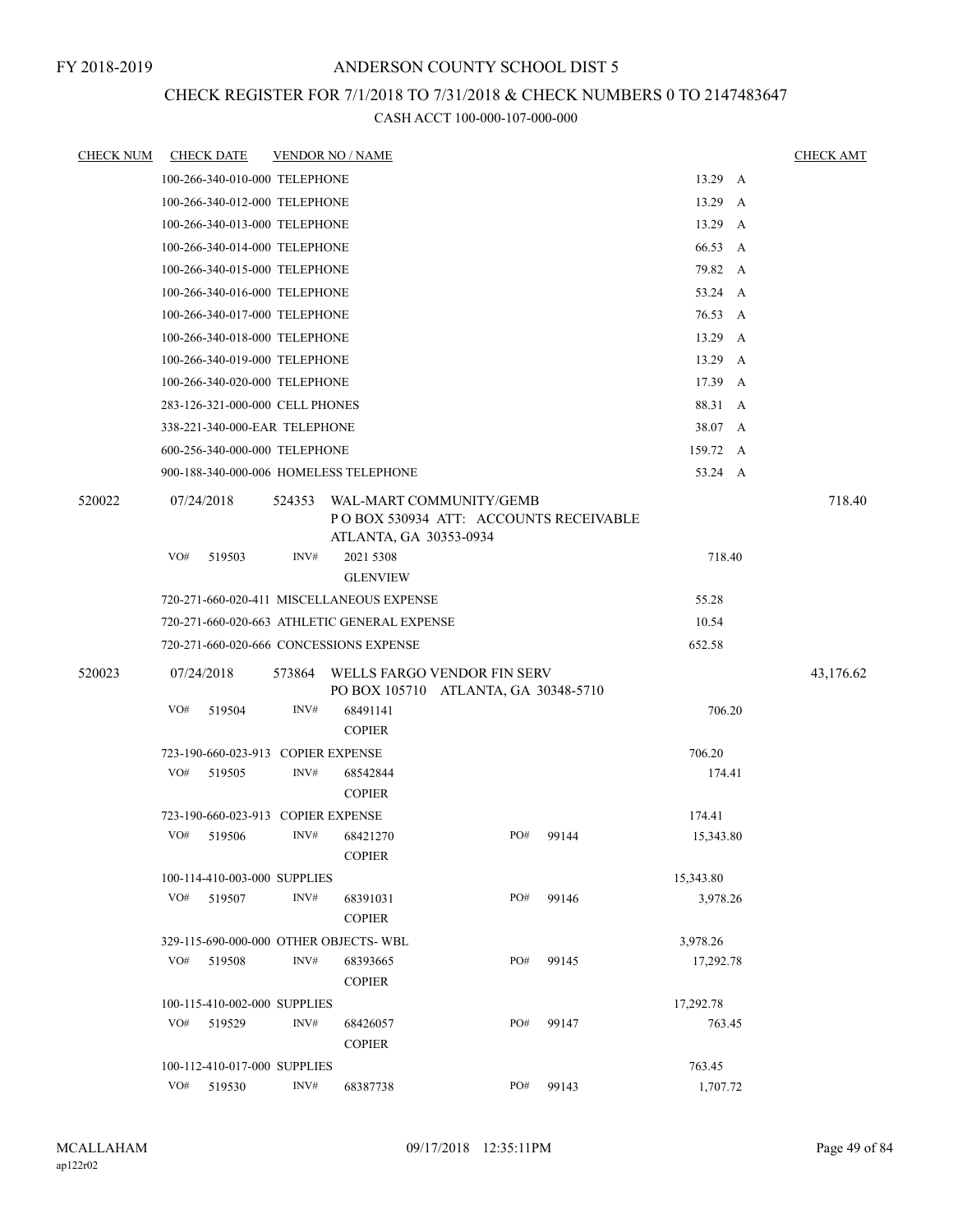## CHECK REGISTER FOR 7/1/2018 TO 7/31/2018 & CHECK NUMBERS 0 TO 2147483647

| <b>CHECK NUM</b> |     | <b>CHECK DATE</b>                  |        | <b>VENDOR NO / NAME</b>                                             |     |                                       |           |              | <b>CHECK AMT</b> |
|------------------|-----|------------------------------------|--------|---------------------------------------------------------------------|-----|---------------------------------------|-----------|--------------|------------------|
|                  |     | 100-266-340-010-000 TELEPHONE      |        |                                                                     |     |                                       | 13.29 A   |              |                  |
|                  |     | 100-266-340-012-000 TELEPHONE      |        |                                                                     |     |                                       | 13.29     | A            |                  |
|                  |     | 100-266-340-013-000 TELEPHONE      |        |                                                                     |     |                                       | 13.29 A   |              |                  |
|                  |     | 100-266-340-014-000 TELEPHONE      |        |                                                                     |     |                                       | 66.53     | A            |                  |
|                  |     | 100-266-340-015-000 TELEPHONE      |        |                                                                     |     |                                       | 79.82 A   |              |                  |
|                  |     | 100-266-340-016-000 TELEPHONE      |        |                                                                     |     |                                       | 53.24 A   |              |                  |
|                  |     | 100-266-340-017-000 TELEPHONE      |        |                                                                     |     |                                       | 76.53 A   |              |                  |
|                  |     | 100-266-340-018-000 TELEPHONE      |        |                                                                     |     |                                       | 13.29     | A            |                  |
|                  |     | 100-266-340-019-000 TELEPHONE      |        |                                                                     |     |                                       | 13.29     | $\mathbf{A}$ |                  |
|                  |     | 100-266-340-020-000 TELEPHONE      |        |                                                                     |     |                                       | 17.39 A   |              |                  |
|                  |     | 283-126-321-000-000 CELL PHONES    |        |                                                                     |     |                                       | 88.31 A   |              |                  |
|                  |     | 338-221-340-000-EAR TELEPHONE      |        |                                                                     |     |                                       | 38.07 A   |              |                  |
|                  |     | 600-256-340-000-000 TELEPHONE      |        |                                                                     |     |                                       | 159.72 A  |              |                  |
|                  |     |                                    |        | 900-188-340-000-006 HOMELESS TELEPHONE                              |     |                                       | 53.24 A   |              |                  |
| 520022           |     | 07/24/2018                         | 524353 | WAL-MART COMMUNITY/GEMB<br>ATLANTA, GA 30353-0934                   |     | POBOX 530934 ATT: ACCOUNTS RECEIVABLE |           |              | 718.40           |
|                  | VO# | 519503                             | INV#   | 2021 5308                                                           |     |                                       | 718.40    |              |                  |
|                  |     |                                    |        | <b>GLENVIEW</b>                                                     |     |                                       |           |              |                  |
|                  |     |                                    |        | 720-271-660-020-411 MISCELLANEOUS EXPENSE                           |     |                                       | 55.28     |              |                  |
|                  |     |                                    |        | 720-271-660-020-663 ATHLETIC GENERAL EXPENSE                        |     |                                       | 10.54     |              |                  |
|                  |     |                                    |        | 720-271-660-020-666 CONCESSIONS EXPENSE                             |     |                                       | 652.58    |              |                  |
| 520023           |     | 07/24/2018                         | 573864 | WELLS FARGO VENDOR FIN SERV<br>PO BOX 105710 ATLANTA, GA 30348-5710 |     |                                       |           |              | 43,176.62        |
|                  | VO# | 519504                             | INV#   | 68491141<br><b>COPIER</b>                                           |     |                                       | 706.20    |              |                  |
|                  |     | 723-190-660-023-913 COPIER EXPENSE |        |                                                                     |     |                                       | 706.20    |              |                  |
|                  | VO# | 519505                             | INV#   | 68542844<br><b>COPIER</b>                                           |     |                                       | 174.41    |              |                  |
|                  |     | 723-190-660-023-913 COPIER EXPENSE |        |                                                                     |     |                                       | 174.41    |              |                  |
|                  | VO# | 519506                             | INV#   | 68421270<br><b>COPIER</b>                                           | PO# | 99144                                 | 15,343.80 |              |                  |
|                  |     | 100-114-410-003-000 SUPPLIES       |        |                                                                     |     |                                       | 15,343.80 |              |                  |
|                  | VO# | 519507                             | INV#   | 68391031<br><b>COPIER</b>                                           | PO# | 99146                                 | 3,978.26  |              |                  |
|                  |     |                                    |        | 329-115-690-000-000 OTHER OBJECTS-WBL                               |     |                                       | 3,978.26  |              |                  |
|                  | VO# | 519508                             | INV#   | 68393665<br><b>COPIER</b>                                           | PO# | 99145                                 | 17,292.78 |              |                  |
|                  |     | 100-115-410-002-000 SUPPLIES       |        |                                                                     |     |                                       | 17,292.78 |              |                  |
|                  | VO# | 519529                             | INV#   | 68426057<br><b>COPIER</b>                                           | PO# | 99147                                 | 763.45    |              |                  |
|                  |     | 100-112-410-017-000 SUPPLIES       |        |                                                                     |     |                                       | 763.45    |              |                  |
|                  | VO# | 519530                             | INV#   | 68387738                                                            | PO# | 99143                                 | 1,707.72  |              |                  |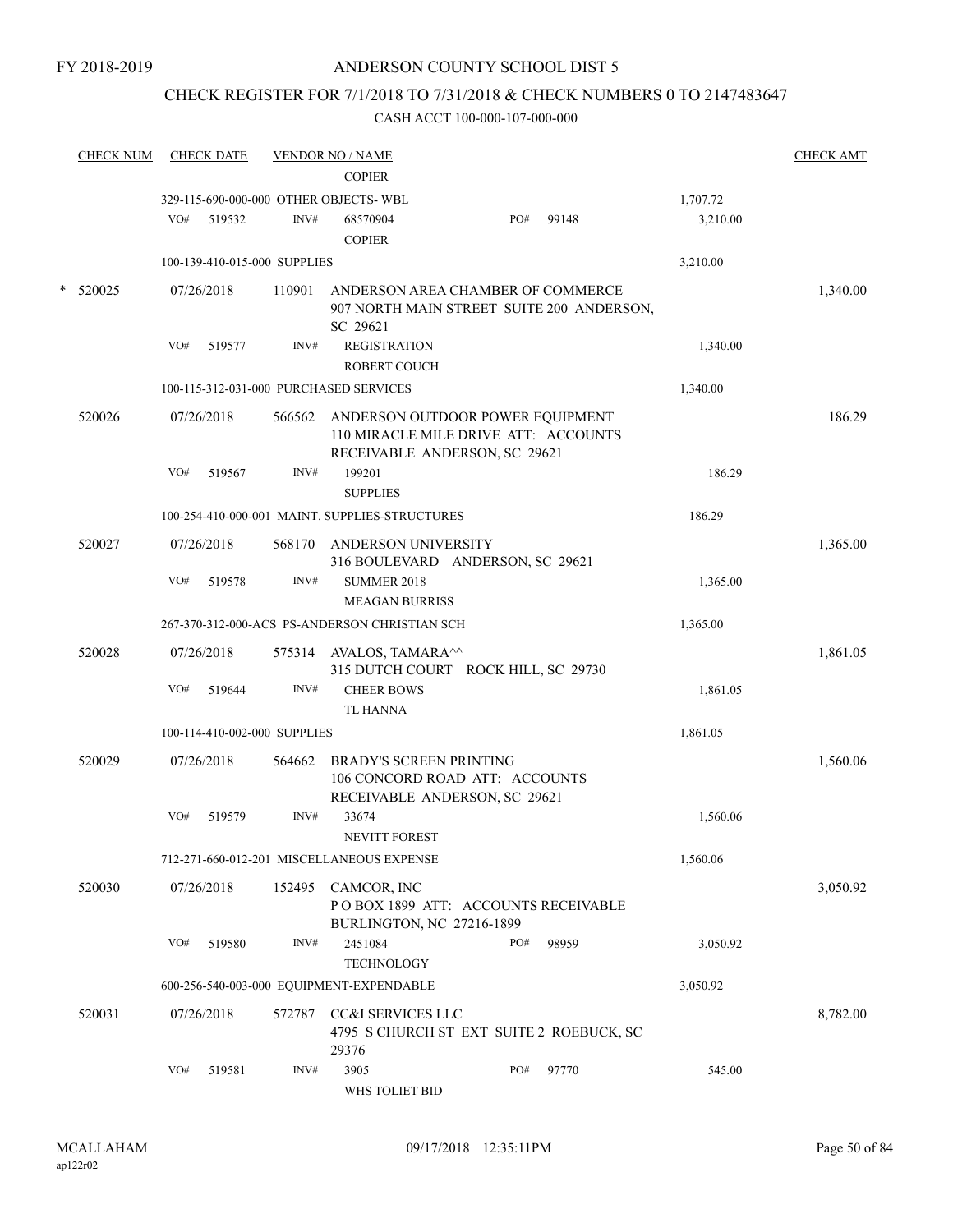## CHECK REGISTER FOR 7/1/2018 TO 7/31/2018 & CHECK NUMBERS 0 TO 2147483647

| <b>CHECK NUM</b> |     | <b>CHECK DATE</b>            |        | <b>VENDOR NO / NAME</b><br><b>COPIER</b>        |                                                                                                           |       |          | <b>CHECK AMT</b> |
|------------------|-----|------------------------------|--------|-------------------------------------------------|-----------------------------------------------------------------------------------------------------------|-------|----------|------------------|
|                  |     |                              |        | 329-115-690-000-000 OTHER OBJECTS- WBL          |                                                                                                           |       | 1,707.72 |                  |
|                  | VO# | 519532                       | INV#   | 68570904<br><b>COPIER</b>                       | PO#                                                                                                       | 99148 | 3,210.00 |                  |
|                  |     | 100-139-410-015-000 SUPPLIES |        |                                                 |                                                                                                           |       | 3,210.00 |                  |
| 520025           |     | 07/26/2018                   | 110901 | ANDERSON AREA CHAMBER OF COMMERCE<br>SC 29621   | 907 NORTH MAIN STREET SUITE 200 ANDERSON,                                                                 |       |          | 1,340.00         |
|                  | VO# | 519577                       | INV#   | <b>REGISTRATION</b><br><b>ROBERT COUCH</b>      |                                                                                                           |       | 1,340.00 |                  |
|                  |     |                              |        | 100-115-312-031-000 PURCHASED SERVICES          |                                                                                                           |       | 1,340.00 |                  |
| 520026           |     | 07/26/2018                   | 566562 |                                                 | ANDERSON OUTDOOR POWER EQUIPMENT<br>110 MIRACLE MILE DRIVE ATT: ACCOUNTS<br>RECEIVABLE ANDERSON, SC 29621 |       |          | 186.29           |
|                  | VO# | 519567                       | INV#   | 199201<br><b>SUPPLIES</b>                       |                                                                                                           |       | 186.29   |                  |
|                  |     |                              |        | 100-254-410-000-001 MAINT. SUPPLIES-STRUCTURES  |                                                                                                           |       | 186.29   |                  |
| 520027           |     | 07/26/2018                   | 568170 | ANDERSON UNIVERSITY                             | 316 BOULEVARD ANDERSON, SC 29621                                                                          |       |          | 1,365.00         |
|                  | VO# | 519578                       | INV#   | <b>SUMMER 2018</b>                              |                                                                                                           |       | 1,365.00 |                  |
|                  |     |                              |        | <b>MEAGAN BURRISS</b>                           |                                                                                                           |       |          |                  |
|                  |     |                              |        | 267-370-312-000-ACS PS-ANDERSON CHRISTIAN SCH   |                                                                                                           |       | 1,365.00 |                  |
| 520028           |     | 07/26/2018                   |        | 575314 AVALOS, TAMARA <sup>^^</sup>             | 315 DUTCH COURT ROCK HILL, SC 29730                                                                       |       |          | 1,861.05         |
|                  | VO# | 519644                       | INV#   | <b>CHEER BOWS</b><br><b>TL HANNA</b>            |                                                                                                           |       | 1,861.05 |                  |
|                  |     | 100-114-410-002-000 SUPPLIES |        |                                                 |                                                                                                           |       | 1,861.05 |                  |
| 520029           |     | 07/26/2018                   | 564662 | <b>BRADY'S SCREEN PRINTING</b>                  | 106 CONCORD ROAD ATT: ACCOUNTS<br>RECEIVABLE ANDERSON, SC 29621                                           |       |          | 1,560.06         |
|                  | VO# | 519579                       | INV#   | 33674<br><b>NEVITT FOREST</b>                   |                                                                                                           |       | 1,560.06 |                  |
|                  |     |                              |        | 712-271-660-012-201 MISCELLANEOUS EXPENSE       |                                                                                                           |       | 1,560.06 |                  |
| 520030           |     | 07/26/2018                   |        | 152495 CAMCOR, INC<br>BURLINGTON, NC 27216-1899 | POBOX 1899 ATT: ACCOUNTS RECEIVABLE                                                                       |       |          | 3,050.92         |
|                  | VO# | 519580                       | INV#   | 2451084<br><b>TECHNOLOGY</b>                    | PO#                                                                                                       | 98959 | 3,050.92 |                  |
|                  |     |                              |        | 600-256-540-003-000 EQUIPMENT-EXPENDABLE        |                                                                                                           |       | 3,050.92 |                  |
| 520031           |     | 07/26/2018                   | 572787 | CC&I SERVICES LLC<br>29376                      | 4795 S CHURCH ST EXT SUITE 2 ROEBUCK, SC                                                                  |       |          | 8,782.00         |
|                  | VO# | 519581                       | INV#   | 3905<br>WHS TOLIET BID                          | PO#                                                                                                       | 97770 | 545.00   |                  |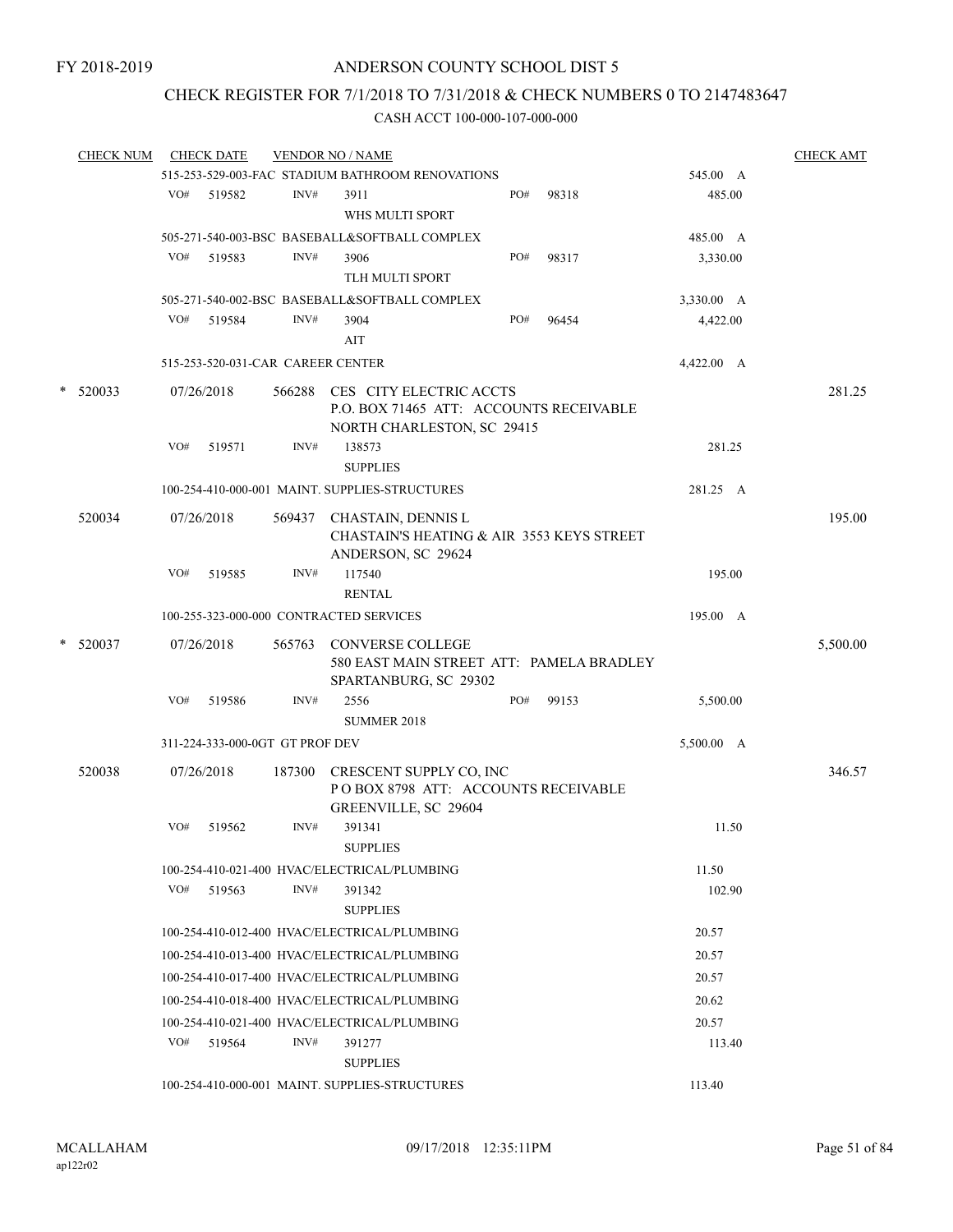## CHECK REGISTER FOR 7/1/2018 TO 7/31/2018 & CHECK NUMBERS 0 TO 2147483647

|        | <b>CHECK NUM</b> |     | <b>CHECK DATE</b>                 |        | <b>VENDOR NO / NAME</b>                                                                                 |     |       |            | <b>CHECK AMT</b> |
|--------|------------------|-----|-----------------------------------|--------|---------------------------------------------------------------------------------------------------------|-----|-------|------------|------------------|
|        |                  |     |                                   |        | 515-253-529-003-FAC STADIUM BATHROOM RENOVATIONS                                                        |     |       | 545.00 A   |                  |
|        |                  |     | VO# 519582                        | INV#   | 3911                                                                                                    | PO# | 98318 | 485.00     |                  |
|        |                  |     |                                   |        | WHS MULTI SPORT                                                                                         |     |       |            |                  |
|        |                  |     |                                   |        | 505-271-540-003-BSC BASEBALL&SOFTBALL COMPLEX                                                           |     |       | 485.00 A   |                  |
|        |                  | VO# | 519583                            | INV#   | 3906                                                                                                    | PO# | 98317 | 3,330.00   |                  |
|        |                  |     |                                   |        | TLH MULTI SPORT                                                                                         |     |       |            |                  |
|        |                  |     |                                   |        | 505-271-540-002-BSC BASEBALL&SOFTBALL COMPLEX                                                           |     |       | 3,330.00 A |                  |
|        |                  | VO# | 519584                            | INV#   | 3904                                                                                                    | PO# | 96454 | 4,422.00   |                  |
|        |                  |     |                                   |        | AIT                                                                                                     |     |       |            |                  |
|        |                  |     | 515-253-520-031-CAR CAREER CENTER |        |                                                                                                         |     |       | 4,422.00 A |                  |
| $\ast$ | 520033           |     | 07/26/2018                        |        | 566288 CES CITY ELECTRIC ACCTS<br>P.O. BOX 71465 ATT: ACCOUNTS RECEIVABLE<br>NORTH CHARLESTON, SC 29415 |     |       |            | 281.25           |
|        |                  | VO# | 519571                            | INV#   | 138573                                                                                                  |     |       | 281.25     |                  |
|        |                  |     |                                   |        | <b>SUPPLIES</b>                                                                                         |     |       |            |                  |
|        |                  |     |                                   |        | 100-254-410-000-001 MAINT. SUPPLIES-STRUCTURES                                                          |     |       | 281.25 A   |                  |
|        | 520034           |     | 07/26/2018                        |        | 569437 CHASTAIN, DENNIS L<br>CHASTAIN'S HEATING & AIR 3553 KEYS STREET<br>ANDERSON, SC 29624            |     |       |            | 195.00           |
|        |                  | VO# | 519585                            | INV#   | 117540<br><b>RENTAL</b>                                                                                 |     |       | 195.00     |                  |
|        |                  |     |                                   |        | 100-255-323-000-000 CONTRACTED SERVICES                                                                 |     |       | 195.00 A   |                  |
|        | $*$ 520037       |     | 07/26/2018                        |        | 565763 CONVERSE COLLEGE<br>580 EAST MAIN STREET ATT: PAMELA BRADLEY<br>SPARTANBURG, SC 29302            |     |       |            | 5,500.00         |
|        |                  | VO# | 519586                            | INV#   | 2556                                                                                                    | PO# | 99153 | 5,500.00   |                  |
|        |                  |     |                                   |        | <b>SUMMER 2018</b>                                                                                      |     |       |            |                  |
|        |                  |     | 311-224-333-000-0GT GT PROF DEV   |        |                                                                                                         |     |       | 5,500.00 A |                  |
|        | 520038           |     | 07/26/2018                        | 187300 | CRESCENT SUPPLY CO, INC<br>POBOX 8798 ATT: ACCOUNTS RECEIVABLE<br>GREENVILLE, SC 29604                  |     |       |            | 346.57           |
|        |                  | VO# | 519562                            | INV#   | 391341                                                                                                  |     |       | 11.50      |                  |
|        |                  |     |                                   |        | <b>SUPPLIES</b>                                                                                         |     |       |            |                  |
|        |                  |     |                                   |        | 100-254-410-021-400 HVAC/ELECTRICAL/PLUMBING                                                            |     |       | 11.50      |                  |
|        |                  | VO# | 519563                            | INV#   | 391342<br><b>SUPPLIES</b>                                                                               |     |       | 102.90     |                  |
|        |                  |     |                                   |        | 100-254-410-012-400 HVAC/ELECTRICAL/PLUMBING                                                            |     |       | 20.57      |                  |
|        |                  |     |                                   |        | 100-254-410-013-400 HVAC/ELECTRICAL/PLUMBING                                                            |     |       | 20.57      |                  |
|        |                  |     |                                   |        | 100-254-410-017-400 HVAC/ELECTRICAL/PLUMBING                                                            |     |       | 20.57      |                  |
|        |                  |     |                                   |        | 100-254-410-018-400 HVAC/ELECTRICAL/PLUMBING                                                            |     |       | 20.62      |                  |
|        |                  |     |                                   |        | 100-254-410-021-400 HVAC/ELECTRICAL/PLUMBING                                                            |     |       | 20.57      |                  |
|        |                  |     | $VO#$ 519564                      | INV#   | 391277                                                                                                  |     |       | 113.40     |                  |
|        |                  |     |                                   |        | <b>SUPPLIES</b>                                                                                         |     |       |            |                  |
|        |                  |     |                                   |        | 100-254-410-000-001 MAINT. SUPPLIES-STRUCTURES                                                          |     |       | 113.40     |                  |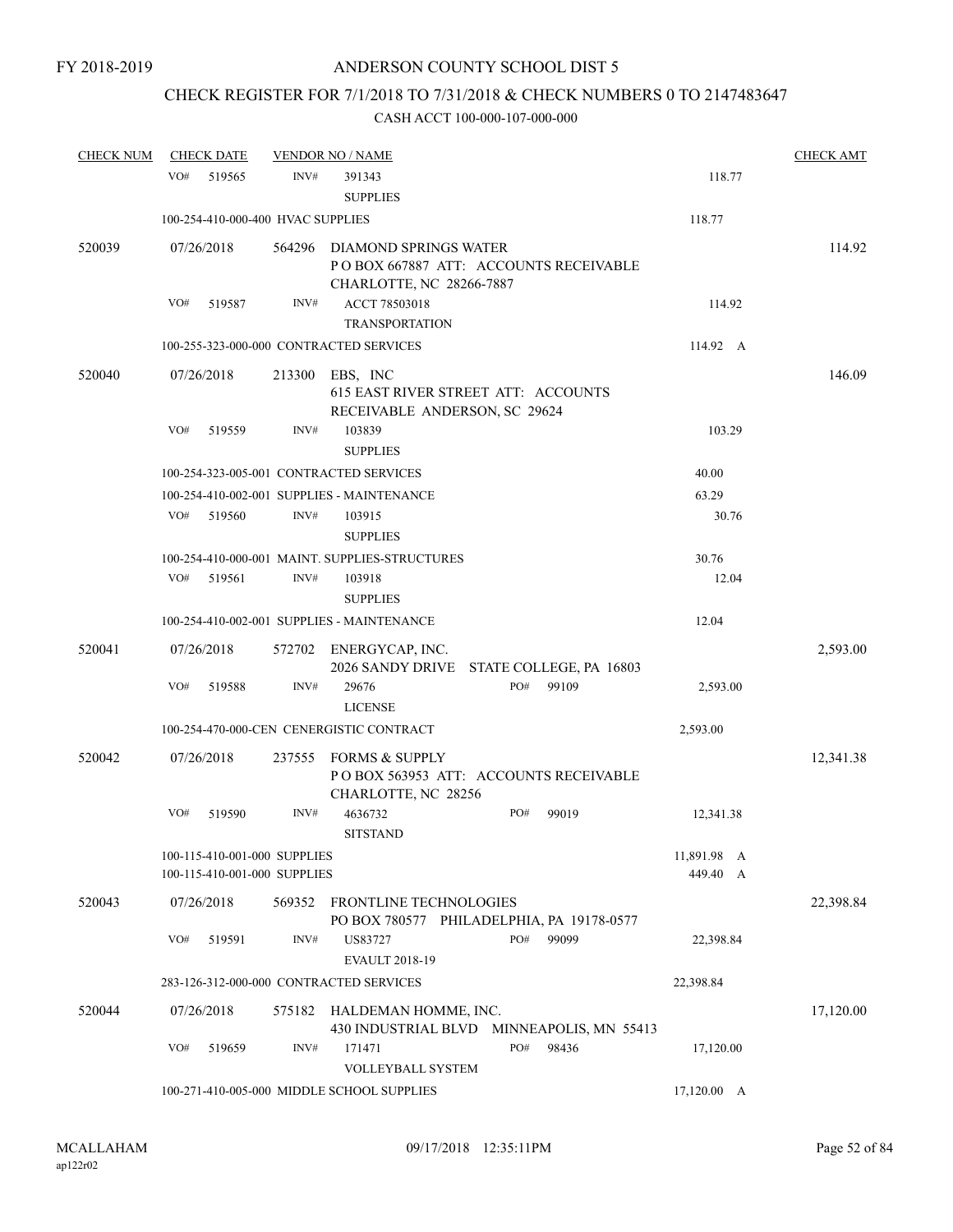## CHECK REGISTER FOR 7/1/2018 TO 7/31/2018 & CHECK NUMBERS 0 TO 2147483647

| <b>CHECK NUM</b> | <b>CHECK DATE</b>                                            |        | <b>VENDOR NO / NAME</b>                                                                    |     |       |                         | <b>CHECK AMT</b> |
|------------------|--------------------------------------------------------------|--------|--------------------------------------------------------------------------------------------|-----|-------|-------------------------|------------------|
|                  | VO#<br>519565                                                | INV#   | 391343<br><b>SUPPLIES</b>                                                                  |     |       | 118.77                  |                  |
|                  | 100-254-410-000-400 HVAC SUPPLIES                            |        |                                                                                            |     |       | 118.77                  |                  |
| 520039           | 07/26/2018                                                   | 564296 | DIAMOND SPRINGS WATER<br>POBOX 667887 ATT: ACCOUNTS RECEIVABLE<br>CHARLOTTE, NC 28266-7887 |     |       |                         | 114.92           |
|                  | VO#<br>519587                                                | INV#   | ACCT 78503018<br><b>TRANSPORTATION</b>                                                     |     |       | 114.92                  |                  |
|                  |                                                              |        | 100-255-323-000-000 CONTRACTED SERVICES                                                    |     |       | 114.92 A                |                  |
| 520040           | 07/26/2018                                                   | 213300 | EBS, INC<br>615 EAST RIVER STREET ATT: ACCOUNTS<br>RECEIVABLE ANDERSON, SC 29624           |     |       |                         | 146.09           |
|                  | VO#<br>519559                                                | INV#   | 103839<br><b>SUPPLIES</b>                                                                  |     |       | 103.29                  |                  |
|                  |                                                              |        | 100-254-323-005-001 CONTRACTED SERVICES                                                    |     |       | 40.00                   |                  |
|                  |                                                              |        | 100-254-410-002-001 SUPPLIES - MAINTENANCE                                                 |     |       | 63.29                   |                  |
|                  | VO#<br>519560                                                | INV#   | 103915<br><b>SUPPLIES</b>                                                                  |     |       | 30.76                   |                  |
|                  |                                                              |        | 100-254-410-000-001 MAINT. SUPPLIES-STRUCTURES                                             |     |       | 30.76                   |                  |
|                  | VO#<br>519561                                                | INV#   | 103918<br><b>SUPPLIES</b>                                                                  |     |       | 12.04                   |                  |
|                  |                                                              |        | 100-254-410-002-001 SUPPLIES - MAINTENANCE                                                 |     |       | 12.04                   |                  |
| 520041           | 07/26/2018                                                   |        | 572702 ENERGYCAP, INC.<br>2026 SANDY DRIVE STATE COLLEGE, PA 16803                         |     |       |                         | 2,593.00         |
|                  | VO#<br>519588                                                | INV#   | 29676<br><b>LICENSE</b>                                                                    | PO# | 99109 | 2,593.00                |                  |
|                  |                                                              |        | 100-254-470-000-CEN CENERGISTIC CONTRACT                                                   |     |       | 2,593.00                |                  |
| 520042           | 07/26/2018                                                   | 237555 | <b>FORMS &amp; SUPPLY</b><br>PO BOX 563953 ATT: ACCOUNTS RECEIVABLE<br>CHARLOTTE, NC 28256 |     |       |                         | 12,341.38        |
|                  | VO#<br>519590                                                | INV#   | 4636732<br><b>SITSTAND</b>                                                                 | PO# | 99019 | 12,341.38               |                  |
|                  | 100-115-410-001-000 SUPPLIES<br>100-115-410-001-000 SUPPLIES |        |                                                                                            |     |       | 11,891.98 A<br>449.40 A |                  |
| 520043           | 07/26/2018                                                   |        | 569352 FRONTLINE TECHNOLOGIES<br>PO BOX 780577 PHILADELPHIA, PA 19178-0577                 |     |       |                         | 22,398.84        |
|                  | VO#<br>519591                                                | INV#   | US83727<br><b>EVAULT 2018-19</b>                                                           | PO# | 99099 | 22,398.84               |                  |
|                  |                                                              |        | 283-126-312-000-000 CONTRACTED SERVICES                                                    |     |       | 22,398.84               |                  |
| 520044           | 07/26/2018                                                   | 575182 | HALDEMAN HOMME, INC.<br>430 INDUSTRIAL BLVD MINNEAPOLIS, MN 55413                          |     |       |                         | 17,120.00        |
|                  | VO#<br>519659                                                | INV#   | 171471<br>VOLLEYBALL SYSTEM                                                                | PO# | 98436 | 17,120.00               |                  |
|                  |                                                              |        | 100-271-410-005-000 MIDDLE SCHOOL SUPPLIES                                                 |     |       | $17,120.00 \quad A$     |                  |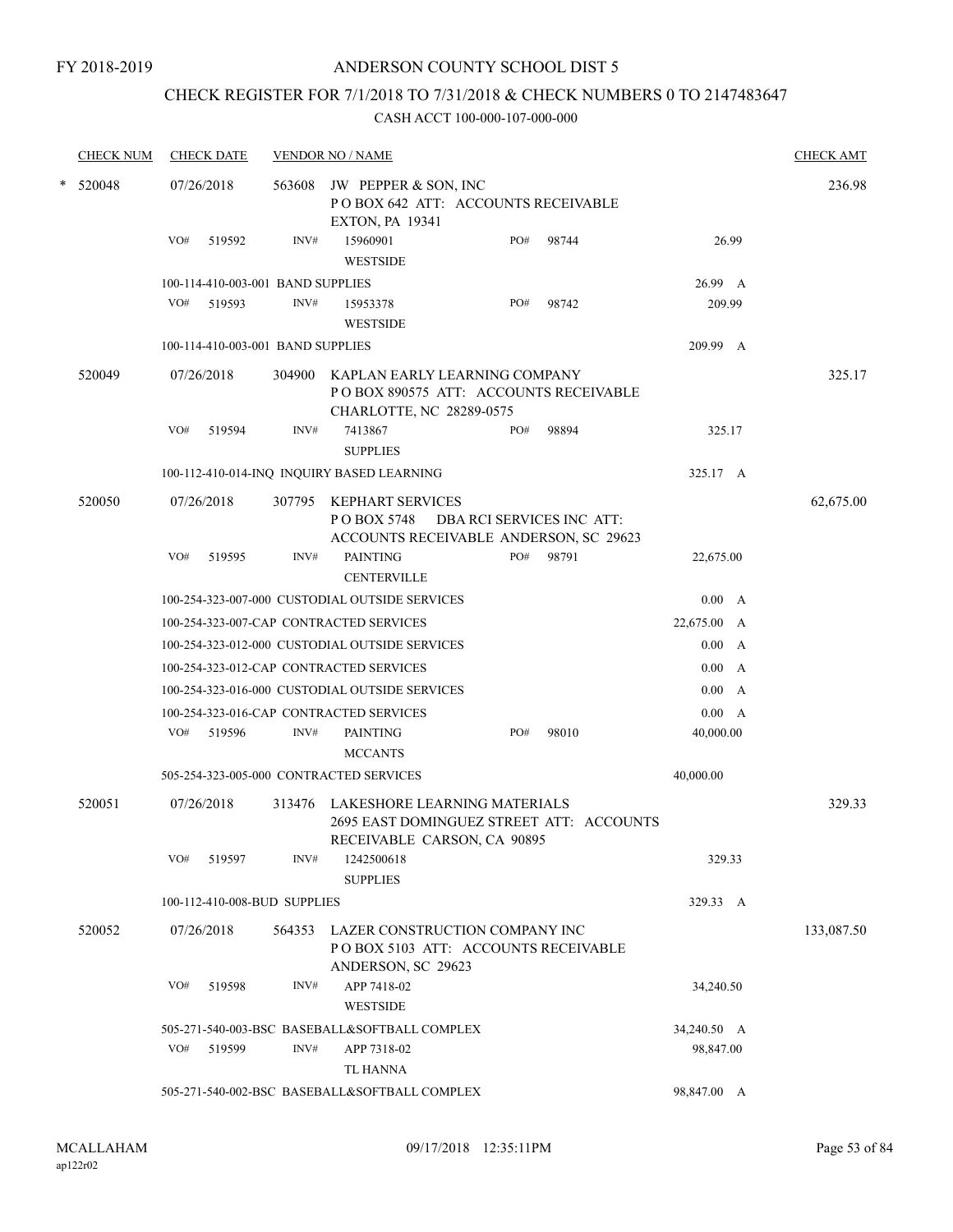### FY 2018-2019

## ANDERSON COUNTY SCHOOL DIST 5

## CHECK REGISTER FOR 7/1/2018 TO 7/31/2018 & CHECK NUMBERS 0 TO 2147483647

|   | <b>CHECK NUM</b> |     | <b>CHECK DATE</b>                 |        | <b>VENDOR NO / NAME</b>                                                                                 |     |                           |             | <b>CHECK AMT</b> |
|---|------------------|-----|-----------------------------------|--------|---------------------------------------------------------------------------------------------------------|-----|---------------------------|-------------|------------------|
| * | 520048           |     | 07/26/2018                        | 563608 | JW PEPPER & SON, INC<br>POBOX 642 ATT: ACCOUNTS RECEIVABLE<br><b>EXTON, PA 19341</b>                    |     |                           |             | 236.98           |
|   |                  | VO# | 519592                            | INV#   | 15960901<br><b>WESTSIDE</b>                                                                             | PO# | 98744                     | 26.99       |                  |
|   |                  |     | 100-114-410-003-001 BAND SUPPLIES |        |                                                                                                         |     |                           | 26.99 A     |                  |
|   |                  | VO# | 519593                            | INV#   | 15953378<br><b>WESTSIDE</b>                                                                             | PO# | 98742                     | 209.99      |                  |
|   |                  |     | 100-114-410-003-001 BAND SUPPLIES |        |                                                                                                         |     |                           | 209.99 A    |                  |
|   | 520049           |     | 07/26/2018                        | 304900 | KAPLAN EARLY LEARNING COMPANY<br>PO BOX 890575 ATT: ACCOUNTS RECEIVABLE<br>CHARLOTTE, NC 28289-0575     |     |                           |             | 325.17           |
|   |                  | VO# | 519594                            | INV#   | 7413867<br><b>SUPPLIES</b>                                                                              | PO# | 98894                     | 325.17      |                  |
|   |                  |     |                                   |        | 100-112-410-014-INQ INQUIRY BASED LEARNING                                                              |     |                           | 325.17 A    |                  |
|   | 520050           |     | 07/26/2018                        | 307795 | KEPHART SERVICES<br>P O BOX 5748<br>ACCOUNTS RECEIVABLE ANDERSON, SC 29623                              |     | DBA RCI SERVICES INC ATT: |             | 62,675.00        |
|   |                  | VO# | 519595                            | INV#   | <b>PAINTING</b><br><b>CENTERVILLE</b>                                                                   | PO# | 98791                     | 22,675.00   |                  |
|   |                  |     |                                   |        | 100-254-323-007-000 CUSTODIAL OUTSIDE SERVICES                                                          |     |                           | 0.00 A      |                  |
|   |                  |     |                                   |        | 100-254-323-007-CAP CONTRACTED SERVICES                                                                 |     |                           | 22,675.00 A |                  |
|   |                  |     |                                   |        | 100-254-323-012-000 CUSTODIAL OUTSIDE SERVICES                                                          |     |                           | 0.00 A      |                  |
|   |                  |     |                                   |        | 100-254-323-012-CAP CONTRACTED SERVICES                                                                 |     |                           | 0.00 A      |                  |
|   |                  |     |                                   |        | 100-254-323-016-000 CUSTODIAL OUTSIDE SERVICES                                                          |     |                           | 0.00<br>A   |                  |
|   |                  |     |                                   |        | 100-254-323-016-CAP CONTRACTED SERVICES                                                                 |     |                           | 0.00 A      |                  |
|   |                  | VO# | 519596                            | INV#   | <b>PAINTING</b><br><b>MCCANTS</b>                                                                       | PO# | 98010                     | 40,000.00   |                  |
|   |                  |     |                                   |        | 505-254-323-005-000 CONTRACTED SERVICES                                                                 |     |                           | 40,000.00   |                  |
|   | 520051           |     | 07/26/2018                        | 313476 | LAKESHORE LEARNING MATERIALS<br>2695 EAST DOMINGUEZ STREET ATT: ACCOUNTS<br>RECEIVABLE CARSON, CA 90895 |     |                           |             | 329.33           |
|   |                  | VO# | 519597                            | INV#   | 1242500618<br><b>SUPPLIES</b>                                                                           |     |                           | 329.33      |                  |
|   |                  |     | 100-112-410-008-BUD SUPPLIES      |        |                                                                                                         |     |                           | 329.33 A    |                  |
|   | 520052           |     | 07/26/2018                        | 564353 | LAZER CONSTRUCTION COMPANY INC<br>PO BOX 5103 ATT: ACCOUNTS RECEIVABLE<br>ANDERSON, SC 29623            |     |                           |             | 133,087.50       |
|   |                  | VO# | 519598                            | INV#   | APP 7418-02<br><b>WESTSIDE</b>                                                                          |     |                           | 34,240.50   |                  |
|   |                  |     |                                   |        | 505-271-540-003-BSC BASEBALL&SOFTBALL COMPLEX                                                           |     |                           | 34,240.50 A |                  |
|   |                  | VO# | 519599                            | INV#   | APP 7318-02<br>TL HANNA                                                                                 |     |                           | 98,847.00   |                  |
|   |                  |     |                                   |        | 505-271-540-002-BSC BASEBALL&SOFTBALL COMPLEX                                                           |     |                           | 98,847.00 A |                  |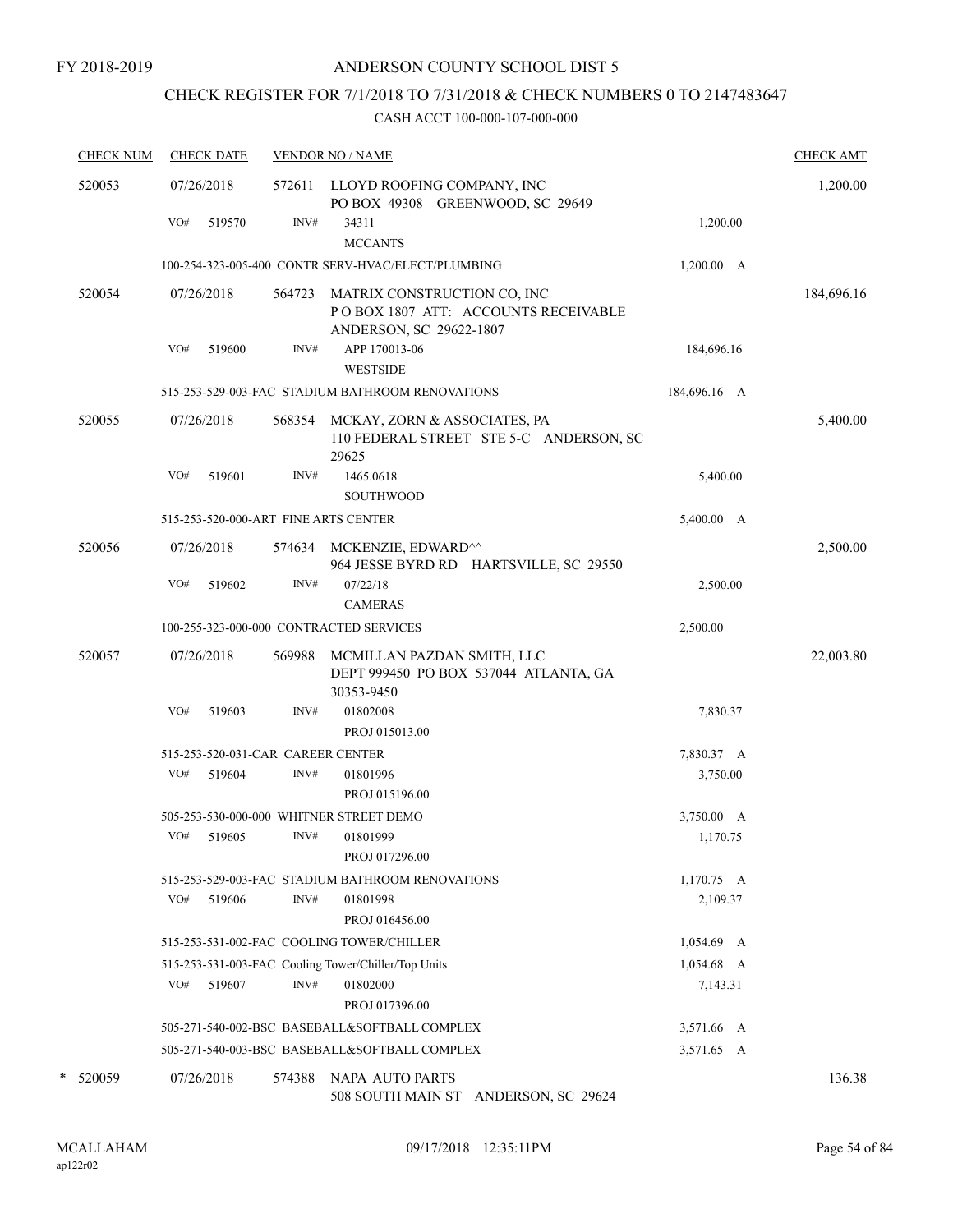## CHECK REGISTER FOR 7/1/2018 TO 7/31/2018 & CHECK NUMBERS 0 TO 2147483647

| <b>CHECK NUM</b> | <b>CHECK DATE</b>                       |        | <b>VENDOR NO / NAME</b>                                                                       |              | <b>CHECK AMT</b> |
|------------------|-----------------------------------------|--------|-----------------------------------------------------------------------------------------------|--------------|------------------|
| 520053           | 07/26/2018                              |        | 572611 LLOYD ROOFING COMPANY, INC<br>PO BOX 49308 GREENWOOD, SC 29649                         |              | 1,200.00         |
|                  | VO#<br>519570                           | INV#   | 34311<br><b>MCCANTS</b>                                                                       | 1,200.00     |                  |
|                  |                                         |        | 100-254-323-005-400 CONTR SERV-HVAC/ELECT/PLUMBING                                            | 1,200.00 A   |                  |
| 520054           | 07/26/2018                              | 564723 | MATRIX CONSTRUCTION CO, INC<br>POBOX 1807 ATT: ACCOUNTS RECEIVABLE<br>ANDERSON, SC 29622-1807 |              | 184,696.16       |
|                  | VO#<br>519600                           | INV#   | APP 170013-06<br><b>WESTSIDE</b>                                                              | 184,696.16   |                  |
|                  |                                         |        | 515-253-529-003-FAC STADIUM BATHROOM RENOVATIONS                                              | 184,696.16 A |                  |
| 520055           | 07/26/2018                              | 568354 | MCKAY, ZORN & ASSOCIATES, PA<br>110 FEDERAL STREET STE 5-C ANDERSON, SC<br>29625              |              | 5,400.00         |
|                  | VO#<br>519601                           | INV#   | 1465.0618<br><b>SOUTHWOOD</b>                                                                 | 5,400.00     |                  |
|                  | 515-253-520-000-ART FINE ARTS CENTER    |        |                                                                                               | 5,400.00 A   |                  |
| 520056           | 07/26/2018                              |        | 574634 MCKENZIE, EDWARD <sup>^^</sup><br>964 JESSE BYRD RD HARTSVILLE, SC 29550               |              | 2,500.00         |
|                  | VO#<br>519602                           | INV#   | 07/22/18<br><b>CAMERAS</b>                                                                    | 2,500.00     |                  |
|                  | 100-255-323-000-000 CONTRACTED SERVICES |        |                                                                                               | 2,500.00     |                  |
| 520057           | 07/26/2018                              | 569988 | MCMILLAN PAZDAN SMITH, LLC<br>DEPT 999450 PO BOX 537044 ATLANTA, GA<br>30353-9450             |              | 22,003.80        |
|                  | VO#<br>519603                           | INV#   | 01802008<br>PROJ 015013.00                                                                    | 7,830.37     |                  |
|                  | 515-253-520-031-CAR CAREER CENTER       |        |                                                                                               | 7,830.37 A   |                  |
|                  | VO#<br>519604                           | INV#   | 01801996<br>PROJ 015196.00                                                                    | 3,750.00     |                  |
|                  | 505-253-530-000-000 WHITNER STREET DEMO |        |                                                                                               | 3,750.00 A   |                  |
|                  | VO#<br>519605                           | INV#   | 01801999<br>PROJ 017296.00                                                                    | 1,170.75     |                  |
|                  |                                         |        | 515-253-529-003-FAC STADIUM BATHROOM RENOVATIONS                                              | $1,170.75$ A |                  |
|                  | VO#<br>519606                           | INV#   | 01801998<br>PROJ 016456.00                                                                    | 2,109.37     |                  |
|                  |                                         |        | 515-253-531-002-FAC COOLING TOWER/CHILLER                                                     | $1,054.69$ A |                  |
|                  |                                         |        | 515-253-531-003-FAC Cooling Tower/Chiller/Top Units                                           | $1,054.68$ A |                  |
|                  | VO#<br>519607                           | INV#   | 01802000<br>PROJ 017396.00                                                                    | 7,143.31     |                  |
|                  |                                         |        | 505-271-540-002-BSC BASEBALL&SOFTBALL COMPLEX                                                 | 3,571.66 A   |                  |
|                  |                                         |        | 505-271-540-003-BSC BASEBALL&SOFTBALL COMPLEX                                                 | 3,571.65 A   |                  |
| *<br>520059      | 07/26/2018                              | 574388 | NAPA AUTO PARTS<br>508 SOUTH MAIN ST ANDERSON, SC 29624                                       |              | 136.38           |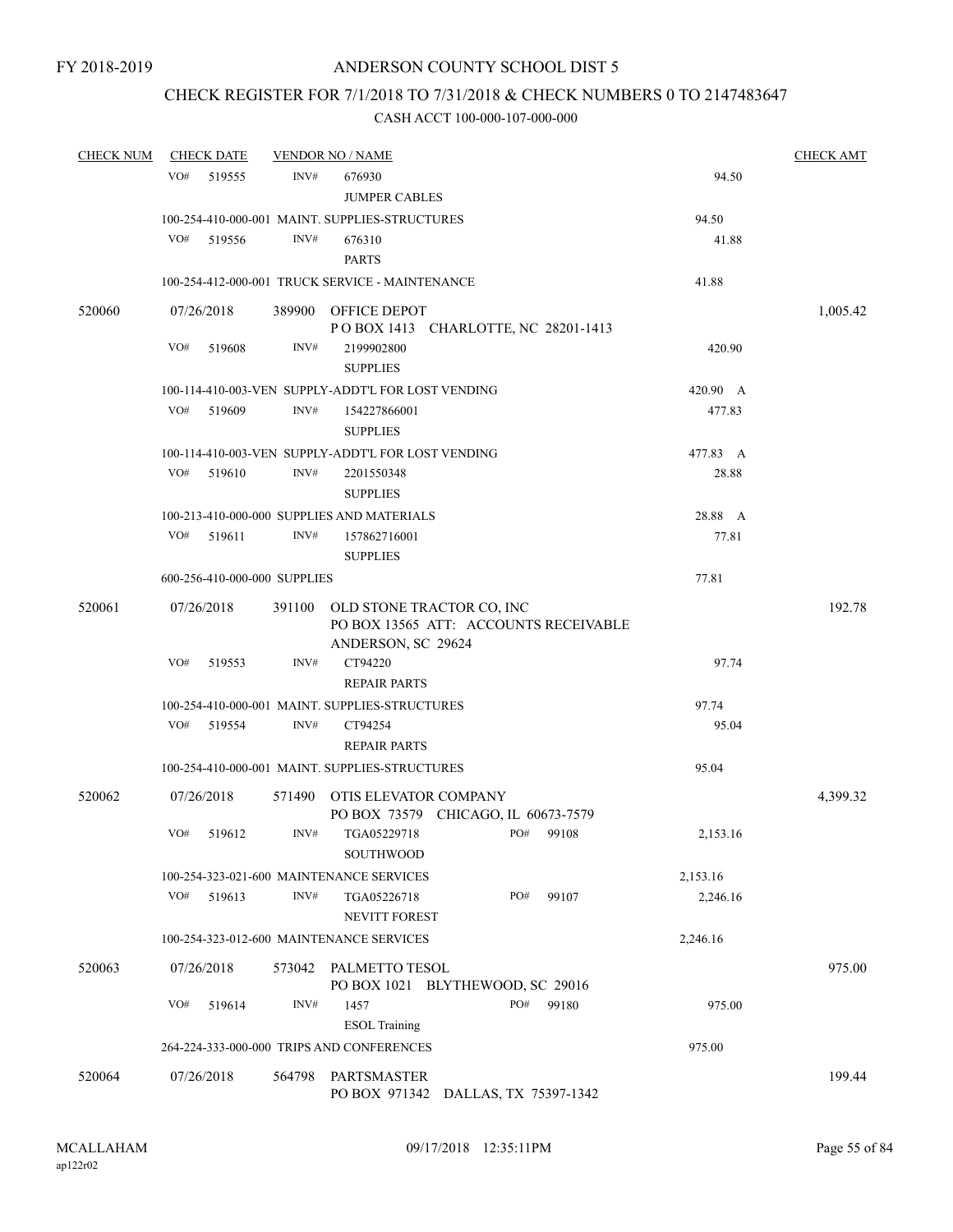## CHECK REGISTER FOR 7/1/2018 TO 7/31/2018 & CHECK NUMBERS 0 TO 2147483647

| <b>CHECK NUM</b> | <b>CHECK DATE</b>            |        | <b>VENDOR NO / NAME</b>                                                                  |     |           |          | <b>CHECK AMT</b> |
|------------------|------------------------------|--------|------------------------------------------------------------------------------------------|-----|-----------|----------|------------------|
|                  | VO#<br>519555                | INV#   | 676930<br><b>JUMPER CABLES</b>                                                           |     |           | 94.50    |                  |
|                  |                              |        | 100-254-410-000-001 MAINT. SUPPLIES-STRUCTURES                                           |     |           | 94.50    |                  |
|                  | VO#<br>519556                | INV#   | 676310<br><b>PARTS</b>                                                                   |     |           | 41.88    |                  |
|                  |                              |        | 100-254-412-000-001 TRUCK SERVICE - MAINTENANCE                                          |     |           | 41.88    |                  |
| 520060           | 07/26/2018                   |        | 389900 OFFICE DEPOT<br>POBOX 1413 CHARLOTTE, NC 28201-1413                               |     |           |          | 1,005.42         |
|                  | VO#<br>519608                | INV#   | 2199902800<br><b>SUPPLIES</b>                                                            |     |           | 420.90   |                  |
|                  |                              |        | 100-114-410-003-VEN SUPPLY-ADDT'L FOR LOST VENDING                                       |     |           | 420.90 A |                  |
|                  | VO#<br>519609                | INV#   | 154227866001<br><b>SUPPLIES</b>                                                          |     |           | 477.83   |                  |
|                  |                              |        | 100-114-410-003-VEN SUPPLY-ADDT'L FOR LOST VENDING                                       |     |           | 477.83 A |                  |
|                  | VO#<br>519610                | INV#   | 2201550348<br><b>SUPPLIES</b>                                                            |     |           | 28.88    |                  |
|                  |                              |        | 100-213-410-000-000 SUPPLIES AND MATERIALS                                               |     |           | 28.88 A  |                  |
|                  | VO#<br>519611                | INV#   | 157862716001<br><b>SUPPLIES</b>                                                          |     |           | 77.81    |                  |
|                  | 600-256-410-000-000 SUPPLIES |        |                                                                                          |     |           | 77.81    |                  |
| 520061           | 07/26/2018                   | 391100 | OLD STONE TRACTOR CO, INC<br>PO BOX 13565 ATT: ACCOUNTS RECEIVABLE<br>ANDERSON, SC 29624 |     |           |          | 192.78           |
|                  | VO#<br>519553                | INV#   | CT94220<br><b>REPAIR PARTS</b>                                                           |     |           | 97.74    |                  |
|                  |                              |        | 100-254-410-000-001 MAINT. SUPPLIES-STRUCTURES                                           |     |           | 97.74    |                  |
|                  | VO#<br>519554                | INV#   | CT94254<br><b>REPAIR PARTS</b>                                                           |     |           | 95.04    |                  |
|                  |                              |        | 100-254-410-000-001 MAINT. SUPPLIES-STRUCTURES                                           |     |           | 95.04    |                  |
| 520062           | 07/26/2018                   |        | 571490 OTIS ELEVATOR COMPANY<br>PO BOX 73579 CHICAGO, IL 60673-7579                      |     |           |          | 4,399.32         |
|                  | VO# 519612                   | INV#   | TGA05229718<br>SOUTHWOOD                                                                 |     | PO# 99108 | 2,153.16 |                  |
|                  |                              |        | 100-254-323-021-600 MAINTENANCE SERVICES                                                 |     |           | 2,153.16 |                  |
|                  | VO#<br>519613                | INV#   | TGA05226718<br><b>NEVITT FOREST</b>                                                      | PO# | 99107     | 2,246.16 |                  |
|                  |                              |        | 100-254-323-012-600 MAINTENANCE SERVICES                                                 |     |           | 2,246.16 |                  |
| 520063           | 07/26/2018                   |        | 573042 PALMETTO TESOL                                                                    |     |           |          | 975.00           |
|                  |                              |        | PO BOX 1021 BLYTHEWOOD, SC 29016                                                         |     |           |          |                  |
|                  | VO#<br>519614                | INV#   | 1457<br><b>ESOL</b> Training                                                             | PO# | 99180     | 975.00   |                  |
|                  |                              |        | 264-224-333-000-000 TRIPS AND CONFERENCES                                                |     |           | 975.00   |                  |
| 520064           | 07/26/2018                   | 564798 | PARTSMASTER<br>PO BOX 971342 DALLAS, TX 75397-1342                                       |     |           |          | 199.44           |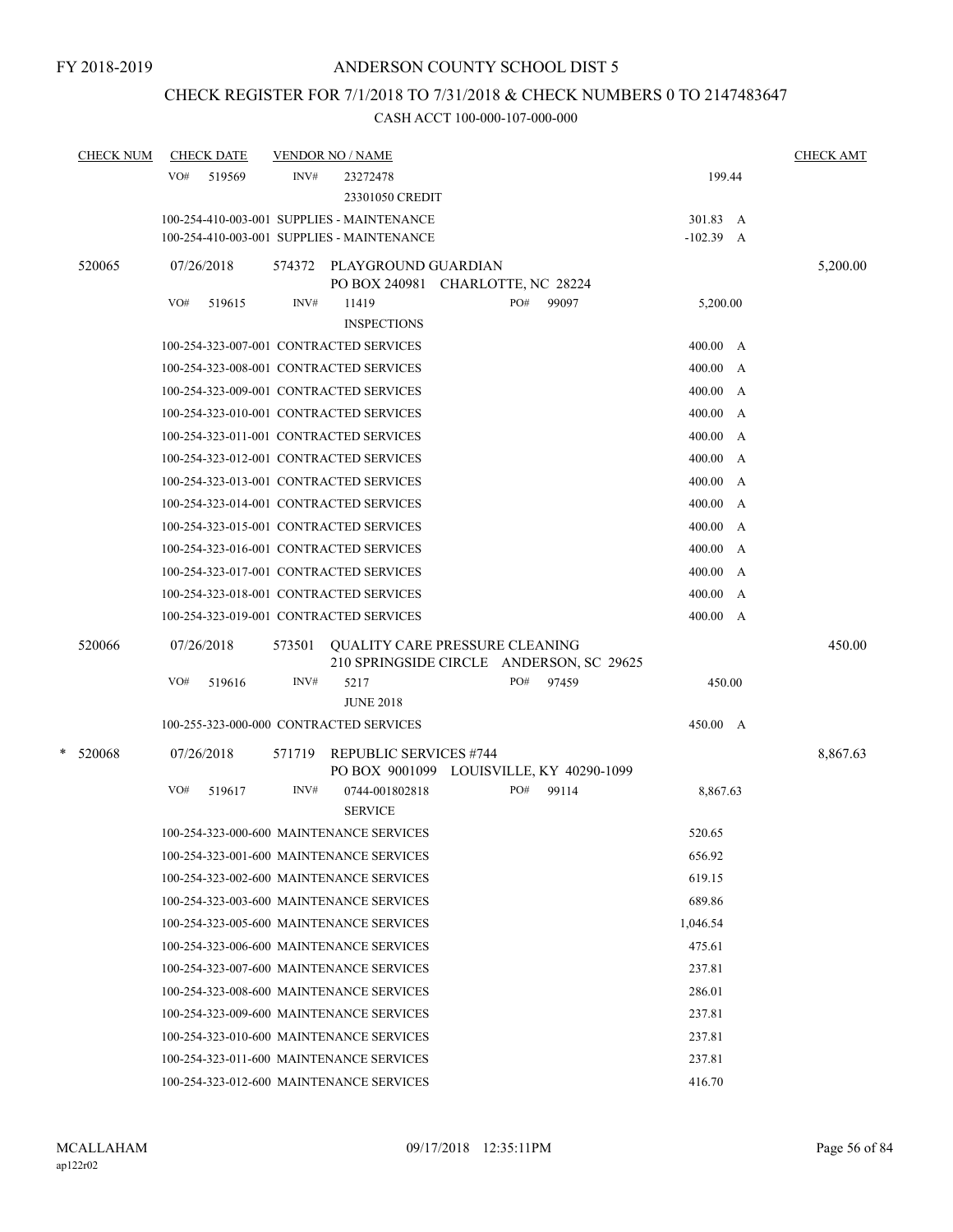## CHECK REGISTER FOR 7/1/2018 TO 7/31/2018 & CHECK NUMBERS 0 TO 2147483647

| <b>CHECK NUM</b> | <b>CHECK DATE</b> | <b>VENDOR NO / NAME</b>                                                                     | <b>CHECK AMT</b>        |
|------------------|-------------------|---------------------------------------------------------------------------------------------|-------------------------|
|                  | VO#<br>519569     | INV#<br>23272478<br>23301050 CREDIT                                                         | 199.44                  |
|                  |                   | 100-254-410-003-001 SUPPLIES - MAINTENANCE<br>100-254-410-003-001 SUPPLIES - MAINTENANCE    | 301.83 A<br>$-102.39$ A |
| 520065           | 07/26/2018        | 574372 PLAYGROUND GUARDIAN<br>PO BOX 240981 CHARLOTTE, NC 28224                             | 5,200.00                |
|                  | VO#<br>519615     | INV#<br>PO#<br>11419<br><b>INSPECTIONS</b>                                                  | 99097<br>5,200.00       |
|                  |                   | 100-254-323-007-001 CONTRACTED SERVICES                                                     | 400.00 A                |
|                  |                   | 100-254-323-008-001 CONTRACTED SERVICES                                                     | 400.00 A                |
|                  |                   | 100-254-323-009-001 CONTRACTED SERVICES                                                     | 400.00<br>$\mathbf{A}$  |
|                  |                   | 100-254-323-010-001 CONTRACTED SERVICES                                                     | 400.00<br>A             |
|                  |                   | 100-254-323-011-001 CONTRACTED SERVICES                                                     | 400.00<br>A             |
|                  |                   | 100-254-323-012-001 CONTRACTED SERVICES                                                     | 400.00 A                |
|                  |                   | 100-254-323-013-001 CONTRACTED SERVICES                                                     | 400.00<br>A             |
|                  |                   | 100-254-323-014-001 CONTRACTED SERVICES                                                     | 400.00<br>A             |
|                  |                   | 100-254-323-015-001 CONTRACTED SERVICES                                                     | 400.00<br>A             |
|                  |                   | 100-254-323-016-001 CONTRACTED SERVICES                                                     | 400.00<br>A             |
|                  |                   | 100-254-323-017-001 CONTRACTED SERVICES                                                     | 400.00<br>A             |
|                  |                   | 100-254-323-018-001 CONTRACTED SERVICES                                                     | 400.00 A                |
|                  |                   | 100-254-323-019-001 CONTRACTED SERVICES                                                     | 400.00 A                |
| 520066           | 07/26/2018        | <b>QUALITY CARE PRESSURE CLEANING</b><br>573501<br>210 SPRINGSIDE CIRCLE ANDERSON, SC 29625 | 450.00                  |
|                  | VO#<br>519616     | INV#<br>5217<br>PO#                                                                         | 97459<br>450.00         |
|                  |                   | <b>JUNE 2018</b>                                                                            |                         |
|                  |                   | 100-255-323-000-000 CONTRACTED SERVICES                                                     | 450.00 A                |
| $*$ 520068       | 07/26/2018        | 571719<br><b>REPUBLIC SERVICES #744</b><br>PO BOX 9001099 LOUISVILLE, KY 40290-1099         | 8,867.63                |
|                  | VO#<br>519617     | PO#<br>INV#<br>0744-001802818<br><b>SERVICE</b>                                             | 99114<br>8,867.63       |
|                  |                   | 100-254-323-000-600 MAINTENANCE SERVICES                                                    | 520.65                  |
|                  |                   | 100-254-323-001-600 MAINTENANCE SERVICES                                                    | 656.92                  |
|                  |                   | 100-254-323-002-600 MAINTENANCE SERVICES                                                    | 619.15                  |
|                  |                   | 100-254-323-003-600 MAINTENANCE SERVICES                                                    | 689.86                  |
|                  |                   | 100-254-323-005-600 MAINTENANCE SERVICES                                                    | 1,046.54                |
|                  |                   | 100-254-323-006-600 MAINTENANCE SERVICES                                                    | 475.61                  |
|                  |                   | 100-254-323-007-600 MAINTENANCE SERVICES                                                    | 237.81                  |
|                  |                   | 100-254-323-008-600 MAINTENANCE SERVICES                                                    | 286.01                  |
|                  |                   | 100-254-323-009-600 MAINTENANCE SERVICES                                                    | 237.81                  |
|                  |                   | 100-254-323-010-600 MAINTENANCE SERVICES                                                    | 237.81                  |
|                  |                   | 100-254-323-011-600 MAINTENANCE SERVICES                                                    | 237.81                  |
|                  |                   | 100-254-323-012-600 MAINTENANCE SERVICES                                                    | 416.70                  |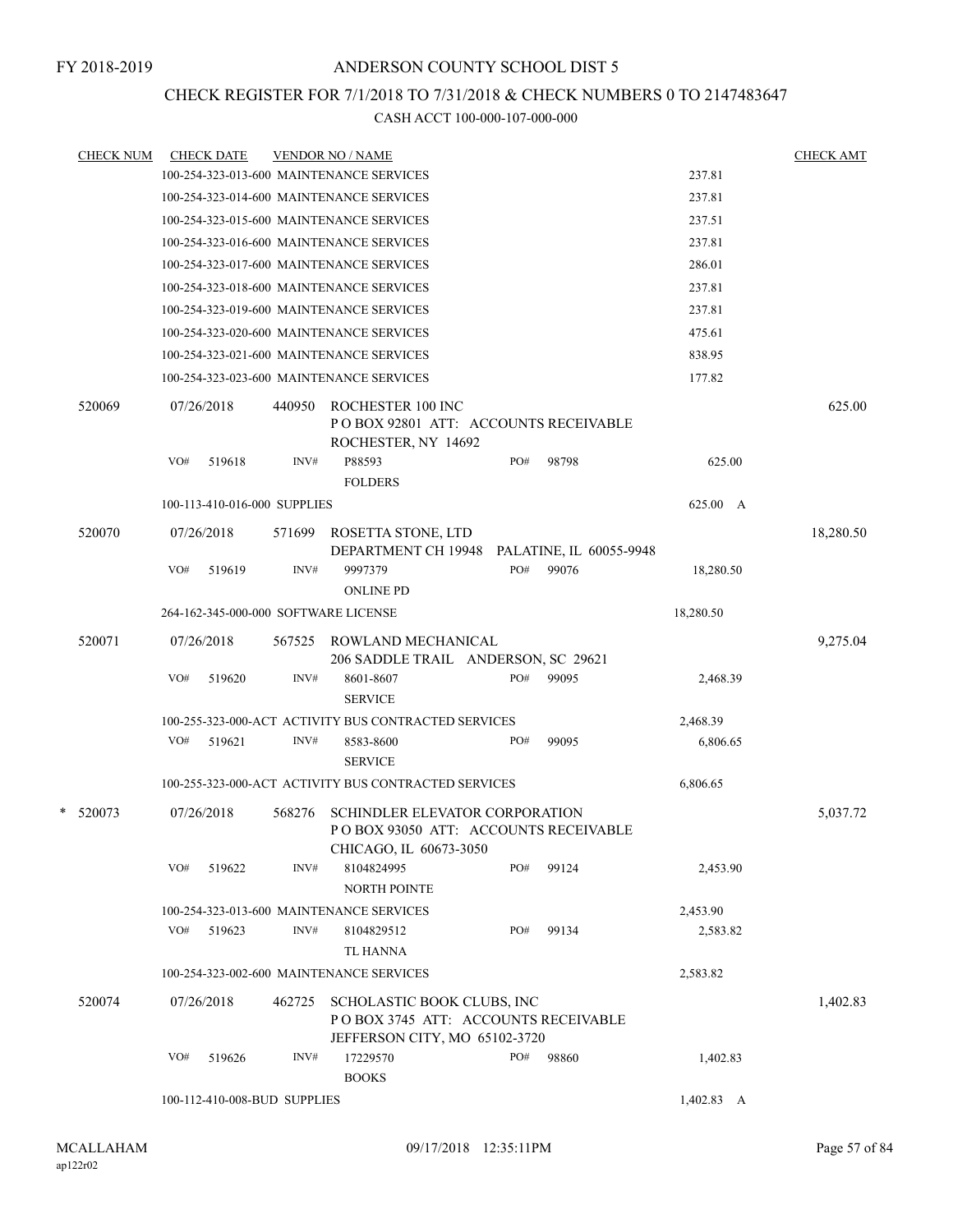## CHECK REGISTER FOR 7/1/2018 TO 7/31/2018 & CHECK NUMBERS 0 TO 2147483647

| <b>CHECK NUM</b> |     | <b>CHECK DATE</b>            |        | <b>VENDOR NO / NAME</b>                                                                                 |     |                                  |            | <b>CHECK AMT</b> |
|------------------|-----|------------------------------|--------|---------------------------------------------------------------------------------------------------------|-----|----------------------------------|------------|------------------|
|                  |     |                              |        | 100-254-323-013-600 MAINTENANCE SERVICES                                                                |     |                                  | 237.81     |                  |
|                  |     |                              |        | 100-254-323-014-600 MAINTENANCE SERVICES                                                                |     |                                  | 237.81     |                  |
|                  |     |                              |        | 100-254-323-015-600 MAINTENANCE SERVICES                                                                |     |                                  | 237.51     |                  |
|                  |     |                              |        | 100-254-323-016-600 MAINTENANCE SERVICES                                                                |     |                                  | 237.81     |                  |
|                  |     |                              |        | 100-254-323-017-600 MAINTENANCE SERVICES                                                                |     |                                  | 286.01     |                  |
|                  |     |                              |        | 100-254-323-018-600 MAINTENANCE SERVICES                                                                |     |                                  | 237.81     |                  |
|                  |     |                              |        | 100-254-323-019-600 MAINTENANCE SERVICES                                                                |     |                                  | 237.81     |                  |
|                  |     |                              |        | 100-254-323-020-600 MAINTENANCE SERVICES                                                                |     |                                  | 475.61     |                  |
|                  |     |                              |        | 100-254-323-021-600 MAINTENANCE SERVICES                                                                |     |                                  | 838.95     |                  |
|                  |     |                              |        | 100-254-323-023-600 MAINTENANCE SERVICES                                                                |     |                                  | 177.82     |                  |
| 520069           |     | 07/26/2018                   | 440950 | ROCHESTER 100 INC<br>PO BOX 92801 ATT: ACCOUNTS RECEIVABLE<br>ROCHESTER, NY 14692                       |     |                                  |            | 625.00           |
|                  | VO# | 519618                       | INV#   | P88593<br><b>FOLDERS</b>                                                                                | PO# | 98798                            | 625.00     |                  |
|                  |     | 100-113-410-016-000 SUPPLIES |        |                                                                                                         |     |                                  | 625.00 A   |                  |
| 520070           |     | 07/26/2018                   | 571699 | ROSETTA STONE, LTD                                                                                      |     |                                  |            | 18,280.50        |
|                  | VO# | 519619                       | INV#   | DEPARTMENT CH 19948<br>9997379                                                                          | PO# | PALATINE, IL 60055-9948<br>99076 | 18,280.50  |                  |
|                  |     |                              |        | <b>ONLINE PD</b>                                                                                        |     |                                  |            |                  |
|                  |     |                              |        | 264-162-345-000-000 SOFTWARE LICENSE                                                                    |     |                                  | 18,280.50  |                  |
| 520071           |     | 07/26/2018                   | 567525 | ROWLAND MECHANICAL<br>206 SADDLE TRAIL ANDERSON, SC 29621                                               |     |                                  |            | 9,275.04         |
|                  | VO# | 519620                       | INV#   | 8601-8607<br><b>SERVICE</b>                                                                             | PO# | 99095                            | 2,468.39   |                  |
|                  |     |                              |        | 100-255-323-000-ACT ACTIVITY BUS CONTRACTED SERVICES                                                    |     |                                  | 2,468.39   |                  |
|                  | VO# | 519621                       | INV#   | 8583-8600<br><b>SERVICE</b>                                                                             | PO# | 99095                            | 6,806.65   |                  |
|                  |     |                              |        | 100-255-323-000-ACT ACTIVITY BUS CONTRACTED SERVICES                                                    |     |                                  | 6,806.65   |                  |
| $*$ 520073       |     | 07/26/2018                   | 568276 | <b>SCHINDLER ELEVATOR CORPORATION</b><br>POBOX 93050 ATT: ACCOUNTS RECEIVABLE<br>CHICAGO, IL 60673-3050 |     |                                  |            | 5,037.72         |
|                  | VO# | 519622                       | INV#   | 8104824995<br><b>NORTH POINTE</b>                                                                       | PO# | 99124                            | 2,453.90   |                  |
|                  |     |                              |        | 100-254-323-013-600 MAINTENANCE SERVICES                                                                |     |                                  | 2,453.90   |                  |
|                  | VO# | 519623                       | INV#   | 8104829512<br><b>TL HANNA</b>                                                                           | PO# | 99134                            | 2,583.82   |                  |
|                  |     |                              |        | 100-254-323-002-600 MAINTENANCE SERVICES                                                                |     |                                  | 2,583.82   |                  |
| 520074           |     | 07/26/2018                   | 462725 | SCHOLASTIC BOOK CLUBS, INC<br>POBOX 3745 ATT: ACCOUNTS RECEIVABLE<br>JEFFERSON CITY, MO 65102-3720      |     |                                  |            | 1,402.83         |
|                  | VO# | 519626                       | INV#   | 17229570<br><b>BOOKS</b>                                                                                | PO# | 98860                            | 1,402.83   |                  |
|                  |     | 100-112-410-008-BUD SUPPLIES |        |                                                                                                         |     |                                  | 1,402.83 A |                  |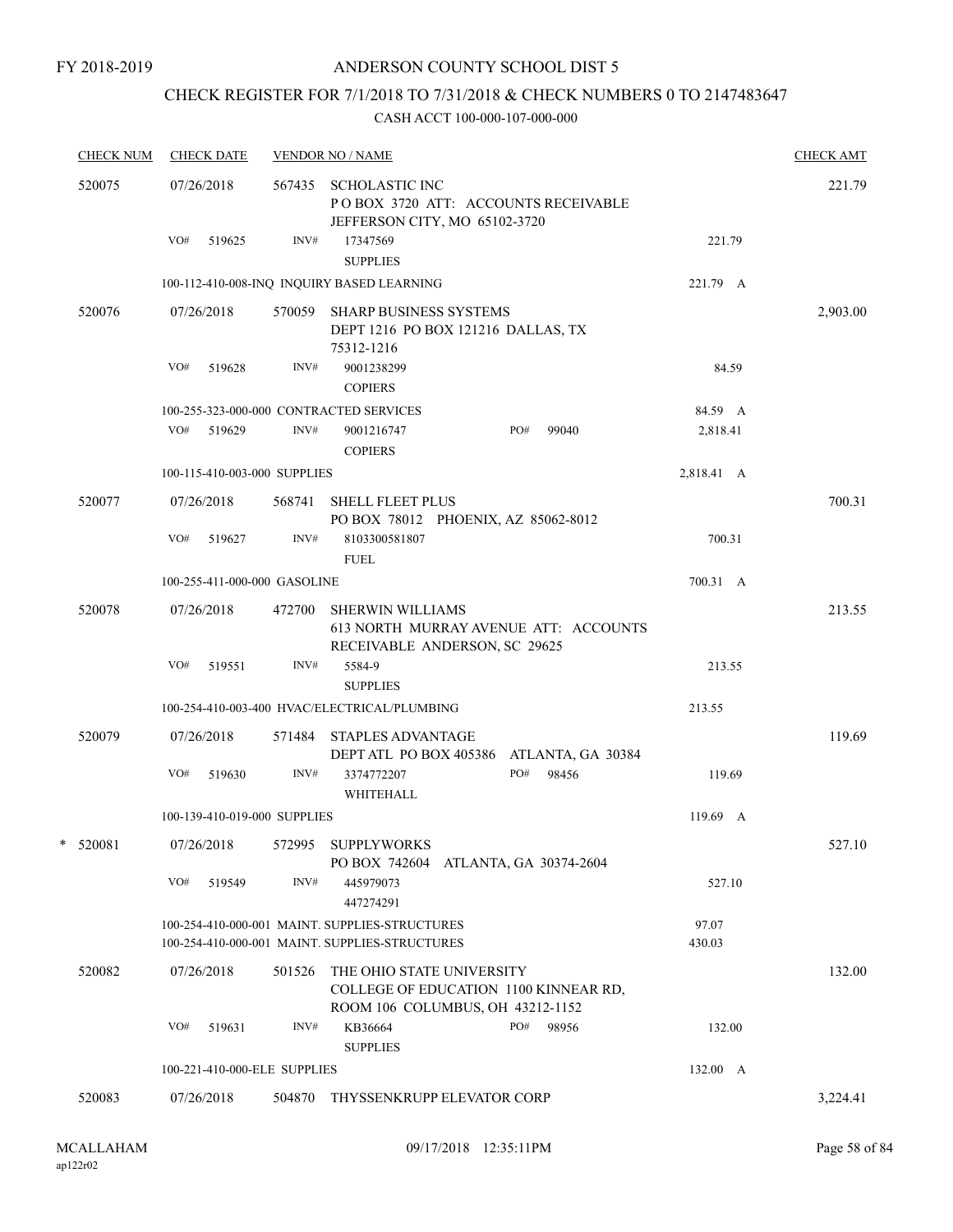### FY 2018-2019

## ANDERSON COUNTY SCHOOL DIST 5

## CHECK REGISTER FOR 7/1/2018 TO 7/31/2018 & CHECK NUMBERS 0 TO 2147483647

|   | <b>CHECK NUM</b> | <b>CHECK DATE</b>                       |        | <b>VENDOR NO / NAME</b>                                                                                |                 | <b>CHECK AMT</b> |
|---|------------------|-----------------------------------------|--------|--------------------------------------------------------------------------------------------------------|-----------------|------------------|
|   | 520075           | 07/26/2018                              |        | 567435 SCHOLASTIC INC<br>POBOX 3720 ATT: ACCOUNTS RECEIVABLE<br>JEFFERSON CITY, MO 65102-3720          |                 | 221.79           |
|   |                  | VO#<br>519625                           | INV#   | 17347569<br><b>SUPPLIES</b>                                                                            | 221.79          |                  |
|   |                  |                                         |        | 100-112-410-008-INQ INQUIRY BASED LEARNING                                                             | 221.79 A        |                  |
|   | 520076           | 07/26/2018                              | 570059 | <b>SHARP BUSINESS SYSTEMS</b><br>DEPT 1216 PO BOX 121216 DALLAS, TX<br>75312-1216                      |                 | 2,903.00         |
|   |                  | VO#<br>519628                           | INV#   | 9001238299<br><b>COPIERS</b>                                                                           | 84.59           |                  |
|   |                  | 100-255-323-000-000 CONTRACTED SERVICES |        |                                                                                                        | 84.59 A         |                  |
|   |                  | VO#<br>519629                           | INV#   | 9001216747<br>PO#<br>99040<br><b>COPIERS</b>                                                           | 2,818.41        |                  |
|   |                  | 100-115-410-003-000 SUPPLIES            |        |                                                                                                        | 2,818.41 A      |                  |
|   | 520077           | 07/26/2018                              |        | 568741 SHELL FLEET PLUS<br>PO BOX 78012 PHOENIX, AZ 85062-8012                                         |                 | 700.31           |
|   |                  | VO#<br>519627                           | INV#   | 8103300581807<br><b>FUEL</b>                                                                           | 700.31          |                  |
|   |                  | 100-255-411-000-000 GASOLINE            |        |                                                                                                        | 700.31 A        |                  |
|   | 520078           | 07/26/2018                              | 472700 | <b>SHERWIN WILLIAMS</b><br>613 NORTH MURRAY AVENUE ATT: ACCOUNTS<br>RECEIVABLE ANDERSON, SC 29625      |                 | 213.55           |
|   |                  | VO#<br>519551                           | INV#   | 5584-9<br><b>SUPPLIES</b>                                                                              | 213.55          |                  |
|   |                  |                                         |        | 100-254-410-003-400 HVAC/ELECTRICAL/PLUMBING                                                           | 213.55          |                  |
|   | 520079           | 07/26/2018                              | 571484 | <b>STAPLES ADVANTAGE</b><br>DEPT ATL PO BOX 405386<br>ATLANTA, GA 30384                                |                 | 119.69           |
|   |                  | VO#<br>519630                           | INV#   | PO#<br>98456<br>3374772207<br>WHITEHALL                                                                | 119.69          |                  |
|   |                  | 100-139-410-019-000 SUPPLIES            |        |                                                                                                        | $119.69$ A      |                  |
| * | 520081           | 07/26/2018                              |        | 572995 SUPPLYWORKS<br>PO BOX 742604 ATLANTA, GA 30374-2604                                             |                 | 527.10           |
|   |                  | VO#<br>519549                           | INV#   | 445979073<br>447274291                                                                                 | 527.10          |                  |
|   |                  |                                         |        | 100-254-410-000-001 MAINT. SUPPLIES-STRUCTURES<br>100-254-410-000-001 MAINT. SUPPLIES-STRUCTURES       | 97.07<br>430.03 |                  |
|   | 520082           | 07/26/2018                              | 501526 | THE OHIO STATE UNIVERSITY<br>COLLEGE OF EDUCATION 1100 KINNEAR RD,<br>ROOM 106 COLUMBUS, OH 43212-1152 |                 | 132.00           |
|   |                  | VO#<br>519631                           | INV#   | KB36664<br>PO#<br>98956<br><b>SUPPLIES</b>                                                             | 132.00          |                  |
|   |                  | 100-221-410-000-ELE SUPPLIES            |        |                                                                                                        | 132.00 A        |                  |
|   | 520083           | 07/26/2018                              | 504870 | THYSSENKRUPP ELEVATOR CORP                                                                             |                 | 3,224.41         |
|   |                  |                                         |        |                                                                                                        |                 |                  |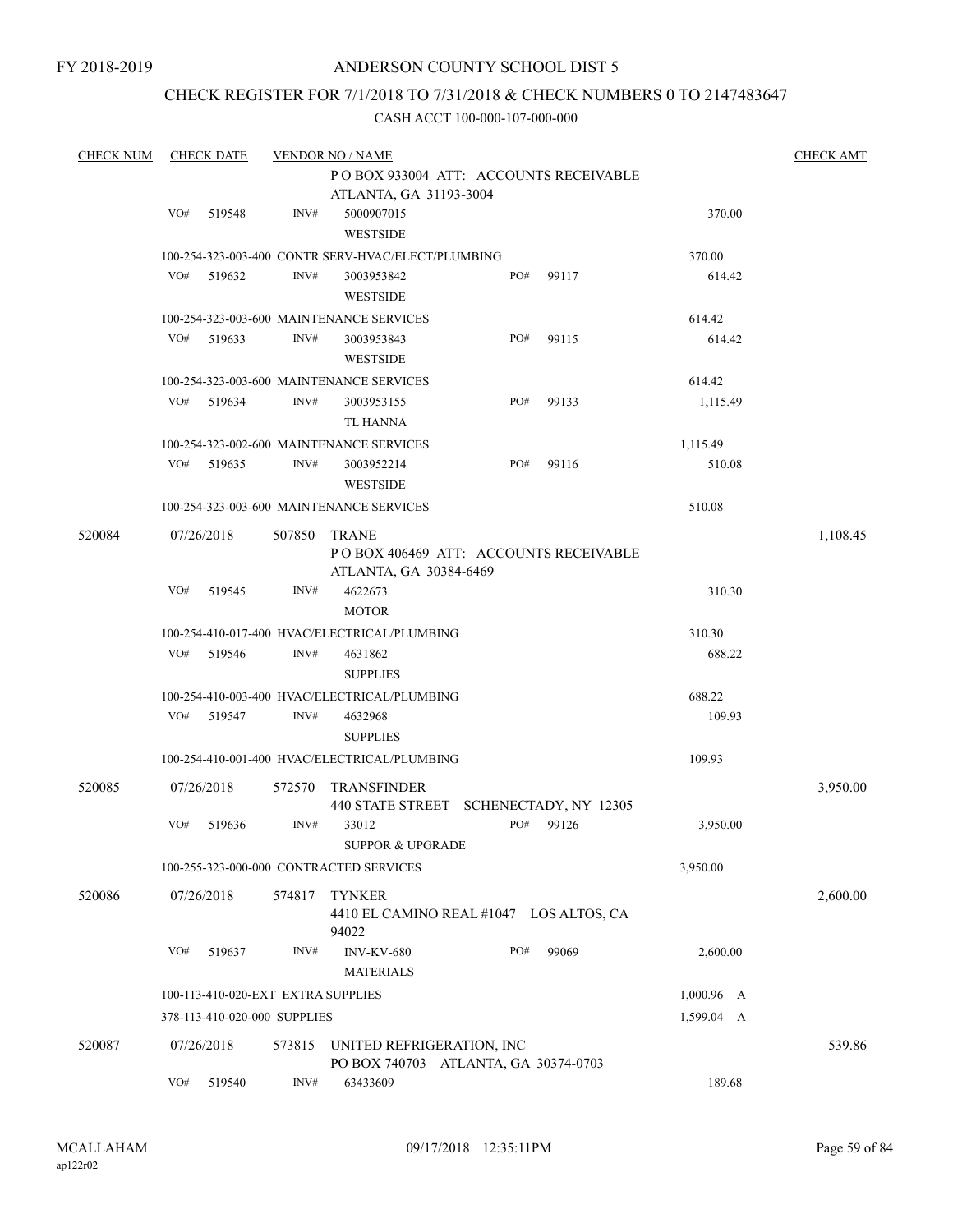## CHECK REGISTER FOR 7/1/2018 TO 7/31/2018 & CHECK NUMBERS 0 TO 2147483647

| POBOX 933004 ATT: ACCOUNTS RECEIVABLE<br>ATLANTA, GA 31193-3004<br>VO#<br>519548<br>INV#<br>5000907015<br>370.00<br><b>WESTSIDE</b><br>100-254-323-003-400 CONTR SERV-HVAC/ELECT/PLUMBING<br>370.00<br>VO#<br>INV#<br>519632<br>PO#<br>99117<br>614.42<br>3003953842<br><b>WESTSIDE</b><br>100-254-323-003-600 MAINTENANCE SERVICES<br>614.42<br>VO#<br>519633<br>INV#<br>3003953843<br>PO#<br>99115<br>614.42<br><b>WESTSIDE</b><br>100-254-323-003-600 MAINTENANCE SERVICES<br>614.42<br>VO#<br>519634<br>INV#<br>PO#<br>99133<br>3003953155<br>1,115.49<br>TL HANNA<br>100-254-323-002-600 MAINTENANCE SERVICES<br>1,115.49<br>VO#<br>519635<br>INV#<br>PO#<br>99116<br>3003952214<br>510.08<br><b>WESTSIDE</b><br>100-254-323-003-600 MAINTENANCE SERVICES<br>510.08<br>520084<br>07/26/2018<br>507850<br><b>TRANE</b><br>1,108.45<br>POBOX 406469 ATT: ACCOUNTS RECEIVABLE<br>ATLANTA, GA 30384-6469<br>VO#<br>519545<br>INV#<br>4622673<br>310.30<br><b>MOTOR</b><br>100-254-410-017-400 HVAC/ELECTRICAL/PLUMBING<br>310.30<br>VO#<br>519546<br>INV#<br>4631862<br>688.22<br><b>SUPPLIES</b><br>688.22<br>100-254-410-003-400 HVAC/ELECTRICAL/PLUMBING<br>VO#<br>519547<br>INV#<br>109.93<br>4632968<br><b>SUPPLIES</b><br>100-254-410-001-400 HVAC/ELECTRICAL/PLUMBING<br>109.93<br>520085<br>07/26/2018<br><b>TRANSFINDER</b><br>3,950.00<br>572570<br>440 STATE STREET SCHENECTADY, NY 12305<br>INV#<br>33012<br>PO#<br>VO#<br>519636<br>99126<br>3,950.00<br><b>SUPPOR &amp; UPGRADE</b> |
|----------------------------------------------------------------------------------------------------------------------------------------------------------------------------------------------------------------------------------------------------------------------------------------------------------------------------------------------------------------------------------------------------------------------------------------------------------------------------------------------------------------------------------------------------------------------------------------------------------------------------------------------------------------------------------------------------------------------------------------------------------------------------------------------------------------------------------------------------------------------------------------------------------------------------------------------------------------------------------------------------------------------------------------------------------------------------------------------------------------------------------------------------------------------------------------------------------------------------------------------------------------------------------------------------------------------------------------------------------------------------------------------------------------------------------------------------------------------------------------------------|
|                                                                                                                                                                                                                                                                                                                                                                                                                                                                                                                                                                                                                                                                                                                                                                                                                                                                                                                                                                                                                                                                                                                                                                                                                                                                                                                                                                                                                                                                                                    |
|                                                                                                                                                                                                                                                                                                                                                                                                                                                                                                                                                                                                                                                                                                                                                                                                                                                                                                                                                                                                                                                                                                                                                                                                                                                                                                                                                                                                                                                                                                    |
|                                                                                                                                                                                                                                                                                                                                                                                                                                                                                                                                                                                                                                                                                                                                                                                                                                                                                                                                                                                                                                                                                                                                                                                                                                                                                                                                                                                                                                                                                                    |
|                                                                                                                                                                                                                                                                                                                                                                                                                                                                                                                                                                                                                                                                                                                                                                                                                                                                                                                                                                                                                                                                                                                                                                                                                                                                                                                                                                                                                                                                                                    |
|                                                                                                                                                                                                                                                                                                                                                                                                                                                                                                                                                                                                                                                                                                                                                                                                                                                                                                                                                                                                                                                                                                                                                                                                                                                                                                                                                                                                                                                                                                    |
|                                                                                                                                                                                                                                                                                                                                                                                                                                                                                                                                                                                                                                                                                                                                                                                                                                                                                                                                                                                                                                                                                                                                                                                                                                                                                                                                                                                                                                                                                                    |
|                                                                                                                                                                                                                                                                                                                                                                                                                                                                                                                                                                                                                                                                                                                                                                                                                                                                                                                                                                                                                                                                                                                                                                                                                                                                                                                                                                                                                                                                                                    |
|                                                                                                                                                                                                                                                                                                                                                                                                                                                                                                                                                                                                                                                                                                                                                                                                                                                                                                                                                                                                                                                                                                                                                                                                                                                                                                                                                                                                                                                                                                    |
|                                                                                                                                                                                                                                                                                                                                                                                                                                                                                                                                                                                                                                                                                                                                                                                                                                                                                                                                                                                                                                                                                                                                                                                                                                                                                                                                                                                                                                                                                                    |
|                                                                                                                                                                                                                                                                                                                                                                                                                                                                                                                                                                                                                                                                                                                                                                                                                                                                                                                                                                                                                                                                                                                                                                                                                                                                                                                                                                                                                                                                                                    |
|                                                                                                                                                                                                                                                                                                                                                                                                                                                                                                                                                                                                                                                                                                                                                                                                                                                                                                                                                                                                                                                                                                                                                                                                                                                                                                                                                                                                                                                                                                    |
|                                                                                                                                                                                                                                                                                                                                                                                                                                                                                                                                                                                                                                                                                                                                                                                                                                                                                                                                                                                                                                                                                                                                                                                                                                                                                                                                                                                                                                                                                                    |
|                                                                                                                                                                                                                                                                                                                                                                                                                                                                                                                                                                                                                                                                                                                                                                                                                                                                                                                                                                                                                                                                                                                                                                                                                                                                                                                                                                                                                                                                                                    |
|                                                                                                                                                                                                                                                                                                                                                                                                                                                                                                                                                                                                                                                                                                                                                                                                                                                                                                                                                                                                                                                                                                                                                                                                                                                                                                                                                                                                                                                                                                    |
|                                                                                                                                                                                                                                                                                                                                                                                                                                                                                                                                                                                                                                                                                                                                                                                                                                                                                                                                                                                                                                                                                                                                                                                                                                                                                                                                                                                                                                                                                                    |
|                                                                                                                                                                                                                                                                                                                                                                                                                                                                                                                                                                                                                                                                                                                                                                                                                                                                                                                                                                                                                                                                                                                                                                                                                                                                                                                                                                                                                                                                                                    |
|                                                                                                                                                                                                                                                                                                                                                                                                                                                                                                                                                                                                                                                                                                                                                                                                                                                                                                                                                                                                                                                                                                                                                                                                                                                                                                                                                                                                                                                                                                    |
|                                                                                                                                                                                                                                                                                                                                                                                                                                                                                                                                                                                                                                                                                                                                                                                                                                                                                                                                                                                                                                                                                                                                                                                                                                                                                                                                                                                                                                                                                                    |
|                                                                                                                                                                                                                                                                                                                                                                                                                                                                                                                                                                                                                                                                                                                                                                                                                                                                                                                                                                                                                                                                                                                                                                                                                                                                                                                                                                                                                                                                                                    |
|                                                                                                                                                                                                                                                                                                                                                                                                                                                                                                                                                                                                                                                                                                                                                                                                                                                                                                                                                                                                                                                                                                                                                                                                                                                                                                                                                                                                                                                                                                    |
|                                                                                                                                                                                                                                                                                                                                                                                                                                                                                                                                                                                                                                                                                                                                                                                                                                                                                                                                                                                                                                                                                                                                                                                                                                                                                                                                                                                                                                                                                                    |
|                                                                                                                                                                                                                                                                                                                                                                                                                                                                                                                                                                                                                                                                                                                                                                                                                                                                                                                                                                                                                                                                                                                                                                                                                                                                                                                                                                                                                                                                                                    |
|                                                                                                                                                                                                                                                                                                                                                                                                                                                                                                                                                                                                                                                                                                                                                                                                                                                                                                                                                                                                                                                                                                                                                                                                                                                                                                                                                                                                                                                                                                    |
|                                                                                                                                                                                                                                                                                                                                                                                                                                                                                                                                                                                                                                                                                                                                                                                                                                                                                                                                                                                                                                                                                                                                                                                                                                                                                                                                                                                                                                                                                                    |
|                                                                                                                                                                                                                                                                                                                                                                                                                                                                                                                                                                                                                                                                                                                                                                                                                                                                                                                                                                                                                                                                                                                                                                                                                                                                                                                                                                                                                                                                                                    |
|                                                                                                                                                                                                                                                                                                                                                                                                                                                                                                                                                                                                                                                                                                                                                                                                                                                                                                                                                                                                                                                                                                                                                                                                                                                                                                                                                                                                                                                                                                    |
|                                                                                                                                                                                                                                                                                                                                                                                                                                                                                                                                                                                                                                                                                                                                                                                                                                                                                                                                                                                                                                                                                                                                                                                                                                                                                                                                                                                                                                                                                                    |
|                                                                                                                                                                                                                                                                                                                                                                                                                                                                                                                                                                                                                                                                                                                                                                                                                                                                                                                                                                                                                                                                                                                                                                                                                                                                                                                                                                                                                                                                                                    |
|                                                                                                                                                                                                                                                                                                                                                                                                                                                                                                                                                                                                                                                                                                                                                                                                                                                                                                                                                                                                                                                                                                                                                                                                                                                                                                                                                                                                                                                                                                    |
|                                                                                                                                                                                                                                                                                                                                                                                                                                                                                                                                                                                                                                                                                                                                                                                                                                                                                                                                                                                                                                                                                                                                                                                                                                                                                                                                                                                                                                                                                                    |
|                                                                                                                                                                                                                                                                                                                                                                                                                                                                                                                                                                                                                                                                                                                                                                                                                                                                                                                                                                                                                                                                                                                                                                                                                                                                                                                                                                                                                                                                                                    |
|                                                                                                                                                                                                                                                                                                                                                                                                                                                                                                                                                                                                                                                                                                                                                                                                                                                                                                                                                                                                                                                                                                                                                                                                                                                                                                                                                                                                                                                                                                    |
|                                                                                                                                                                                                                                                                                                                                                                                                                                                                                                                                                                                                                                                                                                                                                                                                                                                                                                                                                                                                                                                                                                                                                                                                                                                                                                                                                                                                                                                                                                    |
|                                                                                                                                                                                                                                                                                                                                                                                                                                                                                                                                                                                                                                                                                                                                                                                                                                                                                                                                                                                                                                                                                                                                                                                                                                                                                                                                                                                                                                                                                                    |
|                                                                                                                                                                                                                                                                                                                                                                                                                                                                                                                                                                                                                                                                                                                                                                                                                                                                                                                                                                                                                                                                                                                                                                                                                                                                                                                                                                                                                                                                                                    |
|                                                                                                                                                                                                                                                                                                                                                                                                                                                                                                                                                                                                                                                                                                                                                                                                                                                                                                                                                                                                                                                                                                                                                                                                                                                                                                                                                                                                                                                                                                    |
| 3,950.00<br>100-255-323-000-000 CONTRACTED SERVICES                                                                                                                                                                                                                                                                                                                                                                                                                                                                                                                                                                                                                                                                                                                                                                                                                                                                                                                                                                                                                                                                                                                                                                                                                                                                                                                                                                                                                                                |
| 520086<br>07/26/2018<br><b>TYNKER</b><br>574817                                                                                                                                                                                                                                                                                                                                                                                                                                                                                                                                                                                                                                                                                                                                                                                                                                                                                                                                                                                                                                                                                                                                                                                                                                                                                                                                                                                                                                                    |
| 2,600.00<br>4410 EL CAMINO REAL #1047 LOS ALTOS, CA                                                                                                                                                                                                                                                                                                                                                                                                                                                                                                                                                                                                                                                                                                                                                                                                                                                                                                                                                                                                                                                                                                                                                                                                                                                                                                                                                                                                                                                |
| 94022                                                                                                                                                                                                                                                                                                                                                                                                                                                                                                                                                                                                                                                                                                                                                                                                                                                                                                                                                                                                                                                                                                                                                                                                                                                                                                                                                                                                                                                                                              |
| VO#<br>519637<br>INV#<br><b>INV-KV-680</b><br>PO#<br>99069<br>2,600.00                                                                                                                                                                                                                                                                                                                                                                                                                                                                                                                                                                                                                                                                                                                                                                                                                                                                                                                                                                                                                                                                                                                                                                                                                                                                                                                                                                                                                             |
| <b>MATERIALS</b>                                                                                                                                                                                                                                                                                                                                                                                                                                                                                                                                                                                                                                                                                                                                                                                                                                                                                                                                                                                                                                                                                                                                                                                                                                                                                                                                                                                                                                                                                   |
|                                                                                                                                                                                                                                                                                                                                                                                                                                                                                                                                                                                                                                                                                                                                                                                                                                                                                                                                                                                                                                                                                                                                                                                                                                                                                                                                                                                                                                                                                                    |
| 100-113-410-020-EXT EXTRA SUPPLIES<br>$1,000.96$ A                                                                                                                                                                                                                                                                                                                                                                                                                                                                                                                                                                                                                                                                                                                                                                                                                                                                                                                                                                                                                                                                                                                                                                                                                                                                                                                                                                                                                                                 |
| 378-113-410-020-000 SUPPLIES<br>1,599.04 A                                                                                                                                                                                                                                                                                                                                                                                                                                                                                                                                                                                                                                                                                                                                                                                                                                                                                                                                                                                                                                                                                                                                                                                                                                                                                                                                                                                                                                                         |
| 539.86<br>520087<br>07/26/2018<br>573815<br>UNITED REFRIGERATION, INC                                                                                                                                                                                                                                                                                                                                                                                                                                                                                                                                                                                                                                                                                                                                                                                                                                                                                                                                                                                                                                                                                                                                                                                                                                                                                                                                                                                                                              |
|                                                                                                                                                                                                                                                                                                                                                                                                                                                                                                                                                                                                                                                                                                                                                                                                                                                                                                                                                                                                                                                                                                                                                                                                                                                                                                                                                                                                                                                                                                    |
| PO BOX 740703 ATLANTA, GA 30374-0703                                                                                                                                                                                                                                                                                                                                                                                                                                                                                                                                                                                                                                                                                                                                                                                                                                                                                                                                                                                                                                                                                                                                                                                                                                                                                                                                                                                                                                                               |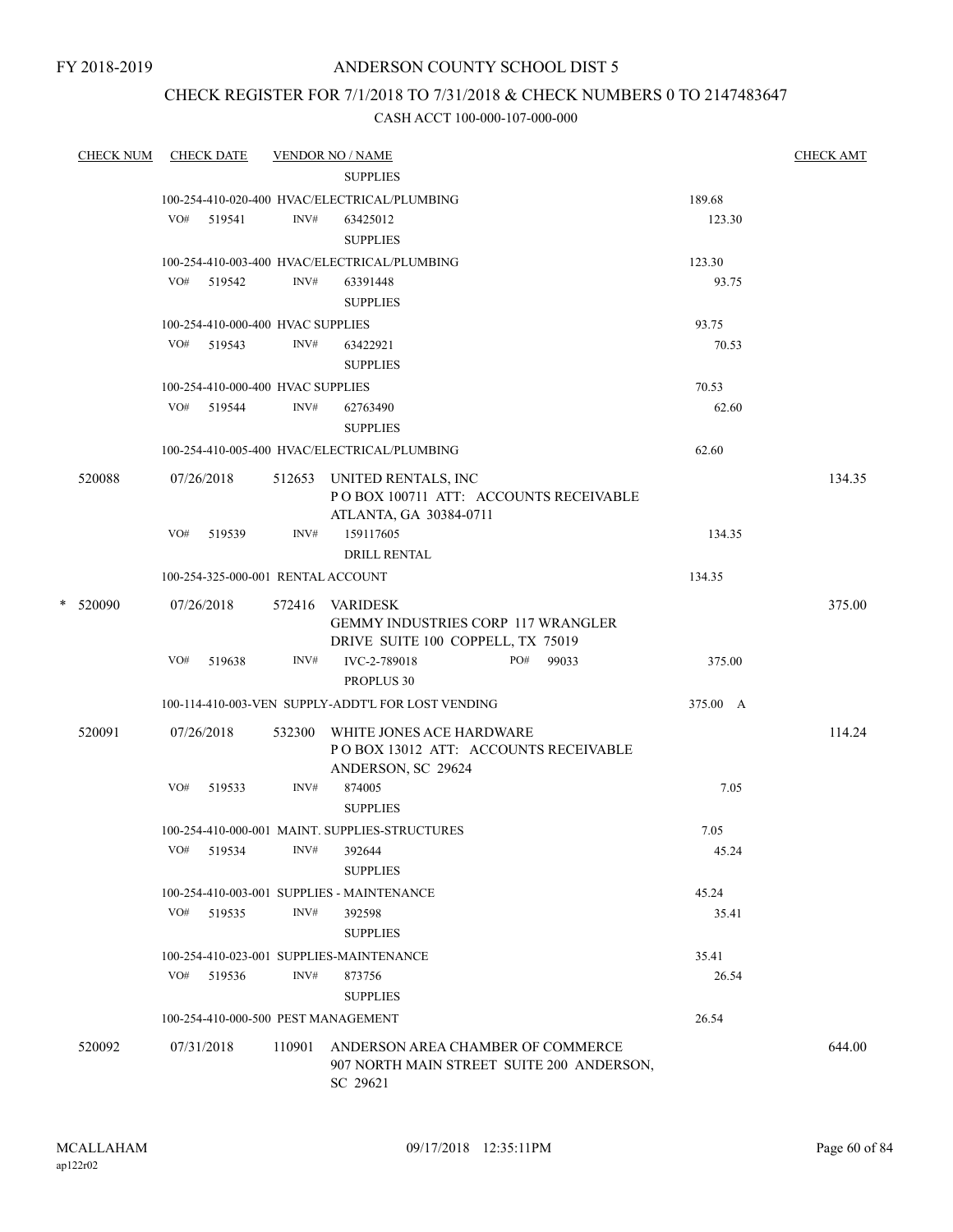FY 2018-2019

## ANDERSON COUNTY SCHOOL DIST 5

## CHECK REGISTER FOR 7/1/2018 TO 7/31/2018 & CHECK NUMBERS 0 TO 2147483647

| <b>CHECK NUM</b> | <b>CHECK DATE</b>                   |        | <b>VENDOR NO / NAME</b>                                                                           |     |       |          | <b>CHECK AMT</b> |
|------------------|-------------------------------------|--------|---------------------------------------------------------------------------------------------------|-----|-------|----------|------------------|
|                  |                                     |        | <b>SUPPLIES</b>                                                                                   |     |       |          |                  |
|                  |                                     |        | 100-254-410-020-400 HVAC/ELECTRICAL/PLUMBING                                                      |     |       | 189.68   |                  |
|                  | VO#<br>519541                       | INV#   | 63425012<br><b>SUPPLIES</b>                                                                       |     |       | 123.30   |                  |
|                  |                                     |        | 100-254-410-003-400 HVAC/ELECTRICAL/PLUMBING                                                      |     |       | 123.30   |                  |
|                  | VO# 519542                          | INV#   | 63391448<br><b>SUPPLIES</b>                                                                       |     |       | 93.75    |                  |
|                  | 100-254-410-000-400 HVAC SUPPLIES   |        |                                                                                                   |     |       | 93.75    |                  |
|                  | VO# 519543                          | INV#   | 63422921<br><b>SUPPLIES</b>                                                                       |     |       | 70.53    |                  |
|                  | 100-254-410-000-400 HVAC SUPPLIES   |        |                                                                                                   |     |       | 70.53    |                  |
|                  | VO# 519544                          | INV#   | 62763490<br><b>SUPPLIES</b>                                                                       |     |       | 62.60    |                  |
|                  |                                     |        | 100-254-410-005-400 HVAC/ELECTRICAL/PLUMBING                                                      |     |       | 62.60    |                  |
| 520088           | 07/26/2018                          |        | 512653 UNITED RENTALS, INC<br>PO BOX 100711 ATT: ACCOUNTS RECEIVABLE<br>ATLANTA, GA 30384-0711    |     |       |          | 134.35           |
|                  | $VO#$ 519539                        | INV#   | 159117605<br><b>DRILL RENTAL</b>                                                                  |     |       | 134.35   |                  |
|                  | 100-254-325-000-001 RENTAL ACCOUNT  |        |                                                                                                   |     |       | 134.35   |                  |
| * 520090         | 07/26/2018                          |        | 572416 VARIDESK<br><b>GEMMY INDUSTRIES CORP 117 WRANGLER</b><br>DRIVE SUITE 100 COPPELL, TX 75019 |     |       |          | 375.00           |
|                  | VO# 519638                          | INV#   | IVC-2-789018<br>PROPLUS 30                                                                        | PO# | 99033 | 375.00   |                  |
|                  |                                     |        | 100-114-410-003-VEN SUPPLY-ADDT'L FOR LOST VENDING                                                |     |       | 375.00 A |                  |
| 520091           | 07/26/2018                          |        | 532300 WHITE JONES ACE HARDWARE<br>POBOX 13012 ATT: ACCOUNTS RECEIVABLE<br>ANDERSON, SC 29624     |     |       |          | 114.24           |
|                  | VO#<br>519533                       | INV#   | 874005<br><b>SUPPLIES</b>                                                                         |     |       | 7.05     |                  |
|                  |                                     |        | 100-254-410-000-001 MAINT. SUPPLIES-STRUCTURES                                                    |     |       | 7.05     |                  |
|                  | VO#<br>519534                       | INV#   | 392644<br><b>SUPPLIES</b>                                                                         |     |       | 45.24    |                  |
|                  |                                     |        | 100-254-410-003-001 SUPPLIES - MAINTENANCE                                                        |     |       | 45.24    |                  |
|                  | VO#<br>519535                       | INV#   | 392598<br><b>SUPPLIES</b>                                                                         |     |       | 35.41    |                  |
|                  |                                     |        | 100-254-410-023-001 SUPPLIES-MAINTENANCE                                                          |     |       | 35.41    |                  |
|                  | VO#<br>519536                       | INV#   | 873756<br><b>SUPPLIES</b>                                                                         |     |       | 26.54    |                  |
|                  | 100-254-410-000-500 PEST MANAGEMENT |        |                                                                                                   |     |       | 26.54    |                  |
| 520092           | 07/31/2018                          | 110901 | ANDERSON AREA CHAMBER OF COMMERCE<br>907 NORTH MAIN STREET SUITE 200 ANDERSON,<br>SC 29621        |     |       |          | 644.00           |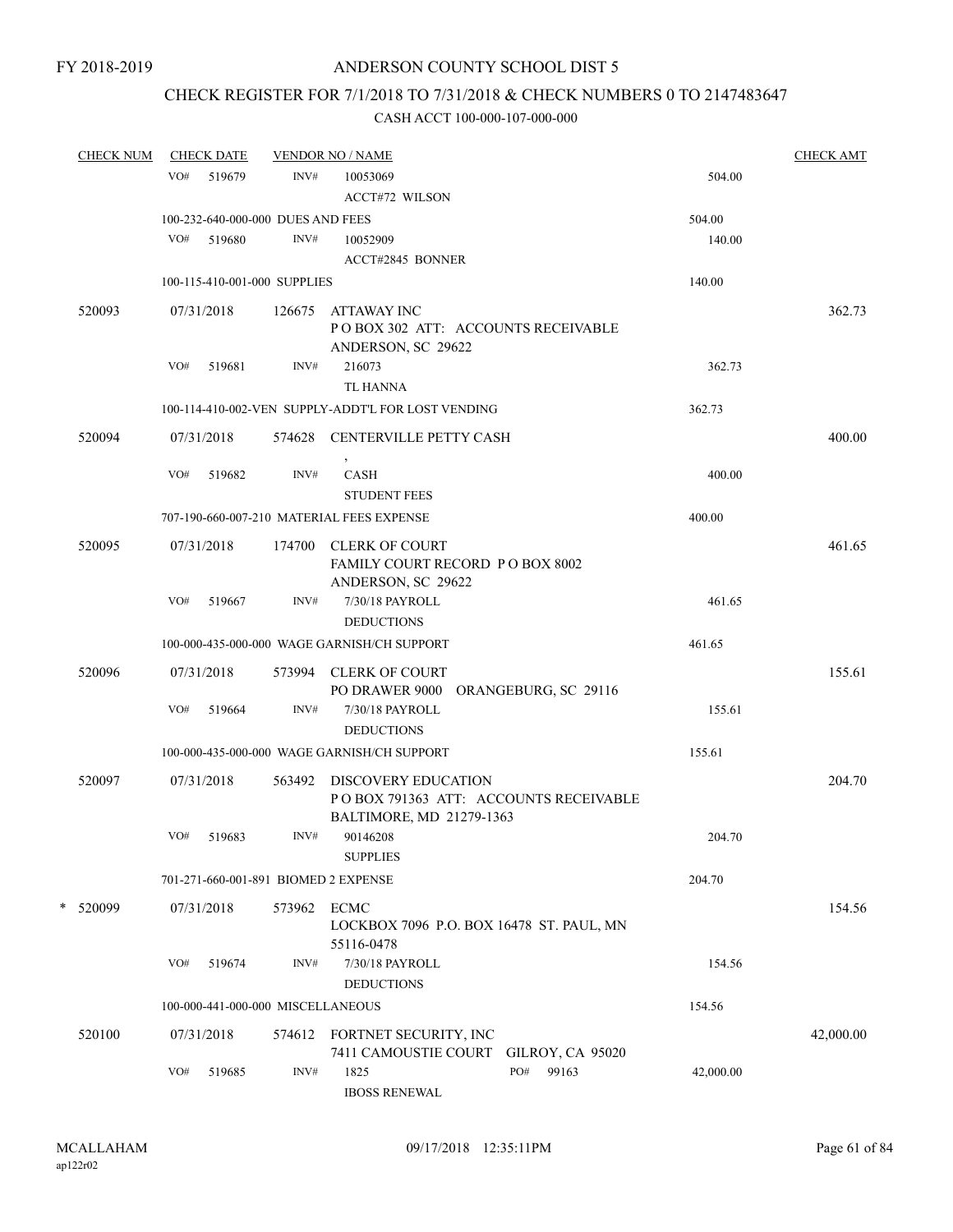## CHECK REGISTER FOR 7/1/2018 TO 7/31/2018 & CHECK NUMBERS 0 TO 2147483647

| <b>CHECK NUM</b> |     | <b>CHECK DATE</b> |                                   | <b>VENDOR NO / NAME</b>                                                                  |           | <b>CHECK AMT</b> |
|------------------|-----|-------------------|-----------------------------------|------------------------------------------------------------------------------------------|-----------|------------------|
|                  | VO# | 519679            | INV#                              | 10053069                                                                                 | 504.00    |                  |
|                  |     |                   |                                   | <b>ACCT#72 WILSON</b>                                                                    |           |                  |
|                  |     |                   | 100-232-640-000-000 DUES AND FEES |                                                                                          | 504.00    |                  |
|                  | VO# | 519680            | INV#                              | 10052909                                                                                 | 140.00    |                  |
|                  |     |                   |                                   | ACCT#2845 BONNER                                                                         |           |                  |
|                  |     |                   | 100-115-410-001-000 SUPPLIES      |                                                                                          | 140.00    |                  |
| 520093           |     | 07/31/2018        | 126675                            | <b>ATTAWAY INC</b><br>POBOX 302 ATT: ACCOUNTS RECEIVABLE<br>ANDERSON, SC 29622           |           | 362.73           |
|                  | VO# | 519681            | INV#                              | 216073<br><b>TL HANNA</b>                                                                | 362.73    |                  |
|                  |     |                   |                                   | 100-114-410-002-VEN SUPPLY-ADDT'L FOR LOST VENDING                                       | 362.73    |                  |
| 520094           |     | 07/31/2018        |                                   | 574628 CENTERVILLE PETTY CASH                                                            |           | 400.00           |
|                  | VO# | 519682            | INV#                              | <b>CASH</b><br><b>STUDENT FEES</b>                                                       | 400.00    |                  |
|                  |     |                   |                                   | 707-190-660-007-210 MATERIAL FEES EXPENSE                                                | 400.00    |                  |
| 520095           |     | 07/31/2018        |                                   | 174700 CLERK OF COURT<br>FAMILY COURT RECORD PO BOX 8002<br>ANDERSON, SC 29622           |           | 461.65           |
|                  | VO# | 519667            | INV#                              | 7/30/18 PAYROLL<br><b>DEDUCTIONS</b>                                                     | 461.65    |                  |
|                  |     |                   |                                   | 100-000-435-000-000 WAGE GARNISH/CH SUPPORT                                              | 461.65    |                  |
| 520096           |     | 07/31/2018        |                                   | 573994 CLERK OF COURT<br>PO DRAWER 9000 ORANGEBURG, SC 29116                             |           | 155.61           |
|                  | VO# | 519664            | INV#                              | 7/30/18 PAYROLL<br><b>DEDUCTIONS</b>                                                     | 155.61    |                  |
|                  |     |                   |                                   | 100-000-435-000-000 WAGE GARNISH/CH SUPPORT                                              | 155.61    |                  |
| 520097           |     | 07/31/2018        | 563492                            | DISCOVERY EDUCATION<br>POBOX 791363 ATT: ACCOUNTS RECEIVABLE<br>BALTIMORE, MD 21279-1363 |           | 204.70           |
|                  | VO# | 519683            | INV#                              | 90146208<br><b>SUPPLIES</b>                                                              | 204.70    |                  |
|                  |     |                   |                                   | 701-271-660-001-891 BIOMED 2 EXPENSE                                                     | 204.70    |                  |
| * 520099         |     | 07/31/2018        | 573962                            | <b>ECMC</b><br>LOCKBOX 7096 P.O. BOX 16478 ST. PAUL, MN<br>55116-0478                    |           | 154.56           |
|                  | VO# | 519674            | INV#                              | 7/30/18 PAYROLL<br><b>DEDUCTIONS</b>                                                     | 154.56    |                  |
|                  |     |                   | 100-000-441-000-000 MISCELLANEOUS |                                                                                          | 154.56    |                  |
| 520100           |     | 07/31/2018        | 574612                            | FORTNET SECURITY, INC<br>7411 CAMOUSTIE COURT<br><b>GILROY, CA 95020</b>                 |           | 42,000.00        |
|                  | VO# | 519685            | INV#                              | 1825<br>PO#<br>99163<br><b>IBOSS RENEWAL</b>                                             | 42,000.00 |                  |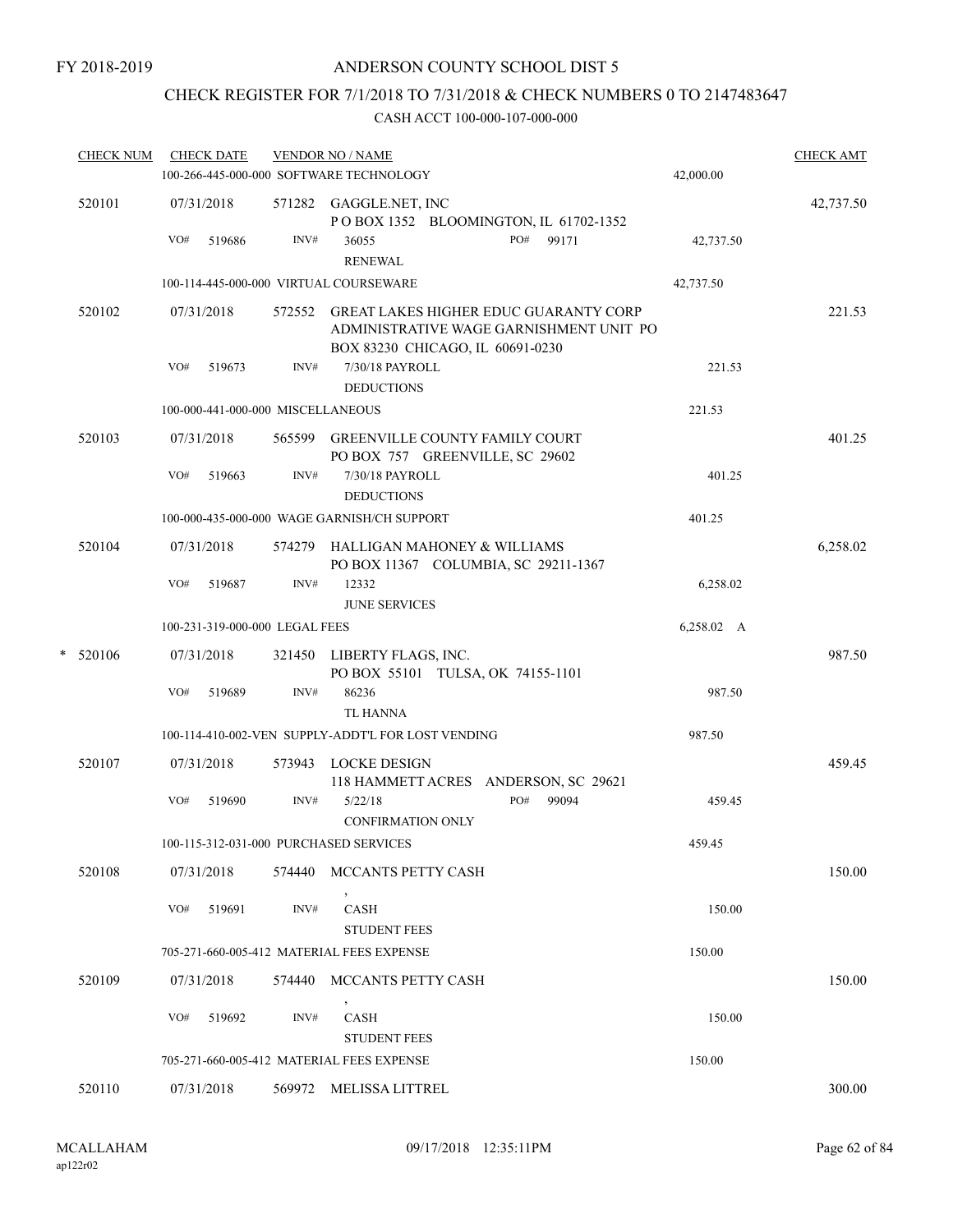## CHECK REGISTER FOR 7/1/2018 TO 7/31/2018 & CHECK NUMBERS 0 TO 2147483647

|   | <b>CHECK NUM</b> |     | <b>CHECK DATE</b>                 |        | <b>VENDOR NO / NAME</b><br>100-266-445-000-000 SOFTWARE TECHNOLOGY                                                          | 42,000.00  | <b>CHECK AMT</b> |
|---|------------------|-----|-----------------------------------|--------|-----------------------------------------------------------------------------------------------------------------------------|------------|------------------|
|   | 520101           | VO# | 07/31/2018<br>519686              | INV#   | 571282 GAGGLE.NET, INC<br>POBOX 1352 BLOOMINGTON, IL 61702-1352<br>PO#<br>36055<br>99171                                    | 42,737.50  | 42,737.50        |
|   |                  |     |                                   |        | <b>RENEWAL</b>                                                                                                              |            |                  |
|   |                  |     |                                   |        | 100-114-445-000-000 VIRTUAL COURSEWARE                                                                                      | 42,737.50  |                  |
|   | 520102           |     | 07/31/2018                        |        | 572552 GREAT LAKES HIGHER EDUC GUARANTY CORP<br>ADMINISTRATIVE WAGE GARNISHMENT UNIT PO<br>BOX 83230 CHICAGO, IL 60691-0230 |            | 221.53           |
|   |                  | VO# | 519673                            | INV#   | 7/30/18 PAYROLL<br><b>DEDUCTIONS</b>                                                                                        | 221.53     |                  |
|   |                  |     | 100-000-441-000-000 MISCELLANEOUS |        |                                                                                                                             | 221.53     |                  |
|   | 520103           |     | 07/31/2018                        |        | 565599 GREENVILLE COUNTY FAMILY COURT                                                                                       |            | 401.25           |
|   |                  |     |                                   |        | PO BOX 757 GREENVILLE, SC 29602                                                                                             |            |                  |
|   |                  | VO# | 519663                            | INV#   | 7/30/18 PAYROLL<br><b>DEDUCTIONS</b>                                                                                        | 401.25     |                  |
|   |                  |     |                                   |        | 100-000-435-000-000 WAGE GARNISH/CH SUPPORT                                                                                 | 401.25     |                  |
|   | 520104           |     | 07/31/2018                        | 574279 | HALLIGAN MAHONEY & WILLIAMS<br>PO BOX 11367 COLUMBIA, SC 29211-1367                                                         |            | 6,258.02         |
|   |                  | VO# | 519687                            | INV#   | 12332<br><b>JUNE SERVICES</b>                                                                                               | 6,258.02   |                  |
|   |                  |     | 100-231-319-000-000 LEGAL FEES    |        |                                                                                                                             | 6,258.02 A |                  |
| * | 520106           |     | 07/31/2018                        | 321450 | LIBERTY FLAGS, INC.<br>PO BOX 55101 TULSA, OK 74155-1101                                                                    |            | 987.50           |
|   |                  | VO# | 519689                            | INV#   | 86236<br><b>TL HANNA</b>                                                                                                    | 987.50     |                  |
|   |                  |     |                                   |        | 100-114-410-002-VEN SUPPLY-ADDT'L FOR LOST VENDING                                                                          | 987.50     |                  |
|   | 520107           |     | 07/31/2018                        |        | 573943 LOCKE DESIGN<br>118 HAMMETT ACRES ANDERSON, SC 29621                                                                 |            | 459.45           |
|   |                  | VO# | 519690                            | INV#   | PO#<br>5/22/18<br>99094<br><b>CONFIRMATION ONLY</b>                                                                         | 459.45     |                  |
|   |                  |     |                                   |        | 100-115-312-031-000 PURCHASED SERVICES                                                                                      | 459.45     |                  |
|   | 520108           |     | 07/31/2018                        | 574440 | MCCANTS PETTY CASH                                                                                                          |            | 150.00           |
|   |                  | VO# | 519691                            | INV#   | CASH<br><b>STUDENT FEES</b>                                                                                                 | 150.00     |                  |
|   |                  |     |                                   |        | 705-271-660-005-412 MATERIAL FEES EXPENSE                                                                                   | 150.00     |                  |
|   | 520109           |     | 07/31/2018                        | 574440 | MCCANTS PETTY CASH                                                                                                          |            | 150.00           |
|   |                  | VO# | 519692                            | INV#   | CASH<br><b>STUDENT FEES</b>                                                                                                 | 150.00     |                  |
|   |                  |     |                                   |        | 705-271-660-005-412 MATERIAL FEES EXPENSE                                                                                   | 150.00     |                  |
|   | 520110           |     | 07/31/2018                        |        | 569972 MELISSA LITTREL                                                                                                      |            | 300.00           |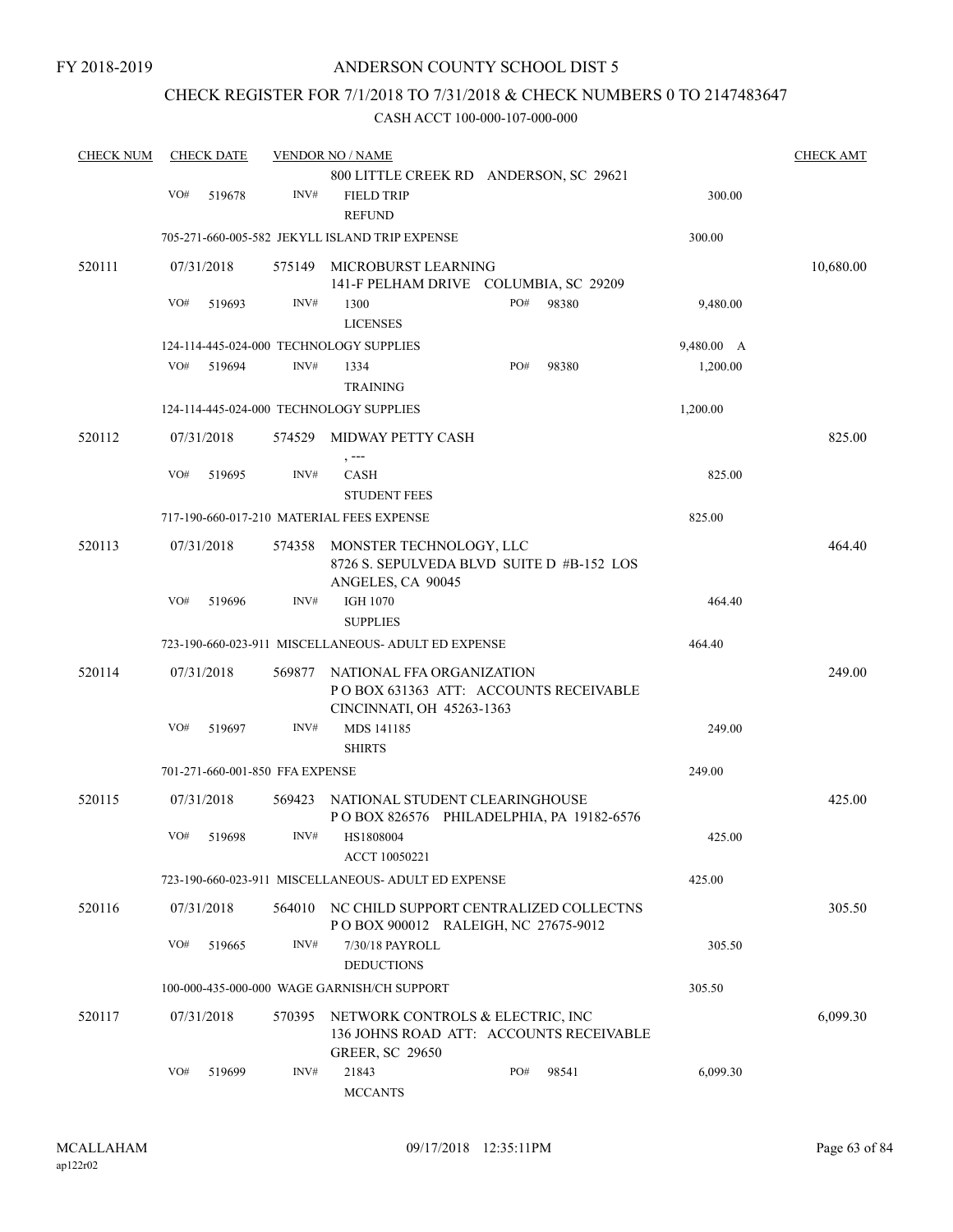## CHECK REGISTER FOR 7/1/2018 TO 7/31/2018 & CHECK NUMBERS 0 TO 2147483647

| <b>CHECK NUM</b> |     | <b>CHECK DATE</b> |                                 | <b>VENDOR NO / NAME</b>                                                                               |     |       |            | <b>CHECK AMT</b> |
|------------------|-----|-------------------|---------------------------------|-------------------------------------------------------------------------------------------------------|-----|-------|------------|------------------|
|                  |     |                   |                                 | 800 LITTLE CREEK RD ANDERSON, SC 29621                                                                |     |       |            |                  |
|                  | VO# | 519678            | INV#                            | <b>FIELD TRIP</b><br><b>REFUND</b>                                                                    |     |       | 300.00     |                  |
|                  |     |                   |                                 | 705-271-660-005-582 JEKYLL ISLAND TRIP EXPENSE                                                        |     |       | 300.00     |                  |
| 520111           |     | 07/31/2018        | 575149                          | MICROBURST LEARNING                                                                                   |     |       |            | 10,680.00        |
|                  |     |                   |                                 | 141-F PELHAM DRIVE COLUMBIA, SC 29209                                                                 |     |       |            |                  |
|                  | VO# | 519693            | INV#                            | 1300<br><b>LICENSES</b>                                                                               | PO# | 98380 | 9,480.00   |                  |
|                  |     |                   |                                 | 124-114-445-024-000 TECHNOLOGY SUPPLIES                                                               |     |       | 9,480.00 A |                  |
|                  | VO# | 519694            | INV#                            | 1334<br><b>TRAINING</b>                                                                               | PO# | 98380 | 1,200.00   |                  |
|                  |     |                   |                                 | 124-114-445-024-000 TECHNOLOGY SUPPLIES                                                               |     |       | 1,200.00   |                  |
| 520112           |     | 07/31/2018        | 574529                          | MIDWAY PETTY CASH                                                                                     |     |       |            | 825.00           |
|                  | VO# | 519695            | INV#                            | , ---<br><b>CASH</b><br><b>STUDENT FEES</b>                                                           |     |       | 825.00     |                  |
|                  |     |                   |                                 | 717-190-660-017-210 MATERIAL FEES EXPENSE                                                             |     |       | 825.00     |                  |
| 520113           |     | 07/31/2018        | 574358                          | MONSTER TECHNOLOGY, LLC<br>8726 S. SEPULVEDA BLVD SUITE D #B-152 LOS                                  |     |       |            | 464.40           |
|                  | VO# | 519696            | INV#                            | ANGELES, CA 90045<br><b>IGH 1070</b><br><b>SUPPLIES</b>                                               |     |       | 464.40     |                  |
|                  |     |                   |                                 | 723-190-660-023-911 MISCELLANEOUS- ADULT ED EXPENSE                                                   |     |       | 464.40     |                  |
| 520114           |     | 07/31/2018        | 569877                          | NATIONAL FFA ORGANIZATION<br>POBOX 631363 ATT: ACCOUNTS RECEIVABLE<br>CINCINNATI, OH 45263-1363       |     |       |            | 249.00           |
|                  | VO# | 519697            | INV#                            | MDS 141185<br><b>SHIRTS</b>                                                                           |     |       | 249.00     |                  |
|                  |     |                   | 701-271-660-001-850 FFA EXPENSE |                                                                                                       |     |       | 249.00     |                  |
| 520115           |     | 07/31/2018        | 569423                          | NATIONAL STUDENT CLEARINGHOUSE<br>POBOX 826576 PHILADELPHIA, PA 19182-6576                            |     |       |            | 425.00           |
|                  | VO# | 519698            | INV#                            | HS1808004<br>ACCT 10050221                                                                            |     |       | 425.00     |                  |
|                  |     |                   |                                 | 723-190-660-023-911 MISCELLANEOUS- ADULT ED EXPENSE                                                   |     |       | 425.00     |                  |
| 520116           |     | 07/31/2018        | 564010                          | NC CHILD SUPPORT CENTRALIZED COLLECTNS<br>POBOX 900012 RALEIGH, NC 27675-9012                         |     |       |            | 305.50           |
|                  | VO# | 519665            | INV#                            | 7/30/18 PAYROLL<br><b>DEDUCTIONS</b>                                                                  |     |       | 305.50     |                  |
|                  |     |                   |                                 | 100-000-435-000-000 WAGE GARNISH/CH SUPPORT                                                           |     |       | 305.50     |                  |
| 520117           |     | 07/31/2018        | 570395                          | NETWORK CONTROLS & ELECTRIC, INC<br>136 JOHNS ROAD ATT: ACCOUNTS RECEIVABLE<br><b>GREER, SC 29650</b> |     |       |            | 6,099.30         |
|                  | VO# | 519699            | INV#                            | 21843<br><b>MCCANTS</b>                                                                               | PO# | 98541 | 6,099.30   |                  |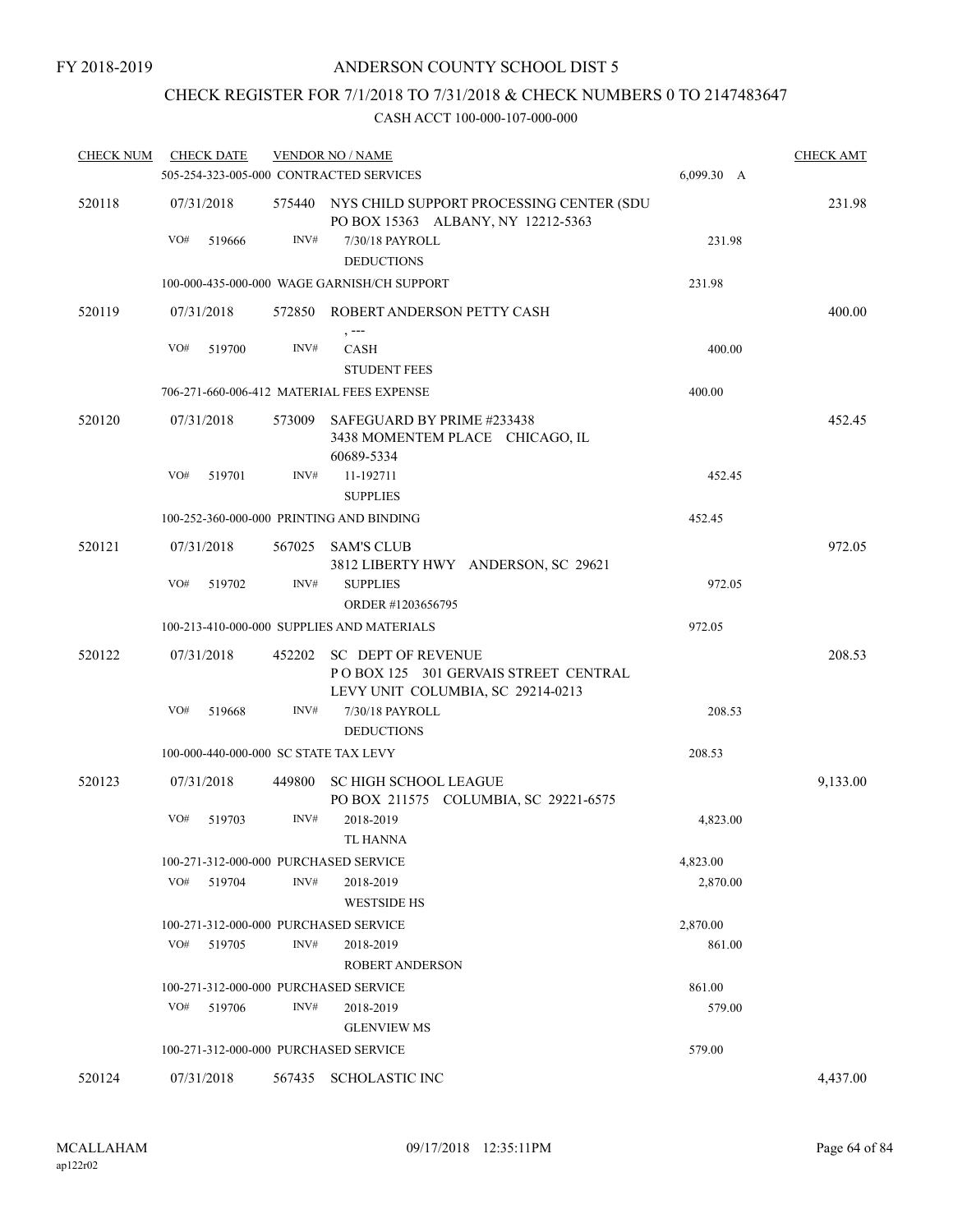## CHECK REGISTER FOR 7/1/2018 TO 7/31/2018 & CHECK NUMBERS 0 TO 2147483647

| <b>CHECK NUM</b> | <b>CHECK DATE</b> |                                       | <b>VENDOR NO / NAME</b>                                                                         |            | <b>CHECK AMT</b> |
|------------------|-------------------|---------------------------------------|-------------------------------------------------------------------------------------------------|------------|------------------|
|                  |                   |                                       | 505-254-323-005-000 CONTRACTED SERVICES                                                         | 6,099.30 A |                  |
| 520118           | 07/31/2018        |                                       | 575440 NYS CHILD SUPPORT PROCESSING CENTER (SDU<br>PO BOX 15363 ALBANY, NY 12212-5363           |            | 231.98           |
|                  | VO#<br>519666     | INV#                                  | 7/30/18 PAYROLL                                                                                 | 231.98     |                  |
|                  |                   |                                       | <b>DEDUCTIONS</b>                                                                               |            |                  |
|                  |                   |                                       | 100-000-435-000-000 WAGE GARNISH/CH SUPPORT                                                     | 231.98     |                  |
| 520119           | 07/31/2018        |                                       | 572850 ROBERT ANDERSON PETTY CASH                                                               |            | 400.00           |
|                  | VO#<br>519700     | INV#                                  | $, --$<br><b>CASH</b>                                                                           | 400.00     |                  |
|                  |                   |                                       | <b>STUDENT FEES</b>                                                                             |            |                  |
|                  |                   |                                       | 706-271-660-006-412 MATERIAL FEES EXPENSE                                                       | 400.00     |                  |
| 520120           | 07/31/2018        | 573009                                | SAFEGUARD BY PRIME #233438                                                                      |            | 452.45           |
|                  |                   |                                       | 3438 MOMENTEM PLACE CHICAGO, IL<br>60689-5334                                                   |            |                  |
|                  | VO#<br>519701     | INV#                                  | 11-192711                                                                                       | 452.45     |                  |
|                  |                   |                                       | <b>SUPPLIES</b>                                                                                 |            |                  |
|                  |                   |                                       | 100-252-360-000-000 PRINTING AND BINDING                                                        | 452.45     |                  |
| 520121           | 07/31/2018        |                                       | 567025 SAM'S CLUB                                                                               |            | 972.05           |
|                  |                   |                                       | 3812 LIBERTY HWY ANDERSON, SC 29621                                                             |            |                  |
|                  | VO#<br>519702     | INV#                                  | <b>SUPPLIES</b>                                                                                 | 972.05     |                  |
|                  |                   |                                       | ORDER #1203656795                                                                               |            |                  |
|                  |                   |                                       | 100-213-410-000-000 SUPPLIES AND MATERIALS                                                      | 972.05     |                  |
| 520122           | 07/31/2018        | 452202                                | SC DEPT OF REVENUE<br>POBOX 125 301 GERVAIS STREET CENTRAL<br>LEVY UNIT COLUMBIA, SC 29214-0213 |            | 208.53           |
|                  | VO#<br>519668     | INV#                                  | 7/30/18 PAYROLL                                                                                 | 208.53     |                  |
|                  |                   |                                       | <b>DEDUCTIONS</b>                                                                               |            |                  |
|                  |                   | 100-000-440-000-000 SC STATE TAX LEVY |                                                                                                 | 208.53     |                  |
| 520123           | 07/31/2018        | 449800                                | <b>SC HIGH SCHOOL LEAGUE</b><br>PO BOX 211575 COLUMBIA, SC 29221-6575                           |            | 9,133.00         |
|                  | VO#<br>519703     | INV#                                  | 2018-2019                                                                                       | 4,823.00   |                  |
|                  |                   |                                       | TL HANNA                                                                                        |            |                  |
|                  |                   | 100-271-312-000-000 PURCHASED SERVICE |                                                                                                 | 4,823.00   |                  |
|                  | VO#<br>519704     | INV#                                  | 2018-2019                                                                                       | 2,870.00   |                  |
|                  |                   |                                       | <b>WESTSIDE HS</b>                                                                              |            |                  |
|                  |                   | 100-271-312-000-000 PURCHASED SERVICE |                                                                                                 | 2,870.00   |                  |
|                  | VO#<br>519705     | INV#                                  | 2018-2019                                                                                       | 861.00     |                  |
|                  |                   |                                       | <b>ROBERT ANDERSON</b>                                                                          |            |                  |
|                  |                   | 100-271-312-000-000 PURCHASED SERVICE |                                                                                                 | 861.00     |                  |
|                  | VO#<br>519706     | INV#                                  | 2018-2019                                                                                       | 579.00     |                  |
|                  |                   |                                       | <b>GLENVIEW MS</b>                                                                              |            |                  |
|                  |                   | 100-271-312-000-000 PURCHASED SERVICE |                                                                                                 | 579.00     |                  |
| 520124           | 07/31/2018        | 567435                                | <b>SCHOLASTIC INC</b>                                                                           |            | 4,437.00         |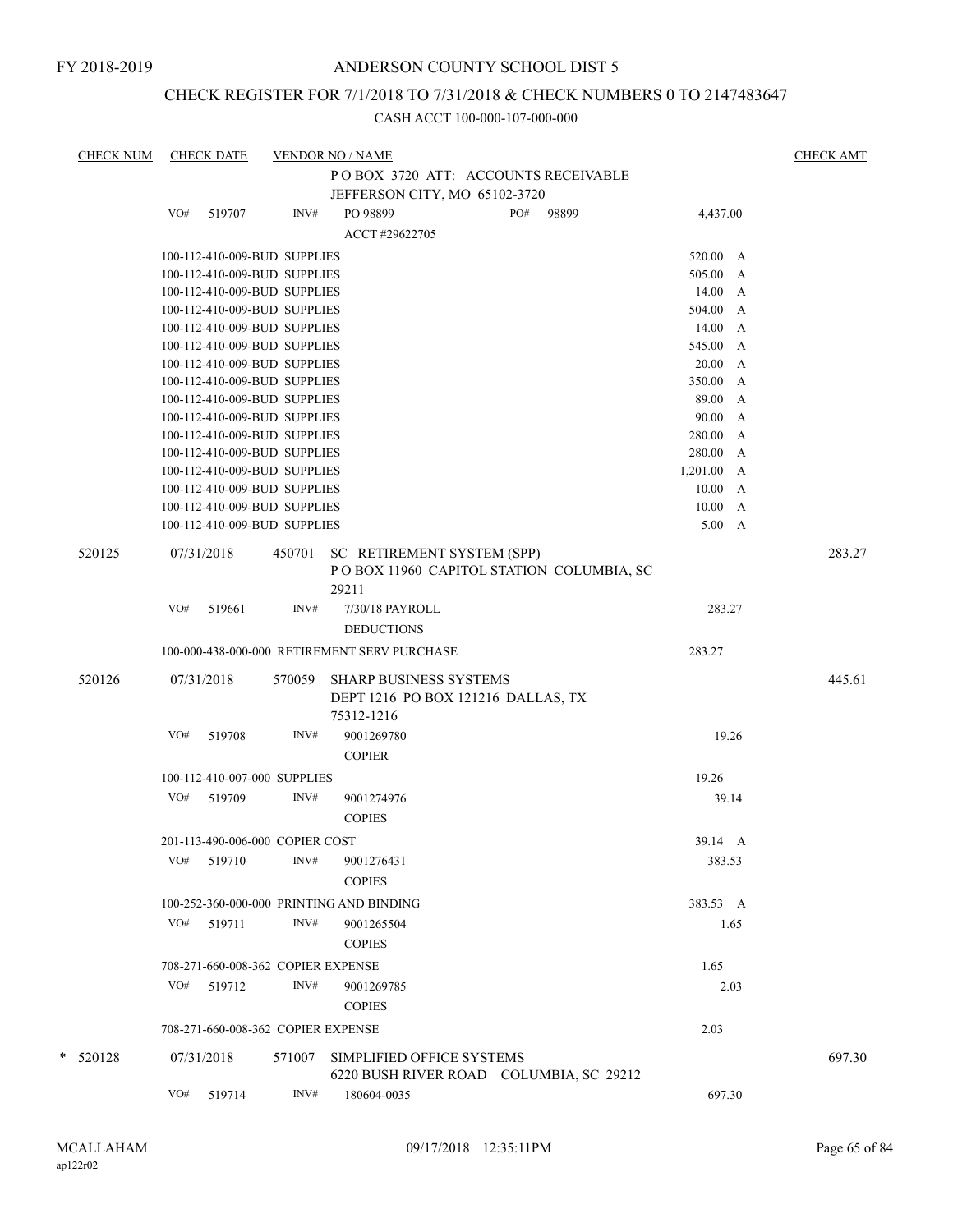## CHECK REGISTER FOR 7/1/2018 TO 7/31/2018 & CHECK NUMBERS 0 TO 2147483647

| <b>CHECK NUM</b> |     | <b>CHECK DATE</b> |                                    | <b>VENDOR NO / NAME</b>                                                         |     |       |                        | <b>CHECK AMT</b> |
|------------------|-----|-------------------|------------------------------------|---------------------------------------------------------------------------------|-----|-------|------------------------|------------------|
|                  |     |                   |                                    | POBOX 3720 ATT: ACCOUNTS RECEIVABLE                                             |     |       |                        |                  |
|                  |     |                   |                                    | JEFFERSON CITY, MO 65102-3720                                                   |     |       |                        |                  |
|                  | VO# | 519707            | INV#                               | PO 98899                                                                        | PO# | 98899 | 4,437.00               |                  |
|                  |     |                   |                                    | ACCT #29622705                                                                  |     |       |                        |                  |
|                  |     |                   |                                    |                                                                                 |     |       |                        |                  |
|                  |     |                   | 100-112-410-009-BUD SUPPLIES       |                                                                                 |     |       | 520.00 A               |                  |
|                  |     |                   | 100-112-410-009-BUD SUPPLIES       |                                                                                 |     |       | 505.00 A               |                  |
|                  |     |                   | 100-112-410-009-BUD SUPPLIES       |                                                                                 |     |       | 14.00<br>A             |                  |
|                  |     |                   | 100-112-410-009-BUD SUPPLIES       |                                                                                 |     |       | 504.00<br>$\mathbf{A}$ |                  |
|                  |     |                   | 100-112-410-009-BUD SUPPLIES       |                                                                                 |     |       | 14.00<br>A             |                  |
|                  |     |                   | 100-112-410-009-BUD SUPPLIES       |                                                                                 |     |       | 545.00 A               |                  |
|                  |     |                   | 100-112-410-009-BUD SUPPLIES       |                                                                                 |     |       | 20.00 A                |                  |
|                  |     |                   | 100-112-410-009-BUD SUPPLIES       |                                                                                 |     |       | 350.00<br>A            |                  |
|                  |     |                   | 100-112-410-009-BUD SUPPLIES       |                                                                                 |     |       | 89.00<br>A             |                  |
|                  |     |                   | 100-112-410-009-BUD SUPPLIES       |                                                                                 |     |       | 90.00<br>$\mathbf{A}$  |                  |
|                  |     |                   | 100-112-410-009-BUD SUPPLIES       |                                                                                 |     |       | 280.00 A               |                  |
|                  |     |                   | 100-112-410-009-BUD SUPPLIES       |                                                                                 |     |       | 280.00 A               |                  |
|                  |     |                   | 100-112-410-009-BUD SUPPLIES       |                                                                                 |     |       | 1,201.00 A             |                  |
|                  |     |                   | 100-112-410-009-BUD SUPPLIES       |                                                                                 |     |       | 10.00 A                |                  |
|                  |     |                   | 100-112-410-009-BUD SUPPLIES       |                                                                                 |     |       | 10.00<br>A             |                  |
|                  |     |                   | 100-112-410-009-BUD SUPPLIES       |                                                                                 |     |       | $5.00\quad A$          |                  |
| 520125           |     | 07/31/2018        | 450701                             | SC RETIREMENT SYSTEM (SPP)<br>POBOX 11960 CAPITOL STATION COLUMBIA, SC<br>29211 |     |       |                        | 283.27           |
|                  | VO# | 519661            | INV#                               | 7/30/18 PAYROLL                                                                 |     |       | 283.27                 |                  |
|                  |     |                   |                                    | <b>DEDUCTIONS</b>                                                               |     |       |                        |                  |
|                  |     |                   |                                    | 100-000-438-000-000 RETIREMENT SERV PURCHASE                                    |     |       | 283.27                 |                  |
|                  |     |                   |                                    |                                                                                 |     |       |                        |                  |
| 520126           |     | 07/31/2018        | 570059                             | SHARP BUSINESS SYSTEMS<br>DEPT 1216 PO BOX 121216 DALLAS, TX<br>75312-1216      |     |       |                        | 445.61           |
|                  | VO# | 519708            | INV#                               | 9001269780<br><b>COPIER</b>                                                     |     |       | 19.26                  |                  |
|                  |     |                   | 100-112-410-007-000 SUPPLIES       |                                                                                 |     |       | 19.26                  |                  |
|                  |     |                   |                                    |                                                                                 |     |       |                        |                  |
|                  |     | VO# 519709        | INV#                               | 9001274976<br><b>COPIES</b>                                                     |     |       | 39.14                  |                  |
|                  |     |                   | 201-113-490-006-000 COPIER COST    |                                                                                 |     |       | 39.14 A                |                  |
|                  | VO# | 519710            | INV#                               | 9001276431<br><b>COPIES</b>                                                     |     |       | 383.53                 |                  |
|                  |     |                   |                                    |                                                                                 |     |       |                        |                  |
|                  |     |                   |                                    | 100-252-360-000-000 PRINTING AND BINDING                                        |     |       | 383.53 A               |                  |
|                  | VO# | 519711            | INV#                               | 9001265504<br><b>COPIES</b>                                                     |     |       | 1.65                   |                  |
|                  |     |                   | 708-271-660-008-362 COPIER EXPENSE |                                                                                 |     |       | 1.65                   |                  |
|                  | VO# | 519712            | INV#                               | 9001269785                                                                      |     |       | 2.03                   |                  |
|                  |     |                   |                                    | <b>COPIES</b>                                                                   |     |       |                        |                  |
|                  |     |                   |                                    |                                                                                 |     |       |                        |                  |
|                  |     |                   | 708-271-660-008-362 COPIER EXPENSE |                                                                                 |     |       | 2.03                   |                  |
| $*$ 520128       |     | 07/31/2018        | 571007                             | SIMPLIFIED OFFICE SYSTEMS<br>6220 BUSH RIVER ROAD COLUMBIA, SC 29212            |     |       |                        | 697.30           |
|                  | VO# | 519714            | INV#                               | 180604-0035                                                                     |     |       | 697.30                 |                  |
|                  |     |                   |                                    |                                                                                 |     |       |                        |                  |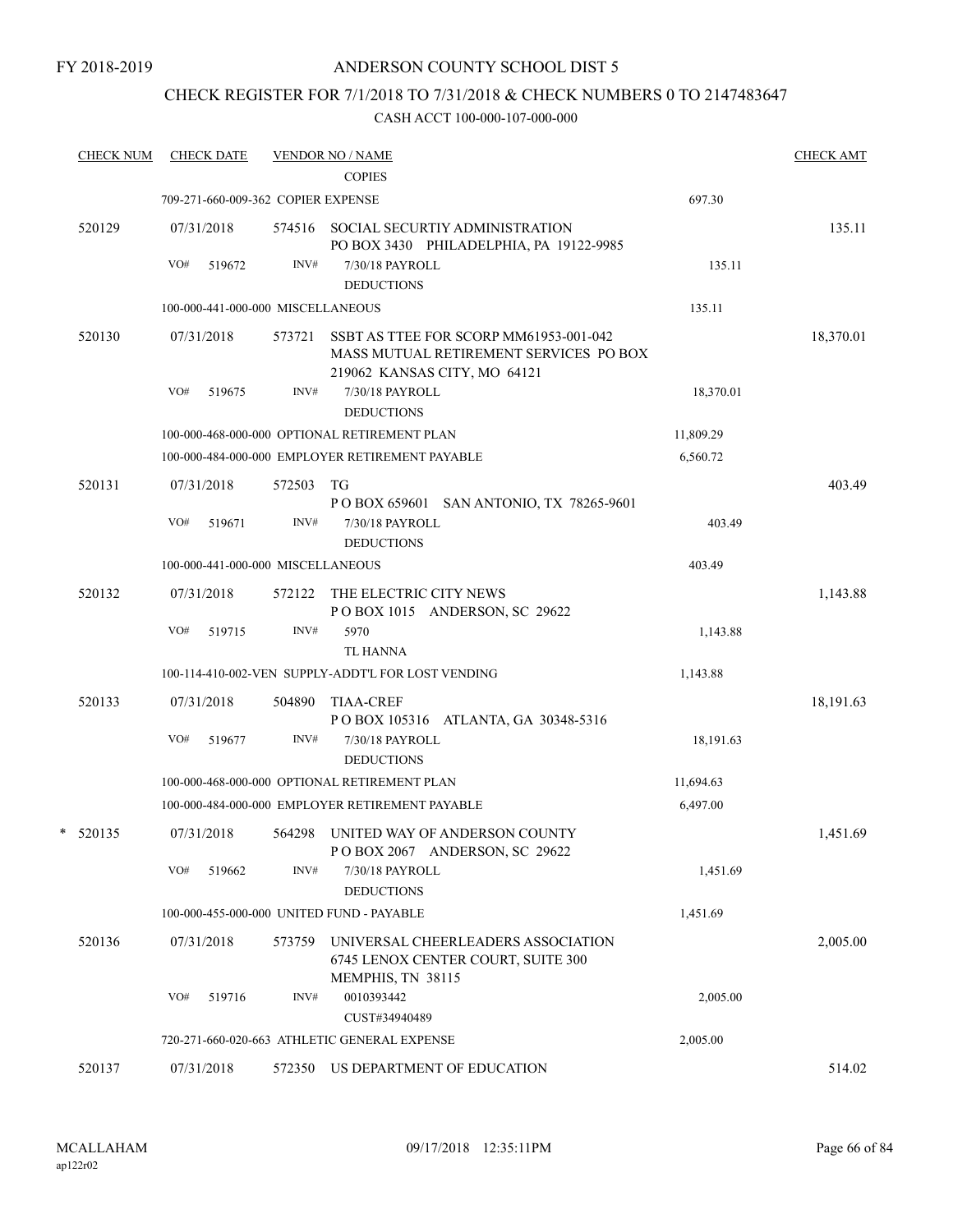FY 2018-2019

## ANDERSON COUNTY SCHOOL DIST 5

# CHECK REGISTER FOR 7/1/2018 TO 7/31/2018 & CHECK NUMBERS 0 TO 2147483647

| <b>CHECK NUM</b> | <b>CHECK DATE</b>                  |        | <b>VENDOR NO / NAME</b>                                                                                          |           | <b>CHECK AMT</b> |
|------------------|------------------------------------|--------|------------------------------------------------------------------------------------------------------------------|-----------|------------------|
|                  |                                    |        | <b>COPIES</b>                                                                                                    |           |                  |
|                  | 709-271-660-009-362 COPIER EXPENSE |        |                                                                                                                  | 697.30    |                  |
| 520129           | 07/31/2018                         | 574516 | SOCIAL SECURTIY ADMINISTRATION<br>PO BOX 3430 PHILADELPHIA, PA 19122-9985                                        |           | 135.11           |
|                  | VO#<br>519672                      | INV#   | 7/30/18 PAYROLL                                                                                                  | 135.11    |                  |
|                  |                                    |        | <b>DEDUCTIONS</b>                                                                                                |           |                  |
|                  | 100-000-441-000-000 MISCELLANEOUS  |        |                                                                                                                  | 135.11    |                  |
| 520130           | 07/31/2018                         | 573721 | SSBT AS TTEE FOR SCORP MM61953-001-042<br>MASS MUTUAL RETIREMENT SERVICES PO BOX<br>219062 KANSAS CITY, MO 64121 |           | 18,370.01        |
|                  | VO#<br>519675                      | INV#   | 7/30/18 PAYROLL<br><b>DEDUCTIONS</b>                                                                             | 18,370.01 |                  |
|                  |                                    |        | 100-000-468-000-000 OPTIONAL RETIREMENT PLAN                                                                     | 11,809.29 |                  |
|                  |                                    |        | 100-000-484-000-000 EMPLOYER RETIREMENT PAYABLE                                                                  | 6,560.72  |                  |
| 520131           | 07/31/2018                         | 572503 | TG                                                                                                               |           | 403.49           |
|                  |                                    |        | P O BOX 659601 SAN ANTONIO, TX 78265-9601                                                                        |           |                  |
|                  | VO#<br>519671                      | INV#   | 7/30/18 PAYROLL<br><b>DEDUCTIONS</b>                                                                             | 403.49    |                  |
|                  | 100-000-441-000-000 MISCELLANEOUS  |        |                                                                                                                  | 403.49    |                  |
| 520132           | 07/31/2018                         | 572122 | THE ELECTRIC CITY NEWS<br>POBOX 1015 ANDERSON, SC 29622                                                          |           | 1,143.88         |
|                  | VO#<br>519715                      | INV#   | 5970                                                                                                             | 1,143.88  |                  |
|                  |                                    |        | TL HANNA                                                                                                         |           |                  |
|                  |                                    |        | 100-114-410-002-VEN SUPPLY-ADDT'L FOR LOST VENDING                                                               | 1,143.88  |                  |
| 520133           | 07/31/2018                         | 504890 | <b>TIAA-CREF</b><br>POBOX 105316 ATLANTA, GA 30348-5316                                                          |           | 18,191.63        |
|                  | VO#<br>519677                      | INV#   | 7/30/18 PAYROLL<br><b>DEDUCTIONS</b>                                                                             | 18,191.63 |                  |
|                  |                                    |        | 100-000-468-000-000 OPTIONAL RETIREMENT PLAN                                                                     | 11,694.63 |                  |
|                  |                                    |        | 100-000-484-000-000 EMPLOYER RETIREMENT PAYABLE                                                                  | 6,497.00  |                  |
| $*$ 520135       | 07/31/2018                         | 564298 | UNITED WAY OF ANDERSON COUNTY<br>POBOX 2067 ANDERSON, SC 29622                                                   |           | 1,451.69         |
|                  | VO#<br>519662                      | INV#   | 7/30/18 PAYROLL<br><b>DEDUCTIONS</b>                                                                             | 1,451.69  |                  |
|                  |                                    |        | 100-000-455-000-000 UNITED FUND - PAYABLE                                                                        | 1,451.69  |                  |
| 520136           | 07/31/2018                         | 573759 | UNIVERSAL CHEERLEADERS ASSOCIATION<br>6745 LENOX CENTER COURT, SUITE 300                                         |           | 2,005.00         |
|                  | VO#<br>519716                      | INV#   | MEMPHIS, TN 38115<br>0010393442                                                                                  | 2,005.00  |                  |
|                  |                                    |        | CUST#34940489                                                                                                    |           |                  |
|                  |                                    |        | 720-271-660-020-663 ATHLETIC GENERAL EXPENSE                                                                     | 2,005.00  |                  |
| 520137           | 07/31/2018                         | 572350 | US DEPARTMENT OF EDUCATION                                                                                       |           | 514.02           |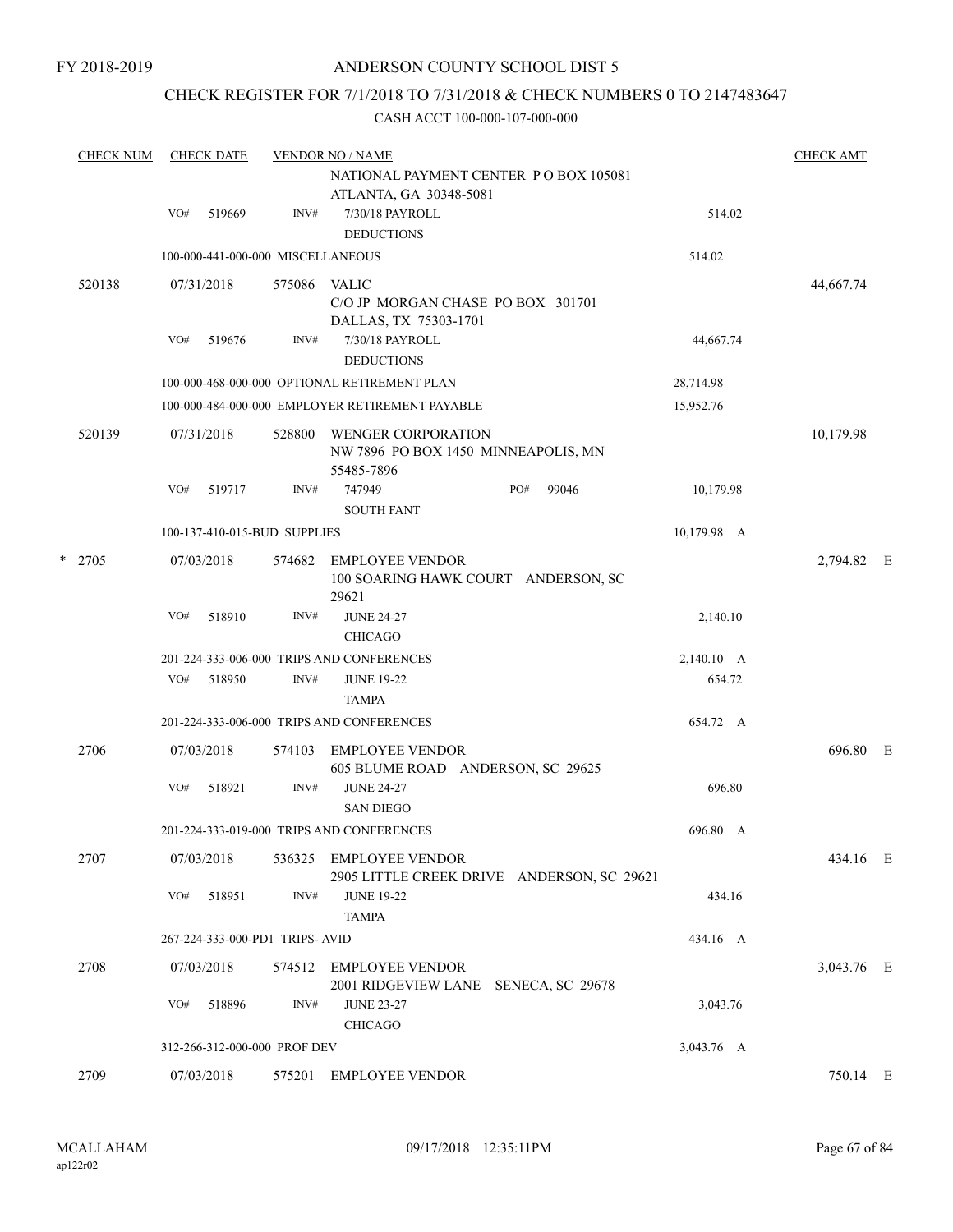FY 2018-2019

## ANDERSON COUNTY SCHOOL DIST 5

# CHECK REGISTER FOR 7/1/2018 TO 7/31/2018 & CHECK NUMBERS 0 TO 2147483647

| <b>CHECK NUM</b> | <b>CHECK DATE</b>                 |        | <b>VENDOR NO / NAME</b><br>NATIONAL PAYMENT CENTER PO BOX 105081<br>ATLANTA, GA 30348-5081 | <b>CHECK AMT</b> |            |  |
|------------------|-----------------------------------|--------|--------------------------------------------------------------------------------------------|------------------|------------|--|
|                  | VO#<br>519669                     | INV#   | 7/30/18 PAYROLL<br><b>DEDUCTIONS</b>                                                       | 514.02           |            |  |
|                  | 100-000-441-000-000 MISCELLANEOUS |        |                                                                                            | 514.02           |            |  |
| 520138           | 07/31/2018                        | 575086 | <b>VALIC</b><br>C/O JP MORGAN CHASE PO BOX 301701<br>DALLAS, TX 75303-1701                 |                  | 44,667.74  |  |
|                  | VO#<br>519676                     | INV#   | 7/30/18 PAYROLL<br><b>DEDUCTIONS</b>                                                       | 44,667.74        |            |  |
|                  |                                   |        | 100-000-468-000-000 OPTIONAL RETIREMENT PLAN                                               | 28,714.98        |            |  |
|                  |                                   |        | 100-000-484-000-000 EMPLOYER RETIREMENT PAYABLE                                            | 15,952.76        |            |  |
| 520139           | 07/31/2018                        | 528800 | WENGER CORPORATION<br>NW 7896 PO BOX 1450 MINNEAPOLIS, MN<br>55485-7896                    |                  | 10,179.98  |  |
|                  | VO#<br>519717                     | INV#   | 747949<br>PO#<br>99046<br><b>SOUTH FANT</b>                                                | 10,179.98        |            |  |
|                  | 100-137-410-015-BUD SUPPLIES      |        |                                                                                            | 10,179.98 A      |            |  |
| $*$ 2705         | 07/03/2018                        | 574682 | <b>EMPLOYEE VENDOR</b><br>100 SOARING HAWK COURT ANDERSON, SC<br>29621                     |                  | 2,794.82 E |  |
|                  | VO#<br>518910                     | INV#   | <b>JUNE 24-27</b><br><b>CHICAGO</b>                                                        | 2,140.10         |            |  |
|                  |                                   |        | 201-224-333-006-000 TRIPS AND CONFERENCES                                                  | 2,140.10 A       |            |  |
|                  | VO#<br>518950                     | INV#   | <b>JUNE 19-22</b><br><b>TAMPA</b>                                                          | 654.72           |            |  |
|                  |                                   |        | 201-224-333-006-000 TRIPS AND CONFERENCES                                                  | 654.72 A         |            |  |
| 2706             | 07/03/2018                        | 574103 | <b>EMPLOYEE VENDOR</b><br>605 BLUME ROAD ANDERSON, SC 29625                                |                  | 696.80 E   |  |
|                  | VO#<br>518921                     | INV#   | <b>JUNE 24-27</b><br><b>SAN DIEGO</b>                                                      | 696.80           |            |  |
|                  |                                   |        | 201-224-333-019-000 TRIPS AND CONFERENCES                                                  | 696.80 A         |            |  |
| 2707             | 07/03/2018                        | 536325 | <b>EMPLOYEE VENDOR</b><br>2905 LITTLE CREEK DRIVE ANDERSON, SC 29621                       |                  | 434.16 E   |  |
|                  | VO#<br>518951                     | INV#   | <b>JUNE 19-22</b><br><b>TAMPA</b>                                                          | 434.16           |            |  |
|                  | 267-224-333-000-PD1 TRIPS-AVID    |        |                                                                                            | 434.16 A         |            |  |
| 2708             | 07/03/2018                        | 574512 | <b>EMPLOYEE VENDOR</b><br>2001 RIDGEVIEW LANE SENECA, SC 29678                             |                  | 3,043.76 E |  |
|                  | VO#<br>518896                     | INV#   | <b>JUNE 23-27</b><br><b>CHICAGO</b>                                                        | 3,043.76         |            |  |
|                  | 312-266-312-000-000 PROF DEV      |        |                                                                                            | 3,043.76 A       |            |  |
| 2709             | 07/03/2018                        | 575201 | <b>EMPLOYEE VENDOR</b>                                                                     |                  | 750.14 E   |  |
|                  |                                   |        |                                                                                            |                  |            |  |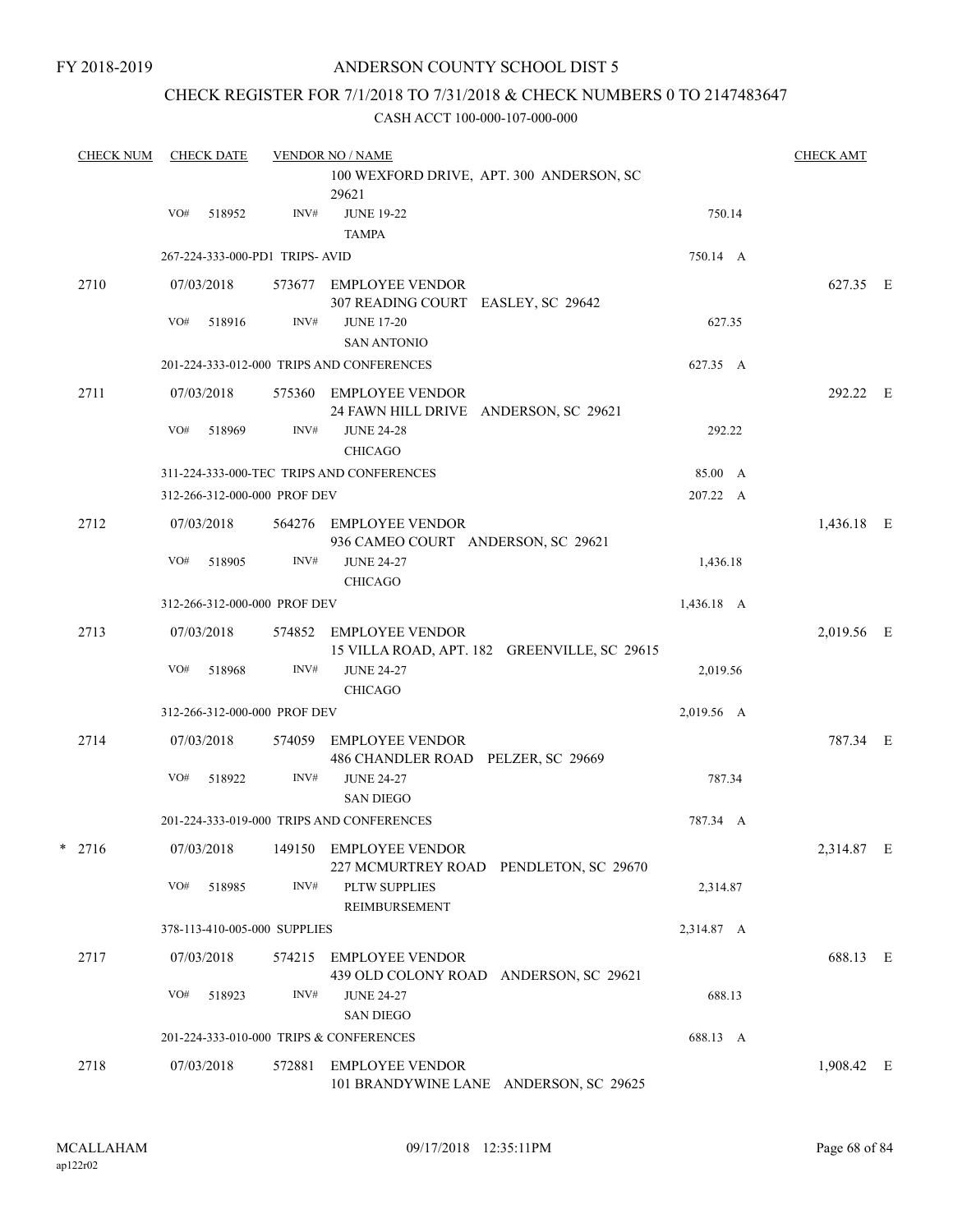## CHECK REGISTER FOR 7/1/2018 TO 7/31/2018 & CHECK NUMBERS 0 TO 2147483647

| <b>CHECK NUM</b> | <b>CHECK DATE</b> |            |                                | <b>VENDOR NO / NAME</b>                                                |            |            |  |
|------------------|-------------------|------------|--------------------------------|------------------------------------------------------------------------|------------|------------|--|
|                  |                   |            |                                | 100 WEXFORD DRIVE, APT. 300 ANDERSON, SC<br>29621                      |            |            |  |
|                  | VO#               | 518952     | INV#                           | <b>JUNE 19-22</b><br><b>TAMPA</b>                                      | 750.14     |            |  |
|                  |                   |            | 267-224-333-000-PD1 TRIPS-AVID |                                                                        | 750.14 A   |            |  |
| 2710             |                   | 07/03/2018 |                                | 573677 EMPLOYEE VENDOR<br>307 READING COURT EASLEY, SC 29642           |            | 627.35 E   |  |
|                  | VO#               | 518916     | INV#                           | <b>JUNE 17-20</b><br><b>SAN ANTONIO</b>                                | 627.35     |            |  |
|                  |                   |            |                                | 201-224-333-012-000 TRIPS AND CONFERENCES                              | 627.35 A   |            |  |
| 2711             |                   | 07/03/2018 | 575360                         | <b>EMPLOYEE VENDOR</b><br>24 FAWN HILL DRIVE ANDERSON, SC 29621        |            | 292.22 E   |  |
|                  | VO#               | 518969     | INV#                           | <b>JUNE 24-28</b><br><b>CHICAGO</b>                                    | 292.22     |            |  |
|                  |                   |            |                                | 311-224-333-000-TEC TRIPS AND CONFERENCES                              | 85.00 A    |            |  |
|                  |                   |            | 312-266-312-000-000 PROF DEV   |                                                                        | 207.22 A   |            |  |
| 2712             |                   | 07/03/2018 | 564276                         | EMPLOYEE VENDOR<br>936 CAMEO COURT ANDERSON, SC 29621                  |            | 1,436.18 E |  |
|                  | VO#               | 518905     | INV#                           | <b>JUNE 24-27</b><br><b>CHICAGO</b>                                    | 1,436.18   |            |  |
|                  |                   |            | 312-266-312-000-000 PROF DEV   |                                                                        | 1,436.18 A |            |  |
| 2713             |                   | 07/03/2018 |                                | 574852 EMPLOYEE VENDOR<br>15 VILLA ROAD, APT. 182 GREENVILLE, SC 29615 |            | 2,019.56 E |  |
|                  | VO#               | 518968     | INV#                           | <b>JUNE 24-27</b><br><b>CHICAGO</b>                                    | 2,019.56   |            |  |
|                  |                   |            | 312-266-312-000-000 PROF DEV   |                                                                        | 2,019.56 A |            |  |
| 2714             |                   | 07/03/2018 | 574059                         | <b>EMPLOYEE VENDOR</b><br>486 CHANDLER ROAD PELZER, SC 29669           |            | 787.34 E   |  |
|                  | VO#               | 518922     | INV#                           | <b>JUNE 24-27</b><br><b>SAN DIEGO</b>                                  | 787.34     |            |  |
|                  |                   |            |                                | 201-224-333-019-000 TRIPS AND CONFERENCES                              | 787.34 A   |            |  |
| *<br>2716        |                   | 07/03/2018 |                                | 149150 EMPLOYEE VENDOR<br>227 MCMURTREY ROAD PENDLETON, SC 29670       |            | 2,314.87 E |  |
|                  | VO#               | 518985     | INV#                           | PLTW SUPPLIES<br>REIMBURSEMENT                                         | 2,314.87   |            |  |
|                  |                   |            | 378-113-410-005-000 SUPPLIES   |                                                                        | 2,314.87 A |            |  |
| 2717             |                   | 07/03/2018 | 574215                         | <b>EMPLOYEE VENDOR</b><br>439 OLD COLONY ROAD ANDERSON, SC 29621       |            | 688.13 E   |  |
|                  | VO#               | 518923     | INV#                           | <b>JUNE 24-27</b><br><b>SAN DIEGO</b>                                  | 688.13     |            |  |
|                  |                   |            |                                | 201-224-333-010-000 TRIPS & CONFERENCES                                | 688.13 A   |            |  |
| 2718             |                   | 07/03/2018 | 572881                         | <b>EMPLOYEE VENDOR</b><br>101 BRANDYWINE LANE ANDERSON, SC 29625       |            | 1,908.42 E |  |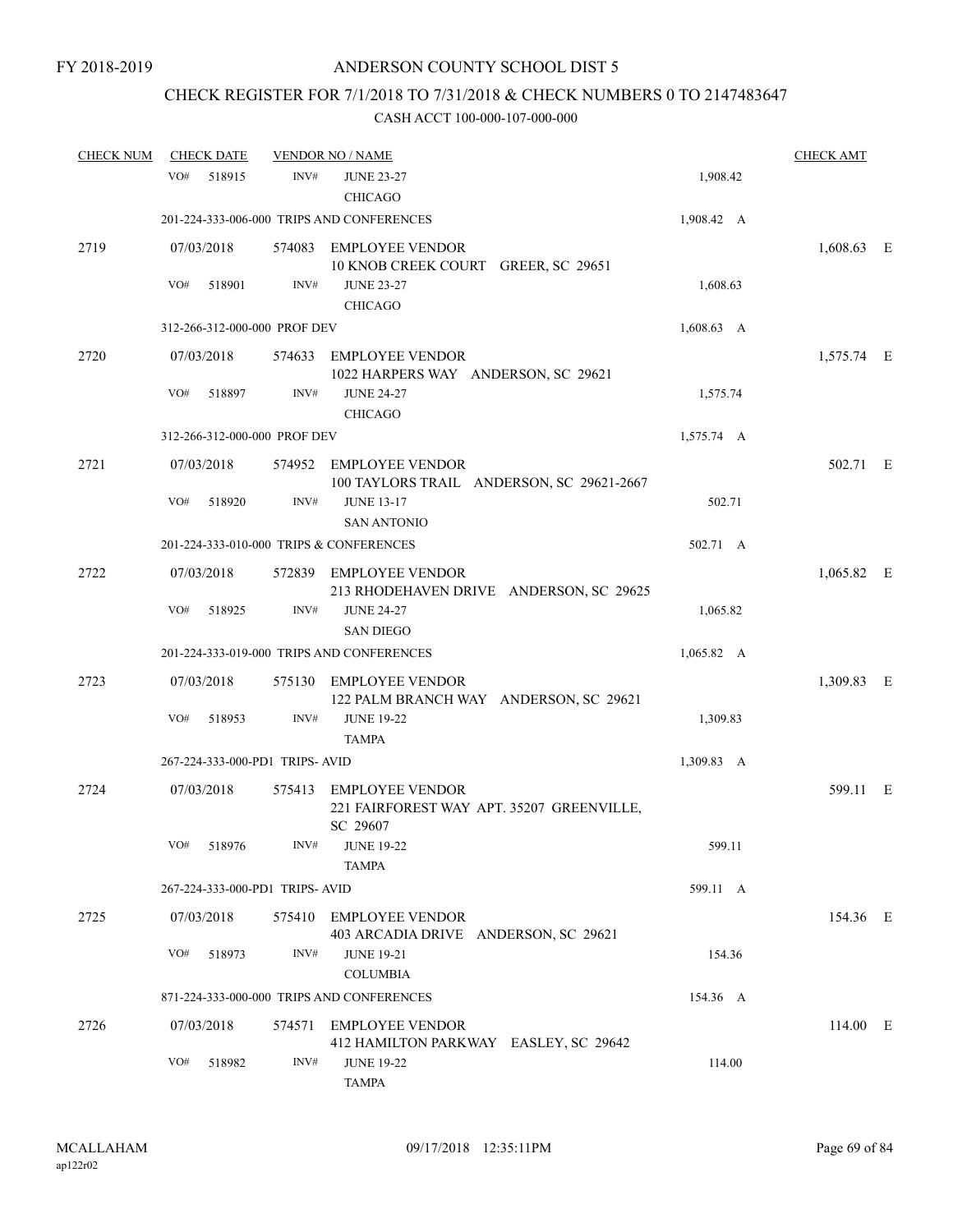## CHECK REGISTER FOR 7/1/2018 TO 7/31/2018 & CHECK NUMBERS 0 TO 2147483647

| <b>CHECK NUM</b> | <b>CHECK DATE</b> |                                 | <b>VENDOR NO / NAME</b>                         |                                           |                    | <b>CHECK AMT</b> |  |
|------------------|-------------------|---------------------------------|-------------------------------------------------|-------------------------------------------|--------------------|------------------|--|
|                  | VO#               | 518915                          | INV#<br><b>JUNE 23-27</b>                       |                                           | 1,908.42           |                  |  |
|                  |                   |                                 | <b>CHICAGO</b>                                  |                                           |                    |                  |  |
|                  |                   |                                 | 201-224-333-006-000 TRIPS AND CONFERENCES       |                                           | 1,908.42 A         |                  |  |
| 2719             | 07/03/2018        |                                 | 574083 EMPLOYEE VENDOR                          | 10 KNOB CREEK COURT GREER, SC 29651       |                    | 1,608.63 E       |  |
|                  | VO#               | 518901                          | INV#<br><b>JUNE 23-27</b><br><b>CHICAGO</b>     |                                           | 1,608.63           |                  |  |
|                  |                   | 312-266-312-000-000 PROF DEV    |                                                 |                                           | $1,608.63$ A       |                  |  |
| 2720             | 07/03/2018        |                                 | 574633 EMPLOYEE VENDOR                          | 1022 HARPERS WAY ANDERSON, SC 29621       |                    | 1,575.74 E       |  |
|                  | VO#               | 518897                          | INV#<br><b>JUNE 24-27</b><br><b>CHICAGO</b>     |                                           | 1,575.74           |                  |  |
|                  |                   | 312-266-312-000-000 PROF DEV    |                                                 |                                           | 1,575.74 A         |                  |  |
| 2721             | 07/03/2018        |                                 | 574952 EMPLOYEE VENDOR                          | 100 TAYLORS TRAIL ANDERSON, SC 29621-2667 |                    | 502.71 E         |  |
|                  | VO#               | 518920                          | <b>JUNE 13-17</b><br>INV#<br><b>SAN ANTONIO</b> |                                           | 502.71             |                  |  |
|                  |                   |                                 | 201-224-333-010-000 TRIPS & CONFERENCES         |                                           | 502.71 A           |                  |  |
| 2722             | 07/03/2018        |                                 | 572839 EMPLOYEE VENDOR                          | 213 RHODEHAVEN DRIVE ANDERSON, SC 29625   |                    | $1,065.82$ E     |  |
|                  | VO#               | 518925                          | INV#<br><b>JUNE 24-27</b><br><b>SAN DIEGO</b>   |                                           | 1,065.82           |                  |  |
|                  |                   |                                 | 201-224-333-019-000 TRIPS AND CONFERENCES       |                                           | $1,065.82 \quad A$ |                  |  |
| 2723             | 07/03/2018        | 575130                          | <b>EMPLOYEE VENDOR</b>                          | 122 PALM BRANCH WAY ANDERSON, SC 29621    |                    | 1,309.83 E       |  |
|                  | VO#               | 518953                          | INV#<br><b>JUNE 19-22</b><br><b>TAMPA</b>       |                                           | 1,309.83           |                  |  |
|                  |                   | 267-224-333-000-PD1 TRIPS- AVID |                                                 |                                           | 1,309.83 A         |                  |  |
| 2724             | 07/03/2018        |                                 | 575413 EMPLOYEE VENDOR<br>SC 29607              | 221 FAIRFOREST WAY APT. 35207 GREENVILLE, |                    | 599.11 E         |  |
|                  | VO#               | 518976                          | <b>JUNE 19-22</b><br>INV#<br>TAMPA              |                                           | 599.11             |                  |  |
|                  |                   | 267-224-333-000-PD1 TRIPS-AVID  |                                                 |                                           | 599.11 A           |                  |  |
| 2725             | 07/03/2018        |                                 | 575410 EMPLOYEE VENDOR                          |                                           |                    | 154.36 E         |  |
|                  |                   |                                 |                                                 | 403 ARCADIA DRIVE ANDERSON, SC 29621      |                    |                  |  |
|                  | VO#               | 518973                          | INV#<br><b>JUNE 19-21</b><br><b>COLUMBIA</b>    |                                           | 154.36             |                  |  |
|                  |                   |                                 | 871-224-333-000-000 TRIPS AND CONFERENCES       |                                           | 154.36 A           |                  |  |
| 2726             | 07/03/2018        |                                 | 574571 EMPLOYEE VENDOR                          | 412 HAMILTON PARKWAY EASLEY, SC 29642     |                    | 114.00 E         |  |
|                  | VO#               | 518982                          | INV#<br><b>JUNE 19-22</b><br>TAMPA              |                                           | 114.00             |                  |  |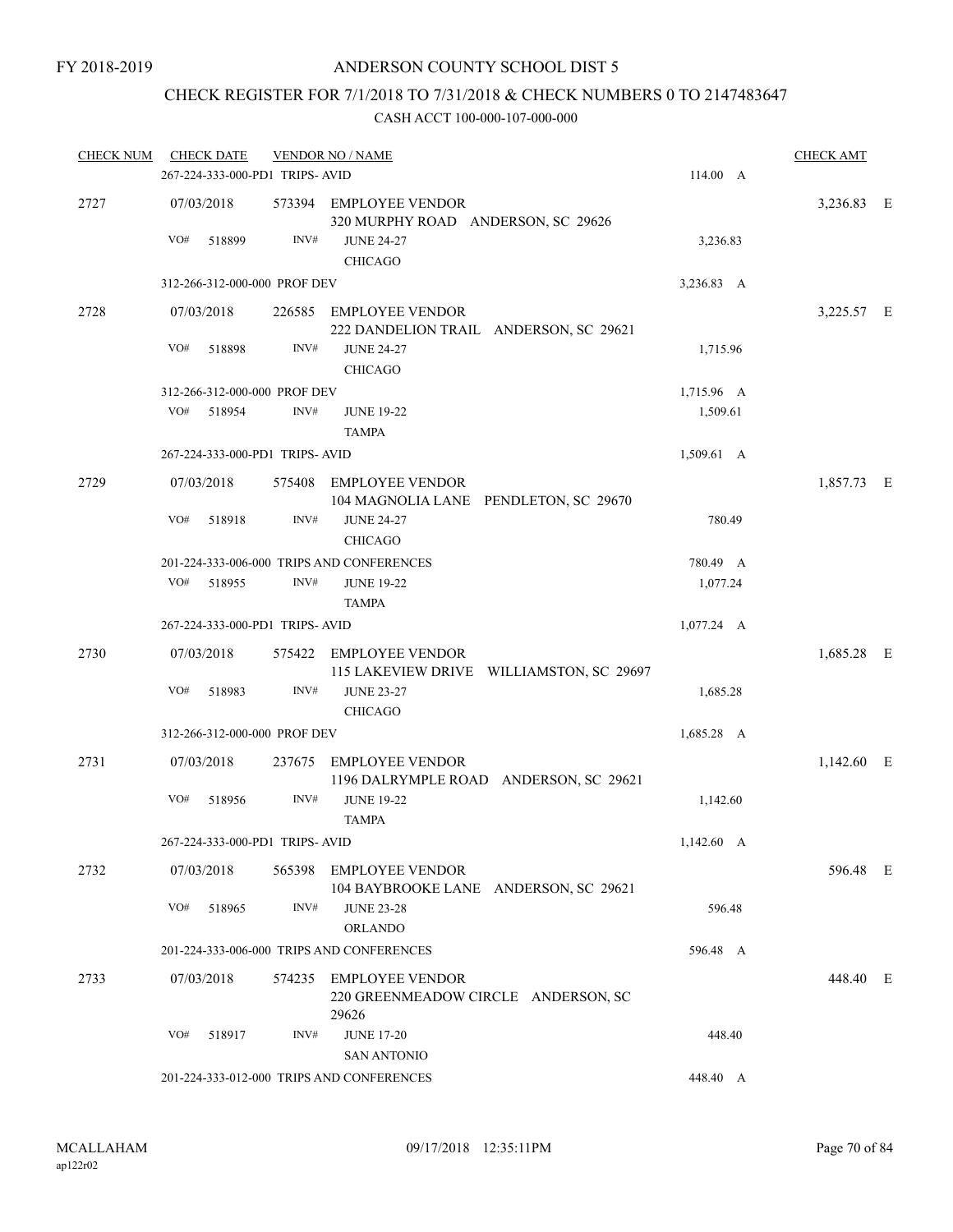## CHECK REGISTER FOR 7/1/2018 TO 7/31/2018 & CHECK NUMBERS 0 TO 2147483647

| <b>CHECK NUM</b> |            | <b>CHECK DATE</b> |                                 | <b>VENDOR NO / NAME</b>                                                |                    | <b>CHECK AMT</b> |  |
|------------------|------------|-------------------|---------------------------------|------------------------------------------------------------------------|--------------------|------------------|--|
|                  |            |                   | 267-224-333-000-PD1 TRIPS- AVID |                                                                        | 114.00 A           |                  |  |
| 2727             | 07/03/2018 |                   |                                 | 573394 EMPLOYEE VENDOR<br>320 MURPHY ROAD ANDERSON, SC 29626           |                    | 3,236.83 E       |  |
|                  | VO#        | 518899            | INV#                            | <b>JUNE 24-27</b><br><b>CHICAGO</b>                                    | 3,236.83           |                  |  |
|                  |            |                   | 312-266-312-000-000 PROF DEV    |                                                                        | 3,236.83 A         |                  |  |
| 2728             | 07/03/2018 |                   |                                 | 226585 EMPLOYEE VENDOR<br>222 DANDELION TRAIL ANDERSON, SC 29621       |                    | 3,225.57 E       |  |
|                  | VO#        | 518898            | INV#                            | <b>JUNE 24-27</b><br><b>CHICAGO</b>                                    | 1,715.96           |                  |  |
|                  |            |                   | 312-266-312-000-000 PROF DEV    |                                                                        | 1,715.96 A         |                  |  |
|                  | VO#        | 518954            | INV#                            | <b>JUNE 19-22</b><br><b>TAMPA</b>                                      | 1,509.61           |                  |  |
|                  |            |                   | 267-224-333-000-PD1 TRIPS-AVID  |                                                                        | 1,509.61 A         |                  |  |
| 2729             | 07/03/2018 |                   | 575408                          | EMPLOYEE VENDOR<br>104 MAGNOLIA LANE PENDLETON, SC 29670               |                    | 1,857.73 E       |  |
|                  | VO#        | 518918            | INV#                            | <b>JUNE 24-27</b><br><b>CHICAGO</b>                                    | 780.49             |                  |  |
|                  |            |                   |                                 | 201-224-333-006-000 TRIPS AND CONFERENCES                              | 780.49 A           |                  |  |
|                  |            | VO# 518955        | INV#                            | <b>JUNE 19-22</b><br><b>TAMPA</b>                                      | 1,077.24           |                  |  |
|                  |            |                   | 267-224-333-000-PD1 TRIPS-AVID  |                                                                        | $1,077.24 \quad A$ |                  |  |
| 2730             | 07/03/2018 |                   |                                 | 575422 EMPLOYEE VENDOR<br>115 LAKEVIEW DRIVE WILLIAMSTON, SC 29697     |                    | 1,685.28 E       |  |
|                  | VO#        | 518983            | INV#                            | <b>JUNE 23-27</b><br><b>CHICAGO</b>                                    | 1,685.28           |                  |  |
|                  |            |                   | 312-266-312-000-000 PROF DEV    |                                                                        | $1,685.28$ A       |                  |  |
| 2731             | 07/03/2018 |                   | 237675                          | EMPLOYEE VENDOR                                                        |                    | $1,142.60$ E     |  |
|                  |            |                   |                                 | 1196 DALRYMPLE ROAD ANDERSON, SC 29621                                 |                    |                  |  |
|                  | VO#        | 518956            | INV#                            | <b>JUNE 19-22</b><br><b>TAMPA</b>                                      | 1,142.60           |                  |  |
|                  |            |                   | 267-224-333-000-PD1 TRIPS-AVID  |                                                                        | $1,142.60 \, A$    |                  |  |
| 2732             | 07/03/2018 |                   |                                 | 565398 EMPLOYEE VENDOR<br>104 BAYBROOKE LANE ANDERSON, SC 29621        |                    | 596.48 E         |  |
|                  |            | VO# 518965        | INV#                            | <b>JUNE 23-28</b>                                                      | 596.48             |                  |  |
|                  |            |                   |                                 | <b>ORLANDO</b>                                                         |                    |                  |  |
|                  |            |                   |                                 | 201-224-333-006-000 TRIPS AND CONFERENCES                              | 596.48 A           |                  |  |
| 2733             | 07/03/2018 |                   |                                 | 574235 EMPLOYEE VENDOR<br>220 GREENMEADOW CIRCLE ANDERSON, SC<br>29626 |                    | 448.40 E         |  |
|                  | VO#        | 518917            | INV#                            | <b>JUNE 17-20</b><br><b>SAN ANTONIO</b>                                | 448.40             |                  |  |
|                  |            |                   |                                 | 201-224-333-012-000 TRIPS AND CONFERENCES                              | 448.40 A           |                  |  |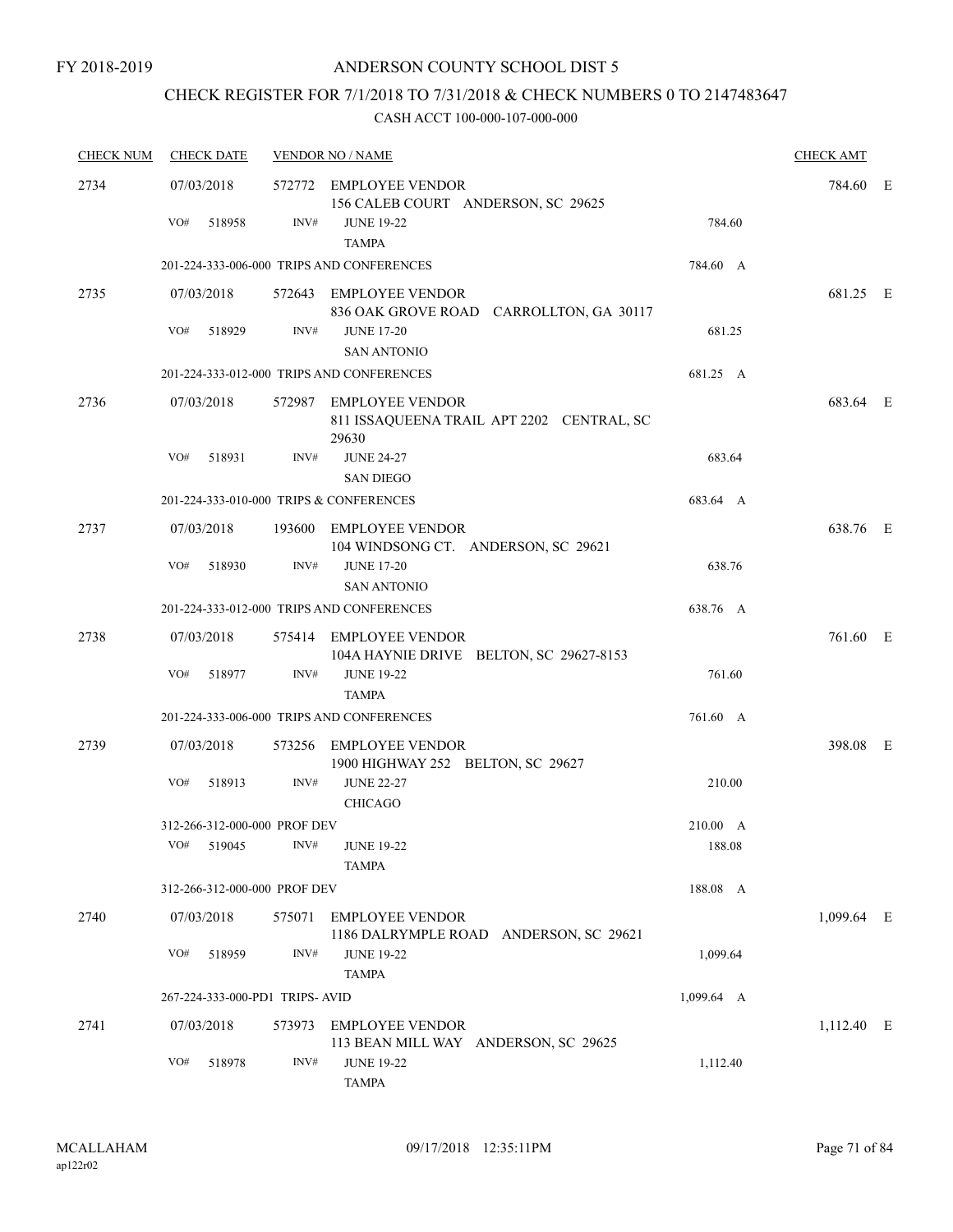## CHECK REGISTER FOR 7/1/2018 TO 7/31/2018 & CHECK NUMBERS 0 TO 2147483647

| <b>CHECK NUM</b> | <b>CHECK DATE</b>                       | <b>VENDOR NO / NAME</b> |                                                                              |                    |            |  |  |
|------------------|-----------------------------------------|-------------------------|------------------------------------------------------------------------------|--------------------|------------|--|--|
| 2734             | 07/03/2018                              |                         | 572772 EMPLOYEE VENDOR                                                       |                    | 784.60 E   |  |  |
|                  | VO#<br>518958                           | INV#                    | 156 CALEB COURT ANDERSON, SC 29625<br><b>JUNE 19-22</b><br><b>TAMPA</b>      | 784.60             |            |  |  |
|                  |                                         |                         | 201-224-333-006-000 TRIPS AND CONFERENCES                                    | 784.60 A           |            |  |  |
| 2735             | 07/03/2018                              |                         | 572643 EMPLOYEE VENDOR<br>836 OAK GROVE ROAD CARROLLTON, GA 30117            |                    | 681.25 E   |  |  |
|                  | VO#<br>518929                           | INV#                    | <b>JUNE 17-20</b><br><b>SAN ANTONIO</b>                                      | 681.25             |            |  |  |
|                  |                                         |                         | 201-224-333-012-000 TRIPS AND CONFERENCES                                    | 681.25 A           |            |  |  |
| 2736             | 07/03/2018                              |                         | 572987 EMPLOYEE VENDOR<br>811 ISSAQUEENA TRAIL APT 2202 CENTRAL, SC<br>29630 |                    | 683.64 E   |  |  |
|                  | VO#<br>518931                           | INV#                    | <b>JUNE 24-27</b><br><b>SAN DIEGO</b>                                        | 683.64             |            |  |  |
|                  | 201-224-333-010-000 TRIPS & CONFERENCES |                         |                                                                              | 683.64 A           |            |  |  |
| 2737             | 07/03/2018                              |                         | 193600 EMPLOYEE VENDOR<br>104 WINDSONG CT. ANDERSON, SC 29621                |                    | 638.76 E   |  |  |
|                  | VO#<br>518930                           | INV#                    | <b>JUNE 17-20</b><br><b>SAN ANTONIO</b>                                      | 638.76             |            |  |  |
|                  |                                         |                         | 201-224-333-012-000 TRIPS AND CONFERENCES                                    | 638.76 A           |            |  |  |
| 2738             | 07/03/2018                              |                         | 575414 EMPLOYEE VENDOR<br>104A HAYNIE DRIVE BELTON, SC 29627-8153            |                    | 761.60 E   |  |  |
|                  | VO#<br>518977                           | INV#                    | <b>JUNE 19-22</b><br><b>TAMPA</b>                                            | 761.60             |            |  |  |
|                  |                                         |                         | 201-224-333-006-000 TRIPS AND CONFERENCES                                    | 761.60 A           |            |  |  |
| 2739             | 07/03/2018                              | 573256                  | <b>EMPLOYEE VENDOR</b><br>1900 HIGHWAY 252 BELTON, SC 29627                  |                    | 398.08 E   |  |  |
|                  | VO#<br>518913                           | INV#                    | <b>JUNE 22-27</b><br><b>CHICAGO</b>                                          | 210.00             |            |  |  |
|                  | 312-266-312-000-000 PROF DEV            |                         |                                                                              | 210.00 A           |            |  |  |
|                  | VO# 519045                              |                         | INV# JUNE 19-22<br>TAMPA                                                     | 188.08             |            |  |  |
|                  | 312-266-312-000-000 PROF DEV            |                         |                                                                              | 188.08 A           |            |  |  |
| 2740             | 07/03/2018                              | 575071                  | <b>EMPLOYEE VENDOR</b><br>1186 DALRYMPLE ROAD ANDERSON, SC 29621             |                    | 1,099.64 E |  |  |
|                  | VO#<br>518959                           | INV#                    | <b>JUNE 19-22</b><br><b>TAMPA</b>                                            | 1,099.64           |            |  |  |
|                  | 267-224-333-000-PD1 TRIPS-AVID          |                         |                                                                              | $1,099.64 \quad A$ |            |  |  |
| 2741             | 07/03/2018                              |                         | 573973 EMPLOYEE VENDOR<br>113 BEAN MILL WAY ANDERSON, SC 29625               |                    | 1,112.40 E |  |  |
|                  | VO#<br>518978                           | INV#                    | <b>JUNE 19-22</b><br><b>TAMPA</b>                                            | 1,112.40           |            |  |  |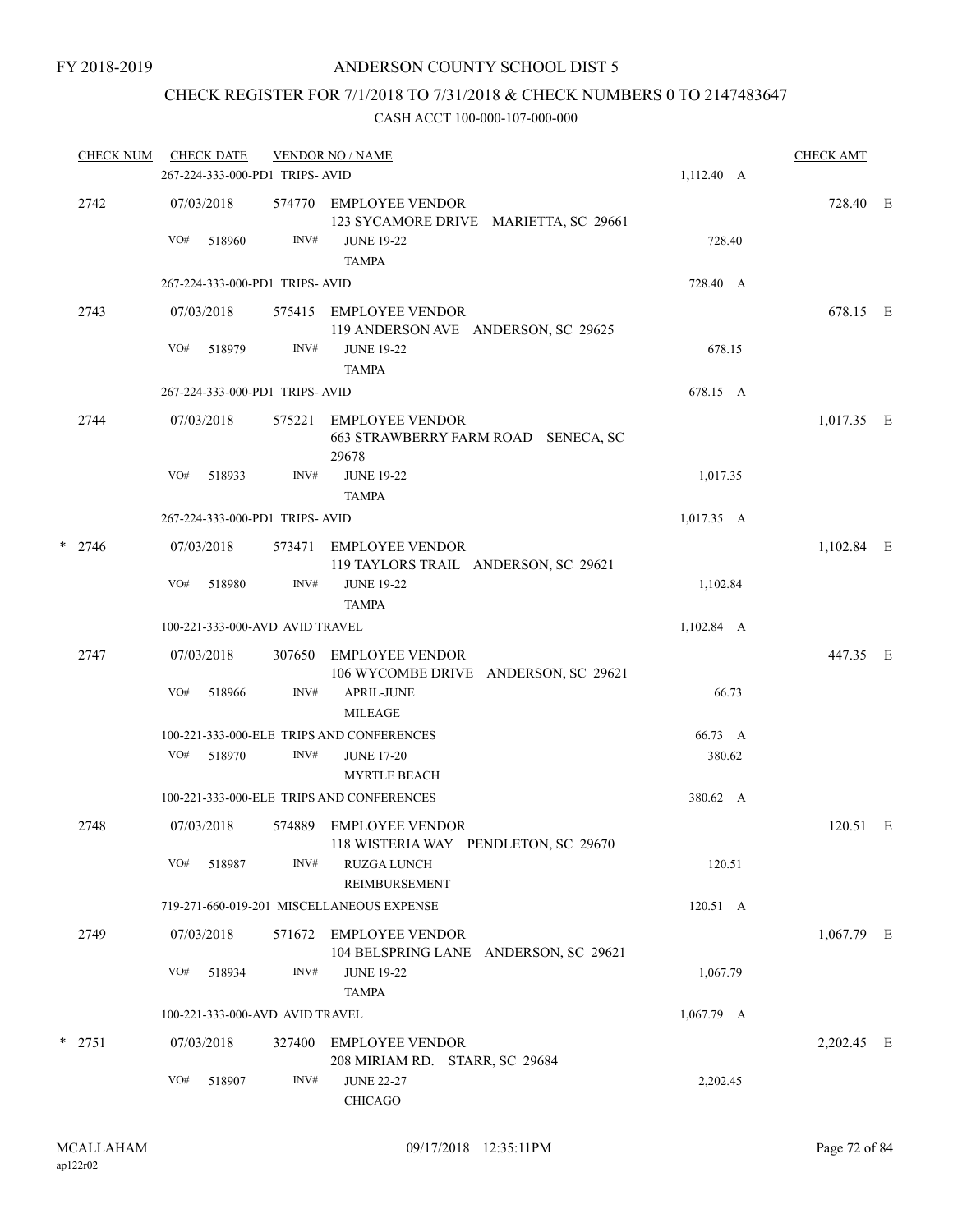## CHECK REGISTER FOR 7/1/2018 TO 7/31/2018 & CHECK NUMBERS 0 TO 2147483647

| <b>CHECK NUM</b> |          |                   | <b>CHECK DATE</b> | 267-224-333-000-PD1 TRIPS- AVID | <b>VENDOR NO / NAME</b>                                                                              | 1,112.40 A   | <b>CHECK AMT</b> |  |
|------------------|----------|-------------------|-------------------|---------------------------------|------------------------------------------------------------------------------------------------------|--------------|------------------|--|
|                  | 2742     | 07/03/2018<br>VO# | 518960            | INV#                            | 574770 EMPLOYEE VENDOR<br>123 SYCAMORE DRIVE MARIETTA, SC 29661<br><b>JUNE 19-22</b><br><b>TAMPA</b> | 728.40       | 728.40 E         |  |
|                  |          |                   |                   | 267-224-333-000-PD1 TRIPS-AVID  |                                                                                                      | 728.40 A     |                  |  |
|                  | 2743     | 07/03/2018        |                   |                                 | 575415 EMPLOYEE VENDOR<br>119 ANDERSON AVE ANDERSON, SC 29625                                        |              | 678.15 E         |  |
|                  |          | VO#               | 518979            | INV#                            | <b>JUNE 19-22</b><br><b>TAMPA</b>                                                                    | 678.15       |                  |  |
|                  |          |                   |                   | 267-224-333-000-PD1 TRIPS- AVID |                                                                                                      | 678.15 A     |                  |  |
|                  | 2744     | 07/03/2018        |                   | 575221                          | EMPLOYEE VENDOR<br>663 STRAWBERRY FARM ROAD SENECA, SC<br>29678                                      |              | 1,017.35 E       |  |
|                  |          | VO#               | 518933            | INV#                            | <b>JUNE 19-22</b><br><b>TAMPA</b>                                                                    | 1,017.35     |                  |  |
|                  |          |                   |                   | 267-224-333-000-PD1 TRIPS- AVID |                                                                                                      | 1,017.35 A   |                  |  |
|                  | $*$ 2746 | 07/03/2018        |                   | 573471                          | EMPLOYEE VENDOR<br>119 TAYLORS TRAIL ANDERSON, SC 29621                                              |              | 1,102.84 E       |  |
|                  |          | VO#               | 518980            | INV#                            | <b>JUNE 19-22</b><br><b>TAMPA</b>                                                                    | 1,102.84     |                  |  |
|                  |          |                   |                   | 100-221-333-000-AVD AVID TRAVEL |                                                                                                      | 1,102.84 A   |                  |  |
|                  | 2747     | 07/03/2018        |                   |                                 | 307650 EMPLOYEE VENDOR<br>106 WYCOMBE DRIVE ANDERSON, SC 29621                                       |              | 447.35 E         |  |
|                  |          | VO#               | 518966            | INV#                            | <b>APRIL-JUNE</b><br><b>MILEAGE</b>                                                                  | 66.73        |                  |  |
|                  |          |                   |                   |                                 | 100-221-333-000-ELE TRIPS AND CONFERENCES                                                            | 66.73 A      |                  |  |
|                  |          | VO#               | 518970            | INV#                            | <b>JUNE 17-20</b><br><b>MYRTLE BEACH</b>                                                             | 380.62       |                  |  |
|                  |          |                   |                   |                                 | 100-221-333-000-ELE TRIPS AND CONFERENCES                                                            | 380.62 A     |                  |  |
|                  | 2748     | 07/03/2018        |                   |                                 | 574889 EMPLOYEE VENDOR<br>118 WISTERIA WAY PENDLETON, SC 29670                                       |              | 120.51 E         |  |
|                  |          | VO#               | 518987            | INV#                            | <b>RUZGA LUNCH</b><br><b>REIMBURSEMENT</b>                                                           | 120.51       |                  |  |
|                  |          |                   |                   |                                 | 719-271-660-019-201 MISCELLANEOUS EXPENSE                                                            | 120.51 A     |                  |  |
|                  | 2749     | 07/03/2018        |                   |                                 | 571672 EMPLOYEE VENDOR<br>104 BELSPRING LANE ANDERSON, SC 29621                                      |              | $1,067.79$ E     |  |
|                  |          | VO#               | 518934            | INV#                            | <b>JUNE 19-22</b><br><b>TAMPA</b>                                                                    | 1,067.79     |                  |  |
|                  |          |                   |                   | 100-221-333-000-AVD AVID TRAVEL |                                                                                                      | $1,067.79$ A |                  |  |
|                  | $*$ 2751 | 07/03/2018        |                   | 327400                          | <b>EMPLOYEE VENDOR</b><br>208 MIRIAM RD. STARR, SC 29684                                             |              | 2,202.45 E       |  |
|                  |          | VO#               | 518907            | INV#                            | <b>JUNE 22-27</b><br>CHICAGO                                                                         | 2,202.45     |                  |  |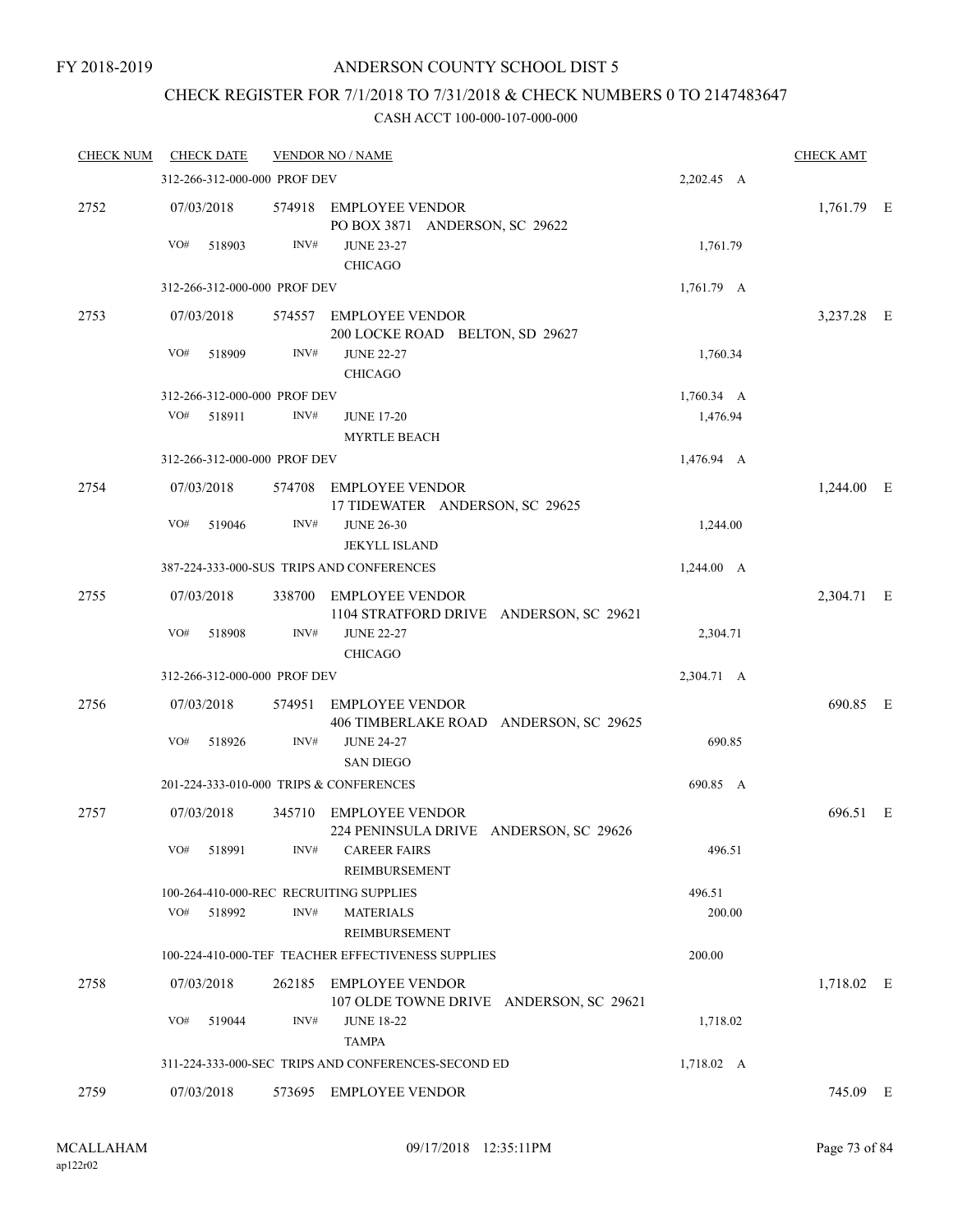#### FY 2018-2019

## ANDERSON COUNTY SCHOOL DIST 5

## CHECK REGISTER FOR 7/1/2018 TO 7/31/2018 & CHECK NUMBERS 0 TO 2147483647

| <b>CHECK NUM</b> |            | <b>CHECK DATE</b>            |        | <b>VENDOR NO / NAME</b>                                                      |                  | <b>CHECK AMT</b> |  |
|------------------|------------|------------------------------|--------|------------------------------------------------------------------------------|------------------|------------------|--|
|                  |            | 312-266-312-000-000 PROF DEV |        |                                                                              | 2,202.45 A       |                  |  |
| 2752             | 07/03/2018 |                              |        | 574918 EMPLOYEE VENDOR<br>PO BOX 3871 ANDERSON, SC 29622                     |                  | 1,761.79 E       |  |
|                  | VO#        | 518903                       | INV#   | <b>JUNE 23-27</b><br><b>CHICAGO</b>                                          | 1,761.79         |                  |  |
|                  |            | 312-266-312-000-000 PROF DEV |        |                                                                              | 1,761.79 A       |                  |  |
| 2753             | 07/03/2018 |                              |        | 574557 EMPLOYEE VENDOR<br>200 LOCKE ROAD BELTON, SD 29627                    |                  | 3,237.28 E       |  |
|                  | VO#        | 518909                       | INV#   | <b>JUNE 22-27</b><br><b>CHICAGO</b>                                          | 1,760.34         |                  |  |
|                  |            | 312-266-312-000-000 PROF DEV |        |                                                                              | 1,760.34 A       |                  |  |
|                  | VO#        | 518911                       | INV#   | <b>JUNE 17-20</b><br><b>MYRTLE BEACH</b>                                     | 1,476.94         |                  |  |
|                  |            | 312-266-312-000-000 PROF DEV |        |                                                                              | 1,476.94 A       |                  |  |
| 2754             | 07/03/2018 |                              |        | 574708 EMPLOYEE VENDOR<br>17 TIDEWATER ANDERSON, SC 29625                    |                  | 1,244.00 E       |  |
|                  | VO#        | 519046                       | INV#   | <b>JUNE 26-30</b><br><b>JEKYLL ISLAND</b>                                    | 1,244.00         |                  |  |
|                  |            |                              |        | 387-224-333-000-SUS TRIPS AND CONFERENCES                                    | 1,244.00 A       |                  |  |
| 2755             | 07/03/2018 |                              |        | 338700 EMPLOYEE VENDOR<br>1104 STRATFORD DRIVE ANDERSON, SC 29621            |                  | 2,304.71 E       |  |
|                  | VO#        | 518908                       | INV#   | <b>JUNE 22-27</b><br><b>CHICAGO</b>                                          | 2,304.71         |                  |  |
|                  |            | 312-266-312-000-000 PROF DEV |        |                                                                              | 2,304.71 A       |                  |  |
| 2756             | 07/03/2018 |                              | 574951 | <b>EMPLOYEE VENDOR</b>                                                       |                  | 690.85 E         |  |
|                  | VO#        | 518926                       | INV#   | 406 TIMBERLAKE ROAD ANDERSON, SC 29625<br><b>JUNE 24-27</b>                  | 690.85           |                  |  |
|                  |            |                              |        | <b>SAN DIEGO</b>                                                             |                  |                  |  |
|                  |            |                              |        | 201-224-333-010-000 TRIPS & CONFERENCES                                      | 690.85 A         |                  |  |
| 2757             | 07/03/2018 |                              | 345710 | <b>EMPLOYEE VENDOR</b><br>224 PENINSULA DRIVE ANDERSON, SC 29626             |                  | 696.51 E         |  |
|                  | VO#        | 518991                       | INV#   | <b>CAREER FAIRS</b><br>REIMBURSEMENT                                         | 496.51           |                  |  |
|                  | VO#        | 518992                       | INV#   | 100-264-410-000-REC RECRUITING SUPPLIES<br><b>MATERIALS</b><br>REIMBURSEMENT | 496.51<br>200.00 |                  |  |
|                  |            |                              |        | 100-224-410-000-TEF TEACHER EFFECTIVENESS SUPPLIES                           | 200.00           |                  |  |
| 2758             | 07/03/2018 |                              |        | 262185 EMPLOYEE VENDOR<br>107 OLDE TOWNE DRIVE ANDERSON, SC 29621            |                  | 1,718.02 E       |  |
|                  | VO#        | 519044                       | INV#   | <b>JUNE 18-22</b><br><b>TAMPA</b>                                            | 1,718.02         |                  |  |
|                  |            |                              |        | 311-224-333-000-SEC TRIPS AND CONFERENCES-SECOND ED                          | 1,718.02 A       |                  |  |
| 2759             | 07/03/2018 |                              |        | 573695 EMPLOYEE VENDOR                                                       |                  | 745.09 E         |  |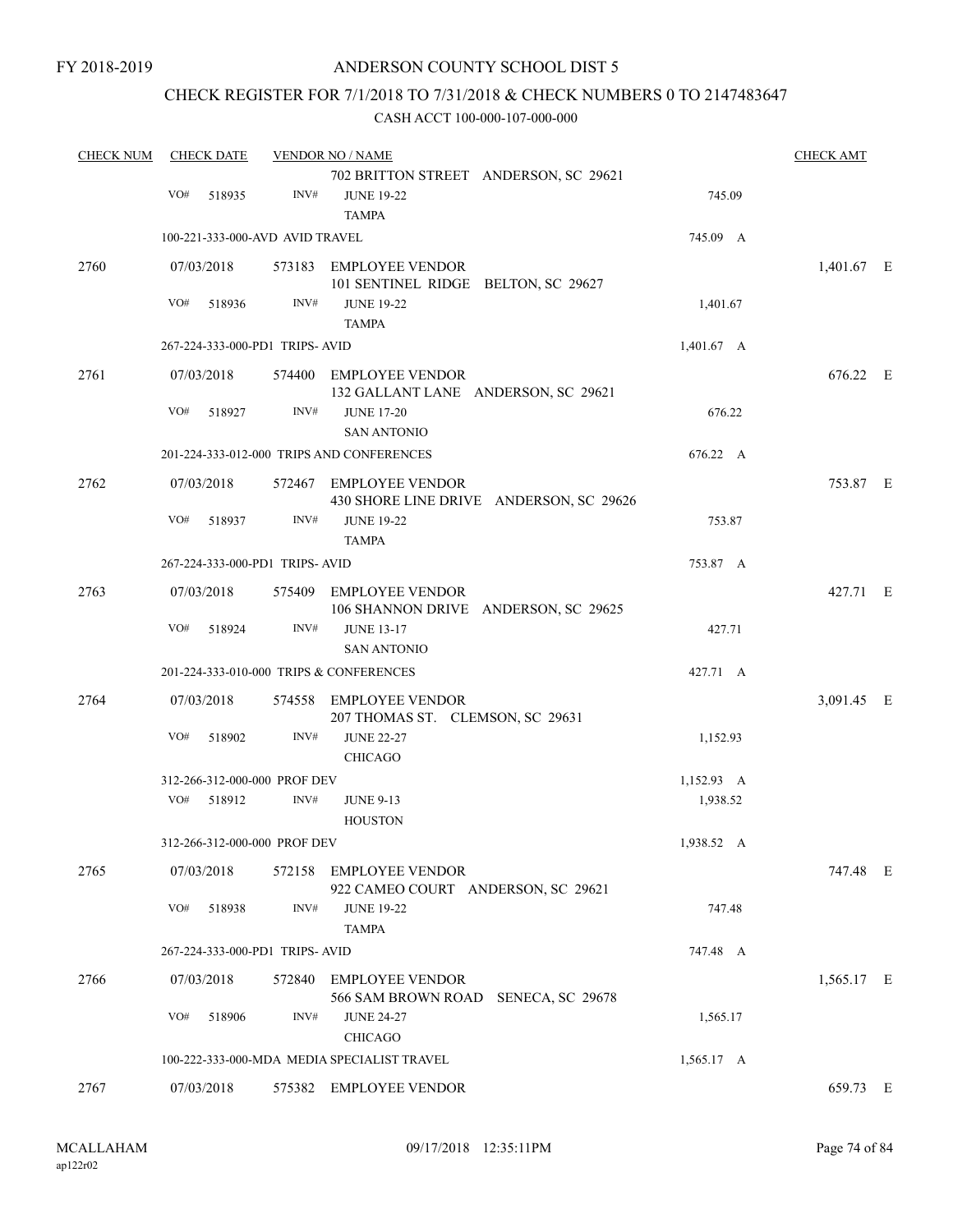## CHECK REGISTER FOR 7/1/2018 TO 7/31/2018 & CHECK NUMBERS 0 TO 2147483647

| <b>CHECK NUM</b> | <b>CHECK DATE</b> |        |                                 | <b>VENDOR NO / NAME</b>                                        |                                         |                 | <b>CHECK AMT</b> |  |
|------------------|-------------------|--------|---------------------------------|----------------------------------------------------------------|-----------------------------------------|-----------------|------------------|--|
|                  |                   |        |                                 | 702 BRITTON STREET ANDERSON, SC 29621                          |                                         |                 |                  |  |
|                  | VO#               | 518935 | INV#                            | <b>JUNE 19-22</b><br><b>TAMPA</b>                              |                                         | 745.09          |                  |  |
|                  |                   |        | 100-221-333-000-AVD AVID TRAVEL |                                                                |                                         | 745.09 A        |                  |  |
| 2760             | 07/03/2018        |        |                                 | 573183 EMPLOYEE VENDOR                                         |                                         |                 | 1,401.67 E       |  |
|                  |                   |        |                                 | 101 SENTINEL RIDGE BELTON, SC 29627                            |                                         |                 |                  |  |
|                  | VO#               | 518936 | INV#                            | <b>JUNE 19-22</b><br><b>TAMPA</b>                              |                                         | 1,401.67        |                  |  |
|                  |                   |        | 267-224-333-000-PD1 TRIPS-AVID  |                                                                |                                         | $1,401.67 \, A$ |                  |  |
| 2761             | 07/03/2018        |        |                                 | 574400 EMPLOYEE VENDOR                                         |                                         |                 | 676.22 E         |  |
|                  |                   |        |                                 | 132 GALLANT LANE ANDERSON, SC 29621                            |                                         |                 |                  |  |
|                  | VO#               | 518927 | INV#                            | <b>JUNE 17-20</b><br><b>SAN ANTONIO</b>                        |                                         | 676.22          |                  |  |
|                  |                   |        |                                 | 201-224-333-012-000 TRIPS AND CONFERENCES                      |                                         | 676.22 A        |                  |  |
| 2762             | 07/03/2018        |        |                                 | 572467 EMPLOYEE VENDOR                                         | 430 SHORE LINE DRIVE ANDERSON, SC 29626 |                 | 753.87 E         |  |
|                  | VO#               | 518937 | INV#                            | <b>JUNE 19-22</b><br><b>TAMPA</b>                              |                                         | 753.87          |                  |  |
|                  |                   |        | 267-224-333-000-PD1 TRIPS-AVID  |                                                                |                                         | 753.87 A        |                  |  |
| 2763             | 07/03/2018        |        |                                 | 575409 EMPLOYEE VENDOR<br>106 SHANNON DRIVE ANDERSON, SC 29625 |                                         |                 | 427.71 E         |  |
|                  | VO#               | 518924 | INV#                            | <b>JUNE 13-17</b><br><b>SAN ANTONIO</b>                        |                                         | 427.71          |                  |  |
|                  |                   |        |                                 | 201-224-333-010-000 TRIPS & CONFERENCES                        |                                         | 427.71 A        |                  |  |
| 2764             | 07/03/2018        |        | 574558                          | <b>EMPLOYEE VENDOR</b>                                         |                                         |                 | 3,091.45 E       |  |
|                  |                   |        |                                 | 207 THOMAS ST. CLEMSON, SC 29631                               |                                         |                 |                  |  |
|                  | VO#               | 518902 | INV#                            | <b>JUNE 22-27</b><br><b>CHICAGO</b>                            |                                         | 1,152.93        |                  |  |
|                  |                   |        | 312-266-312-000-000 PROF DEV    |                                                                |                                         | 1,152.93 A      |                  |  |
|                  | VO#               | 518912 | INV#                            | <b>JUNE 9-13</b><br><b>HOUSTON</b>                             |                                         | 1,938.52        |                  |  |
|                  |                   |        | 312-266-312-000-000 PROF DEV    |                                                                |                                         | 1,938.52 A      |                  |  |
| 2765             | 07/03/2018        |        |                                 | 572158 EMPLOYEE VENDOR<br>922 CAMEO COURT ANDERSON, SC 29621   |                                         |                 | 747.48 E         |  |
|                  | VO#               | 518938 | INV#                            | <b>JUNE 19-22</b><br><b>TAMPA</b>                              |                                         | 747.48          |                  |  |
|                  |                   |        | 267-224-333-000-PD1 TRIPS-AVID  |                                                                |                                         | 747.48 A        |                  |  |
| 2766             | 07/03/2018        |        | 572840                          | <b>EMPLOYEE VENDOR</b>                                         |                                         |                 | 1,565.17 E       |  |
|                  |                   |        |                                 | 566 SAM BROWN ROAD SENECA, SC 29678                            |                                         |                 |                  |  |
|                  | VO#               | 518906 | INV#                            | <b>JUNE 24-27</b><br><b>CHICAGO</b>                            |                                         | 1,565.17        |                  |  |
|                  |                   |        |                                 | 100-222-333-000-MDA MEDIA SPECIALIST TRAVEL                    |                                         | 1,565.17 A      |                  |  |
| 2767             | 07/03/2018        |        |                                 | 575382 EMPLOYEE VENDOR                                         |                                         |                 | 659.73 E         |  |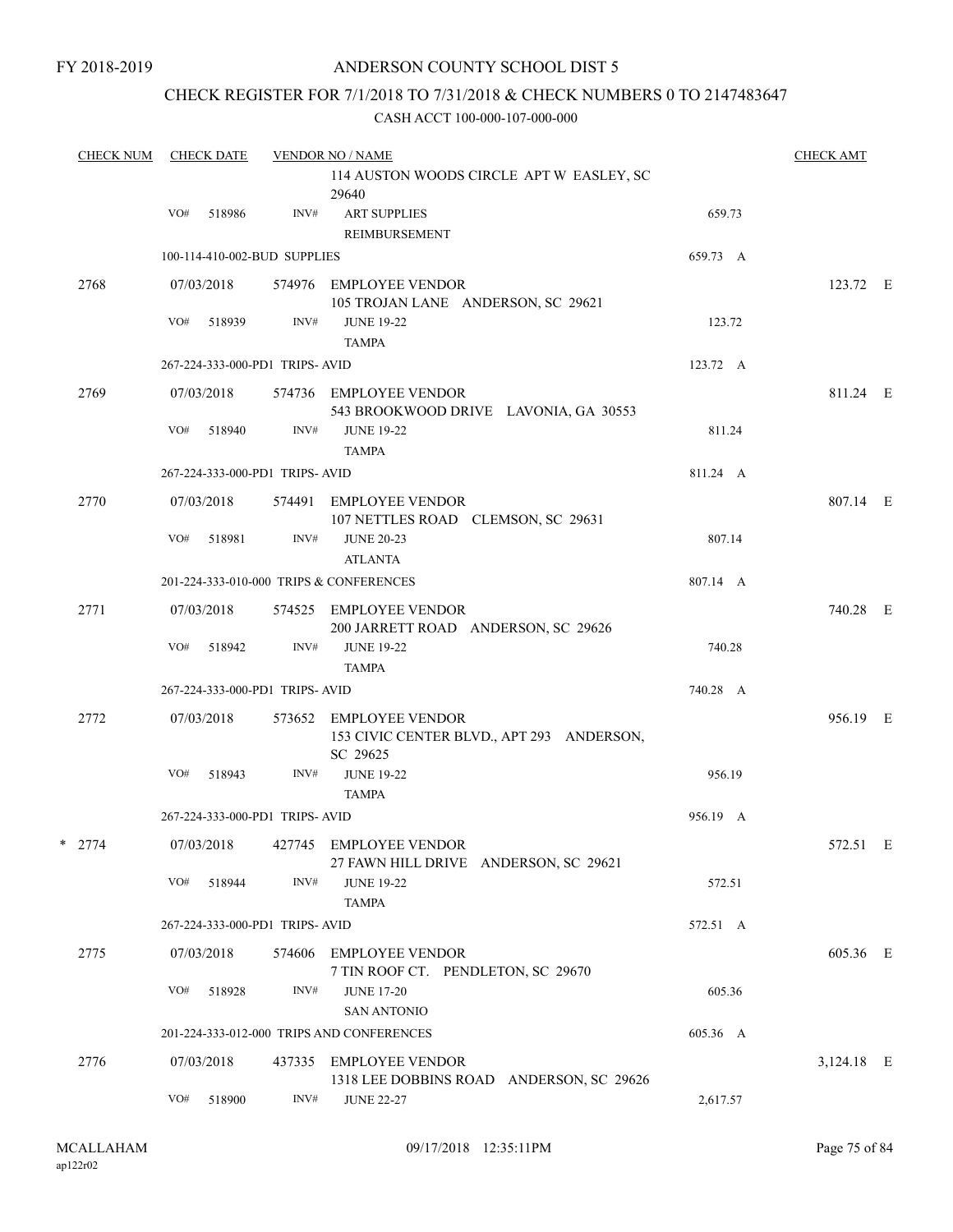## CHECK REGISTER FOR 7/1/2018 TO 7/31/2018 & CHECK NUMBERS 0 TO 2147483647

| <b>CHECK NUM</b> |     | <b>CHECK DATE</b> |                                 | <b>VENDOR NO / NAME</b>                                                         |          | <b>CHECK AMT</b> |  |
|------------------|-----|-------------------|---------------------------------|---------------------------------------------------------------------------------|----------|------------------|--|
|                  |     |                   |                                 | 114 AUSTON WOODS CIRCLE APT W EASLEY, SC<br>29640                               |          |                  |  |
|                  | VO# | 518986            | INV#                            | <b>ART SUPPLIES</b><br>REIMBURSEMENT                                            | 659.73   |                  |  |
|                  |     |                   | 100-114-410-002-BUD SUPPLIES    |                                                                                 | 659.73 A |                  |  |
| 2768             |     | 07/03/2018        |                                 | 574976 EMPLOYEE VENDOR<br>105 TROJAN LANE ANDERSON, SC 29621                    |          | 123.72 E         |  |
|                  | VO# | 518939            | INV#                            | <b>JUNE 19-22</b><br><b>TAMPA</b>                                               | 123.72   |                  |  |
|                  |     |                   | 267-224-333-000-PD1 TRIPS-AVID  |                                                                                 | 123.72 A |                  |  |
| 2769             |     | 07/03/2018        |                                 | 574736 EMPLOYEE VENDOR<br>543 BROOKWOOD DRIVE LAVONIA, GA 30553                 |          | 811.24 E         |  |
|                  | VO# | 518940            | INV#                            | <b>JUNE 19-22</b><br><b>TAMPA</b>                                               | 811.24   |                  |  |
|                  |     |                   | 267-224-333-000-PD1 TRIPS-AVID  |                                                                                 | 811.24 A |                  |  |
| 2770             |     | 07/03/2018        |                                 | 574491 EMPLOYEE VENDOR<br>107 NETTLES ROAD CLEMSON, SC 29631                    |          | 807.14 E         |  |
|                  | VO# | 518981            | INV#                            | <b>JUNE 20-23</b><br><b>ATLANTA</b>                                             | 807.14   |                  |  |
|                  |     |                   |                                 | 201-224-333-010-000 TRIPS & CONFERENCES                                         | 807.14 A |                  |  |
| 2771             |     | 07/03/2018        |                                 | 574525 EMPLOYEE VENDOR<br>200 JARRETT ROAD ANDERSON, SC 29626                   |          | 740.28 E         |  |
|                  | VO# | 518942            | INV#                            | <b>JUNE 19-22</b><br><b>TAMPA</b>                                               | 740.28   |                  |  |
|                  |     |                   | 267-224-333-000-PD1 TRIPS- AVID |                                                                                 | 740.28 A |                  |  |
| 2772             |     | 07/03/2018        |                                 | 573652 EMPLOYEE VENDOR<br>153 CIVIC CENTER BLVD., APT 293 ANDERSON,<br>SC 29625 |          | 956.19 E         |  |
|                  | VO# | 518943            | INV#                            | <b>JUNE 19-22</b><br><b>TAMPA</b>                                               | 956.19   |                  |  |
|                  |     |                   | 267-224-333-000-PD1 TRIPS-AVID  |                                                                                 | 956.19 A |                  |  |
| $*$ 2774         |     |                   |                                 | 07/03/2018  427745  EMPLOYEE VENDOR<br>27 FAWN HILL DRIVE ANDERSON, SC 29621    |          | 572.51 E         |  |
|                  | VO# | 518944            | INV#                            | <b>JUNE 19-22</b><br><b>TAMPA</b>                                               | 572.51   |                  |  |
|                  |     |                   | 267-224-333-000-PD1 TRIPS-AVID  |                                                                                 | 572.51 A |                  |  |
| 2775             |     | 07/03/2018        |                                 | 574606 EMPLOYEE VENDOR<br>7 TIN ROOF CT. PENDLETON, SC 29670                    |          | 605.36 E         |  |
|                  | VO# | 518928            | INV#                            | <b>JUNE 17-20</b><br><b>SAN ANTONIO</b>                                         | 605.36   |                  |  |
|                  |     |                   |                                 | 201-224-333-012-000 TRIPS AND CONFERENCES                                       | 605.36 A |                  |  |
| 2776             |     | 07/03/2018        |                                 | 437335 EMPLOYEE VENDOR<br>1318 LEE DOBBINS ROAD ANDERSON, SC 29626              |          | 3,124.18 E       |  |
|                  | VO# | 518900            | INV#                            | <b>JUNE 22-27</b>                                                               | 2,617.57 |                  |  |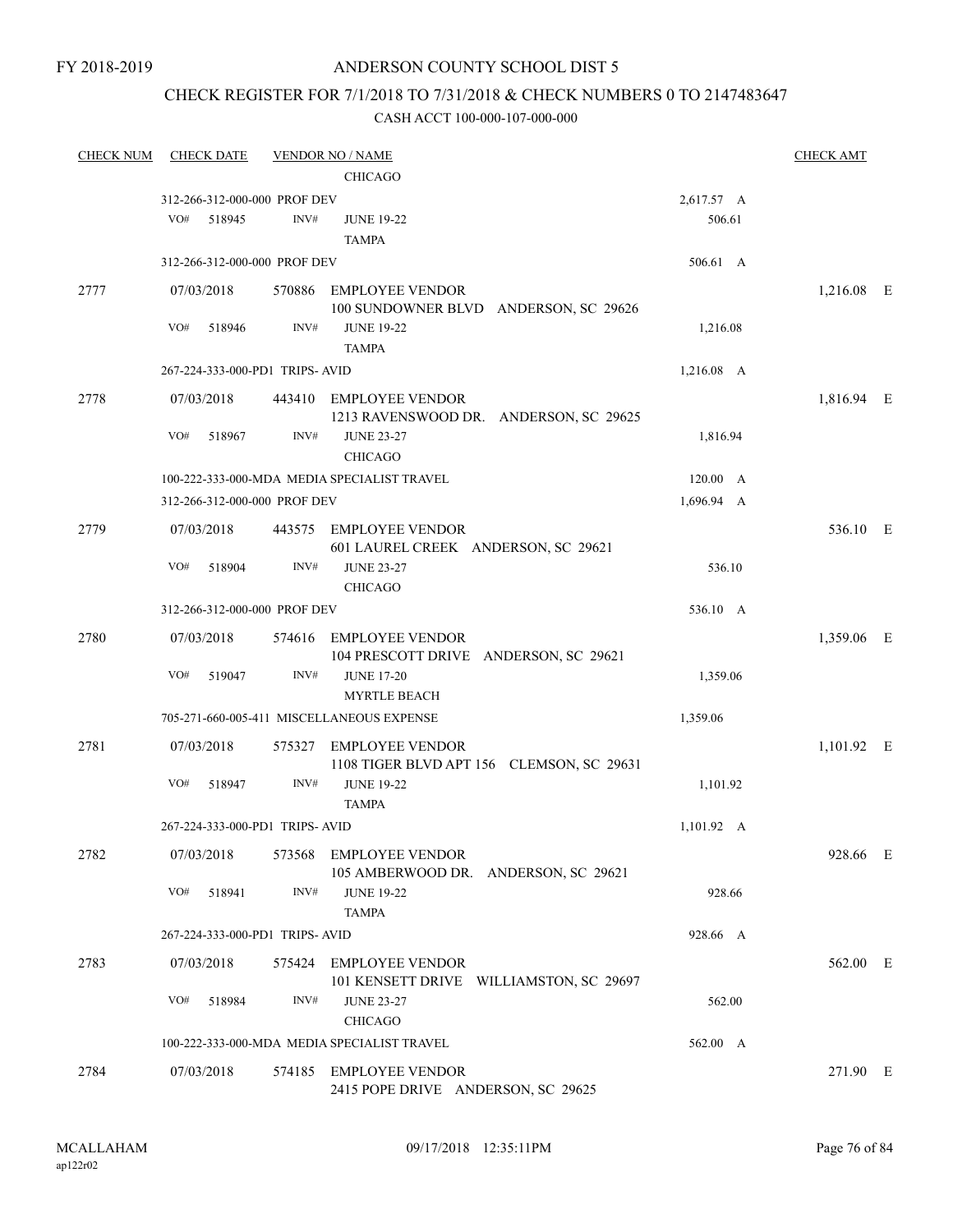## CHECK REGISTER FOR 7/1/2018 TO 7/31/2018 & CHECK NUMBERS 0 TO 2147483647

| <b>CHECK NUM</b> | <b>CHECK DATE</b>              |        | <b>VENDOR NO / NAME</b>                                             |                    | <b>CHECK AMT</b> |  |
|------------------|--------------------------------|--------|---------------------------------------------------------------------|--------------------|------------------|--|
|                  |                                |        | <b>CHICAGO</b>                                                      |                    |                  |  |
|                  | 312-266-312-000-000 PROF DEV   |        |                                                                     | 2,617.57 A         |                  |  |
|                  | VO#<br>518945                  | INV#   | <b>JUNE 19-22</b>                                                   | 506.61             |                  |  |
|                  |                                |        | <b>TAMPA</b>                                                        |                    |                  |  |
|                  | 312-266-312-000-000 PROF DEV   |        |                                                                     | 506.61 A           |                  |  |
| 2777             | 07/03/2018                     | 570886 | EMPLOYEE VENDOR<br>100 SUNDOWNER BLVD ANDERSON, SC 29626            |                    | 1,216.08 E       |  |
|                  | VO#<br>518946                  | INV#   | <b>JUNE 19-22</b>                                                   | 1,216.08           |                  |  |
|                  |                                |        | <b>TAMPA</b>                                                        |                    |                  |  |
|                  | 267-224-333-000-PD1 TRIPS-AVID |        |                                                                     | 1,216.08 A         |                  |  |
| 2778             | 07/03/2018                     |        | 443410 EMPLOYEE VENDOR<br>1213 RAVENSWOOD DR. ANDERSON, SC 29625    |                    | 1,816.94 E       |  |
|                  | VO#<br>518967                  | INV#   | <b>JUNE 23-27</b><br><b>CHICAGO</b>                                 | 1,816.94           |                  |  |
|                  |                                |        | 100-222-333-000-MDA MEDIA SPECIALIST TRAVEL                         | $120.00\quad A$    |                  |  |
|                  | 312-266-312-000-000 PROF DEV   |        |                                                                     | 1,696.94 A         |                  |  |
| 2779             | 07/03/2018                     |        | 443575 EMPLOYEE VENDOR<br>601 LAUREL CREEK ANDERSON, SC 29621       |                    | 536.10 E         |  |
|                  | VO#<br>518904                  | INV#   | <b>JUNE 23-27</b>                                                   | 536.10             |                  |  |
|                  |                                |        | <b>CHICAGO</b>                                                      |                    |                  |  |
|                  | 312-266-312-000-000 PROF DEV   |        |                                                                     | 536.10 A           |                  |  |
| 2780             | 07/03/2018                     | 574616 | <b>EMPLOYEE VENDOR</b><br>104 PRESCOTT DRIVE ANDERSON, SC 29621     |                    | 1,359.06 E       |  |
|                  | VO#<br>519047                  | INV#   | <b>JUNE 17-20</b><br><b>MYRTLE BEACH</b>                            | 1,359.06           |                  |  |
|                  |                                |        | 705-271-660-005-411 MISCELLANEOUS EXPENSE                           | 1,359.06           |                  |  |
| 2781             | 07/03/2018                     | 575327 | <b>EMPLOYEE VENDOR</b><br>1108 TIGER BLVD APT 156 CLEMSON, SC 29631 |                    | 1,101.92 E       |  |
|                  | VO#<br>518947                  | INV#   | <b>JUNE 19-22</b><br><b>TAMPA</b>                                   | 1,101.92           |                  |  |
|                  | 267-224-333-000-PD1 TRIPS-AVID |        |                                                                     | $1,101.92 \quad A$ |                  |  |
| 2782             | 07/03/2018                     |        | 573568 EMPLOYEE VENDOR<br>105 AMBERWOOD DR. ANDERSON, SC 29621      |                    | 928.66 E         |  |
|                  | VO#<br>518941                  | INV#   | <b>JUNE 19-22</b><br><b>TAMPA</b>                                   | 928.66             |                  |  |
|                  | 267-224-333-000-PD1 TRIPS-AVID |        |                                                                     | 928.66 A           |                  |  |
| 2783             | 07/03/2018                     | 575424 | <b>EMPLOYEE VENDOR</b>                                              |                    | 562.00 E         |  |
|                  | VO#<br>518984                  | INV#   | 101 KENSETT DRIVE WILLIAMSTON, SC 29697<br><b>JUNE 23-27</b>        | 562.00             |                  |  |
|                  |                                |        | <b>CHICAGO</b>                                                      |                    |                  |  |
|                  |                                |        | 100-222-333-000-MDA MEDIA SPECIALIST TRAVEL                         | 562.00 A           |                  |  |
| 2784             | 07/03/2018                     |        | 574185 EMPLOYEE VENDOR<br>2415 POPE DRIVE ANDERSON, SC 29625        |                    | 271.90 E         |  |
|                  |                                |        |                                                                     |                    |                  |  |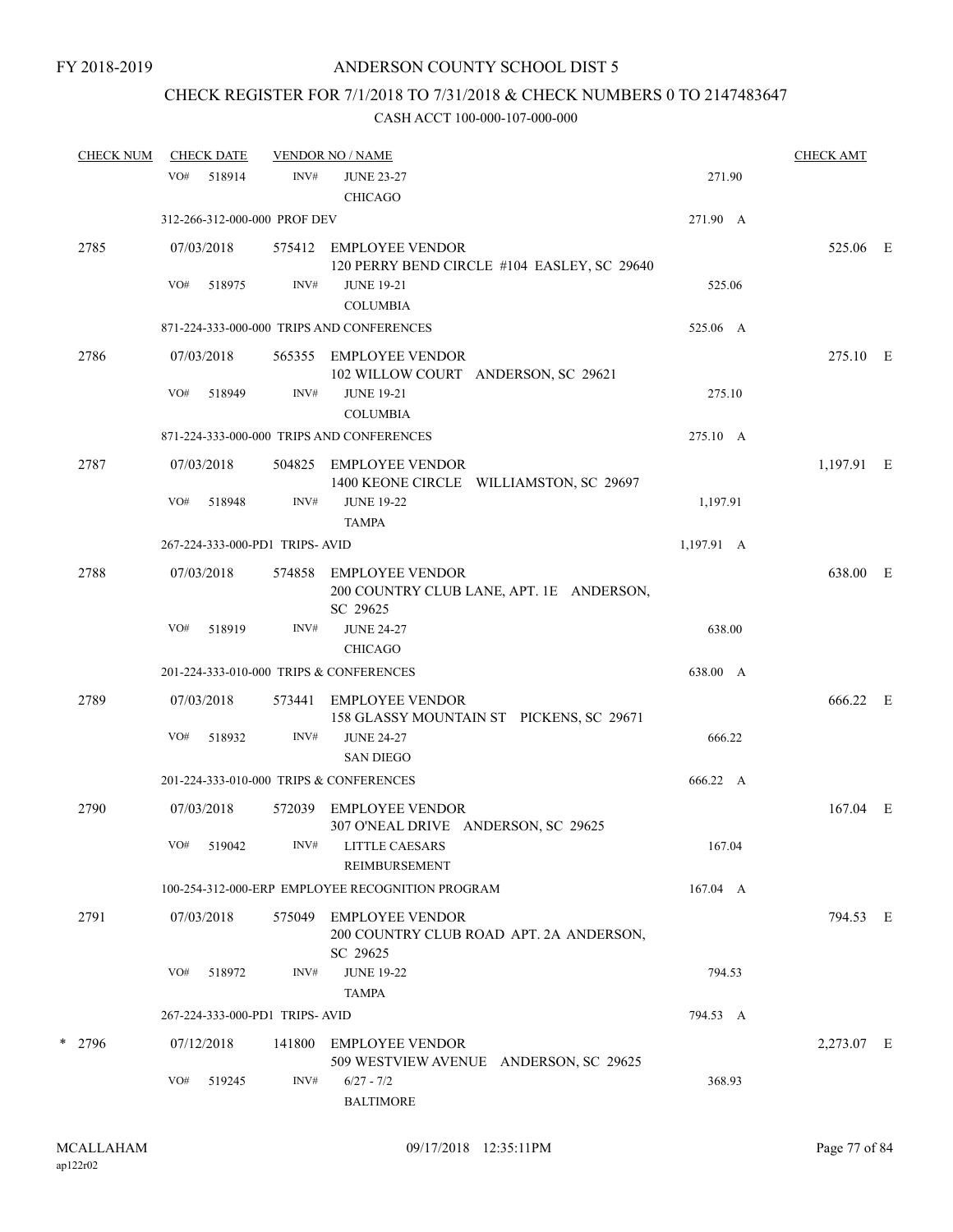# CHECK REGISTER FOR 7/1/2018 TO 7/31/2018 & CHECK NUMBERS 0 TO 2147483647

| <b>CHECK NUM</b> |     | <b>CHECK DATE</b>    |                                | <b>VENDOR NO / NAME</b>                                                       |            | <b>CHECK AMT</b> |  |
|------------------|-----|----------------------|--------------------------------|-------------------------------------------------------------------------------|------------|------------------|--|
|                  | VO# | 518914               | INV#                           | <b>JUNE 23-27</b><br><b>CHICAGO</b>                                           | 271.90     |                  |  |
|                  |     |                      | 312-266-312-000-000 PROF DEV   |                                                                               | 271.90 A   |                  |  |
| 2785             |     | 07/03/2018           |                                | 575412 EMPLOYEE VENDOR<br>120 PERRY BEND CIRCLE #104 EASLEY, SC 29640         |            | 525.06 E         |  |
|                  | VO# | 518975               | INV#                           | <b>JUNE 19-21</b><br><b>COLUMBIA</b>                                          | 525.06     |                  |  |
|                  |     |                      |                                | 871-224-333-000-000 TRIPS AND CONFERENCES                                     | 525.06 A   |                  |  |
| 2786             |     | 07/03/2018           |                                | 565355 EMPLOYEE VENDOR<br>102 WILLOW COURT ANDERSON, SC 29621                 |            | 275.10 E         |  |
|                  | VO# | 518949               | INV#                           | <b>JUNE 19-21</b><br><b>COLUMBIA</b>                                          | 275.10     |                  |  |
|                  |     |                      |                                | 871-224-333-000-000 TRIPS AND CONFERENCES                                     | 275.10 A   |                  |  |
| 2787             |     | 07/03/2018           |                                | 504825 EMPLOYEE VENDOR<br>1400 KEONE CIRCLE WILLIAMSTON, SC 29697             |            | 1,197.91 E       |  |
|                  | VO# | 518948               | INV#                           | <b>JUNE 19-22</b><br><b>TAMPA</b>                                             | 1,197.91   |                  |  |
|                  |     |                      | 267-224-333-000-PD1 TRIPS-AVID |                                                                               | 1,197.91 A |                  |  |
| 2788             |     | 07/03/2018           | 574858                         | EMPLOYEE VENDOR<br>200 COUNTRY CLUB LANE, APT. 1E ANDERSON,<br>SC 29625       |            | 638.00 E         |  |
|                  | VO# | 518919               | INV#                           | <b>JUNE 24-27</b><br><b>CHICAGO</b>                                           | 638.00     |                  |  |
|                  |     |                      |                                | 201-224-333-010-000 TRIPS & CONFERENCES                                       | 638.00 A   |                  |  |
| 2789             |     | 07/03/2018           |                                | 573441 EMPLOYEE VENDOR<br>158 GLASSY MOUNTAIN ST PICKENS, SC 29671            |            | 666.22 E         |  |
|                  | VO# | 518932               | INV#                           | <b>JUNE 24-27</b><br><b>SAN DIEGO</b>                                         | 666.22     |                  |  |
|                  |     |                      |                                | 201-224-333-010-000 TRIPS & CONFERENCES                                       | 666.22 A   |                  |  |
| 2790             |     | 07/03/2018           |                                | 572039 EMPLOYEE VENDOR<br>307 O'NEAL DRIVE ANDERSON, SC 29625                 |            | $167.04$ E       |  |
|                  |     | VO# 519042           |                                | INV# LITTLE CAESARS<br>REIMBURSEMENT                                          | 167.04     |                  |  |
|                  |     |                      |                                | 100-254-312-000-ERP EMPLOYEE RECOGNITION PROGRAM                              | 167.04 A   |                  |  |
| 2791             |     | 07/03/2018           |                                | 575049 EMPLOYEE VENDOR<br>200 COUNTRY CLUB ROAD APT. 2A ANDERSON,<br>SC 29625 |            | 794.53 E         |  |
|                  | VO# | 518972               | INV#                           | <b>JUNE 19-22</b>                                                             | 794.53     |                  |  |
|                  |     |                      |                                | <b>TAMPA</b>                                                                  |            |                  |  |
|                  |     |                      | 267-224-333-000-PD1 TRIPS-AVID |                                                                               | 794.53 A   |                  |  |
| * 2796           | VO# | 07/12/2018<br>519245 | 141800<br>INV#                 | EMPLOYEE VENDOR<br>509 WESTVIEW AVENUE ANDERSON, SC 29625<br>$6/27 - 7/2$     | 368.93     | 2,273.07 E       |  |
|                  |     |                      |                                | <b>BALTIMORE</b>                                                              |            |                  |  |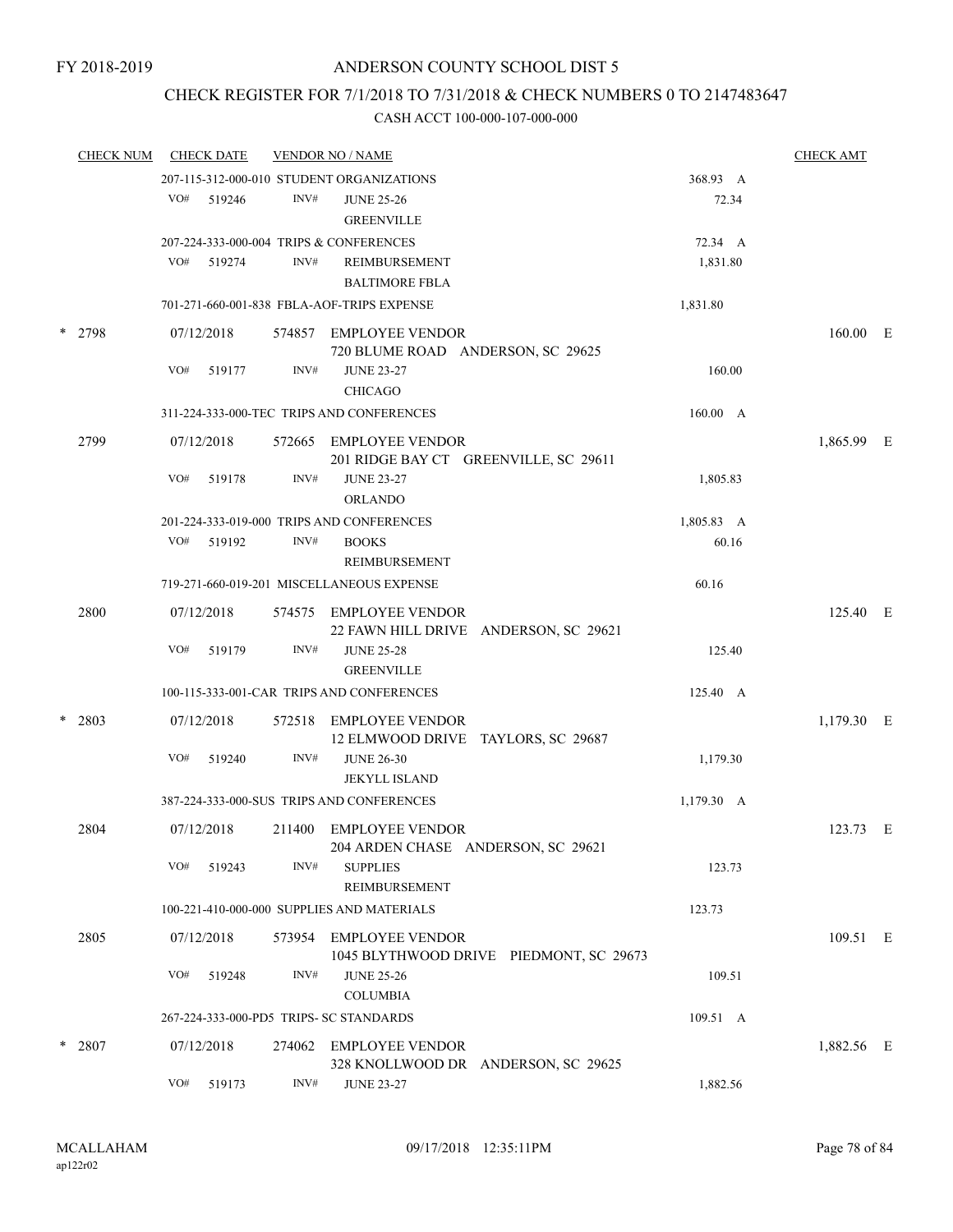## CHECK REGISTER FOR 7/1/2018 TO 7/31/2018 & CHECK NUMBERS 0 TO 2147483647

| <b>CHECK NUM</b> |     | <b>CHECK DATE</b> |        | <b>VENDOR NO / NAME</b>                                           |              | <b>CHECK AMT</b> |  |
|------------------|-----|-------------------|--------|-------------------------------------------------------------------|--------------|------------------|--|
|                  |     |                   |        | 207-115-312-000-010 STUDENT ORGANIZATIONS                         | 368.93 A     |                  |  |
|                  |     | VO# 519246        | INV#   | <b>JUNE 25-26</b><br><b>GREENVILLE</b>                            | 72.34        |                  |  |
|                  |     |                   |        | 207-224-333-000-004 TRIPS & CONFERENCES                           | 72.34 A      |                  |  |
|                  | VO# | 519274            | INV#   | REIMBURSEMENT<br><b>BALTIMORE FBLA</b>                            | 1,831.80     |                  |  |
|                  |     |                   |        | 701-271-660-001-838 FBLA-AOF-TRIPS EXPENSE                        | 1,831.80     |                  |  |
| * 2798           |     | 07/12/2018        |        | 574857 EMPLOYEE VENDOR<br>720 BLUME ROAD ANDERSON, SC 29625       |              | 160.00 E         |  |
|                  | VO# | 519177            | INV#   | <b>JUNE 23-27</b><br><b>CHICAGO</b>                               | 160.00       |                  |  |
|                  |     |                   |        | 311-224-333-000-TEC TRIPS AND CONFERENCES                         | 160.00 A     |                  |  |
| 2799             |     | 07/12/2018        | 572665 | EMPLOYEE VENDOR<br>201 RIDGE BAY CT GREENVILLE, SC 29611          |              | 1,865.99 E       |  |
|                  | VO# | 519178            | INV#   | <b>JUNE 23-27</b><br><b>ORLANDO</b>                               | 1,805.83     |                  |  |
|                  |     |                   |        | 201-224-333-019-000 TRIPS AND CONFERENCES                         | 1,805.83 A   |                  |  |
|                  | VO# | 519192            | INV#   | <b>BOOKS</b><br>REIMBURSEMENT                                     | 60.16        |                  |  |
|                  |     |                   |        | 719-271-660-019-201 MISCELLANEOUS EXPENSE                         | 60.16        |                  |  |
| 2800             |     | 07/12/2018        | 574575 | EMPLOYEE VENDOR<br>22 FAWN HILL DRIVE ANDERSON, SC 29621          |              | 125.40 E         |  |
|                  | VO# | 519179            | INV#   | <b>JUNE 25-28</b><br><b>GREENVILLE</b>                            | 125.40       |                  |  |
|                  |     |                   |        | 100-115-333-001-CAR TRIPS AND CONFERENCES                         | 125.40 A     |                  |  |
| $*$ 2803         |     | 07/12/2018        | 572518 | <b>EMPLOYEE VENDOR</b><br>12 ELMWOOD DRIVE TAYLORS, SC 29687      |              | $1,179.30$ E     |  |
|                  | VO# | 519240            | INV#   | <b>JUNE 26-30</b><br><b>JEKYLL ISLAND</b>                         | 1,179.30     |                  |  |
|                  |     |                   |        | 387-224-333-000-SUS TRIPS AND CONFERENCES                         | $1,179.30$ A |                  |  |
| 2804             |     | 07/12/2018        |        | 211400 EMPLOYEE VENDOR<br>204 ARDEN CHASE ANDERSON, SC 29621      |              | 123.73 E         |  |
|                  | VO# | 519243            | INV#   | <b>SUPPLIES</b><br>REIMBURSEMENT                                  | 123.73       |                  |  |
|                  |     |                   |        | 100-221-410-000-000 SUPPLIES AND MATERIALS                        | 123.73       |                  |  |
| 2805             |     | 07/12/2018        | 573954 | <b>EMPLOYEE VENDOR</b><br>1045 BLYTHWOOD DRIVE PIEDMONT, SC 29673 |              | 109.51 E         |  |
|                  | VO# | 519248            | INV#   | <b>JUNE 25-26</b><br><b>COLUMBIA</b>                              | 109.51       |                  |  |
|                  |     |                   |        | 267-224-333-000-PD5 TRIPS- SC STANDARDS                           | 109.51 A     |                  |  |
| $*$ 2807         |     | 07/12/2018        | 274062 | <b>EMPLOYEE VENDOR</b><br>328 KNOLLWOOD DR ANDERSON, SC 29625     |              | 1,882.56 E       |  |
|                  | VO# | 519173            | INV#   | <b>JUNE 23-27</b>                                                 | 1,882.56     |                  |  |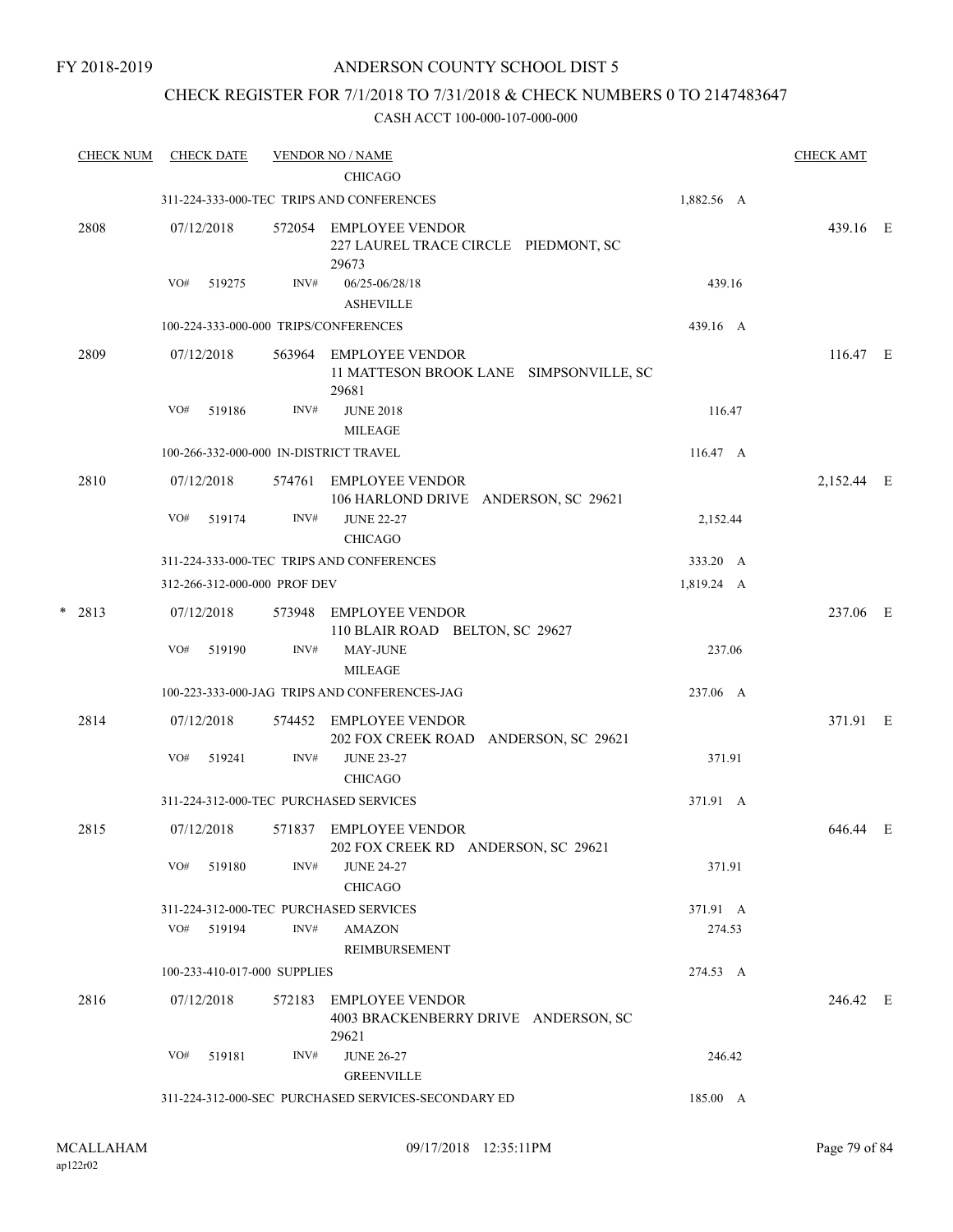## CHECK REGISTER FOR 7/1/2018 TO 7/31/2018 & CHECK NUMBERS 0 TO 2147483647

| <b>CHECK NUM</b> |      | <b>CHECK DATE</b> |                                                                                                              | <b>VENDOR NO / NAME</b>                          |                                                                                                                                                                                                                                                                                                                                                                                                                                                                                                                                                                                                                                                                                    | <b>CHECK AMT</b> |            |
|------------------|------|-------------------|--------------------------------------------------------------------------------------------------------------|--------------------------------------------------|------------------------------------------------------------------------------------------------------------------------------------------------------------------------------------------------------------------------------------------------------------------------------------------------------------------------------------------------------------------------------------------------------------------------------------------------------------------------------------------------------------------------------------------------------------------------------------------------------------------------------------------------------------------------------------|------------------|------------|
|                  |      |                   |                                                                                                              |                                                  | 1,882.56 A                                                                                                                                                                                                                                                                                                                                                                                                                                                                                                                                                                                                                                                                         |                  |            |
| 2808             |      |                   |                                                                                                              | 227 LAUREL TRACE CIRCLE PIEDMONT, SC             |                                                                                                                                                                                                                                                                                                                                                                                                                                                                                                                                                                                                                                                                                    | 439.16 E         |            |
|                  | VO#  | 519275            | INV#                                                                                                         | 06/25-06/28/18<br><b>ASHEVILLE</b>               | 439.16                                                                                                                                                                                                                                                                                                                                                                                                                                                                                                                                                                                                                                                                             |                  |            |
|                  |      |                   |                                                                                                              |                                                  | 439.16 A                                                                                                                                                                                                                                                                                                                                                                                                                                                                                                                                                                                                                                                                           |                  |            |
| 2809             |      |                   |                                                                                                              | 11 MATTESON BROOK LANE SIMPSONVILLE, SC<br>29681 |                                                                                                                                                                                                                                                                                                                                                                                                                                                                                                                                                                                                                                                                                    | $116.47 \t E$    |            |
|                  | VO#  | 519186            | INV#                                                                                                         | <b>JUNE 2018</b>                                 | 116.47                                                                                                                                                                                                                                                                                                                                                                                                                                                                                                                                                                                                                                                                             |                  |            |
|                  |      |                   |                                                                                                              | <b>MILEAGE</b>                                   |                                                                                                                                                                                                                                                                                                                                                                                                                                                                                                                                                                                                                                                                                    |                  |            |
|                  |      |                   |                                                                                                              |                                                  |                                                                                                                                                                                                                                                                                                                                                                                                                                                                                                                                                                                                                                                                                    |                  |            |
|                  |      |                   |                                                                                                              |                                                  |                                                                                                                                                                                                                                                                                                                                                                                                                                                                                                                                                                                                                                                                                    |                  |            |
|                  | VO#  | 519174            | INV#                                                                                                         | <b>JUNE 22-27</b><br><b>CHICAGO</b>              | 2,152.44                                                                                                                                                                                                                                                                                                                                                                                                                                                                                                                                                                                                                                                                           |                  |            |
|                  |      |                   |                                                                                                              |                                                  | 333.20 A                                                                                                                                                                                                                                                                                                                                                                                                                                                                                                                                                                                                                                                                           |                  |            |
|                  |      |                   |                                                                                                              |                                                  | 1,819.24 A                                                                                                                                                                                                                                                                                                                                                                                                                                                                                                                                                                                                                                                                         |                  |            |
| $* 2813$         |      |                   | 573948                                                                                                       | 110 BLAIR ROAD BELTON, SC 29627                  |                                                                                                                                                                                                                                                                                                                                                                                                                                                                                                                                                                                                                                                                                    | 237.06 E         |            |
|                  | VO#  | 519190            | INV#                                                                                                         | <b>MAY-JUNE</b><br><b>MILEAGE</b>                | 237.06                                                                                                                                                                                                                                                                                                                                                                                                                                                                                                                                                                                                                                                                             |                  |            |
|                  |      |                   |                                                                                                              |                                                  | 237.06 A                                                                                                                                                                                                                                                                                                                                                                                                                                                                                                                                                                                                                                                                           |                  |            |
| 2814             |      |                   |                                                                                                              | 202 FOX CREEK ROAD ANDERSON, SC 29621            |                                                                                                                                                                                                                                                                                                                                                                                                                                                                                                                                                                                                                                                                                    | 371.91 E         |            |
|                  | VO#  | 519241            | INV#                                                                                                         | <b>JUNE 23-27</b><br><b>CHICAGO</b>              | 371.91                                                                                                                                                                                                                                                                                                                                                                                                                                                                                                                                                                                                                                                                             |                  |            |
|                  |      |                   |                                                                                                              |                                                  | 371.91 A                                                                                                                                                                                                                                                                                                                                                                                                                                                                                                                                                                                                                                                                           |                  |            |
| 2815             |      |                   |                                                                                                              | 202 FOX CREEK RD ANDERSON, SC 29621              |                                                                                                                                                                                                                                                                                                                                                                                                                                                                                                                                                                                                                                                                                    | 646.44 E         |            |
|                  | VO#  | 519180            | INV#                                                                                                         | <b>JUNE 24-27</b><br><b>CHICAGO</b>              | 371.91                                                                                                                                                                                                                                                                                                                                                                                                                                                                                                                                                                                                                                                                             |                  |            |
|                  |      |                   |                                                                                                              |                                                  | 371.91 A                                                                                                                                                                                                                                                                                                                                                                                                                                                                                                                                                                                                                                                                           |                  |            |
|                  |      |                   | INV#                                                                                                         | <b>AMAZON</b><br>REIMBURSEMENT                   | 274.53                                                                                                                                                                                                                                                                                                                                                                                                                                                                                                                                                                                                                                                                             |                  |            |
|                  |      |                   |                                                                                                              |                                                  | 274.53 A                                                                                                                                                                                                                                                                                                                                                                                                                                                                                                                                                                                                                                                                           |                  |            |
| 2816             |      |                   | 572183                                                                                                       | 4003 BRACKENBERRY DRIVE ANDERSON, SC             |                                                                                                                                                                                                                                                                                                                                                                                                                                                                                                                                                                                                                                                                                    | 246.42 E         |            |
|                  | VO#  | 519181            | INV#                                                                                                         | <b>JUNE 26-27</b><br><b>GREENVILLE</b>           | 246.42                                                                                                                                                                                                                                                                                                                                                                                                                                                                                                                                                                                                                                                                             |                  |            |
|                  |      |                   |                                                                                                              |                                                  | 185.00 A                                                                                                                                                                                                                                                                                                                                                                                                                                                                                                                                                                                                                                                                           |                  |            |
|                  | 2810 |                   | 07/12/2018<br>07/12/2018<br>07/12/2018<br>07/12/2018<br>07/12/2018<br>07/12/2018<br>VO# 519194<br>07/12/2018 | 574761                                           | <b>CHICAGO</b><br>311-224-333-000-TEC TRIPS AND CONFERENCES<br>572054 EMPLOYEE VENDOR<br>29673<br>100-224-333-000-000 TRIPS/CONFERENCES<br>563964 EMPLOYEE VENDOR<br>100-266-332-000-000 IN-DISTRICT TRAVEL<br>EMPLOYEE VENDOR<br>106 HARLOND DRIVE ANDERSON, SC 29621<br>311-224-333-000-TEC TRIPS AND CONFERENCES<br>312-266-312-000-000 PROF DEV<br>EMPLOYEE VENDOR<br>100-223-333-000-JAG TRIPS AND CONFERENCES-JAG<br>574452 EMPLOYEE VENDOR<br>311-224-312-000-TEC PURCHASED SERVICES<br>571837 EMPLOYEE VENDOR<br>311-224-312-000-TEC PURCHASED SERVICES<br>100-233-410-017-000 SUPPLIES<br>EMPLOYEE VENDOR<br>29621<br>311-224-312-000-SEC PURCHASED SERVICES-SECONDARY ED | $116.47 \, A$    | 2,152.44 E |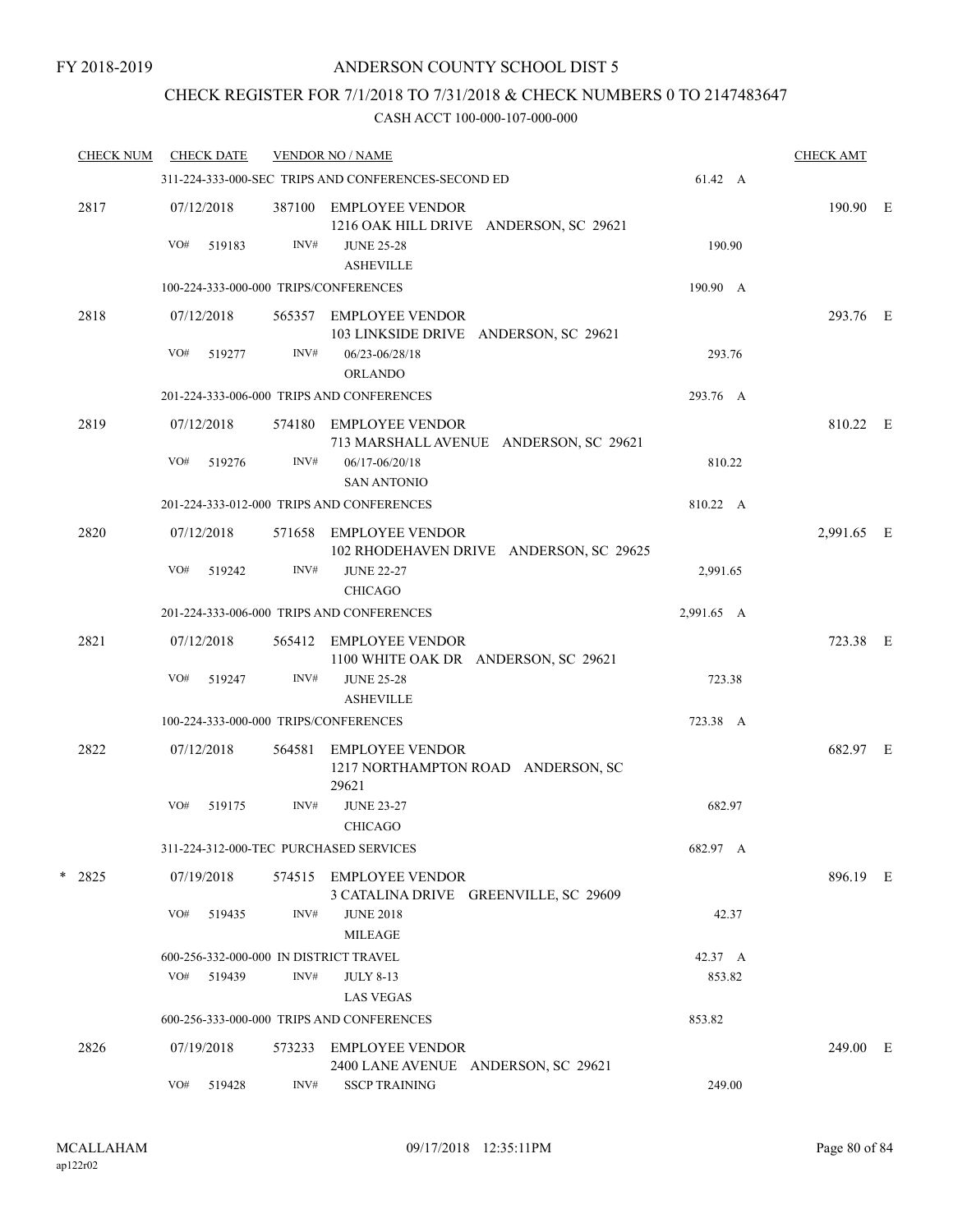## CHECK REGISTER FOR 7/1/2018 TO 7/31/2018 & CHECK NUMBERS 0 TO 2147483647

| <b>CHECK NUM</b> |     | <b>CHECK DATE</b> |        | <b>VENDOR NO / NAME</b>                                           |            | <b>CHECK AMT</b> |  |
|------------------|-----|-------------------|--------|-------------------------------------------------------------------|------------|------------------|--|
|                  |     |                   |        | 311-224-333-000-SEC TRIPS AND CONFERENCES-SECOND ED               | 61.42 A    |                  |  |
| 2817             |     | 07/12/2018        |        | 387100 EMPLOYEE VENDOR<br>1216 OAK HILL DRIVE ANDERSON, SC 29621  |            | 190.90 E         |  |
|                  | VO# | 519183            | INV#   | <b>JUNE 25-28</b><br><b>ASHEVILLE</b>                             | 190.90     |                  |  |
|                  |     |                   |        | 100-224-333-000-000 TRIPS/CONFERENCES                             | 190.90 A   |                  |  |
| 2818             |     | 07/12/2018        |        | 565357 EMPLOYEE VENDOR<br>103 LINKSIDE DRIVE ANDERSON, SC 29621   |            | 293.76 E         |  |
|                  | VO# | 519277            | INV#   | 06/23-06/28/18<br><b>ORLANDO</b>                                  | 293.76     |                  |  |
|                  |     |                   |        | 201-224-333-006-000 TRIPS AND CONFERENCES                         | 293.76 A   |                  |  |
| 2819             |     | 07/12/2018        |        | 574180 EMPLOYEE VENDOR<br>713 MARSHALL AVENUE ANDERSON, SC 29621  |            | 810.22 E         |  |
|                  | VO# | 519276            | INV#   | 06/17-06/20/18<br><b>SAN ANTONIO</b>                              | 810.22     |                  |  |
|                  |     |                   |        | 201-224-333-012-000 TRIPS AND CONFERENCES                         | 810.22 A   |                  |  |
| 2820             |     | 07/12/2018        |        | 571658 EMPLOYEE VENDOR<br>102 RHODEHAVEN DRIVE ANDERSON, SC 29625 |            | 2,991.65 E       |  |
|                  | VO# | 519242            | INV#   | <b>JUNE 22-27</b><br><b>CHICAGO</b>                               | 2,991.65   |                  |  |
|                  |     |                   |        | 201-224-333-006-000 TRIPS AND CONFERENCES                         | 2,991.65 A |                  |  |
| 2821             |     | 07/12/2018        |        | 565412 EMPLOYEE VENDOR<br>1100 WHITE OAK DR ANDERSON, SC 29621    |            | 723.38 E         |  |
|                  | VO# | 519247            | INV#   | <b>JUNE 25-28</b><br><b>ASHEVILLE</b>                             | 723.38     |                  |  |
|                  |     |                   |        | 100-224-333-000-000 TRIPS/CONFERENCES                             | 723.38 A   |                  |  |
| 2822             |     | 07/12/2018        | 564581 | <b>EMPLOYEE VENDOR</b>                                            |            | 682.97 E         |  |
|                  |     |                   |        | 1217 NORTHAMPTON ROAD ANDERSON, SC<br>29621                       |            |                  |  |
|                  | VO# | 519175            | INV#   | <b>JUNE 23-27</b><br><b>CHICAGO</b>                               | 682.97     |                  |  |
|                  |     |                   |        | 311-224-312-000-TEC PURCHASED SERVICES                            | 682.97 A   |                  |  |
| $*$ 2825         |     | 07/19/2018        |        | 574515 EMPLOYEE VENDOR<br>3 CATALINA DRIVE GREENVILLE, SC 29609   |            | 896.19 E         |  |
|                  | VO# | 519435            | INV#   | <b>JUNE 2018</b><br><b>MILEAGE</b>                                | 42.37      |                  |  |
|                  |     |                   |        | 600-256-332-000-000 IN DISTRICT TRAVEL                            | 42.37 A    |                  |  |
|                  | VO# | 519439            | INV#   | <b>JULY 8-13</b>                                                  | 853.82     |                  |  |
|                  |     |                   |        | <b>LAS VEGAS</b>                                                  |            |                  |  |
|                  |     |                   |        | 600-256-333-000-000 TRIPS AND CONFERENCES                         | 853.82     |                  |  |
| 2826             |     | 07/19/2018        | 573233 | <b>EMPLOYEE VENDOR</b><br>2400 LANE AVENUE ANDERSON, SC 29621     |            | 249.00 E         |  |
|                  | VO# | 519428            | INV#   | <b>SSCP TRAINING</b>                                              | 249.00     |                  |  |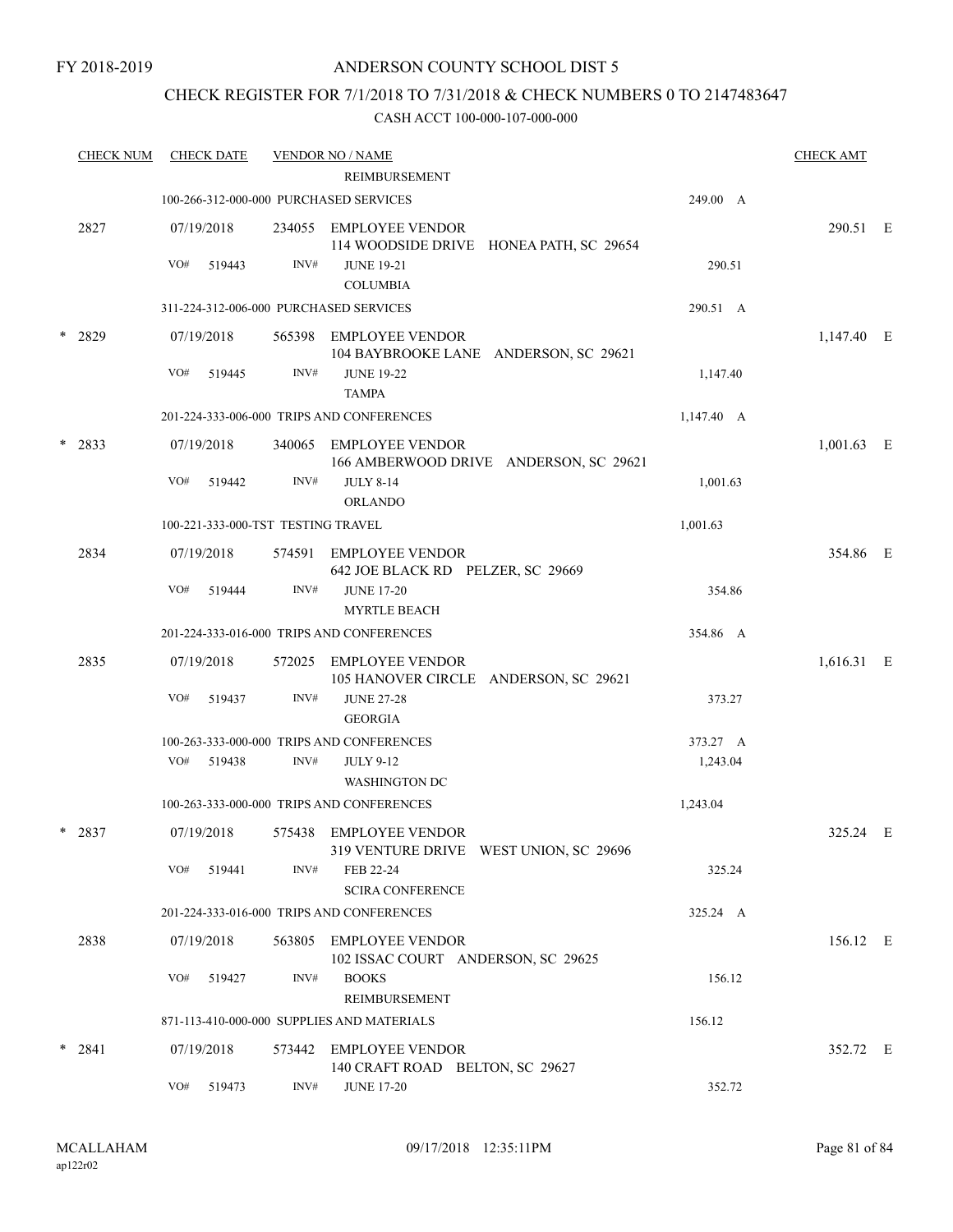## CHECK REGISTER FOR 7/1/2018 TO 7/31/2018 & CHECK NUMBERS 0 TO 2147483647

| <b>CHECK NUM</b> |     | <b>CHECK DATE</b> |                                    | <b>VENDOR NO / NAME</b>                                           |                 | <b>CHECK AMT</b> |  |
|------------------|-----|-------------------|------------------------------------|-------------------------------------------------------------------|-----------------|------------------|--|
|                  |     |                   |                                    | REIMBURSEMENT                                                     |                 |                  |  |
|                  |     |                   |                                    | 100-266-312-000-000 PURCHASED SERVICES                            | 249.00 A        |                  |  |
| 2827             |     | 07/19/2018        |                                    | 234055 EMPLOYEE VENDOR<br>114 WOODSIDE DRIVE HONEA PATH, SC 29654 |                 | 290.51 E         |  |
|                  | VO# | 519443            | INV#                               | <b>JUNE 19-21</b><br><b>COLUMBIA</b>                              | 290.51          |                  |  |
|                  |     |                   |                                    | 311-224-312-006-000 PURCHASED SERVICES                            | 290.51 A        |                  |  |
| * 2829           |     | 07/19/2018        |                                    | 565398 EMPLOYEE VENDOR<br>104 BAYBROOKE LANE ANDERSON, SC 29621   |                 | 1,147.40 E       |  |
|                  | VO# | 519445            | INV#                               | <b>JUNE 19-22</b><br><b>TAMPA</b>                                 | 1,147.40        |                  |  |
|                  |     |                   |                                    | 201-224-333-006-000 TRIPS AND CONFERENCES                         | $1,147.40 \, A$ |                  |  |
| $* 2833$         |     | 07/19/2018        |                                    | 340065 EMPLOYEE VENDOR<br>166 AMBERWOOD DRIVE ANDERSON, SC 29621  |                 | $1,001.63$ E     |  |
|                  | VO# | 519442            | INV#                               | <b>JULY 8-14</b><br><b>ORLANDO</b>                                | 1,001.63        |                  |  |
|                  |     |                   | 100-221-333-000-TST TESTING TRAVEL |                                                                   | 1,001.63        |                  |  |
| 2834             |     | 07/19/2018        |                                    | 574591 EMPLOYEE VENDOR<br>642 JOE BLACK RD PELZER, SC 29669       |                 | 354.86 E         |  |
|                  | VO# | 519444            | INV#                               | <b>JUNE 17-20</b><br><b>MYRTLE BEACH</b>                          | 354.86          |                  |  |
|                  |     |                   |                                    | 201-224-333-016-000 TRIPS AND CONFERENCES                         | 354.86 A        |                  |  |
| 2835             |     | 07/19/2018        |                                    | 572025 EMPLOYEE VENDOR<br>105 HANOVER CIRCLE ANDERSON, SC 29621   |                 | 1,616.31 E       |  |
|                  | VO# | 519437            | INV#                               | <b>JUNE 27-28</b><br><b>GEORGIA</b>                               | 373.27          |                  |  |
|                  |     |                   |                                    | 100-263-333-000-000 TRIPS AND CONFERENCES                         | 373.27 A        |                  |  |
|                  | VO# | 519438            | INV#                               | <b>JULY 9-12</b><br><b>WASHINGTON DC</b>                          | 1,243.04        |                  |  |
|                  |     |                   |                                    | 100-263-333-000-000 TRIPS AND CONFERENCES                         | 1,243.04        |                  |  |
| $*$ 2837         |     | 07/19/2018        |                                    | 575438 EMPLOYEE VENDOR<br>319 VENTURE DRIVE WEST UNION, SC 29696  |                 | 325.24 E         |  |
|                  | VO# | 519441            | INV#                               | FEB 22-24<br><b>SCIRA CONFERENCE</b>                              | 325.24          |                  |  |
|                  |     |                   |                                    | 201-224-333-016-000 TRIPS AND CONFERENCES                         | 325.24 A        |                  |  |
| 2838             |     | 07/19/2018        | 563805                             | <b>EMPLOYEE VENDOR</b><br>102 ISSAC COURT ANDERSON, SC 29625      |                 | 156.12 E         |  |
|                  | VO# | 519427            | INV#                               | <b>BOOKS</b><br>REIMBURSEMENT                                     | 156.12          |                  |  |
|                  |     |                   |                                    | 871-113-410-000-000 SUPPLIES AND MATERIALS                        | 156.12          |                  |  |
| $* 2841$         |     | 07/19/2018        | 573442                             | <b>EMPLOYEE VENDOR</b><br>140 CRAFT ROAD BELTON, SC 29627         |                 | 352.72 E         |  |
|                  | VO# | 519473            | INV#                               | <b>JUNE 17-20</b>                                                 | 352.72          |                  |  |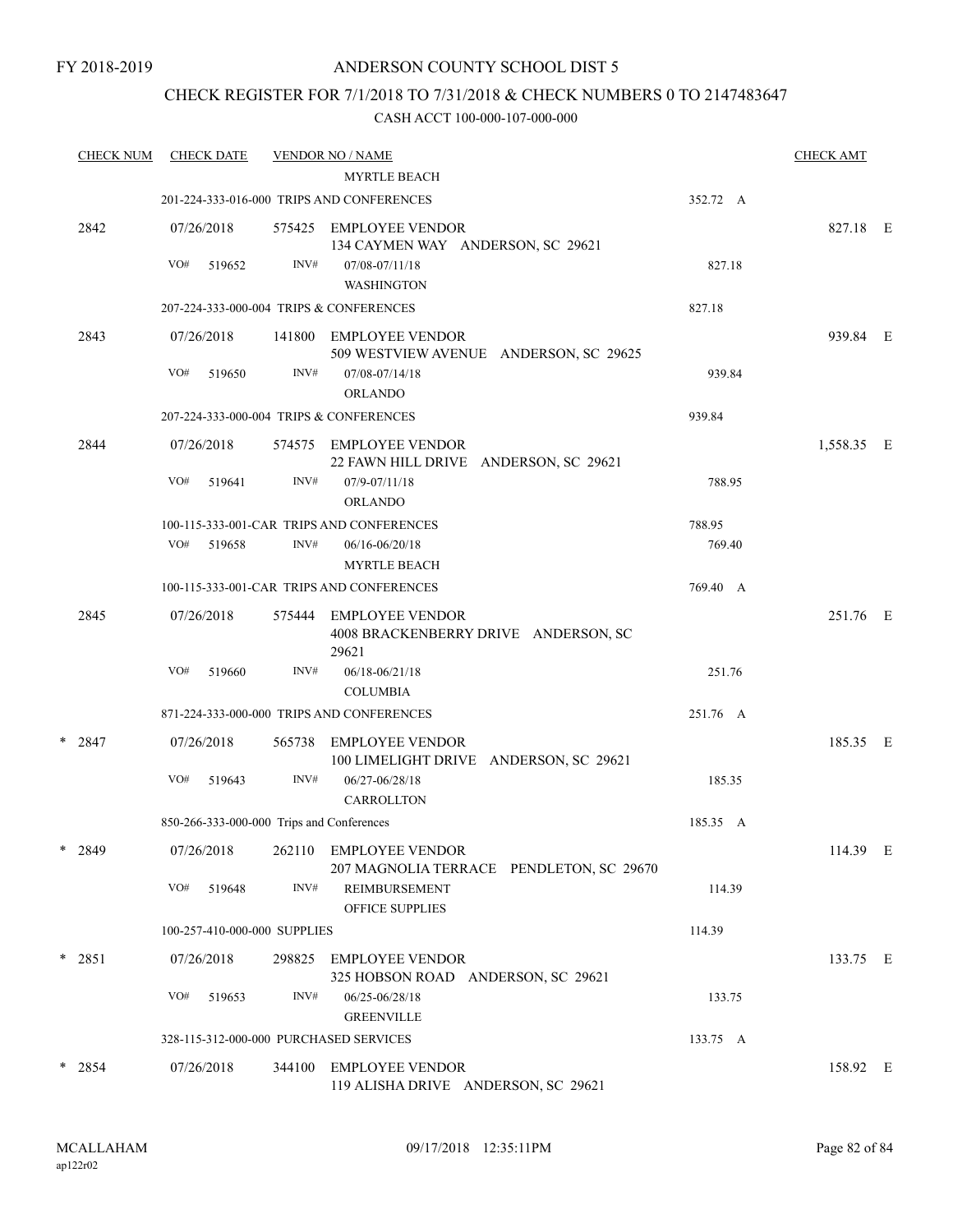## CHECK REGISTER FOR 7/1/2018 TO 7/31/2018 & CHECK NUMBERS 0 TO 2147483647

| <b>CHECK NUM</b> |     | <b>CHECK DATE</b> |                                           | <b>VENDOR NO / NAME</b><br><b>MYRTLE BEACH</b>                          |          | <b>CHECK AMT</b> |  |
|------------------|-----|-------------------|-------------------------------------------|-------------------------------------------------------------------------|----------|------------------|--|
|                  |     |                   |                                           | 201-224-333-016-000 TRIPS AND CONFERENCES                               | 352.72 A |                  |  |
| 2842             |     | 07/26/2018        |                                           | 575425 EMPLOYEE VENDOR<br>134 CAYMEN WAY ANDERSON, SC 29621             |          | 827.18 E         |  |
|                  | VO# | 519652            | INV#                                      | 07/08-07/11/18<br><b>WASHINGTON</b>                                     | 827.18   |                  |  |
|                  |     |                   |                                           | 207-224-333-000-004 TRIPS & CONFERENCES                                 | 827.18   |                  |  |
| 2843             |     | 07/26/2018        | 141800                                    | EMPLOYEE VENDOR<br>509 WESTVIEW AVENUE ANDERSON, SC 29625               |          | 939.84 E         |  |
|                  | VO# | 519650            | INV#                                      | 07/08-07/14/18<br><b>ORLANDO</b>                                        | 939.84   |                  |  |
|                  |     |                   |                                           | 207-224-333-000-004 TRIPS & CONFERENCES                                 | 939.84   |                  |  |
| 2844             |     | 07/26/2018        | 574575                                    | EMPLOYEE VENDOR<br>22 FAWN HILL DRIVE ANDERSON, SC 29621                |          | 1,558.35 E       |  |
|                  | VO# | 519641            | INV#                                      | 07/9-07/11/18<br>ORLANDO                                                | 788.95   |                  |  |
|                  |     |                   |                                           | 100-115-333-001-CAR TRIPS AND CONFERENCES                               | 788.95   |                  |  |
|                  | VO# | 519658            | INV#                                      | 06/16-06/20/18<br><b>MYRTLE BEACH</b>                                   | 769.40   |                  |  |
|                  |     |                   |                                           | 100-115-333-001-CAR TRIPS AND CONFERENCES                               | 769.40 A |                  |  |
| 2845             |     | 07/26/2018        | 575444                                    | <b>EMPLOYEE VENDOR</b><br>4008 BRACKENBERRY DRIVE ANDERSON, SC<br>29621 |          | 251.76 E         |  |
|                  | VO# | 519660            | INV#                                      | 06/18-06/21/18<br><b>COLUMBIA</b>                                       | 251.76   |                  |  |
|                  |     |                   |                                           | 871-224-333-000-000 TRIPS AND CONFERENCES                               | 251.76 A |                  |  |
| $* 2847$         |     | 07/26/2018        | 565738                                    | <b>EMPLOYEE VENDOR</b><br>100 LIMELIGHT DRIVE ANDERSON, SC 29621        |          | 185.35 E         |  |
|                  | VO# | 519643            | INV#                                      | 06/27-06/28/18<br><b>CARROLLTON</b>                                     | 185.35   |                  |  |
|                  |     |                   | 850-266-333-000-000 Trips and Conferences |                                                                         | 185.35 A |                  |  |
| $*$ 2849         |     | 07/26/2018        | 262110                                    | EMPLOYEE VENDOR<br>207 MAGNOLIA TERRACE PENDLETON, SC 29670             |          | 114.39 E         |  |
|                  | VO# | 519648            | INV#                                      | <b>REIMBURSEMENT</b><br>OFFICE SUPPLIES                                 | 114.39   |                  |  |
|                  |     |                   | 100-257-410-000-000 SUPPLIES              |                                                                         | 114.39   |                  |  |
| $*$ 2851         |     | 07/26/2018        | 298825                                    | EMPLOYEE VENDOR<br>325 HOBSON ROAD ANDERSON, SC 29621                   |          | 133.75 E         |  |
|                  | VO# | 519653            | INV#                                      | 06/25-06/28/18<br><b>GREENVILLE</b>                                     | 133.75   |                  |  |
|                  |     |                   |                                           | 328-115-312-000-000 PURCHASED SERVICES                                  | 133.75 A |                  |  |
| $*$ 2854         |     | 07/26/2018        | 344100                                    | EMPLOYEE VENDOR<br>119 ALISHA DRIVE ANDERSON, SC 29621                  |          | 158.92 E         |  |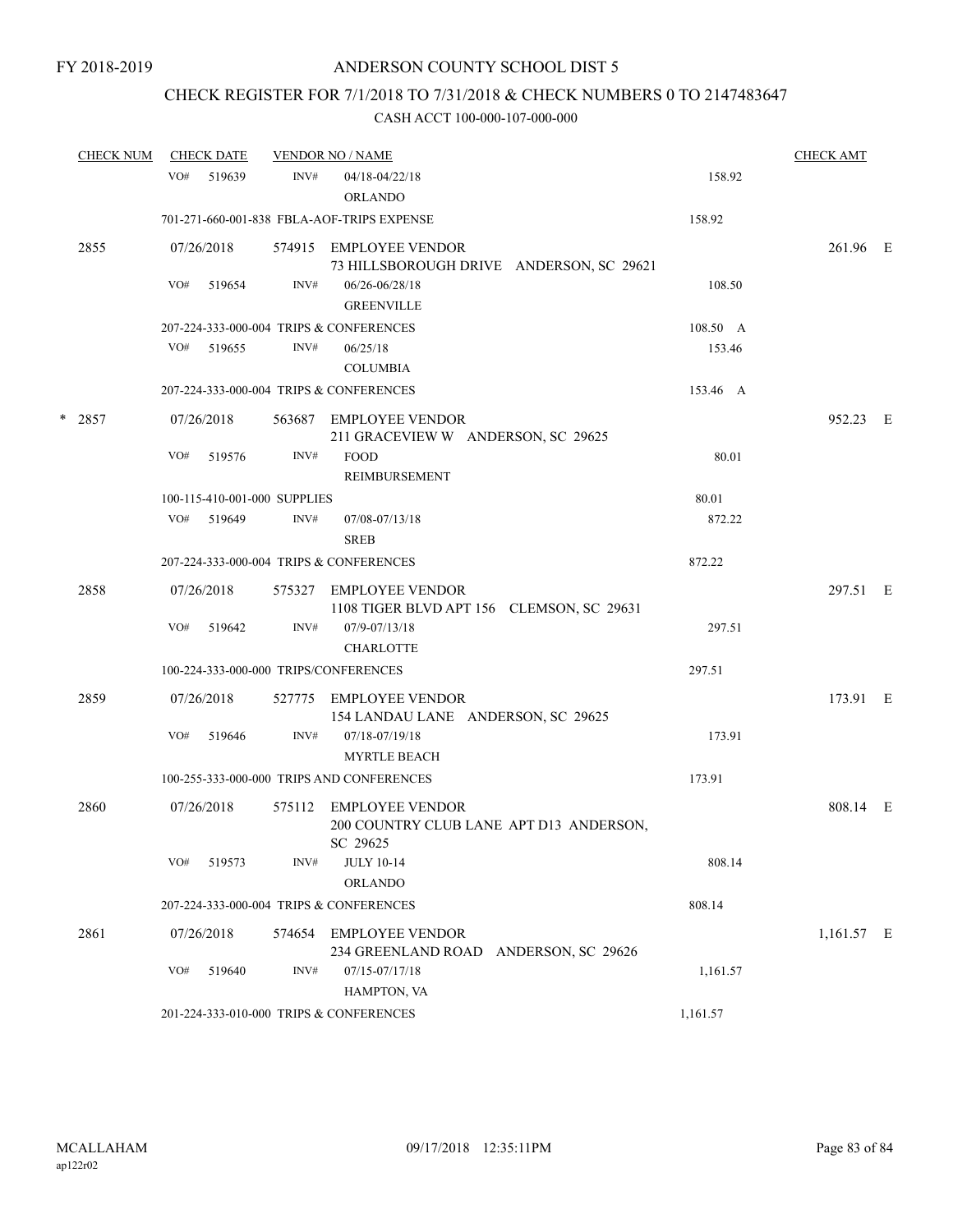## CHECK REGISTER FOR 7/1/2018 TO 7/31/2018 & CHECK NUMBERS 0 TO 2147483647

| <b>CHECK NUM</b> |     | <b>CHECK DATE</b>            |        | <b>VENDOR NO / NAME</b>                    |          | <b>CHECK AMT</b> |  |
|------------------|-----|------------------------------|--------|--------------------------------------------|----------|------------------|--|
|                  | VO# | 519639                       | INV#   | $04/18 - 04/22/18$                         | 158.92   |                  |  |
|                  |     |                              |        | <b>ORLANDO</b>                             |          |                  |  |
|                  |     |                              |        | 701-271-660-001-838 FBLA-AOF-TRIPS EXPENSE | 158.92   |                  |  |
| 2855             |     | 07/26/2018                   |        | 574915 EMPLOYEE VENDOR                     |          | 261.96 E         |  |
|                  |     |                              |        | 73 HILLSBOROUGH DRIVE ANDERSON, SC 29621   |          |                  |  |
|                  | VO# | 519654                       | INV#   | 06/26-06/28/18<br><b>GREENVILLE</b>        | 108.50   |                  |  |
|                  |     |                              |        | 207-224-333-000-004 TRIPS & CONFERENCES    | 108.50 A |                  |  |
|                  | VO# | 519655                       | INV#   | 06/25/18                                   | 153.46   |                  |  |
|                  |     |                              |        | <b>COLUMBIA</b>                            |          |                  |  |
|                  |     |                              |        |                                            |          |                  |  |
|                  |     |                              |        | 207-224-333-000-004 TRIPS & CONFERENCES    | 153.46 A |                  |  |
| $*$ 2857         |     | 07/26/2018                   |        | 563687 EMPLOYEE VENDOR                     |          | 952.23 E         |  |
|                  |     |                              |        | 211 GRACEVIEW W ANDERSON, SC 29625         |          |                  |  |
|                  | VO# | 519576                       | INV#   | <b>FOOD</b>                                | 80.01    |                  |  |
|                  |     |                              |        | REIMBURSEMENT                              |          |                  |  |
|                  |     | 100-115-410-001-000 SUPPLIES |        |                                            | 80.01    |                  |  |
|                  | VO# | 519649                       | INV#   | 07/08-07/13/18                             | 872.22   |                  |  |
|                  |     |                              |        | <b>SREB</b>                                |          |                  |  |
|                  |     |                              |        | 207-224-333-000-004 TRIPS & CONFERENCES    | 872.22   |                  |  |
| 2858             |     | 07/26/2018                   |        | 575327 EMPLOYEE VENDOR                     |          | 297.51 E         |  |
|                  |     |                              |        | 1108 TIGER BLVD APT 156 CLEMSON, SC 29631  |          |                  |  |
|                  | VO# | 519642                       | INV#   | 07/9-07/13/18                              | 297.51   |                  |  |
|                  |     |                              |        | <b>CHARLOTTE</b>                           |          |                  |  |
|                  |     |                              |        | 100-224-333-000-000 TRIPS/CONFERENCES      | 297.51   |                  |  |
| 2859             |     | 07/26/2018                   | 527775 | EMPLOYEE VENDOR                            |          | 173.91 E         |  |
|                  |     |                              |        | 154 LANDAU LANE ANDERSON, SC 29625         |          |                  |  |
|                  | VO# | 519646                       | INV#   | 07/18-07/19/18                             | 173.91   |                  |  |
|                  |     |                              |        | <b>MYRTLE BEACH</b>                        |          |                  |  |
|                  |     |                              |        | 100-255-333-000-000 TRIPS AND CONFERENCES  | 173.91   |                  |  |
| 2860             |     | 07/26/2018                   |        | 575112 EMPLOYEE VENDOR                     |          | 808.14 E         |  |
|                  |     |                              |        | 200 COUNTRY CLUB LANE APT D13 ANDERSON,    |          |                  |  |
|                  |     |                              |        | SC 29625                                   |          |                  |  |
|                  | VO# | 519573                       | INV#   | <b>JULY 10-14</b>                          | 808.14   |                  |  |
|                  |     |                              |        | <b>ORLANDO</b>                             |          |                  |  |
|                  |     |                              |        | 207-224-333-000-004 TRIPS & CONFERENCES    | 808.14   |                  |  |
| 2861             |     | 07/26/2018                   | 574654 | <b>EMPLOYEE VENDOR</b>                     |          | 1,161.57 E       |  |
|                  |     |                              |        | 234 GREENLAND ROAD ANDERSON, SC 29626      |          |                  |  |
|                  | VO# | 519640                       | INV#   | 07/15-07/17/18                             | 1,161.57 |                  |  |
|                  |     |                              |        | HAMPTON, VA                                |          |                  |  |
|                  |     |                              |        | 201-224-333-010-000 TRIPS & CONFERENCES    | 1,161.57 |                  |  |
|                  |     |                              |        |                                            |          |                  |  |